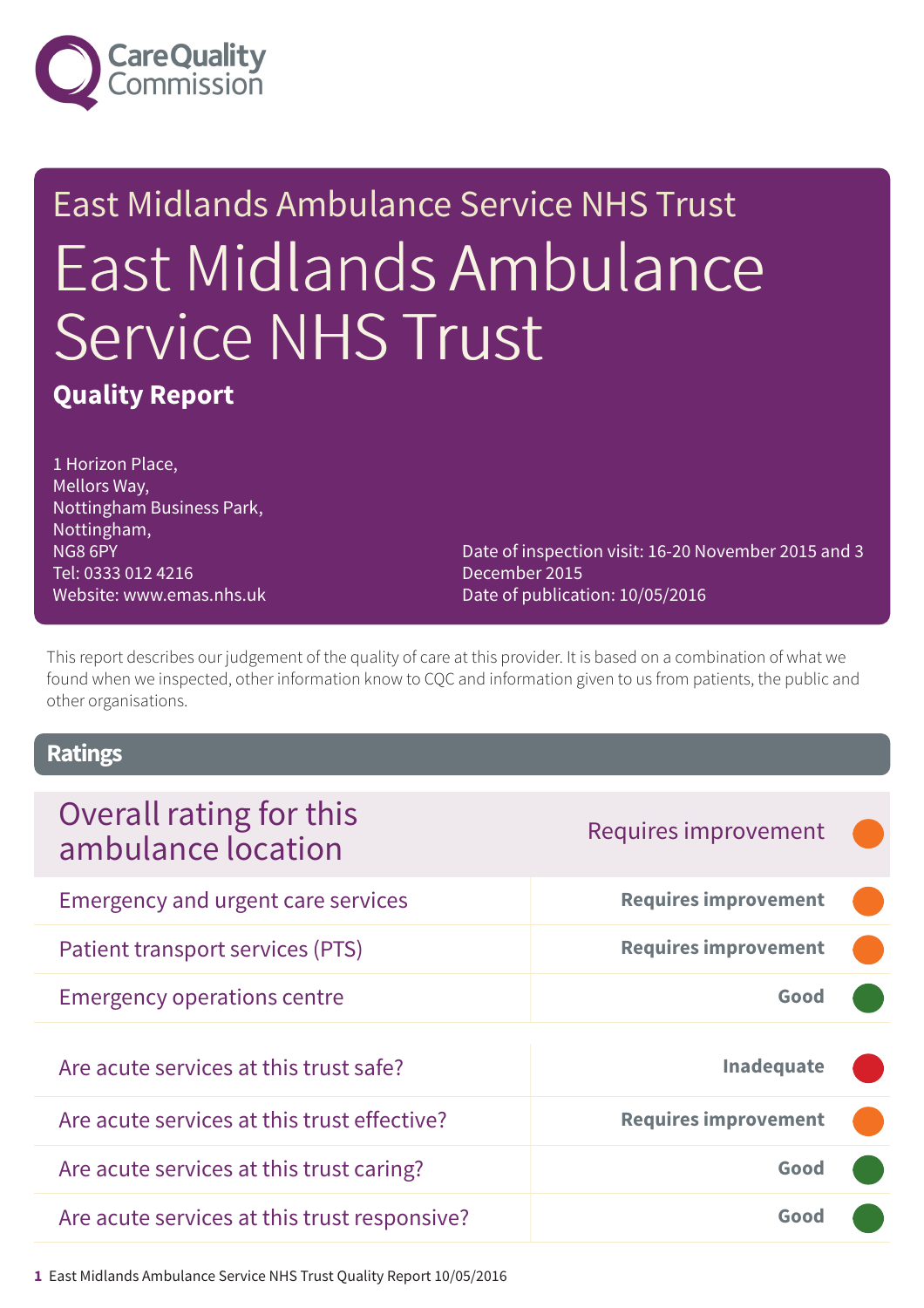

# East Midlands Ambulance Service NHS Trust East Midlands Ambulance Service NHS Trust

### **Quality Report**

1 Horizon Place, Mellors Way, Nottingham Business Park, Nottingham, NG8 6PY Tel: 0333 012 4216 Website: www.emas.nhs.uk

Date of inspection visit: 16-20 November 2015 and 3 December 2015 Date of publication: 10/05/2016

This report describes our judgement of the quality of care at this provider. It is based on a combination of what we found when we inspected, other information know to CQC and information given to us from patients, the public and other organisations.

### **Ratings**

| Overall rating for this<br>ambulance location | Requires improvement        |  |
|-----------------------------------------------|-----------------------------|--|
| <b>Emergency and urgent care services</b>     | <b>Requires improvement</b> |  |
| Patient transport services (PTS)              | <b>Requires improvement</b> |  |
| <b>Emergency operations centre</b>            | Good                        |  |
| Are acute services at this trust safe?        | Inadequate                  |  |
| Are acute services at this trust effective?   | <b>Requires improvement</b> |  |
| Are acute services at this trust caring?      | Good                        |  |
| Are acute services at this trust responsive?  | Good                        |  |

**1** East Midlands Ambulance Service NHS Trust Quality Report 10/05/2016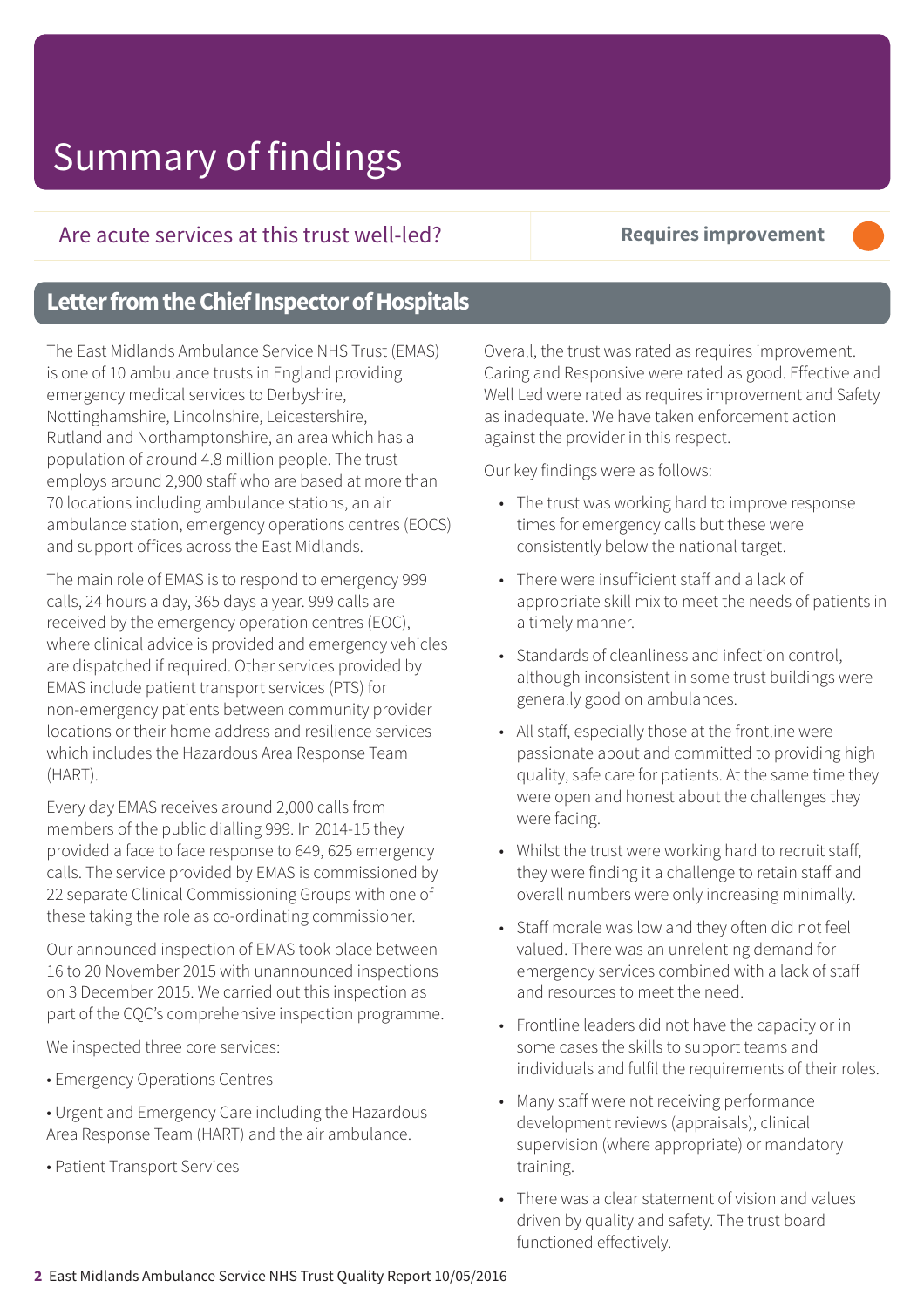### Are acute services at this trust well-led? **Example 20 Requires improvement**

### **Letter from the Chief Inspector of Hospitals**

The East Midlands Ambulance Service NHS Trust (EMAS) is one of 10 ambulance trusts in England providing emergency medical services to Derbyshire, Nottinghamshire, Lincolnshire, Leicestershire, Rutland and Northamptonshire, an area which has a population of around 4.8 million people. The trust employs around 2,900 staff who are based at more than 70 locations including ambulance stations, an air ambulance station, emergency operations centres (EOCS) and support offices across the East Midlands.

The main role of EMAS is to respond to emergency 999 calls, 24 hours a day, 365 days a year. 999 calls are received by the emergency operation centres (EOC), where clinical advice is provided and emergency vehicles are dispatched if required. Other services provided by EMAS include patient transport services (PTS) for non-emergency patients between community provider locations or their home address and resilience services which includes the Hazardous Area Response Team (HART).

Every day EMAS receives around 2,000 calls from members of the public dialling 999. In 2014-15 they provided a face to face response to 649, 625 emergency calls. The service provided by EMAS is commissioned by 22 separate Clinical Commissioning Groups with one of these taking the role as co-ordinating commissioner.

Our announced inspection of EMAS took place between 16 to 20 November 2015 with unannounced inspections on 3 December 2015. We carried out this inspection as part of the CQC's comprehensive inspection programme.

We inspected three core services:

- Emergency Operations Centres
- Urgent and Emergency Care including the Hazardous Area Response Team (HART) and the air ambulance.
- Patient Transport Services

Overall, the trust was rated as requires improvement. Caring and Responsive were rated as good. Effective and Well Led were rated as requires improvement and Safety as inadequate. We have taken enforcement action against the provider in this respect.

Our key findings were as follows:

- The trust was working hard to improve response times for emergency calls but these were consistently below the national target.
- There were insufficient staff and a lack of appropriate skill mix to meet the needs of patients in a timely manner.
- Standards of cleanliness and infection control, although inconsistent in some trust buildings were generally good on ambulances.
- All staff, especially those at the frontline were passionate about and committed to providing high quality, safe care for patients. At the same time they were open and honest about the challenges they were facing.
- Whilst the trust were working hard to recruit staff, they were finding it a challenge to retain staff and overall numbers were only increasing minimally.
- Staff morale was low and they often did not feel valued. There was an unrelenting demand for emergency services combined with a lack of staff and resources to meet the need.
- Frontline leaders did not have the capacity or in some cases the skills to support teams and individuals and fulfil the requirements of their roles.
- Many staff were not receiving performance development reviews (appraisals), clinical supervision (where appropriate) or mandatory training.
- There was a clear statement of vision and values driven by quality and safety. The trust board functioned effectively.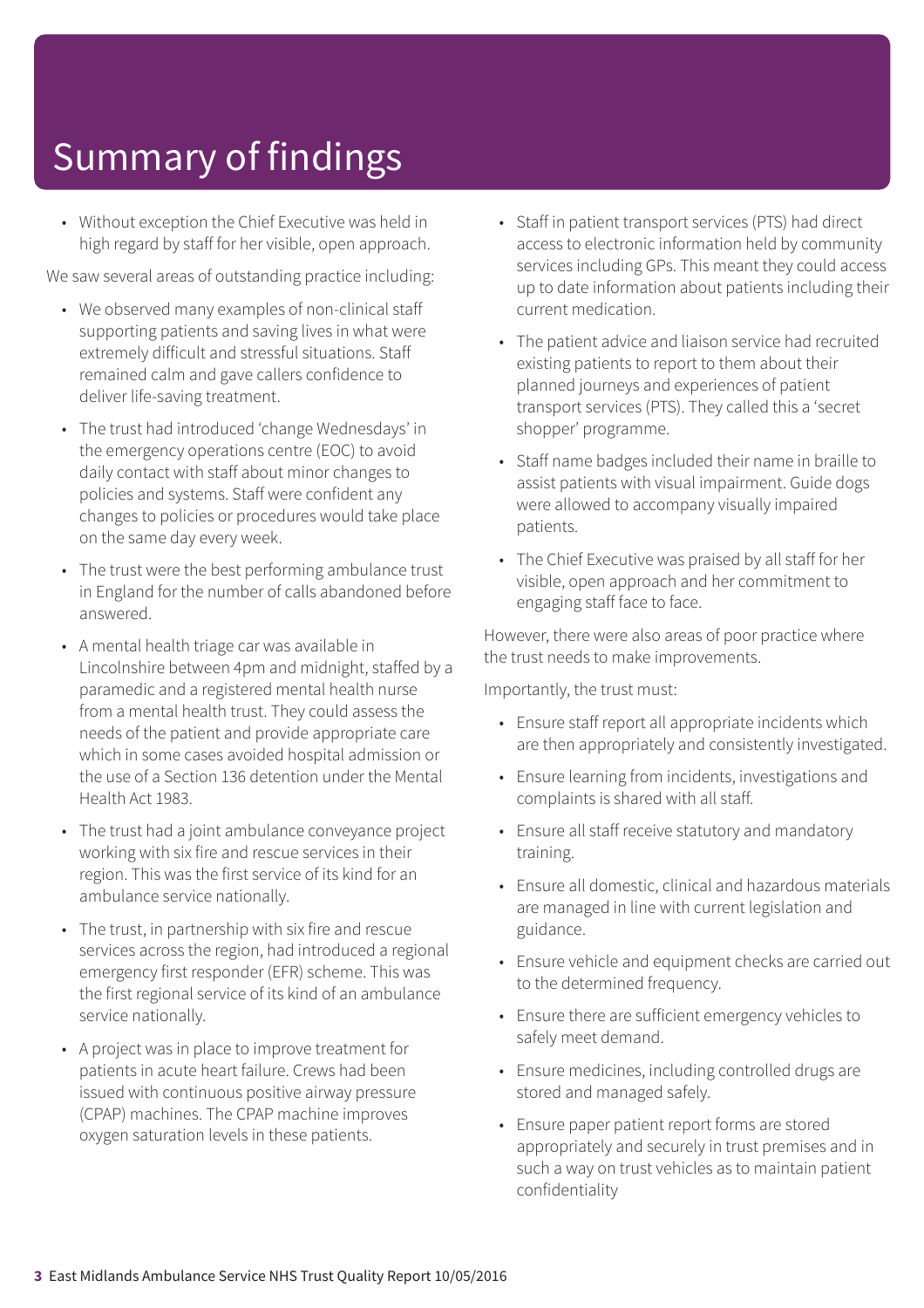• Without exception the Chief Executive was held in high regard by staff for her visible, open approach.

We saw several areas of outstanding practice including:

- We observed many examples of non-clinical staff supporting patients and saving lives in what were extremely difficult and stressful situations. Staff remained calm and gave callers confidence to deliver life-saving treatment.
- The trust had introduced 'change Wednesdays' in the emergency operations centre (EOC) to avoid daily contact with staff about minor changes to policies and systems. Staff were confident any changes to policies or procedures would take place on the same day every week.
- The trust were the best performing ambulance trust in England for the number of calls abandoned before answered.
- A mental health triage car was available in Lincolnshire between 4pm and midnight, staffed by a paramedic and a registered mental health nurse from a mental health trust. They could assess the needs of the patient and provide appropriate care which in some cases avoided hospital admission or the use of a Section 136 detention under the Mental Health Act 1983.
- The trust had a joint ambulance conveyance project working with six fire and rescue services in their region. This was the first service of its kind for an ambulance service nationally.
- The trust, in partnership with six fire and rescue services across the region, had introduced a regional emergency first responder (EFR) scheme. This was the first regional service of its kind of an ambulance service nationally.
- A project was in place to improve treatment for patients in acute heart failure. Crews had been issued with continuous positive airway pressure (CPAP) machines. The CPAP machine improves oxygen saturation levels in these patients.
- Staff in patient transport services (PTS) had direct access to electronic information held by community services including GPs. This meant they could access up to date information about patients including their current medication.
- The patient advice and liaison service had recruited existing patients to report to them about their planned journeys and experiences of patient transport services (PTS). They called this a 'secret shopper' programme.
- Staff name badges included their name in braille to assist patients with visual impairment. Guide dogs were allowed to accompany visually impaired patients.
- The Chief Executive was praised by all staff for her visible, open approach and her commitment to engaging staff face to face.

However, there were also areas of poor practice where the trust needs to make improvements.

Importantly, the trust must:

- Ensure staff report all appropriate incidents which are then appropriately and consistently investigated.
- Ensure learning from incidents, investigations and complaints is shared with all staff.
- Ensure all staff receive statutory and mandatory training.
- Ensure all domestic, clinical and hazardous materials are managed in line with current legislation and guidance.
- Ensure vehicle and equipment checks are carried out to the determined frequency.
- Ensure there are sufficient emergency vehicles to safely meet demand.
- Ensure medicines, including controlled drugs are stored and managed safely.
- Ensure paper patient report forms are stored appropriately and securely in trust premises and in such a way on trust vehicles as to maintain patient confidentiality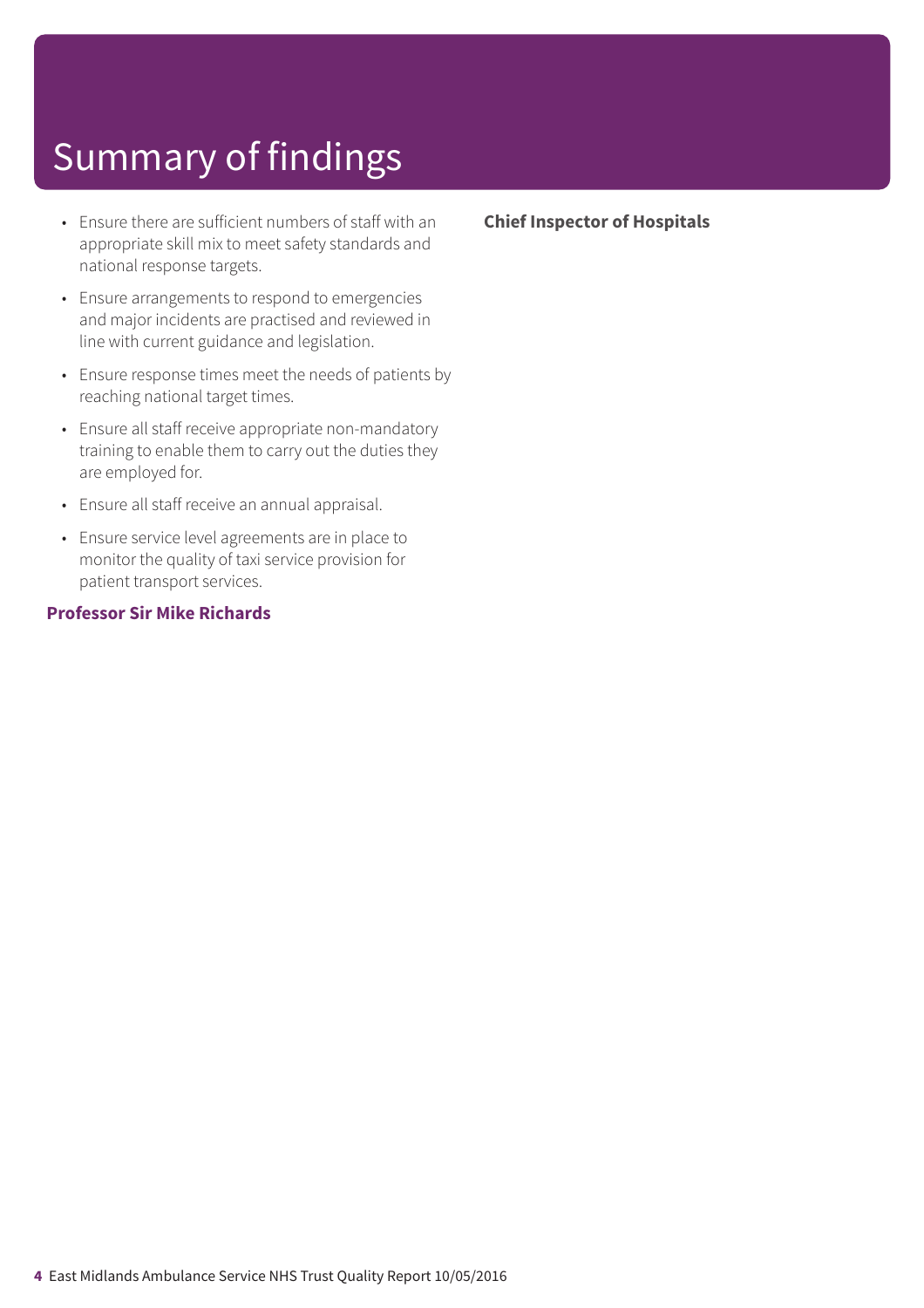- Ensure there are sufficient numbers of staff with an appropriate skill mix to meet safety standards and national response targets.
- Ensure arrangements to respond to emergencies and major incidents are practised and reviewed in line with current guidance and legislation.
- Ensure response times meet the needs of patients by reaching national target times.
- Ensure all staff receive appropriate non-mandatory training to enable them to carry out the duties they are employed for.
- Ensure all staff receive an annual appraisal.
- Ensure service level agreements are in place to monitor the quality of taxi service provision for patient transport services.

#### **Professor Sir Mike Richards**

#### **Chief Inspector of Hospitals**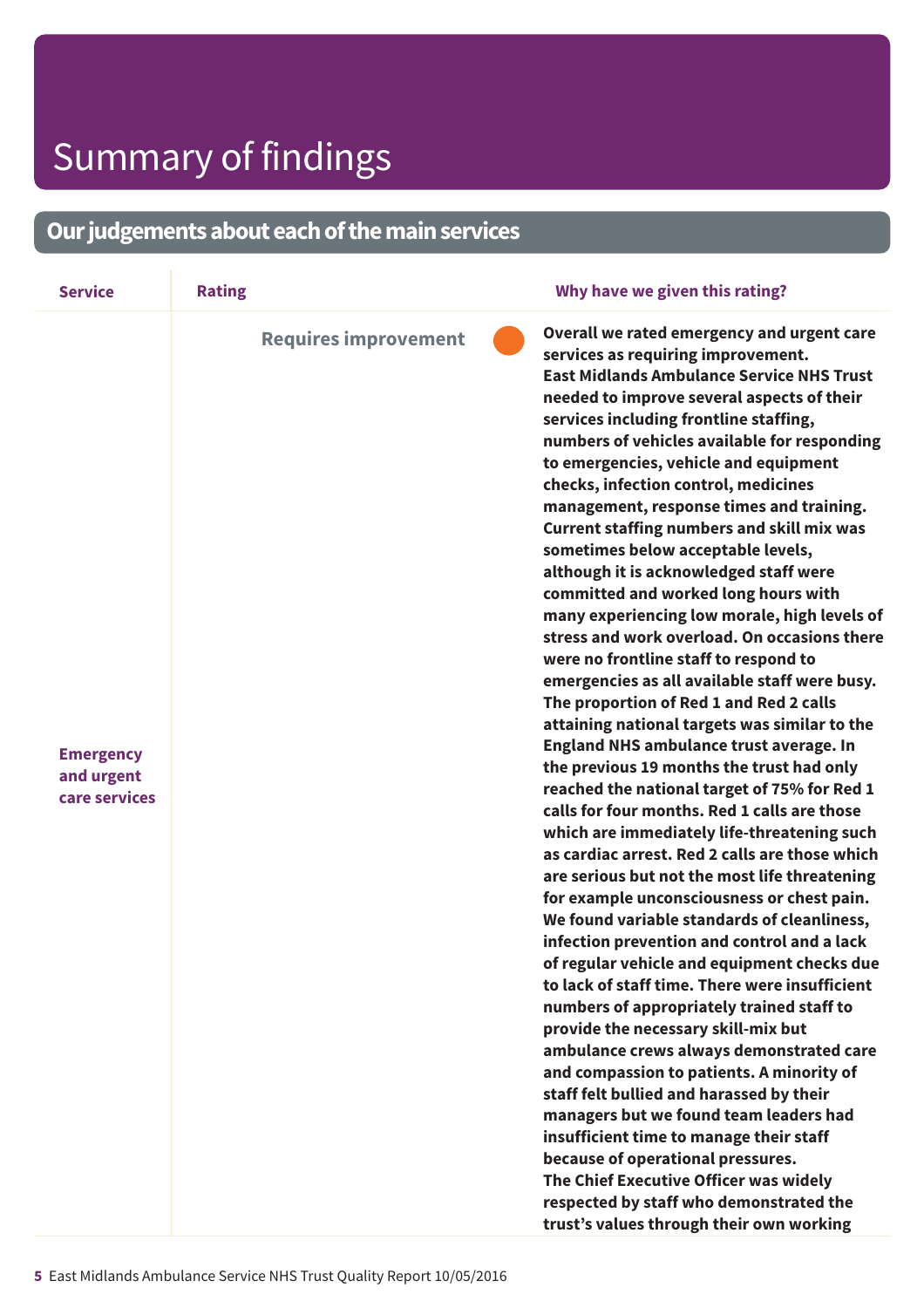### **Ourjudgementsabouteachofthemainservices**

| <b>Service</b>                                  | <b>Rating</b>               | Why have we given this rating?                                                                                                                                                                                                                                                                                                                                                                                                                                                                                                                                                                                                                                                                                                                                                                                                                                                                                                                                                                                                                                                                                                                                                                                                                                                                                                                                                                                                                                                                                                                                                                                                                                                                                                                                                                                                                                                                                                                                 |
|-------------------------------------------------|-----------------------------|----------------------------------------------------------------------------------------------------------------------------------------------------------------------------------------------------------------------------------------------------------------------------------------------------------------------------------------------------------------------------------------------------------------------------------------------------------------------------------------------------------------------------------------------------------------------------------------------------------------------------------------------------------------------------------------------------------------------------------------------------------------------------------------------------------------------------------------------------------------------------------------------------------------------------------------------------------------------------------------------------------------------------------------------------------------------------------------------------------------------------------------------------------------------------------------------------------------------------------------------------------------------------------------------------------------------------------------------------------------------------------------------------------------------------------------------------------------------------------------------------------------------------------------------------------------------------------------------------------------------------------------------------------------------------------------------------------------------------------------------------------------------------------------------------------------------------------------------------------------------------------------------------------------------------------------------------------------|
| <b>Emergency</b><br>and urgent<br>care services | <b>Requires improvement</b> | Overall we rated emergency and urgent care<br>services as requiring improvement.<br><b>East Midlands Ambulance Service NHS Trust</b><br>needed to improve several aspects of their<br>services including frontline staffing,<br>numbers of vehicles available for responding<br>to emergencies, vehicle and equipment<br>checks, infection control, medicines<br>management, response times and training.<br><b>Current staffing numbers and skill mix was</b><br>sometimes below acceptable levels,<br>although it is acknowledged staff were<br>committed and worked long hours with<br>many experiencing low morale, high levels of<br>stress and work overload. On occasions there<br>were no frontline staff to respond to<br>emergencies as all available staff were busy.<br>The proportion of Red 1 and Red 2 calls<br>attaining national targets was similar to the<br><b>England NHS ambulance trust average. In</b><br>the previous 19 months the trust had only<br>reached the national target of 75% for Red 1<br>calls for four months. Red 1 calls are those<br>which are immediately life-threatening such<br>as cardiac arrest. Red 2 calls are those which<br>are serious but not the most life threatening<br>for example unconsciousness or chest pain.<br>We found variable standards of cleanliness,<br>infection prevention and control and a lack<br>of regular vehicle and equipment checks due<br>to lack of staff time. There were insufficient<br>numbers of appropriately trained staff to<br>provide the necessary skill-mix but<br>ambulance crews always demonstrated care<br>and compassion to patients. A minority of<br>staff felt bullied and harassed by their<br>managers but we found team leaders had<br>insufficient time to manage their staff<br>because of operational pressures.<br>The Chief Executive Officer was widely<br>respected by staff who demonstrated the<br>trust's values through their own working |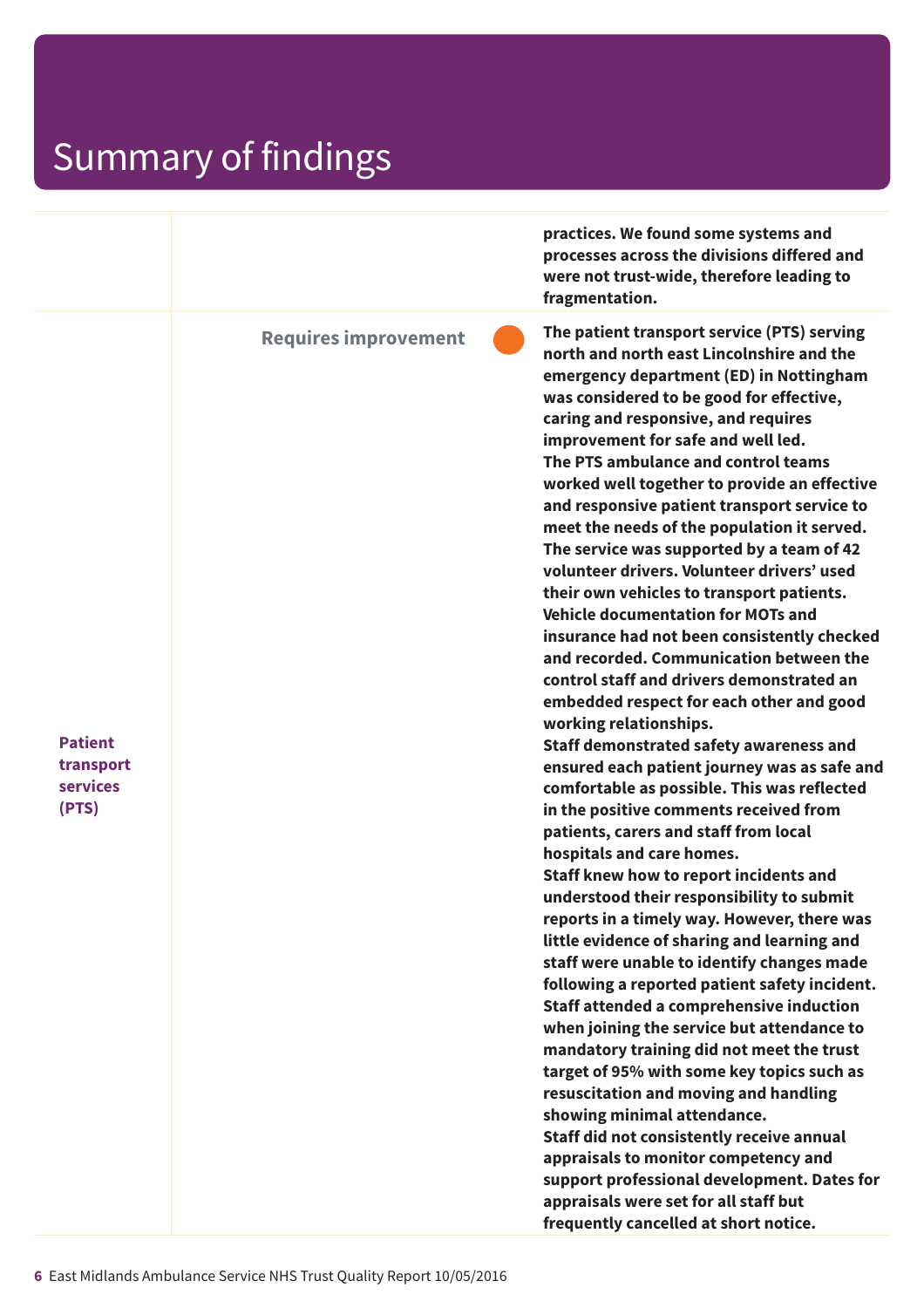**Requires improvement –––**

**Patient transport services (PTS)**

**practices. We found some systems and processes across the divisions differed and were not trust-wide, therefore leading to fragmentation.**

**The patient transport service (PTS) serving north and north east Lincolnshire and the emergency department (ED) in Nottingham was considered to be good for effective, caring and responsive, and requires improvement for safe and well led. The PTS ambulance and control teams worked well together to provide an effective and responsive patient transport service to meet the needs of the population it served. The service was supported by a team of 42 volunteer drivers. Volunteer drivers' used their own vehicles to transport patients. Vehicle documentation for MOTs and insurance had not been consistently checked and recorded. Communication between the control staff and drivers demonstrated an embedded respect for each other and good working relationships.**

**Staff demonstrated safety awareness and ensured each patient journey was as safe and comfortable as possible. This was reflected in the positive comments received from patients, carers and staff from local hospitals and care homes.**

**Staff knew how to report incidents and understood their responsibility to submit reports in a timely way. However, there was little evidence of sharing and learning and staff were unable to identify changes made following a reported patient safety incident. Staff attended a comprehensive induction when joining the service but attendance to mandatory training did not meet the trust target of 95% with some key topics such as resuscitation and moving and handling showing minimal attendance. Staff did not consistently receive annual appraisals to monitor competency and support professional development. Dates for appraisals were set for all staff but frequently cancelled at short notice.**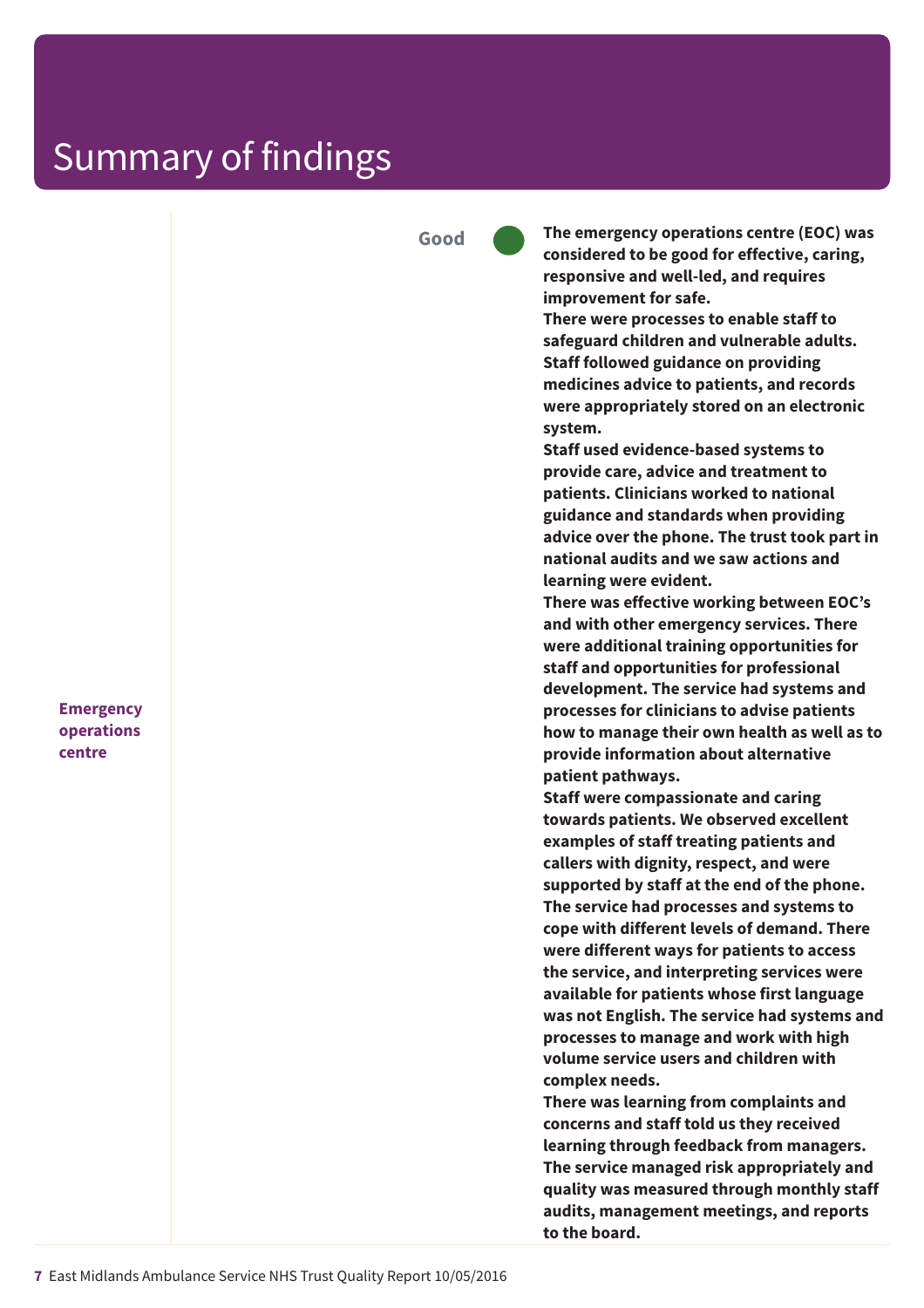**Good –––**

**The emergency operations centre (EOC) was considered to be good for effective, caring, responsive and well-led, and requires improvement for safe.**

**There were processes to enable staff to safeguard children and vulnerable adults. Staff followed guidance on providing medicines advice to patients, and records were appropriately stored on an electronic system.**

**Staff used evidence-based systems to provide care, advice and treatment to patients. Clinicians worked to national guidance and standards when providing advice over the phone. The trust took part in national audits and we saw actions and learning were evident.**

**There was effective working between EOC's and with other emergency services. There were additional training opportunities for staff and opportunities for professional development. The service had systems and processes for clinicians to advise patients how to manage their own health as well as to provide information about alternative patient pathways.**

**Staff were compassionate and caring towards patients. We observed excellent examples of staff treating patients and callers with dignity, respect, and were supported by staff at the end of the phone. The service had processes and systems to cope with different levels of demand. There were different ways for patients to access the service, and interpreting services were available for patients whose first language was not English. The service had systems and processes to manage and work with high volume service users and children with complex needs.**

**There was learning from complaints and concerns and staff told us they received learning through feedback from managers. The service managed risk appropriately and quality was measured through monthly staff audits, management meetings, and reports to the board.**

**Emergency operations centre**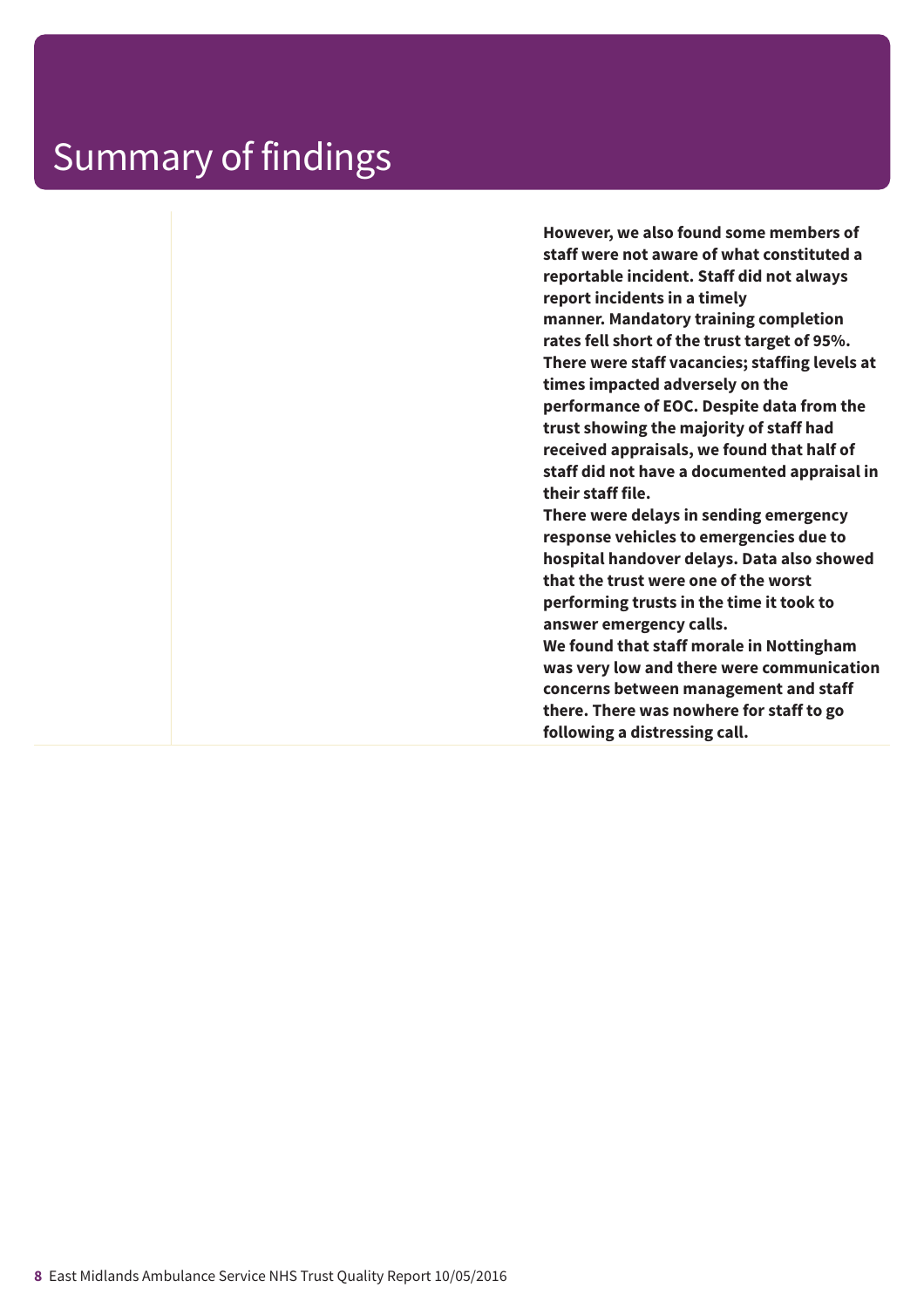**However, we also found some members of staff were not aware of what constituted a reportable incident. Staff did not always report incidents in a timely manner. Mandatory training completion rates fell short of the trust target of 95%. There were staff vacancies; staffing levels at times impacted adversely on the performance of EOC. Despite data from the trust showing the majority of staff had received appraisals, we found that half of staff did not have a documented appraisal in their staff file.**

**There were delays in sending emergency response vehicles to emergencies due to hospital handover delays. Data also showed that the trust were one of the worst performing trusts in the time it took to answer emergency calls.**

**We found that staff morale in Nottingham was very low and there were communication concerns between management and staff there. There was nowhere for staff to go following a distressing call.**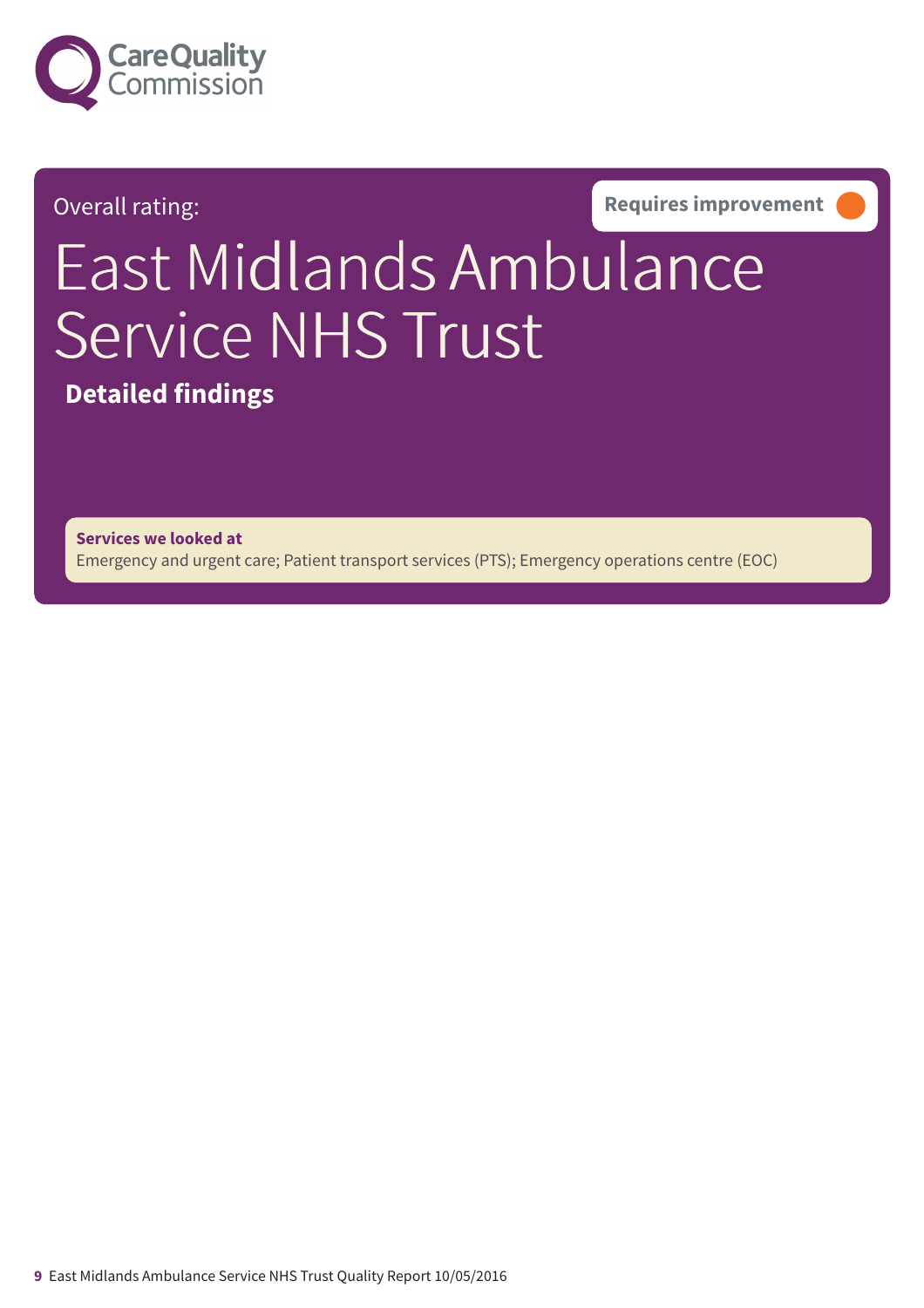

**Overall rating:** *COVERENT <b>REQUIRES* **EXECUTE: REQUIRERENT <b>EXECUTE: REQUIRERENT PROPERTY** 

# East Midlands Ambulance Service NHS Trust

**Detailed findings**

**Services we looked at**

Emergency and urgent care; Patient transport services (PTS); Emergency operations centre (EOC)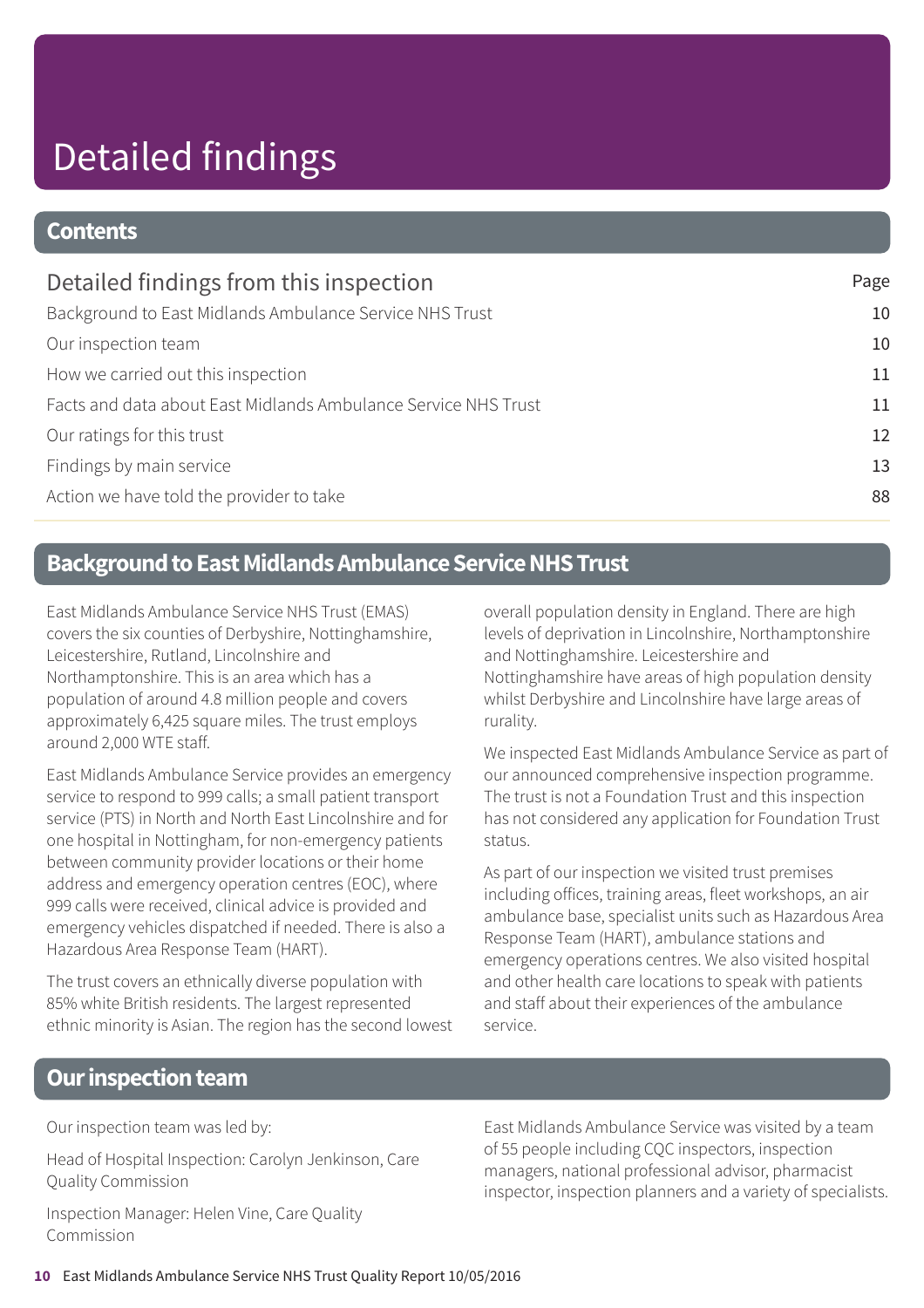# Detailed findings

### **Contents**

| Detailed findings from this inspection                         | Page |
|----------------------------------------------------------------|------|
| Background to East Midlands Ambulance Service NHS Trust        | 10   |
| Our inspection team                                            | 10   |
| How we carried out this inspection                             | 11   |
| Facts and data about East Midlands Ambulance Service NHS Trust | 11   |
| Our ratings for this trust                                     | 12   |
| Findings by main service                                       | 13   |
| Action we have told the provider to take                       | 88   |

### **Background to East Midlands Ambulance Service NHS Trust**

East Midlands Ambulance Service NHS Trust (EMAS) covers the six counties of Derbyshire, Nottinghamshire, Leicestershire, Rutland, Lincolnshire and Northamptonshire. This is an area which has a population of around 4.8 million people and covers approximately 6,425 square miles. The trust employs around 2,000 WTE staff.

East Midlands Ambulance Service provides an emergency service to respond to 999 calls; a small patient transport service (PTS) in North and North East Lincolnshire and for one hospital in Nottingham, for non-emergency patients between community provider locations or their home address and emergency operation centres (EOC), where 999 calls were received, clinical advice is provided and emergency vehicles dispatched if needed. There is also a Hazardous Area Response Team (HART).

The trust covers an ethnically diverse population with 85% white British residents. The largest represented ethnic minority is Asian. The region has the second lowest overall population density in England. There are high levels of deprivation in Lincolnshire, Northamptonshire and Nottinghamshire. Leicestershire and Nottinghamshire have areas of high population density whilst Derbyshire and Lincolnshire have large areas of rurality.

We inspected East Midlands Ambulance Service as part of our announced comprehensive inspection programme. The trust is not a Foundation Trust and this inspection has not considered any application for Foundation Trust status.

As part of our inspection we visited trust premises including offices, training areas, fleet workshops, an air ambulance base, specialist units such as Hazardous Area Response Team (HART), ambulance stations and emergency operations centres. We also visited hospital and other health care locations to speak with patients and staff about their experiences of the ambulance service.

### **Our inspection team**

Our inspection team was led by:

Head of Hospital Inspection: Carolyn Jenkinson, Care Quality Commission

Inspection Manager: Helen Vine, Care Quality Commission

East Midlands Ambulance Service was visited by a team of 55 people including CQC inspectors, inspection managers, national professional advisor, pharmacist inspector, inspection planners and a variety of specialists.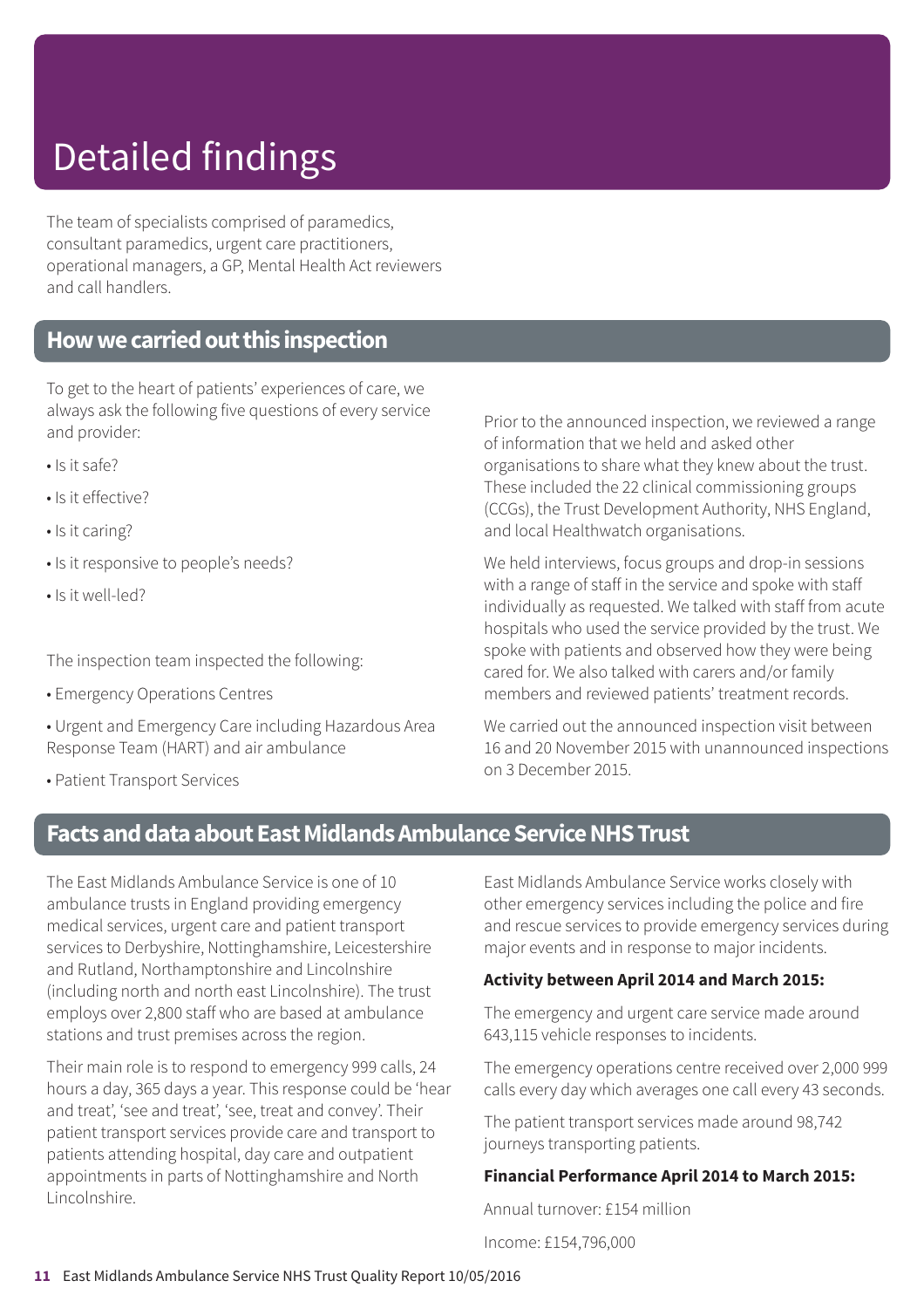# Detailed findings

The team of specialists comprised of paramedics, consultant paramedics, urgent care practitioners, operational managers, a GP, Mental Health Act reviewers and call handlers.

### **Howwecarriedoutthis inspection**

To get to the heart of patients' experiences of care, we always ask the following five questions of every service and provider:

- Is it safe?
- Is it effective?
- Is it caring?
- Is it responsive to people's needs?
- Is it well-led?

The inspection team inspected the following:

- Emergency Operations Centres
- Urgent and Emergency Care including Hazardous Area Response Team (HART) and air ambulance

Prior to the announced inspection, we reviewed a range of information that we held and asked other organisations to share what they knew about the trust. These included the 22 clinical commissioning groups (CCGs), the Trust Development Authority, NHS England, and local Healthwatch organisations.

We held interviews, focus groups and drop-in sessions with a range of staff in the service and spoke with staff individually as requested. We talked with staff from acute hospitals who used the service provided by the trust. We spoke with patients and observed how they were being cared for. We also talked with carers and/or family members and reviewed patients' treatment records.

We carried out the announced inspection visit between 16 and 20 November 2015 with unannounced inspections on 3 December 2015.

• Patient Transport Services

### **Facts and data about East Midlands Ambulance Service NHS Trust**

The East Midlands Ambulance Service is one of 10 ambulance trusts in England providing emergency medical services, urgent care and patient transport services to Derbyshire, Nottinghamshire, Leicestershire and Rutland, Northamptonshire and Lincolnshire (including north and north east Lincolnshire). The trust employs over 2,800 staff who are based at ambulance stations and trust premises across the region.

Their main role is to respond to emergency 999 calls, 24 hours a day, 365 days a year. This response could be 'hear and treat', 'see and treat', 'see, treat and convey'. Their patient transport services provide care and transport to patients attending hospital, day care and outpatient appointments in parts of Nottinghamshire and North Lincolnshire.

East Midlands Ambulance Service works closely with other emergency services including the police and fire and rescue services to provide emergency services during major events and in response to major incidents.

#### **Activity between April 2014 and March 2015:**

The emergency and urgent care service made around 643,115 vehicle responses to incidents.

The emergency operations centre received over 2,000 999 calls every day which averages one call every 43 seconds.

The patient transport services made around 98,742 journeys transporting patients.

#### **Financial Performance April 2014 to March 2015:**

Annual turnover: £154 million

Income: £154,796,000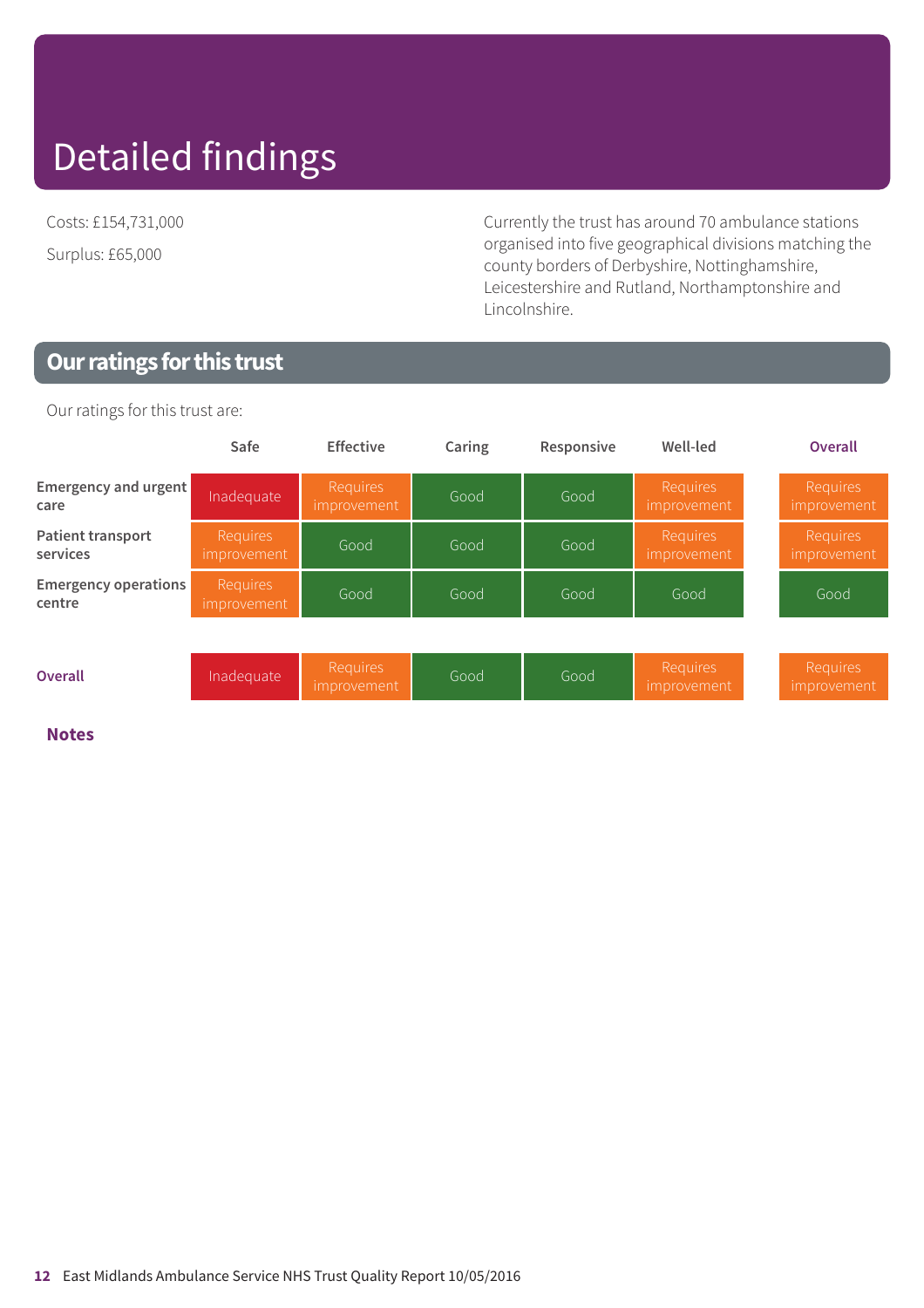# Detailed findings

Costs: £154,731,000 Surplus: £65,000

Currently the trust has around 70 ambulance stations organised into five geographical divisions matching the county borders of Derbyshire, Nottinghamshire, Leicestershire and Rutland, Northamptonshire and Lincolnshire.

### **Ourratings forthis trust**

Our ratings for this trust are:

|                                       | Safe                           | <b>Effective</b>        | Caring | Responsive | Well-led                       | <b>Overall</b>                 |
|---------------------------------------|--------------------------------|-------------------------|--------|------------|--------------------------------|--------------------------------|
| <b>Emergency and urgent</b><br>care   | Inadequate                     | Requires<br>improvement | Good   | Good       | Requires<br>improvement        | Requires<br>improvement        |
| Patient transport<br>services         | <b>Requires</b><br>improvement | Good                    | Good   | Good       | <b>Requires</b><br>improvement | <b>Requires</b><br>improvement |
| <b>Emergency operations</b><br>centre | Requires<br>improvement        | Good                    | Good   | Good       | Good                           | Good                           |
|                                       |                                |                         |        |            |                                |                                |
| <b>Overall</b>                        | Inadequate                     | Requires<br>improvement | Good   | Good       | Requires<br>improvement        | Requires<br>improvement        |

#### **Notes**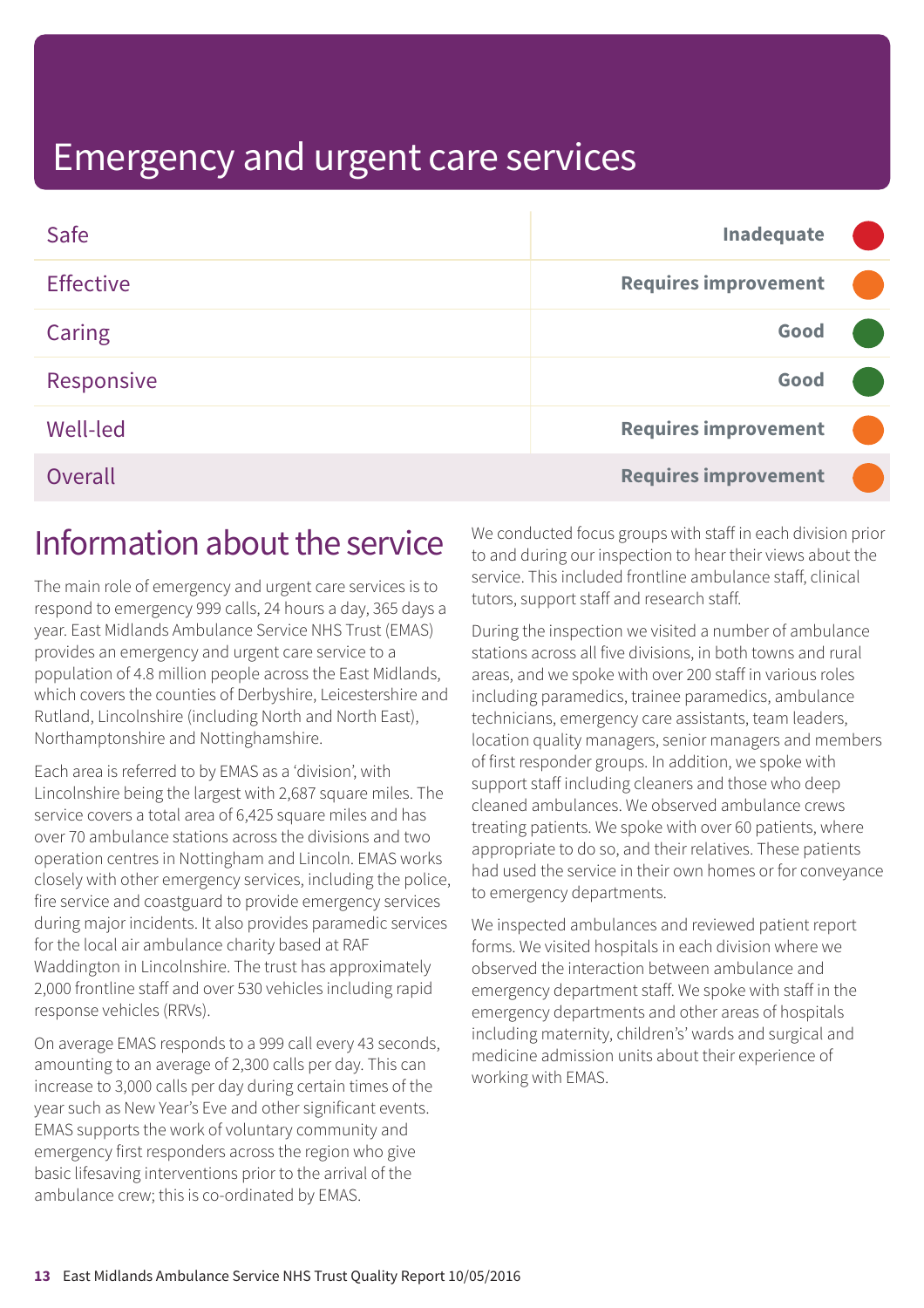| Safe             | Inadequate                  |  |
|------------------|-----------------------------|--|
| <b>Effective</b> | <b>Requires improvement</b> |  |
| Caring           | Good                        |  |
| Responsive       | Good                        |  |
| <b>Well-led</b>  | <b>Requires improvement</b> |  |
| Overall          | <b>Requires improvement</b> |  |

### Information about the service

The main role of emergency and urgent care services is to respond to emergency 999 calls, 24 hours a day, 365 days a year. East Midlands Ambulance Service NHS Trust (EMAS) provides an emergency and urgent care service to a population of 4.8 million people across the East Midlands, which covers the counties of Derbyshire, Leicestershire and Rutland, Lincolnshire (including North and North East), Northamptonshire and Nottinghamshire.

Each area is referred to by EMAS as a 'division', with Lincolnshire being the largest with 2,687 square miles. The service covers a total area of 6,425 square miles and has over 70 ambulance stations across the divisions and two operation centres in Nottingham and Lincoln. EMAS works closely with other emergency services, including the police, fire service and coastguard to provide emergency services during major incidents. It also provides paramedic services for the local air ambulance charity based at RAF Waddington in Lincolnshire. The trust has approximately 2,000 frontline staff and over 530 vehicles including rapid response vehicles (RRVs).

On average EMAS responds to a 999 call every 43 seconds, amounting to an average of 2,300 calls per day. This can increase to 3,000 calls per day during certain times of the year such as New Year's Eve and other significant events. EMAS supports the work of voluntary community and emergency first responders across the region who give basic lifesaving interventions prior to the arrival of the ambulance crew; this is co-ordinated by EMAS.

We conducted focus groups with staff in each division prior to and during our inspection to hear their views about the service. This included frontline ambulance staff, clinical tutors, support staff and research staff.

During the inspection we visited a number of ambulance stations across all five divisions, in both towns and rural areas, and we spoke with over 200 staff in various roles including paramedics, trainee paramedics, ambulance technicians, emergency care assistants, team leaders, location quality managers, senior managers and members of first responder groups. In addition, we spoke with support staff including cleaners and those who deep cleaned ambulances. We observed ambulance crews treating patients. We spoke with over 60 patients, where appropriate to do so, and their relatives. These patients had used the service in their own homes or for conveyance to emergency departments.

We inspected ambulances and reviewed patient report forms. We visited hospitals in each division where we observed the interaction between ambulance and emergency department staff. We spoke with staff in the emergency departments and other areas of hospitals including maternity, children's' wards and surgical and medicine admission units about their experience of working with EMAS.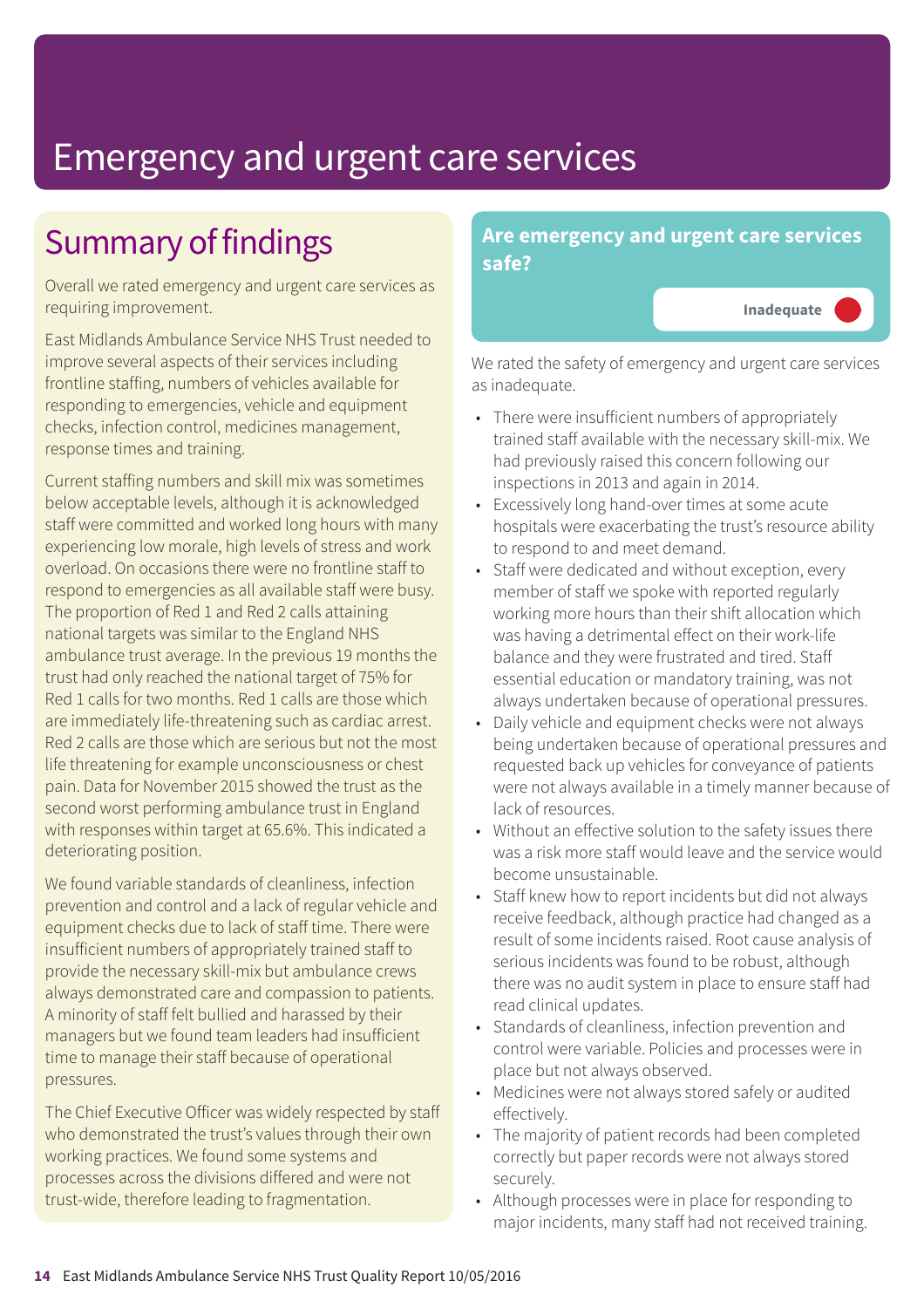## Summary of findings

Overall we rated emergency and urgent care services as requiring improvement.

East Midlands Ambulance Service NHS Trust needed to improve several aspects of their services including frontline staffing, numbers of vehicles available for responding to emergencies, vehicle and equipment checks, infection control, medicines management, response times and training.

Current staffing numbers and skill mix was sometimes below acceptable levels, although it is acknowledged staff were committed and worked long hours with many experiencing low morale, high levels of stress and work overload. On occasions there were no frontline staff to respond to emergencies as all available staff were busy. The proportion of Red 1 and Red 2 calls attaining national targets was similar to the England NHS ambulance trust average. In the previous 19 months the trust had only reached the national target of 75% for Red 1 calls for two months. Red 1 calls are those which are immediately life-threatening such as cardiac arrest. Red 2 calls are those which are serious but not the most life threatening for example unconsciousness or chest pain. Data for November 2015 showed the trust as the second worst performing ambulance trust in England with responses within target at 65.6%. This indicated a deteriorating position.

We found variable standards of cleanliness, infection prevention and control and a lack of regular vehicle and equipment checks due to lack of staff time. There were insufficient numbers of appropriately trained staff to provide the necessary skill-mix but ambulance crews always demonstrated care and compassion to patients. A minority of staff felt bullied and harassed by their managers but we found team leaders had insufficient time to manage their staff because of operational pressures.

The Chief Executive Officer was widely respected by staff who demonstrated the trust's values through their own working practices. We found some systems and processes across the divisions differed and were not trust-wide, therefore leading to fragmentation.

### **Are emergency and urgent care services safe?**

We rated the safety of emergency and urgent care services as inadequate.

**Inadequate –––**

- There were insufficient numbers of appropriately trained staff available with the necessary skill-mix. We had previously raised this concern following our inspections in 2013 and again in 2014.
- Excessively long hand-over times at some acute hospitals were exacerbating the trust's resource ability to respond to and meet demand.
- Staff were dedicated and without exception, every member of staff we spoke with reported regularly working more hours than their shift allocation which was having a detrimental effect on their work-life balance and they were frustrated and tired. Staff essential education or mandatory training, was not always undertaken because of operational pressures.
- Daily vehicle and equipment checks were not always being undertaken because of operational pressures and requested back up vehicles for conveyance of patients were not always available in a timely manner because of lack of resources.
- Without an effective solution to the safety issues there was a risk more staff would leave and the service would become unsustainable.
- Staff knew how to report incidents but did not always receive feedback, although practice had changed as a result of some incidents raised. Root cause analysis of serious incidents was found to be robust, although there was no audit system in place to ensure staff had read clinical updates.
- Standards of cleanliness, infection prevention and control were variable. Policies and processes were in place but not always observed.
- Medicines were not always stored safely or audited effectively.
- The majority of patient records had been completed correctly but paper records were not always stored securely.
- Although processes were in place for responding to major incidents, many staff had not received training.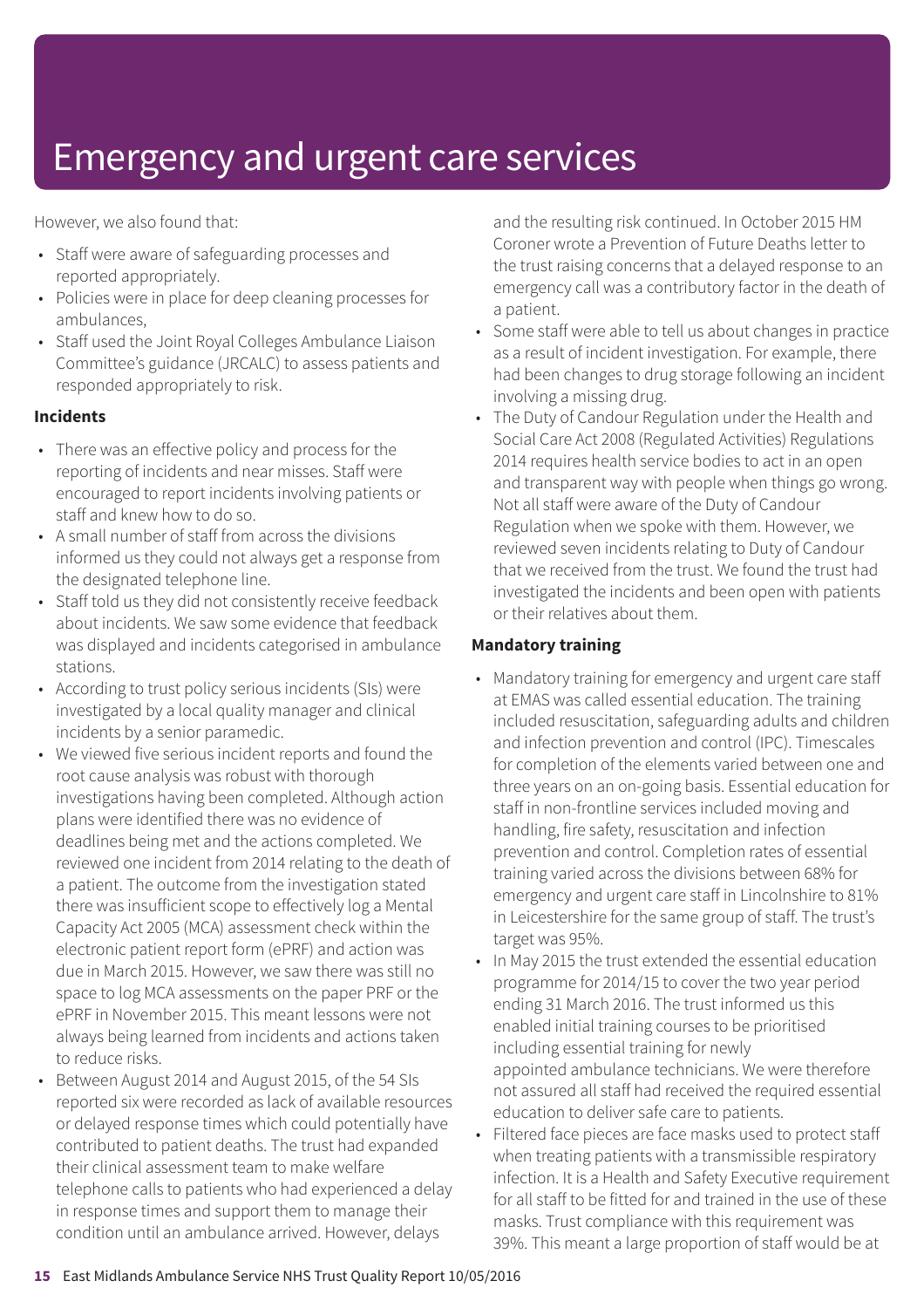However, we also found that:

- Staff were aware of safeguarding processes and reported appropriately.
- Policies were in place for deep cleaning processes for ambulances,
- Staff used the Joint Royal Colleges Ambulance Liaison Committee's guidance (JRCALC) to assess patients and responded appropriately to risk.

#### **Incidents**

- There was an effective policy and process for the reporting of incidents and near misses. Staff were encouraged to report incidents involving patients or staff and knew how to do so.
- A small number of staff from across the divisions informed us they could not always get a response from the designated telephone line.
- Staff told us they did not consistently receive feedback about incidents. We saw some evidence that feedback was displayed and incidents categorised in ambulance stations.
- According to trust policy serious incidents (SIs) were investigated by a local quality manager and clinical incidents by a senior paramedic.
- We viewed five serious incident reports and found the root cause analysis was robust with thorough investigations having been completed. Although action plans were identified there was no evidence of deadlines being met and the actions completed. We reviewed one incident from 2014 relating to the death of a patient. The outcome from the investigation stated there was insufficient scope to effectively log a Mental Capacity Act 2005 (MCA) assessment check within the electronic patient report form (ePRF) and action was due in March 2015. However, we saw there was still no space to log MCA assessments on the paper PRF or the ePRF in November 2015. This meant lessons were not always being learned from incidents and actions taken to reduce risks.
	- Between August 2014 and August 2015, of the 54 SIs reported six were recorded as lack of available resources or delayed response times which could potentially have contributed to patient deaths. The trust had expanded their clinical assessment team to make welfare telephone calls to patients who had experienced a delay in response times and support them to manage their condition until an ambulance arrived. However, delays

and the resulting risk continued. In October 2015 HM Coroner wrote a Prevention of Future Deaths letter to the trust raising concerns that a delayed response to an emergency call was a contributory factor in the death of a patient.

- Some staff were able to tell us about changes in practice as a result of incident investigation. For example, there had been changes to drug storage following an incident involving a missing drug.
- The Duty of Candour Regulation under the Health and Social Care Act 2008 (Regulated Activities) Regulations 2014 requires health service bodies to act in an open and transparent way with people when things go wrong. Not all staff were aware of the Duty of Candour Regulation when we spoke with them. However, we reviewed seven incidents relating to Duty of Candour that we received from the trust. We found the trust had investigated the incidents and been open with patients or their relatives about them.

#### **Mandatory training**

- Mandatory training for emergency and urgent care staff at EMAS was called essential education. The training included resuscitation, safeguarding adults and children and infection prevention and control (IPC). Timescales for completion of the elements varied between one and three years on an on-going basis. Essential education for staff in non-frontline services included moving and handling, fire safety, resuscitation and infection prevention and control. Completion rates of essential training varied across the divisions between 68% for emergency and urgent care staff in Lincolnshire to 81% in Leicestershire for the same group of staff. The trust's target was 95%.
- In May 2015 the trust extended the essential education programme for 2014/15 to cover the two year period ending 31 March 2016. The trust informed us this enabled initial training courses to be prioritised including essential training for newly appointed ambulance technicians. We were therefore not assured all staff had received the required essential education to deliver safe care to patients.
- Filtered face pieces are face masks used to protect staff when treating patients with a transmissible respiratory infection. It is a Health and Safety Executive requirement for all staff to be fitted for and trained in the use of these masks. Trust compliance with this requirement was 39%. This meant a large proportion of staff would be at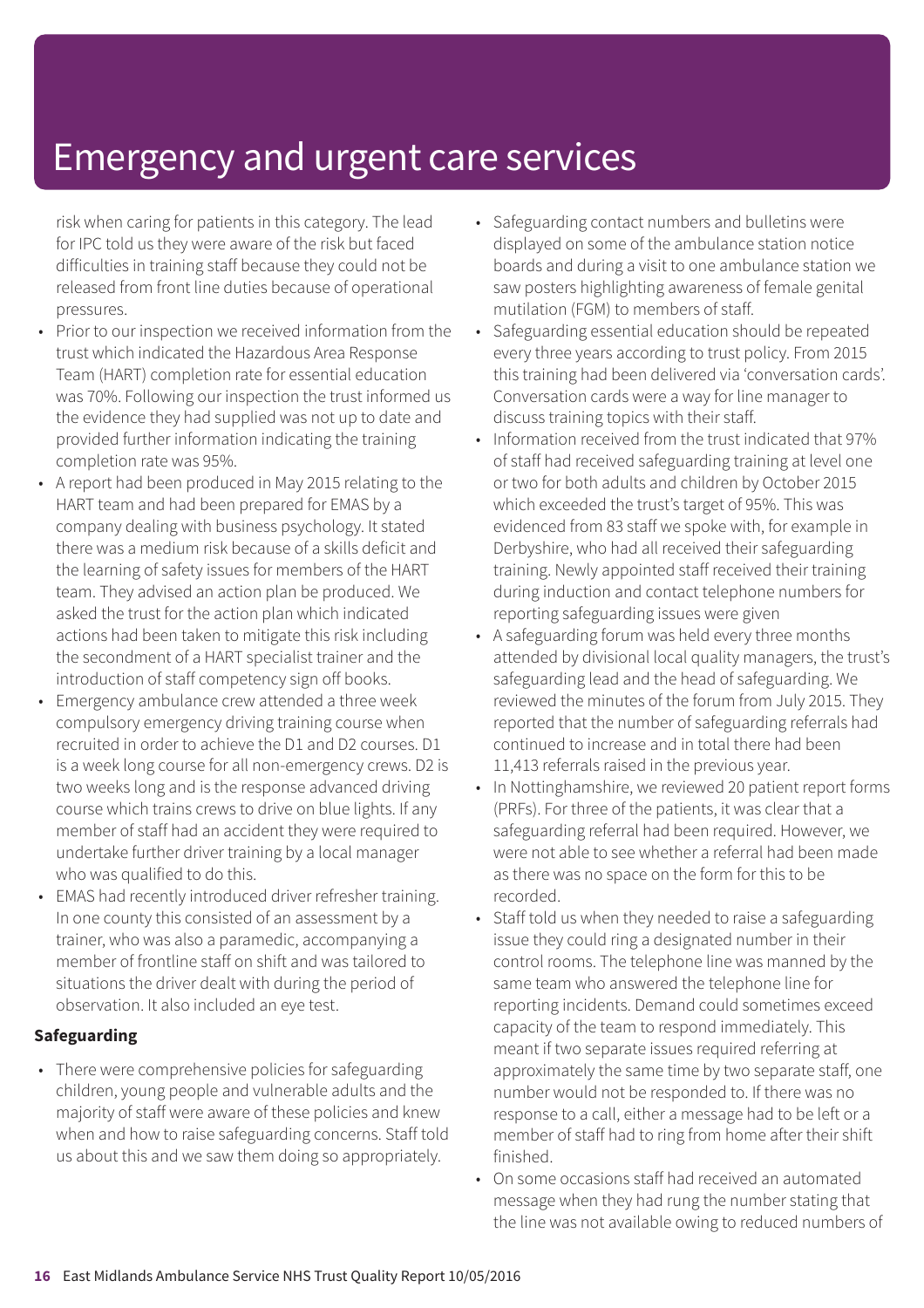risk when caring for patients in this category. The lead for IPC told us they were aware of the risk but faced difficulties in training staff because they could not be released from front line duties because of operational pressures.

- Prior to our inspection we received information from the trust which indicated the Hazardous Area Response Team (HART) completion rate for essential education was 70%. Following our inspection the trust informed us the evidence they had supplied was not up to date and provided further information indicating the training completion rate was 95%.
- A report had been produced in May 2015 relating to the HART team and had been prepared for EMAS by a company dealing with business psychology. It stated there was a medium risk because of a skills deficit and the learning of safety issues for members of the HART team. They advised an action plan be produced. We asked the trust for the action plan which indicated actions had been taken to mitigate this risk including the secondment of a HART specialist trainer and the introduction of staff competency sign off books.
- Emergency ambulance crew attended a three week compulsory emergency driving training course when recruited in order to achieve the D1 and D2 courses. D1 is a week long course for all non-emergency crews. D2 is two weeks long and is the response advanced driving course which trains crews to drive on blue lights. If any member of staff had an accident they were required to undertake further driver training by a local manager who was qualified to do this.
- EMAS had recently introduced driver refresher training. In one county this consisted of an assessment by a trainer, who was also a paramedic, accompanying a member of frontline staff on shift and was tailored to situations the driver dealt with during the period of observation. It also included an eye test.

#### **Safeguarding**

• There were comprehensive policies for safeguarding children, young people and vulnerable adults and the majority of staff were aware of these policies and knew when and how to raise safeguarding concerns. Staff told us about this and we saw them doing so appropriately.

- Safeguarding contact numbers and bulletins were displayed on some of the ambulance station notice boards and during a visit to one ambulance station we saw posters highlighting awareness of female genital mutilation (FGM) to members of staff.
- Safeguarding essential education should be repeated every three years according to trust policy. From 2015 this training had been delivered via 'conversation cards'. Conversation cards were a way for line manager to discuss training topics with their staff.
- Information received from the trust indicated that 97% of staff had received safeguarding training at level one or two for both adults and children by October 2015 which exceeded the trust's target of 95%. This was evidenced from 83 staff we spoke with, for example in Derbyshire, who had all received their safeguarding training. Newly appointed staff received their training during induction and contact telephone numbers for reporting safeguarding issues were given
- A safeguarding forum was held every three months attended by divisional local quality managers, the trust's safeguarding lead and the head of safeguarding. We reviewed the minutes of the forum from July 2015. They reported that the number of safeguarding referrals had continued to increase and in total there had been 11,413 referrals raised in the previous year.
- In Nottinghamshire, we reviewed 20 patient report forms (PRFs). For three of the patients, it was clear that a safeguarding referral had been required. However, we were not able to see whether a referral had been made as there was no space on the form for this to be recorded.
- Staff told us when they needed to raise a safeguarding issue they could ring a designated number in their control rooms. The telephone line was manned by the same team who answered the telephone line for reporting incidents. Demand could sometimes exceed capacity of the team to respond immediately. This meant if two separate issues required referring at approximately the same time by two separate staff, one number would not be responded to. If there was no response to a call, either a message had to be left or a member of staff had to ring from home after their shift finished.
- On some occasions staff had received an automated message when they had rung the number stating that the line was not available owing to reduced numbers of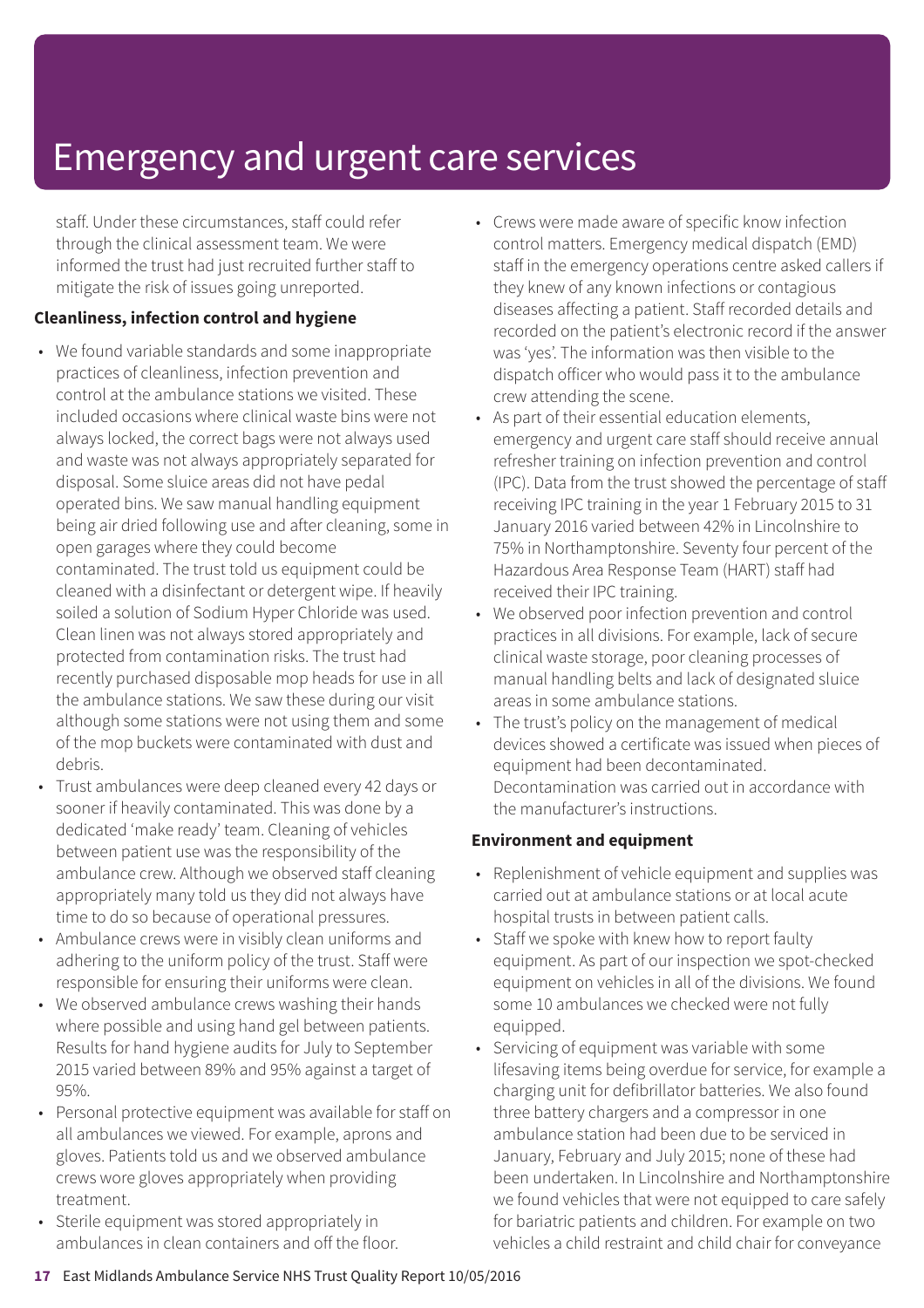staff. Under these circumstances, staff could refer through the clinical assessment team. We were informed the trust had just recruited further staff to mitigate the risk of issues going unreported.

#### **Cleanliness, infection control and hygiene**

- We found variable standards and some inappropriate practices of cleanliness, infection prevention and control at the ambulance stations we visited. These included occasions where clinical waste bins were not always locked, the correct bags were not always used and waste was not always appropriately separated for disposal. Some sluice areas did not have pedal operated bins. We saw manual handling equipment being air dried following use and after cleaning, some in open garages where they could become contaminated. The trust told us equipment could be cleaned with a disinfectant or detergent wipe. If heavily soiled a solution of Sodium Hyper Chloride was used. Clean linen was not always stored appropriately and protected from contamination risks. The trust had recently purchased disposable mop heads for use in all the ambulance stations. We saw these during our visit although some stations were not using them and some of the mop buckets were contaminated with dust and debris.
- Trust ambulances were deep cleaned every 42 days or sooner if heavily contaminated. This was done by a dedicated 'make ready' team. Cleaning of vehicles between patient use was the responsibility of the ambulance crew. Although we observed staff cleaning appropriately many told us they did not always have time to do so because of operational pressures.
- Ambulance crews were in visibly clean uniforms and adhering to the uniform policy of the trust. Staff were responsible for ensuring their uniforms were clean.
- We observed ambulance crews washing their hands where possible and using hand gel between patients. Results for hand hygiene audits for July to September 2015 varied between 89% and 95% against a target of 95%.
- Personal protective equipment was available for staff on all ambulances we viewed. For example, aprons and gloves. Patients told us and we observed ambulance crews wore gloves appropriately when providing treatment.
- Sterile equipment was stored appropriately in ambulances in clean containers and off the floor.
- Crews were made aware of specific know infection control matters. Emergency medical dispatch (EMD) staff in the emergency operations centre asked callers if they knew of any known infections or contagious diseases affecting a patient. Staff recorded details and recorded on the patient's electronic record if the answer was 'yes'. The information was then visible to the dispatch officer who would pass it to the ambulance crew attending the scene.
- As part of their essential education elements, emergency and urgent care staff should receive annual refresher training on infection prevention and control (IPC). Data from the trust showed the percentage of staff receiving IPC training in the year 1 February 2015 to 31 January 2016 varied between 42% in Lincolnshire to 75% in Northamptonshire. Seventy four percent of the Hazardous Area Response Team (HART) staff had received their IPC training.
- We observed poor infection prevention and control practices in all divisions. For example, lack of secure clinical waste storage, poor cleaning processes of manual handling belts and lack of designated sluice areas in some ambulance stations.
- The trust's policy on the management of medical devices showed a certificate was issued when pieces of equipment had been decontaminated. Decontamination was carried out in accordance with the manufacturer's instructions.

#### **Environment and equipment**

- Replenishment of vehicle equipment and supplies was carried out at ambulance stations or at local acute hospital trusts in between patient calls.
- Staff we spoke with knew how to report faulty equipment. As part of our inspection we spot-checked equipment on vehicles in all of the divisions. We found some 10 ambulances we checked were not fully equipped.
- Servicing of equipment was variable with some lifesaving items being overdue for service, for example a charging unit for defibrillator batteries. We also found three battery chargers and a compressor in one ambulance station had been due to be serviced in January, February and July 2015; none of these had been undertaken. In Lincolnshire and Northamptonshire we found vehicles that were not equipped to care safely for bariatric patients and children. For example on two vehicles a child restraint and child chair for conveyance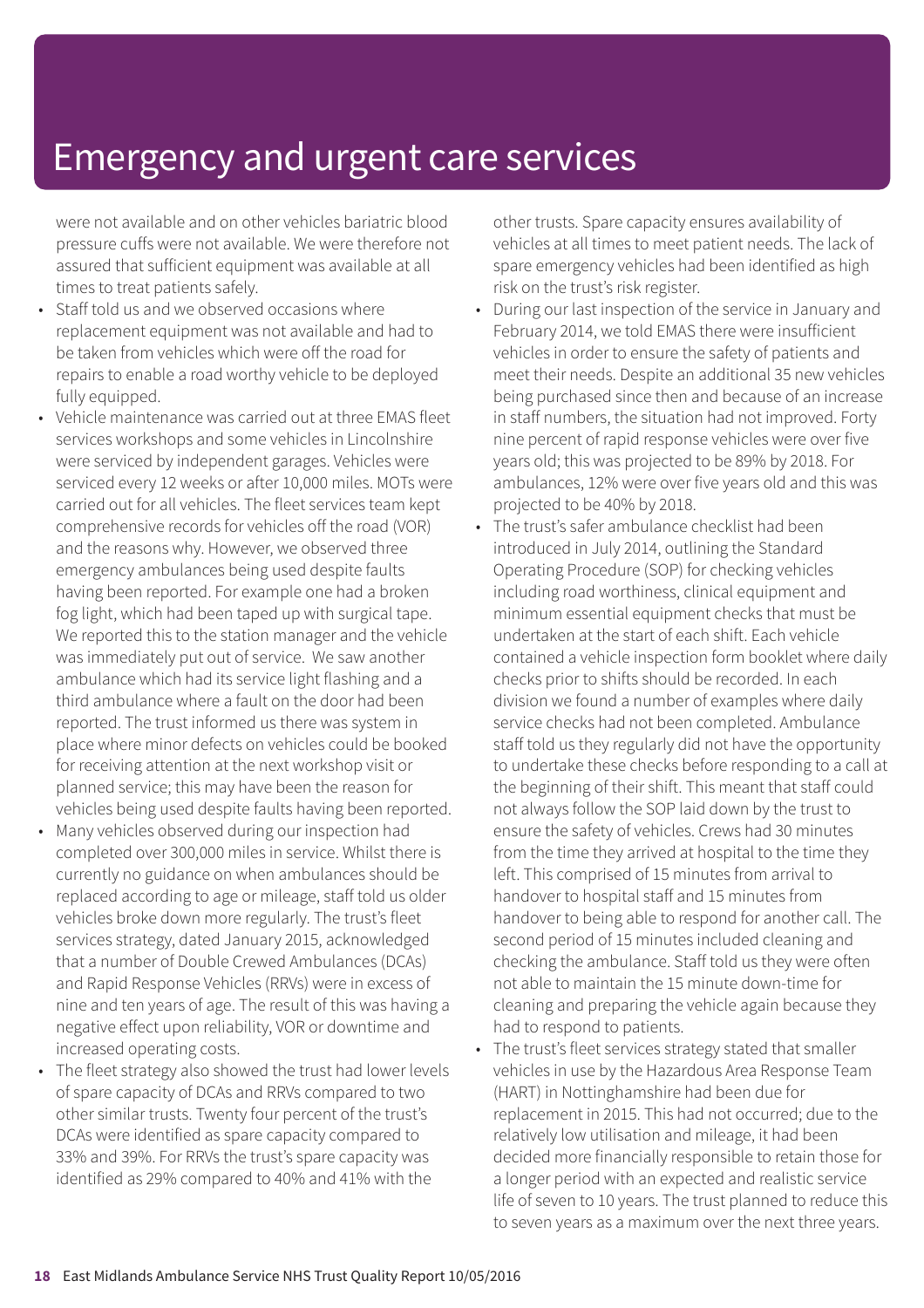were not available and on other vehicles bariatric blood pressure cuffs were not available. We were therefore not assured that sufficient equipment was available at all times to treat patients safely.

- Staff told us and we observed occasions where replacement equipment was not available and had to be taken from vehicles which were off the road for repairs to enable a road worthy vehicle to be deployed fully equipped.
- Vehicle maintenance was carried out at three EMAS fleet services workshops and some vehicles in Lincolnshire were serviced by independent garages. Vehicles were serviced every 12 weeks or after 10,000 miles. MOTs were carried out for all vehicles. The fleet services team kept comprehensive records for vehicles off the road (VOR) and the reasons why. However, we observed three emergency ambulances being used despite faults having been reported. For example one had a broken fog light, which had been taped up with surgical tape. We reported this to the station manager and the vehicle was immediately put out of service. We saw another ambulance which had its service light flashing and a third ambulance where a fault on the door had been reported. The trust informed us there was system in place where minor defects on vehicles could be booked for receiving attention at the next workshop visit or planned service; this may have been the reason for vehicles being used despite faults having been reported.
- Many vehicles observed during our inspection had completed over 300,000 miles in service. Whilst there is currently no guidance on when ambulances should be replaced according to age or mileage, staff told us older vehicles broke down more regularly. The trust's fleet services strategy, dated January 2015, acknowledged that a number of Double Crewed Ambulances (DCAs) and Rapid Response Vehicles (RRVs) were in excess of nine and ten years of age. The result of this was having a negative effect upon reliability, VOR or downtime and increased operating costs.
- The fleet strategy also showed the trust had lower levels of spare capacity of DCAs and RRVs compared to two other similar trusts. Twenty four percent of the trust's DCAs were identified as spare capacity compared to 33% and 39%. For RRVs the trust's spare capacity was identified as 29% compared to 40% and 41% with the

other trusts. Spare capacity ensures availability of vehicles at all times to meet patient needs. The lack of spare emergency vehicles had been identified as high risk on the trust's risk register.

- During our last inspection of the service in January and February 2014, we told EMAS there were insufficient vehicles in order to ensure the safety of patients and meet their needs. Despite an additional 35 new vehicles being purchased since then and because of an increase in staff numbers, the situation had not improved. Forty nine percent of rapid response vehicles were over five years old; this was projected to be 89% by 2018. For ambulances, 12% were over five years old and this was projected to be 40% by 2018.
- The trust's safer ambulance checklist had been introduced in July 2014, outlining the Standard Operating Procedure (SOP) for checking vehicles including road worthiness, clinical equipment and minimum essential equipment checks that must be undertaken at the start of each shift. Each vehicle contained a vehicle inspection form booklet where daily checks prior to shifts should be recorded. In each division we found a number of examples where daily service checks had not been completed. Ambulance staff told us they regularly did not have the opportunity to undertake these checks before responding to a call at the beginning of their shift. This meant that staff could not always follow the SOP laid down by the trust to ensure the safety of vehicles. Crews had 30 minutes from the time they arrived at hospital to the time they left. This comprised of 15 minutes from arrival to handover to hospital staff and 15 minutes from handover to being able to respond for another call. The second period of 15 minutes included cleaning and checking the ambulance. Staff told us they were often not able to maintain the 15 minute down-time for cleaning and preparing the vehicle again because they had to respond to patients.
- The trust's fleet services strategy stated that smaller vehicles in use by the Hazardous Area Response Team (HART) in Nottinghamshire had been due for replacement in 2015. This had not occurred; due to the relatively low utilisation and mileage, it had been decided more financially responsible to retain those for a longer period with an expected and realistic service life of seven to 10 years. The trust planned to reduce this to seven years as a maximum over the next three years.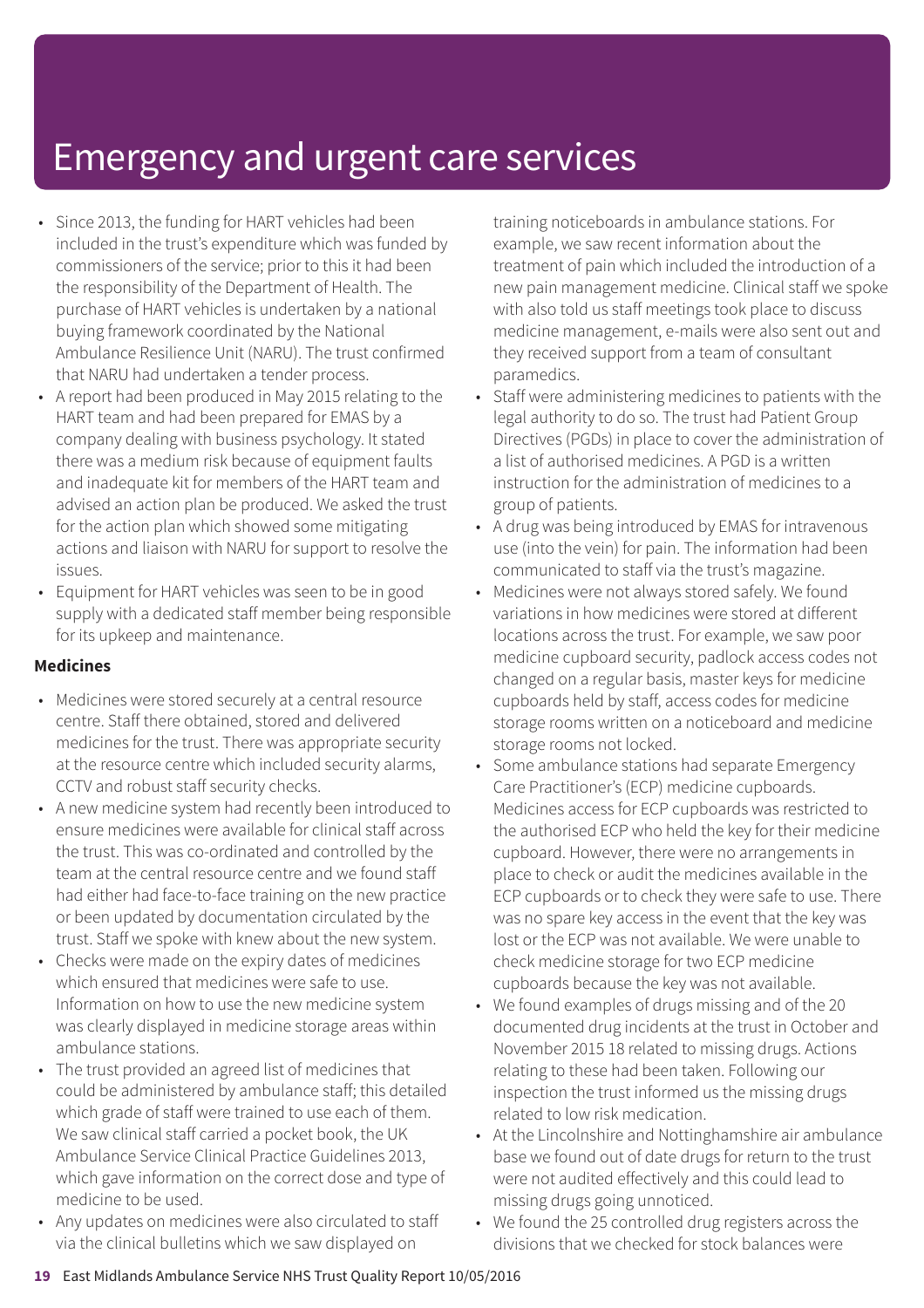- Since 2013, the funding for HART vehicles had been included in the trust's expenditure which was funded by commissioners of the service; prior to this it had been the responsibility of the Department of Health. The purchase of HART vehicles is undertaken by a national buying framework coordinated by the National Ambulance Resilience Unit (NARU). The trust confirmed that NARU had undertaken a tender process.
- A report had been produced in May 2015 relating to the HART team and had been prepared for EMAS by a company dealing with business psychology. It stated there was a medium risk because of equipment faults and inadequate kit for members of the HART team and advised an action plan be produced. We asked the trust for the action plan which showed some mitigating actions and liaison with NARU for support to resolve the issues.
- Equipment for HART vehicles was seen to be in good supply with a dedicated staff member being responsible for its upkeep and maintenance.

#### **Medicines**

- Medicines were stored securely at a central resource centre. Staff there obtained, stored and delivered medicines for the trust. There was appropriate security at the resource centre which included security alarms, CCTV and robust staff security checks.
- A new medicine system had recently been introduced to ensure medicines were available for clinical staff across the trust. This was co-ordinated and controlled by the team at the central resource centre and we found staff had either had face-to-face training on the new practice or been updated by documentation circulated by the trust. Staff we spoke with knew about the new system.
- Checks were made on the expiry dates of medicines which ensured that medicines were safe to use. Information on how to use the new medicine system was clearly displayed in medicine storage areas within ambulance stations.
- The trust provided an agreed list of medicines that could be administered by ambulance staff; this detailed which grade of staff were trained to use each of them. We saw clinical staff carried a pocket book, the UK Ambulance Service Clinical Practice Guidelines 2013, which gave information on the correct dose and type of medicine to be used.
- Any updates on medicines were also circulated to staff via the clinical bulletins which we saw displayed on

training noticeboards in ambulance stations. For example, we saw recent information about the treatment of pain which included the introduction of a new pain management medicine. Clinical staff we spoke with also told us staff meetings took place to discuss medicine management, e-mails were also sent out and they received support from a team of consultant paramedics.

- Staff were administering medicines to patients with the legal authority to do so. The trust had Patient Group Directives (PGDs) in place to cover the administration of a list of authorised medicines. A PGD is a written instruction for the administration of medicines to a group of patients.
- A drug was being introduced by EMAS for intravenous use (into the vein) for pain. The information had been communicated to staff via the trust's magazine.
- Medicines were not always stored safely. We found variations in how medicines were stored at different locations across the trust. For example, we saw poor medicine cupboard security, padlock access codes not changed on a regular basis, master keys for medicine cupboards held by staff, access codes for medicine storage rooms written on a noticeboard and medicine storage rooms not locked.
- Some ambulance stations had separate Emergency Care Practitioner's (ECP) medicine cupboards. Medicines access for ECP cupboards was restricted to the authorised ECP who held the key for their medicine cupboard. However, there were no arrangements in place to check or audit the medicines available in the ECP cupboards or to check they were safe to use. There was no spare key access in the event that the key was lost or the ECP was not available. We were unable to check medicine storage for two ECP medicine cupboards because the key was not available.
- We found examples of drugs missing and of the 20 documented drug incidents at the trust in October and November 2015 18 related to missing drugs. Actions relating to these had been taken. Following our inspection the trust informed us the missing drugs related to low risk medication.
- At the Lincolnshire and Nottinghamshire air ambulance base we found out of date drugs for return to the trust were not audited effectively and this could lead to missing drugs going unnoticed.
- We found the 25 controlled drug registers across the divisions that we checked for stock balances were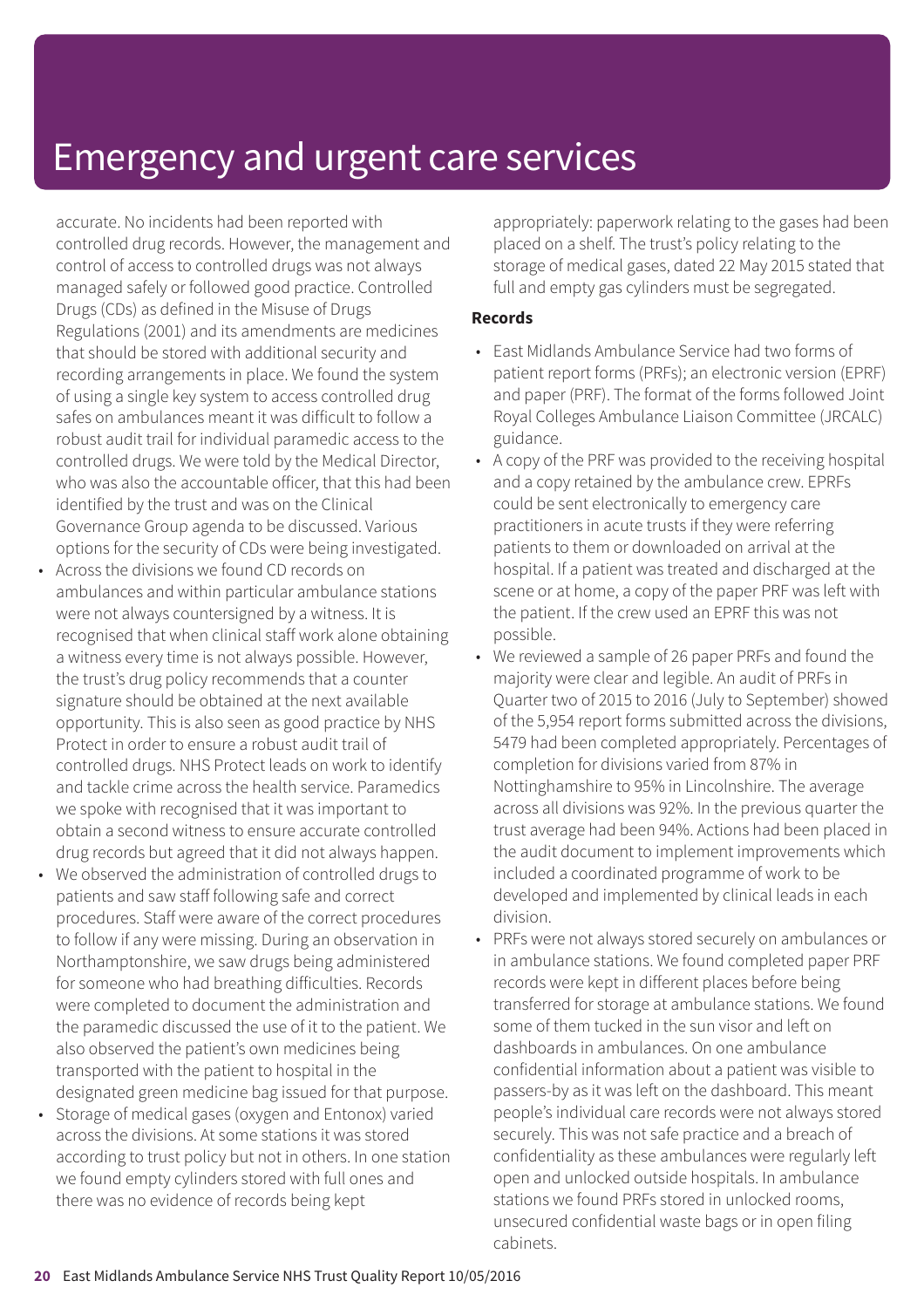accurate. No incidents had been reported with controlled drug records. However, the management and control of access to controlled drugs was not always managed safely or followed good practice. Controlled Drugs (CDs) as defined in the Misuse of Drugs Regulations (2001) and its amendments are medicines that should be stored with additional security and recording arrangements in place. We found the system of using a single key system to access controlled drug safes on ambulances meant it was difficult to follow a robust audit trail for individual paramedic access to the controlled drugs. We were told by the Medical Director, who was also the accountable officer, that this had been identified by the trust and was on the Clinical Governance Group agenda to be discussed. Various options for the security of CDs were being investigated.

- Across the divisions we found CD records on ambulances and within particular ambulance stations were not always countersigned by a witness. It is recognised that when clinical staff work alone obtaining a witness every time is not always possible. However, the trust's drug policy recommends that a counter signature should be obtained at the next available opportunity. This is also seen as good practice by NHS Protect in order to ensure a robust audit trail of controlled drugs. NHS Protect leads on work to identify and tackle crime across the health service. Paramedics we spoke with recognised that it was important to obtain a second witness to ensure accurate controlled drug records but agreed that it did not always happen.
- We observed the administration of controlled drugs to patients and saw staff following safe and correct procedures. Staff were aware of the correct procedures to follow if any were missing. During an observation in Northamptonshire, we saw drugs being administered for someone who had breathing difficulties. Records were completed to document the administration and the paramedic discussed the use of it to the patient. We also observed the patient's own medicines being transported with the patient to hospital in the designated green medicine bag issued for that purpose.
- Storage of medical gases (oxygen and Entonox) varied across the divisions. At some stations it was stored according to trust policy but not in others. In one station we found empty cylinders stored with full ones and there was no evidence of records being kept

appropriately: paperwork relating to the gases had been placed on a shelf. The trust's policy relating to the storage of medical gases, dated 22 May 2015 stated that full and empty gas cylinders must be segregated.

#### **Records**

- East Midlands Ambulance Service had two forms of patient report forms (PRFs); an electronic version (EPRF) and paper (PRF). The format of the forms followed Joint Royal Colleges Ambulance Liaison Committee (JRCALC) guidance.
- A copy of the PRF was provided to the receiving hospital and a copy retained by the ambulance crew. EPRFs could be sent electronically to emergency care practitioners in acute trusts if they were referring patients to them or downloaded on arrival at the hospital. If a patient was treated and discharged at the scene or at home, a copy of the paper PRF was left with the patient. If the crew used an EPRF this was not possible.
- We reviewed a sample of 26 paper PRFs and found the majority were clear and legible. An audit of PRFs in Quarter two of 2015 to 2016 (July to September) showed of the 5,954 report forms submitted across the divisions, 5479 had been completed appropriately. Percentages of completion for divisions varied from 87% in Nottinghamshire to 95% in Lincolnshire. The average across all divisions was 92%. In the previous quarter the trust average had been 94%. Actions had been placed in the audit document to implement improvements which included a coordinated programme of work to be developed and implemented by clinical leads in each division.
- PRFs were not always stored securely on ambulances or in ambulance stations. We found completed paper PRF records were kept in different places before being transferred for storage at ambulance stations. We found some of them tucked in the sun visor and left on dashboards in ambulances. On one ambulance confidential information about a patient was visible to passers-by as it was left on the dashboard. This meant people's individual care records were not always stored securely. This was not safe practice and a breach of confidentiality as these ambulances were regularly left open and unlocked outside hospitals. In ambulance stations we found PRFs stored in unlocked rooms, unsecured confidential waste bags or in open filing cabinets.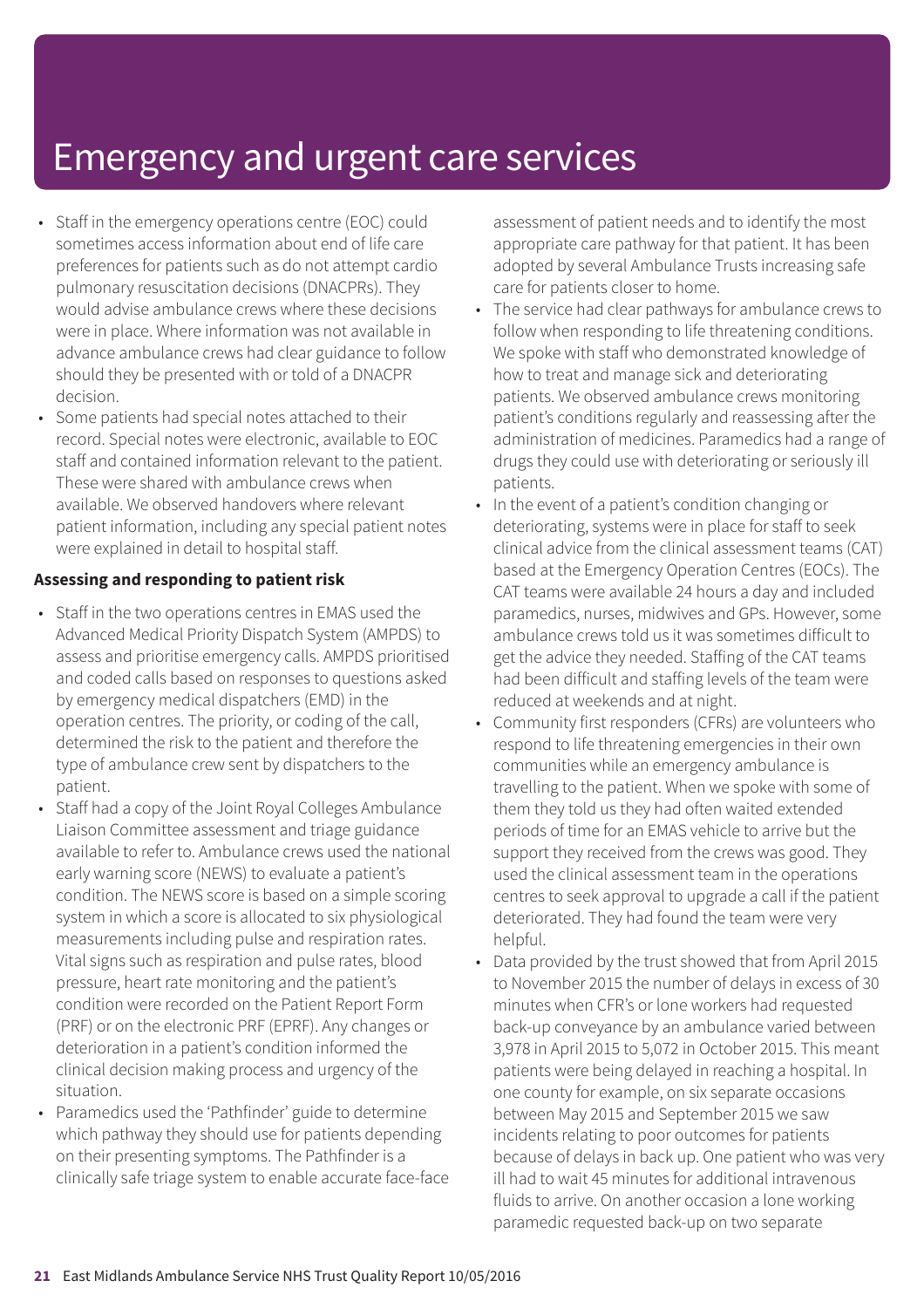- Staff in the emergency operations centre (EOC) could sometimes access information about end of life care preferences for patients such as do not attempt cardio pulmonary resuscitation decisions (DNACPRs). They would advise ambulance crews where these decisions were in place. Where information was not available in advance ambulance crews had clear guidance to follow should they be presented with or told of a DNACPR decision.
- Some patients had special notes attached to their record. Special notes were electronic, available to EOC staff and contained information relevant to the patient. These were shared with ambulance crews when available. We observed handovers where relevant patient information, including any special patient notes were explained in detail to hospital staff.

#### **Assessing and responding to patient risk**

- Staff in the two operations centres in EMAS used the Advanced Medical Priority Dispatch System (AMPDS) to assess and prioritise emergency calls. AMPDS prioritised and coded calls based on responses to questions asked by emergency medical dispatchers (EMD) in the operation centres. The priority, or coding of the call, determined the risk to the patient and therefore the type of ambulance crew sent by dispatchers to the patient.
- Staff had a copy of the Joint Royal Colleges Ambulance Liaison Committee assessment and triage guidance available to refer to. Ambulance crews used the national early warning score (NEWS) to evaluate a patient's condition. The NEWS score is based on a simple scoring system in which a score is allocated to six physiological measurements including pulse and respiration rates. Vital signs such as respiration and pulse rates, blood pressure, heart rate monitoring and the patient's condition were recorded on the Patient Report Form (PRF) or on the electronic PRF (EPRF). Any changes or deterioration in a patient's condition informed the clinical decision making process and urgency of the situation.
- Paramedics used the 'Pathfinder' guide to determine which pathway they should use for patients depending on their presenting symptoms. The Pathfinder is a clinically safe triage system to enable accurate face-face

assessment of patient needs and to identify the most appropriate care pathway for that patient. It has been adopted by several Ambulance Trusts increasing safe care for patients closer to home.

- The service had clear pathways for ambulance crews to follow when responding to life threatening conditions. We spoke with staff who demonstrated knowledge of how to treat and manage sick and deteriorating patients. We observed ambulance crews monitoring patient's conditions regularly and reassessing after the administration of medicines. Paramedics had a range of drugs they could use with deteriorating or seriously ill patients.
- In the event of a patient's condition changing or deteriorating, systems were in place for staff to seek clinical advice from the clinical assessment teams (CAT) based at the Emergency Operation Centres (EOCs). The CAT teams were available 24 hours a day and included paramedics, nurses, midwives and GPs. However, some ambulance crews told us it was sometimes difficult to get the advice they needed. Staffing of the CAT teams had been difficult and staffing levels of the team were reduced at weekends and at night.
- Community first responders (CFRs) are volunteers who respond to life threatening emergencies in their own communities while an emergency ambulance is travelling to the patient. When we spoke with some of them they told us they had often waited extended periods of time for an EMAS vehicle to arrive but the support they received from the crews was good. They used the clinical assessment team in the operations centres to seek approval to upgrade a call if the patient deteriorated. They had found the team were very helpful.
- Data provided by the trust showed that from April 2015 to November 2015 the number of delays in excess of 30 minutes when CFR's or lone workers had requested back-up conveyance by an ambulance varied between 3,978 in April 2015 to 5,072 in October 2015. This meant patients were being delayed in reaching a hospital. In one county for example, on six separate occasions between May 2015 and September 2015 we saw incidents relating to poor outcomes for patients because of delays in back up. One patient who was very ill had to wait 45 minutes for additional intravenous fluids to arrive. On another occasion a lone working paramedic requested back-up on two separate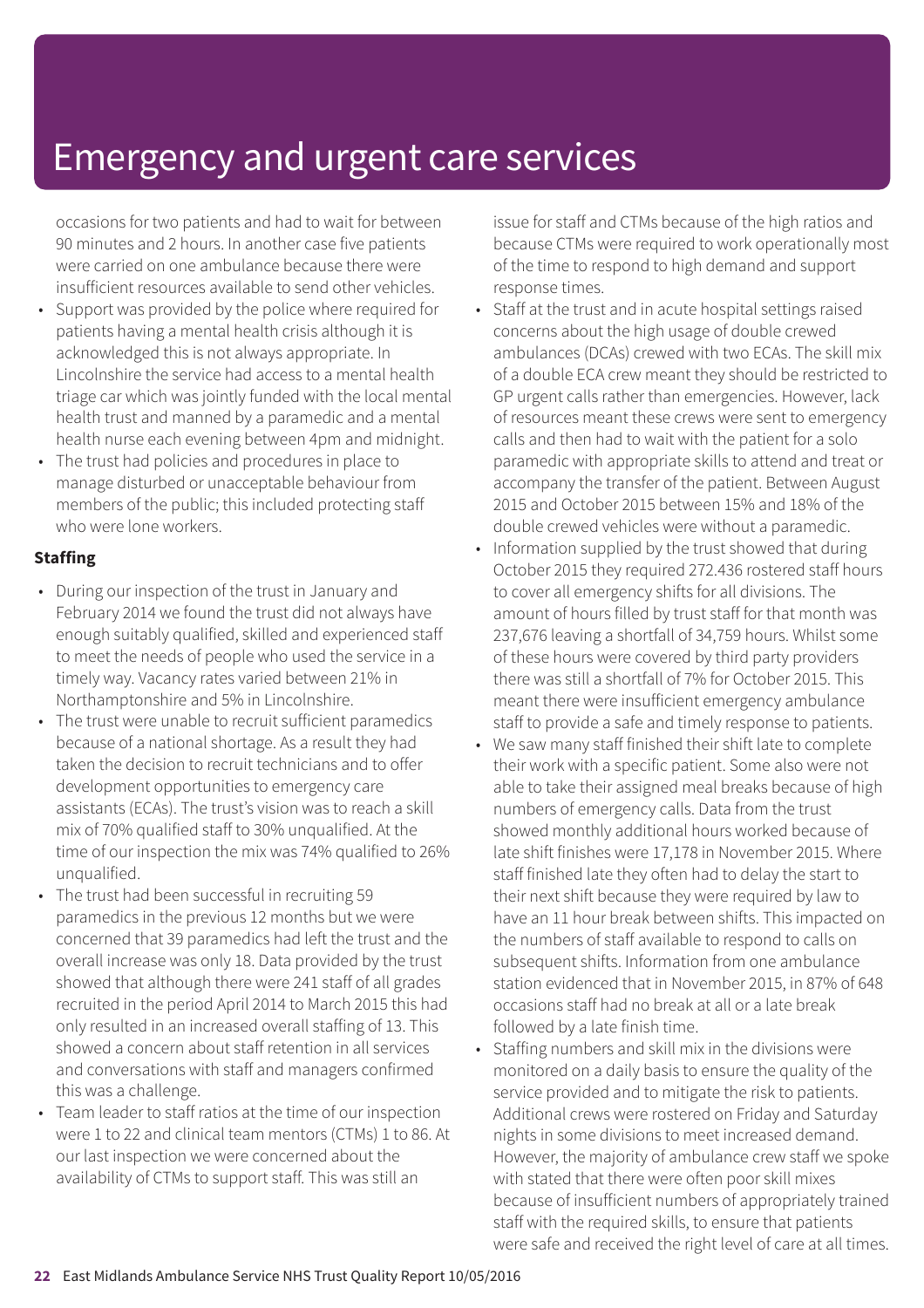occasions for two patients and had to wait for between 90 minutes and 2 hours. In another case five patients were carried on one ambulance because there were insufficient resources available to send other vehicles.

- Support was provided by the police where required for patients having a mental health crisis although it is acknowledged this is not always appropriate. In Lincolnshire the service had access to a mental health triage car which was jointly funded with the local mental health trust and manned by a paramedic and a mental health nurse each evening between 4pm and midnight.
- The trust had policies and procedures in place to manage disturbed or unacceptable behaviour from members of the public; this included protecting staff who were lone workers.

#### **Staffing**

- During our inspection of the trust in January and February 2014 we found the trust did not always have enough suitably qualified, skilled and experienced staff to meet the needs of people who used the service in a timely way. Vacancy rates varied between 21% in Northamptonshire and 5% in Lincolnshire.
- The trust were unable to recruit sufficient paramedics because of a national shortage. As a result they had taken the decision to recruit technicians and to offer development opportunities to emergency care assistants (ECAs). The trust's vision was to reach a skill mix of 70% qualified staff to 30% unqualified. At the time of our inspection the mix was 74% qualified to 26% unqualified.
- The trust had been successful in recruiting 59 paramedics in the previous 12 months but we were concerned that 39 paramedics had left the trust and the overall increase was only 18. Data provided by the trust showed that although there were 241 staff of all grades recruited in the period April 2014 to March 2015 this had only resulted in an increased overall staffing of 13. This showed a concern about staff retention in all services and conversations with staff and managers confirmed this was a challenge.
- Team leader to staff ratios at the time of our inspection were 1 to 22 and clinical team mentors (CTMs) 1 to 86. At our last inspection we were concerned about the availability of CTMs to support staff. This was still an

issue for staff and CTMs because of the high ratios and because CTMs were required to work operationally most of the time to respond to high demand and support response times.

- Staff at the trust and in acute hospital settings raised concerns about the high usage of double crewed ambulances (DCAs) crewed with two ECAs. The skill mix of a double ECA crew meant they should be restricted to GP urgent calls rather than emergencies. However, lack of resources meant these crews were sent to emergency calls and then had to wait with the patient for a solo paramedic with appropriate skills to attend and treat or accompany the transfer of the patient. Between August 2015 and October 2015 between 15% and 18% of the double crewed vehicles were without a paramedic.
- Information supplied by the trust showed that during October 2015 they required 272.436 rostered staff hours to cover all emergency shifts for all divisions. The amount of hours filled by trust staff for that month was 237,676 leaving a shortfall of 34,759 hours. Whilst some of these hours were covered by third party providers there was still a shortfall of 7% for October 2015. This meant there were insufficient emergency ambulance staff to provide a safe and timely response to patients.
- We saw many staff finished their shift late to complete their work with a specific patient. Some also were not able to take their assigned meal breaks because of high numbers of emergency calls. Data from the trust showed monthly additional hours worked because of late shift finishes were 17,178 in November 2015. Where staff finished late they often had to delay the start to their next shift because they were required by law to have an 11 hour break between shifts. This impacted on the numbers of staff available to respond to calls on subsequent shifts. Information from one ambulance station evidenced that in November 2015, in 87% of 648 occasions staff had no break at all or a late break followed by a late finish time.
- Staffing numbers and skill mix in the divisions were monitored on a daily basis to ensure the quality of the service provided and to mitigate the risk to patients. Additional crews were rostered on Friday and Saturday nights in some divisions to meet increased demand. However, the majority of ambulance crew staff we spoke with stated that there were often poor skill mixes because of insufficient numbers of appropriately trained staff with the required skills, to ensure that patients were safe and received the right level of care at all times.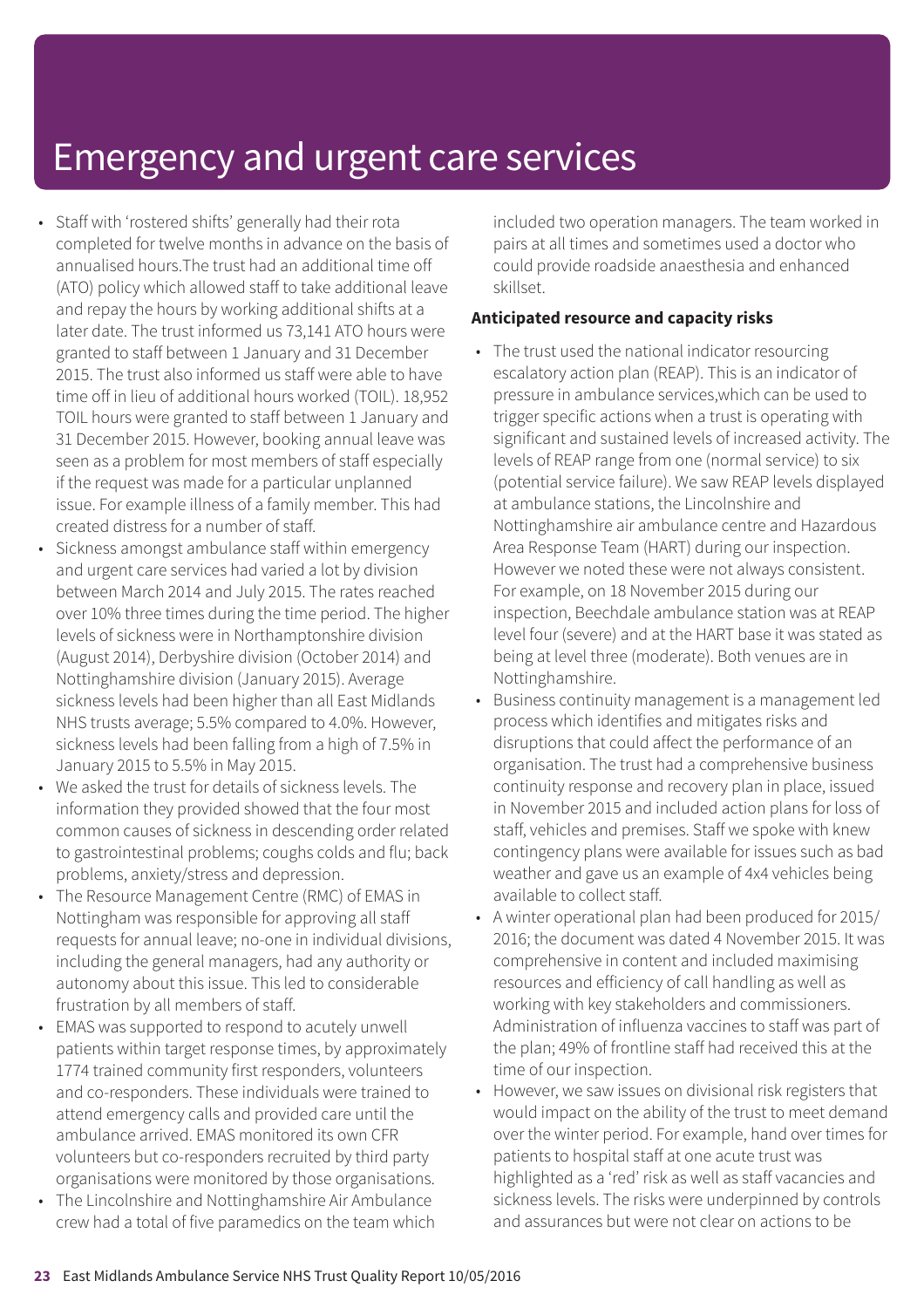- Staff with 'rostered shifts' generally had their rota completed for twelve months in advance on the basis of annualised hours.The trust had an additional time off (ATO) policy which allowed staff to take additional leave and repay the hours by working additional shifts at a later date. The trust informed us 73,141 ATO hours were granted to staff between 1 January and 31 December 2015. The trust also informed us staff were able to have time off in lieu of additional hours worked (TOIL). 18,952 TOIL hours were granted to staff between 1 January and 31 December 2015. However, booking annual leave was seen as a problem for most members of staff especially if the request was made for a particular unplanned issue. For example illness of a family member. This had created distress for a number of staff.
- Sickness amongst ambulance staff within emergency and urgent care services had varied a lot by division between March 2014 and July 2015. The rates reached over 10% three times during the time period. The higher levels of sickness were in Northamptonshire division (August 2014), Derbyshire division (October 2014) and Nottinghamshire division (January 2015). Average sickness levels had been higher than all East Midlands NHS trusts average; 5.5% compared to 4.0%. However, sickness levels had been falling from a high of 7.5% in January 2015 to 5.5% in May 2015.
- We asked the trust for details of sickness levels. The information they provided showed that the four most common causes of sickness in descending order related to gastrointestinal problems; coughs colds and flu; back problems, anxiety/stress and depression.
- The Resource Management Centre (RMC) of EMAS in Nottingham was responsible for approving all staff requests for annual leave; no-one in individual divisions, including the general managers, had any authority or autonomy about this issue. This led to considerable frustration by all members of staff.
- EMAS was supported to respond to acutely unwell patients within target response times, by approximately 1774 trained community first responders, volunteers and co-responders. These individuals were trained to attend emergency calls and provided care until the ambulance arrived. EMAS monitored its own CFR volunteers but co-responders recruited by third party organisations were monitored by those organisations. • The Lincolnshire and Nottinghamshire Air Ambulance
- crew had a total of five paramedics on the team which

included two operation managers. The team worked in pairs at all times and sometimes used a doctor who could provide roadside anaesthesia and enhanced skillset.

#### **Anticipated resource and capacity risks**

- The trust used the national indicator resourcing escalatory action plan (REAP). This is an indicator of pressure in ambulance services,which can be used to trigger specific actions when a trust is operating with significant and sustained levels of increased activity. The levels of REAP range from one (normal service) to six (potential service failure). We saw REAP levels displayed at ambulance stations, the Lincolnshire and Nottinghamshire air ambulance centre and Hazardous Area Response Team (HART) during our inspection. However we noted these were not always consistent. For example, on 18 November 2015 during our inspection, Beechdale ambulance station was at REAP level four (severe) and at the HART base it was stated as being at level three (moderate). Both venues are in Nottinghamshire.
- Business continuity management is a management led process which identifies and mitigates risks and disruptions that could affect the performance of an organisation. The trust had a comprehensive business continuity response and recovery plan in place, issued in November 2015 and included action plans for loss of staff, vehicles and premises. Staff we spoke with knew contingency plans were available for issues such as bad weather and gave us an example of 4x4 vehicles being available to collect staff.
- A winter operational plan had been produced for 2015/ 2016; the document was dated 4 November 2015. It was comprehensive in content and included maximising resources and efficiency of call handling as well as working with key stakeholders and commissioners. Administration of influenza vaccines to staff was part of the plan; 49% of frontline staff had received this at the time of our inspection.
- However, we saw issues on divisional risk registers that would impact on the ability of the trust to meet demand over the winter period. For example, hand over times for patients to hospital staff at one acute trust was highlighted as a 'red' risk as well as staff vacancies and sickness levels. The risks were underpinned by controls and assurances but were not clear on actions to be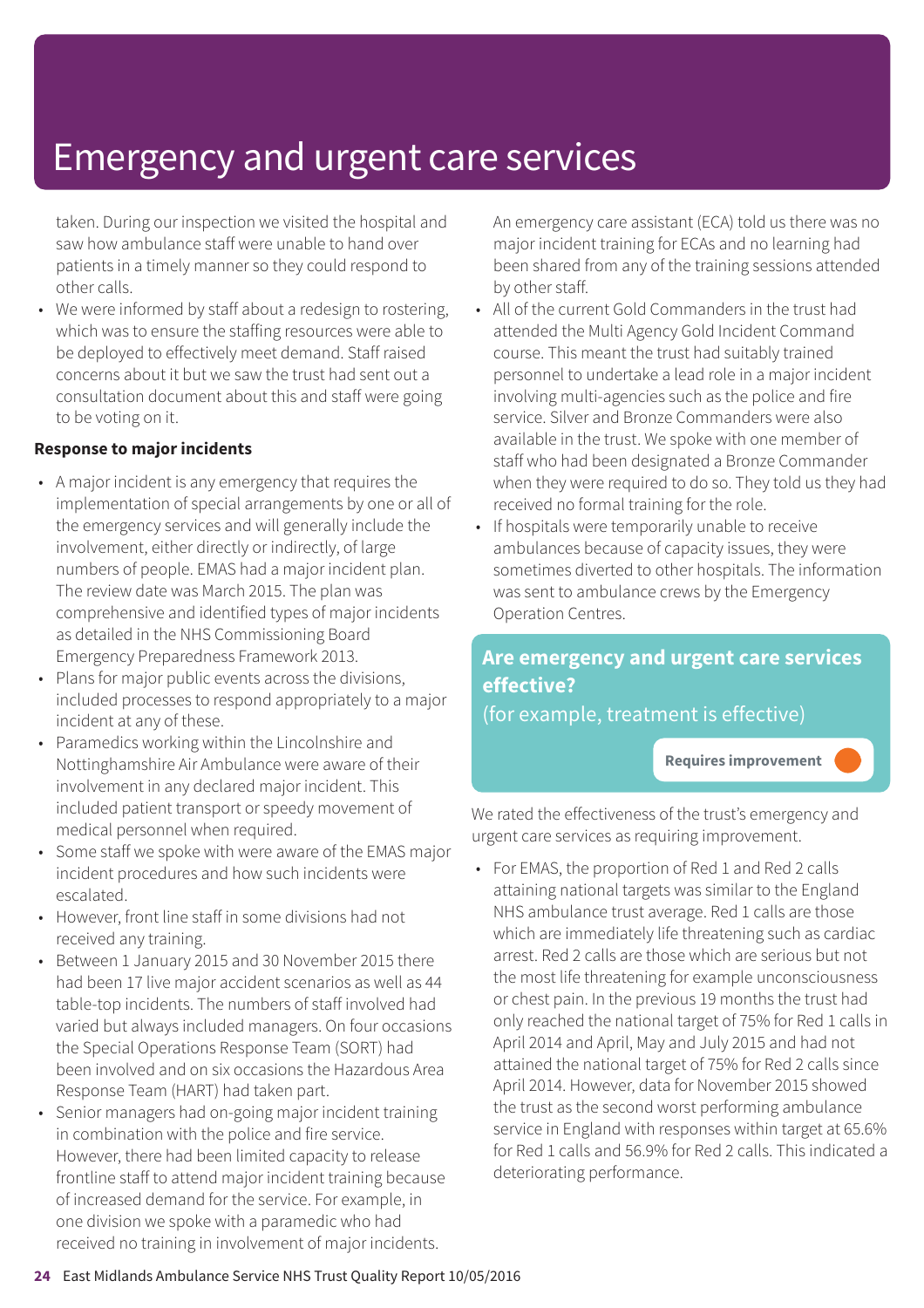taken. During our inspection we visited the hospital and saw how ambulance staff were unable to hand over patients in a timely manner so they could respond to other calls.

• We were informed by staff about a redesign to rostering, which was to ensure the staffing resources were able to be deployed to effectively meet demand. Staff raised concerns about it but we saw the trust had sent out a consultation document about this and staff were going to be voting on it.

#### **Response to major incidents**

- A major incident is any emergency that requires the implementation of special arrangements by one or all of the emergency services and will generally include the involvement, either directly or indirectly, of large numbers of people. EMAS had a major incident plan. The review date was March 2015. The plan was comprehensive and identified types of major incidents as detailed in the NHS Commissioning Board Emergency Preparedness Framework 2013.
- Plans for major public events across the divisions, included processes to respond appropriately to a major incident at any of these.
- Paramedics working within the Lincolnshire and Nottinghamshire Air Ambulance were aware of their involvement in any declared major incident. This included patient transport or speedy movement of medical personnel when required.
- Some staff we spoke with were aware of the EMAS major incident procedures and how such incidents were escalated.
- However, front line staff in some divisions had not received any training.
- Between 1 January 2015 and 30 November 2015 there had been 17 live major accident scenarios as well as 44 table-top incidents. The numbers of staff involved had varied but always included managers. On four occasions the Special Operations Response Team (SORT) had been involved and on six occasions the Hazardous Area Response Team (HART) had taken part.
- Senior managers had on-going major incident training in combination with the police and fire service. However, there had been limited capacity to release frontline staff to attend major incident training because of increased demand for the service. For example, in one division we spoke with a paramedic who had received no training in involvement of major incidents.

An emergency care assistant (ECA) told us there was no major incident training for ECAs and no learning had been shared from any of the training sessions attended by other staff.

- All of the current Gold Commanders in the trust had attended the Multi Agency Gold Incident Command course. This meant the trust had suitably trained personnel to undertake a lead role in a major incident involving multi-agencies such as the police and fire service. Silver and Bronze Commanders were also available in the trust. We spoke with one member of staff who had been designated a Bronze Commander when they were required to do so. They told us they had received no formal training for the role.
- If hospitals were temporarily unable to receive ambulances because of capacity issues, they were sometimes diverted to other hospitals. The information was sent to ambulance crews by the Emergency Operation Centres.

### **Are emergency and urgent care services effective?**

(for example, treatment is effective)

**Requires improvement –––**

We rated the effectiveness of the trust's emergency and urgent care services as requiring improvement.

• For EMAS, the proportion of Red 1 and Red 2 calls attaining national targets was similar to the England NHS ambulance trust average. Red 1 calls are those which are immediately life threatening such as cardiac arrest. Red 2 calls are those which are serious but not the most life threatening for example unconsciousness or chest pain. In the previous 19 months the trust had only reached the national target of 75% for Red 1 calls in April 2014 and April, May and July 2015 and had not attained the national target of 75% for Red 2 calls since April 2014. However, data for November 2015 showed the trust as the second worst performing ambulance service in England with responses within target at 65.6% for Red 1 calls and 56.9% for Red 2 calls. This indicated a deteriorating performance.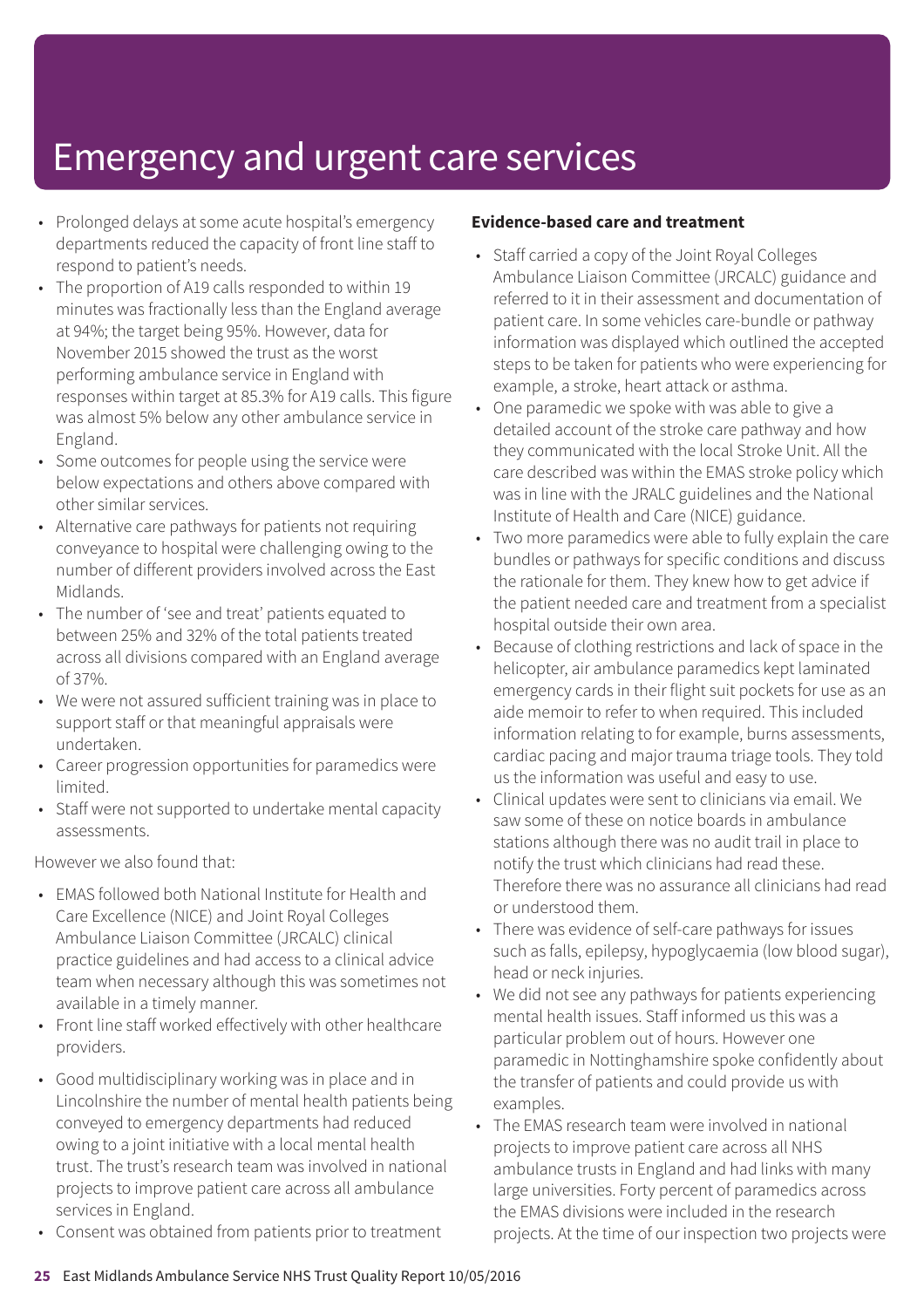- Prolonged delays at some acute hospital's emergency departments reduced the capacity of front line staff to respond to patient's needs.
- The proportion of A19 calls responded to within 19 minutes was fractionally less than the England average at 94%; the target being 95%. However, data for November 2015 showed the trust as the worst performing ambulance service in England with responses within target at 85.3% for A19 calls. This figure was almost 5% below any other ambulance service in England.
- Some outcomes for people using the service were below expectations and others above compared with other similar services.
- Alternative care pathways for patients not requiring conveyance to hospital were challenging owing to the number of different providers involved across the East Midlands.
- The number of 'see and treat' patients equated to between 25% and 32% of the total patients treated across all divisions compared with an England average of 37%.
- We were not assured sufficient training was in place to support staff or that meaningful appraisals were undertaken.
- Career progression opportunities for paramedics were limited.
- Staff were not supported to undertake mental capacity assessments.

However we also found that:

- EMAS followed both National Institute for Health and Care Excellence (NICE) and Joint Royal Colleges Ambulance Liaison Committee (JRCALC) clinical practice guidelines and had access to a clinical advice team when necessary although this was sometimes not available in a timely manner.
- Front line staff worked effectively with other healthcare providers.
- Good multidisciplinary working was in place and in Lincolnshire the number of mental health patients being conveyed to emergency departments had reduced owing to a joint initiative with a local mental health trust. The trust's research team was involved in national projects to improve patient care across all ambulance services in England.
- 

• Consent was obtained from patients prior to treatment

### **Evidence-based care and treatment**

- Staff carried a copy of the Joint Royal Colleges Ambulance Liaison Committee (JRCALC) guidance and referred to it in their assessment and documentation of patient care. In some vehicles care-bundle or pathway information was displayed which outlined the accepted steps to be taken for patients who were experiencing for example, a stroke, heart attack or asthma.
- One paramedic we spoke with was able to give a detailed account of the stroke care pathway and how they communicated with the local Stroke Unit. All the care described was within the EMAS stroke policy which was in line with the JRALC guidelines and the National Institute of Health and Care (NICE) guidance.
- Two more paramedics were able to fully explain the care bundles or pathways for specific conditions and discuss the rationale for them. They knew how to get advice if the patient needed care and treatment from a specialist hospital outside their own area.
- Because of clothing restrictions and lack of space in the helicopter, air ambulance paramedics kept laminated emergency cards in their flight suit pockets for use as an aide memoir to refer to when required. This included information relating to for example, burns assessments, cardiac pacing and major trauma triage tools. They told us the information was useful and easy to use.
- Clinical updates were sent to clinicians via email. We saw some of these on notice boards in ambulance stations although there was no audit trail in place to notify the trust which clinicians had read these. Therefore there was no assurance all clinicians had read or understood them.
- There was evidence of self-care pathways for issues such as falls, epilepsy, hypoglycaemia (low blood sugar), head or neck injuries.
- We did not see any pathways for patients experiencing mental health issues. Staff informed us this was a particular problem out of hours. However one paramedic in Nottinghamshire spoke confidently about the transfer of patients and could provide us with examples.
- The EMAS research team were involved in national projects to improve patient care across all NHS ambulance trusts in England and had links with many large universities. Forty percent of paramedics across the EMAS divisions were included in the research projects. At the time of our inspection two projects were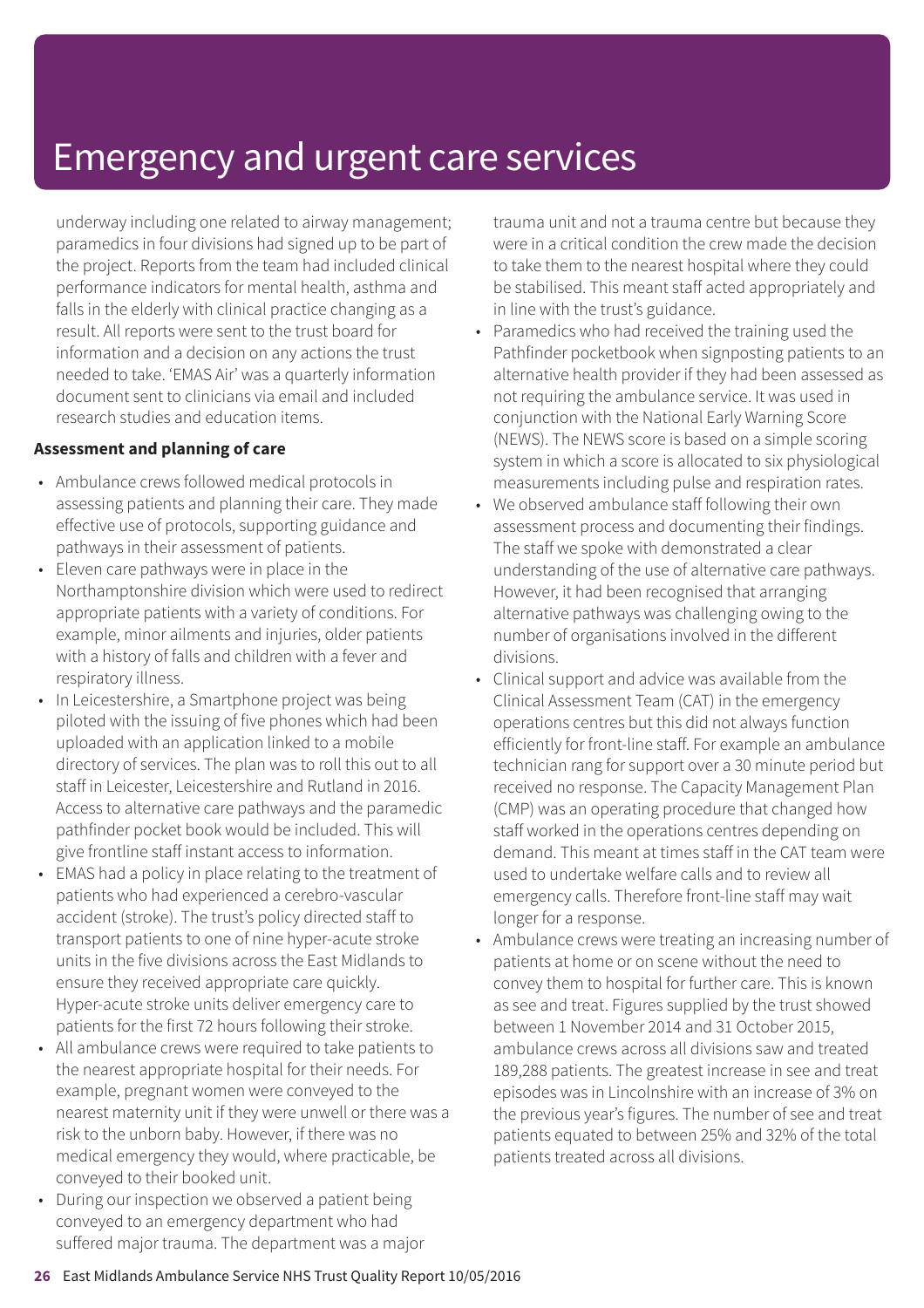underway including one related to airway management; paramedics in four divisions had signed up to be part of the project. Reports from the team had included clinical performance indicators for mental health, asthma and falls in the elderly with clinical practice changing as a result. All reports were sent to the trust board for information and a decision on any actions the trust needed to take. 'EMAS Air' was a quarterly information document sent to clinicians via email and included research studies and education items.

#### **Assessment and planning of care**

- Ambulance crews followed medical protocols in assessing patients and planning their care. They made effective use of protocols, supporting guidance and pathways in their assessment of patients.
- Eleven care pathways were in place in the Northamptonshire division which were used to redirect appropriate patients with a variety of conditions. For example, minor ailments and injuries, older patients with a history of falls and children with a fever and respiratory illness.
- In Leicestershire, a Smartphone project was being piloted with the issuing of five phones which had been uploaded with an application linked to a mobile directory of services. The plan was to roll this out to all staff in Leicester, Leicestershire and Rutland in 2016. Access to alternative care pathways and the paramedic pathfinder pocket book would be included. This will give frontline staff instant access to information.
- EMAS had a policy in place relating to the treatment of patients who had experienced a cerebro-vascular accident (stroke). The trust's policy directed staff to transport patients to one of nine hyper-acute stroke units in the five divisions across the East Midlands to ensure they received appropriate care quickly. Hyper-acute stroke units deliver emergency care to patients for the first 72 hours following their stroke.
- All ambulance crews were required to take patients to the nearest appropriate hospital for their needs. For example, pregnant women were conveyed to the nearest maternity unit if they were unwell or there was a risk to the unborn baby. However, if there was no medical emergency they would, where practicable, be conveyed to their booked unit.
- During our inspection we observed a patient being conveyed to an emergency department who had suffered major trauma. The department was a major

trauma unit and not a trauma centre but because they were in a critical condition the crew made the decision to take them to the nearest hospital where they could be stabilised. This meant staff acted appropriately and in line with the trust's guidance.

- Paramedics who had received the training used the Pathfinder pocketbook when signposting patients to an alternative health provider if they had been assessed as not requiring the ambulance service. It was used in conjunction with the National Early Warning Score (NEWS). The NEWS score is based on a simple scoring system in which a score is allocated to six physiological measurements including pulse and respiration rates.
- We observed ambulance staff following their own assessment process and documenting their findings. The staff we spoke with demonstrated a clear understanding of the use of alternative care pathways. However, it had been recognised that arranging alternative pathways was challenging owing to the number of organisations involved in the different divisions.
- Clinical support and advice was available from the Clinical Assessment Team (CAT) in the emergency operations centres but this did not always function efficiently for front-line staff. For example an ambulance technician rang for support over a 30 minute period but received no response. The Capacity Management Plan (CMP) was an operating procedure that changed how staff worked in the operations centres depending on demand. This meant at times staff in the CAT team were used to undertake welfare calls and to review all emergency calls. Therefore front-line staff may wait longer for a response.
- Ambulance crews were treating an increasing number of patients at home or on scene without the need to convey them to hospital for further care. This is known as see and treat. Figures supplied by the trust showed between 1 November 2014 and 31 October 2015, ambulance crews across all divisions saw and treated 189,288 patients. The greatest increase in see and treat episodes was in Lincolnshire with an increase of 3% on the previous year's figures. The number of see and treat patients equated to between 25% and 32% of the total patients treated across all divisions.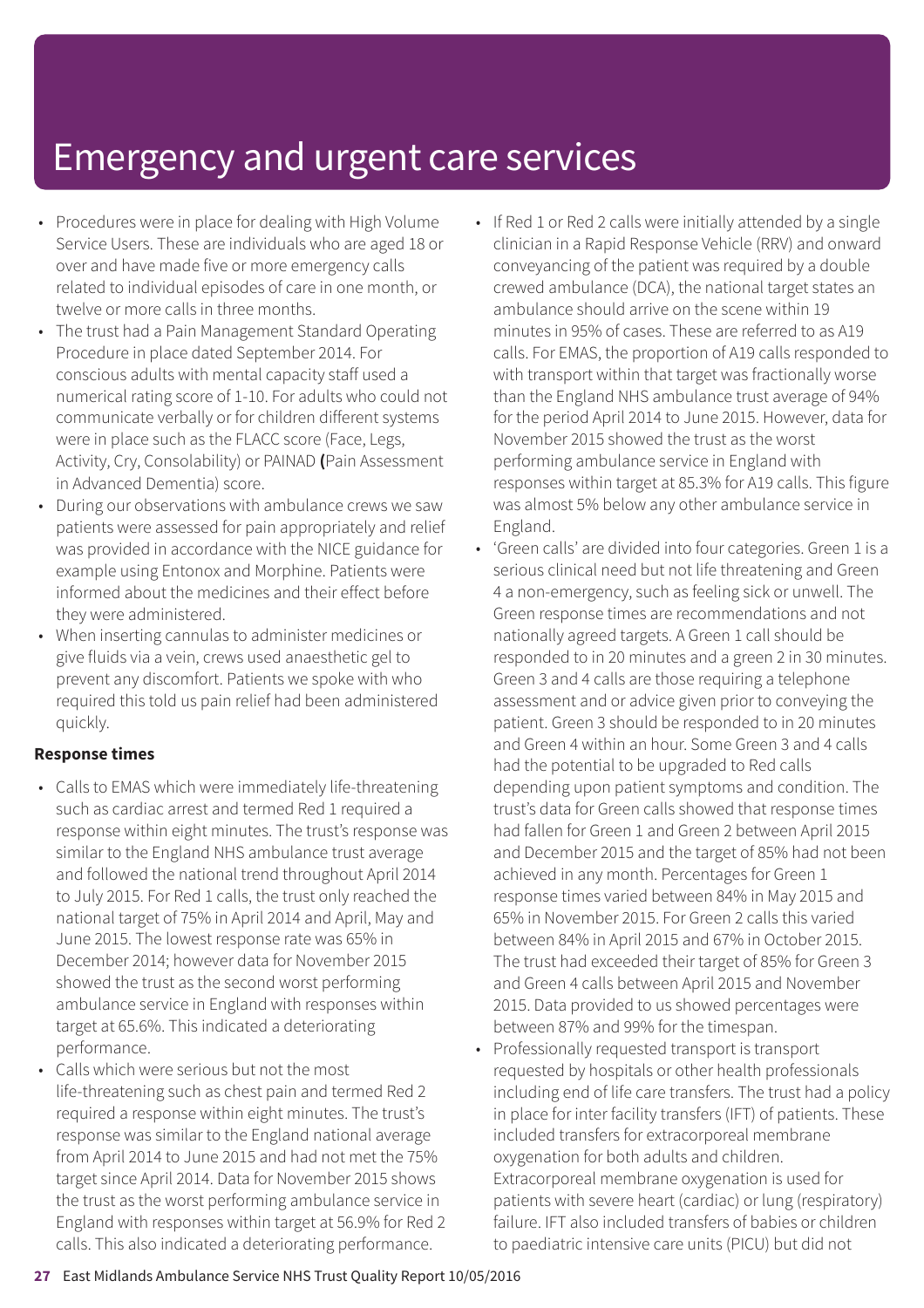- Procedures were in place for dealing with High Volume Service Users. These are individuals who are aged 18 or over and have made five or more emergency calls related to individual episodes of care in one month, or twelve or more calls in three months.
- The trust had a Pain Management Standard Operating Procedure in place dated September 2014. For conscious adults with mental capacity staff used a numerical rating score of 1-10. For adults who could not communicate verbally or for children different systems were in place such as the FLACC score (Face, Legs, Activity, Cry, Consolability) or PAINAD **(**Pain Assessment in Advanced Dementia) score.
- During our observations with ambulance crews we saw patients were assessed for pain appropriately and relief was provided in accordance with the NICE guidance for example using Entonox and Morphine. Patients were informed about the medicines and their effect before they were administered.
- When inserting cannulas to administer medicines or give fluids via a vein, crews used anaesthetic gel to prevent any discomfort. Patients we spoke with who required this told us pain relief had been administered quickly.

#### **Response times**

- Calls to EMAS which were immediately life-threatening such as cardiac arrest and termed Red 1 required a response within eight minutes. The trust's response was similar to the England NHS ambulance trust average and followed the national trend throughout April 2014 to July 2015. For Red 1 calls, the trust only reached the national target of 75% in April 2014 and April, May and June 2015. The lowest response rate was 65% in December 2014; however data for November 2015 showed the trust as the second worst performing ambulance service in England with responses within target at 65.6%. This indicated a deteriorating performance.
- Calls which were serious but not the most life-threatening such as chest pain and termed Red 2 required a response within eight minutes. The trust's response was similar to the England national average from April 2014 to June 2015 and had not met the 75% target since April 2014. Data for November 2015 shows the trust as the worst performing ambulance service in England with responses within target at 56.9% for Red 2 calls. This also indicated a deteriorating performance.
- If Red 1 or Red 2 calls were initially attended by a single clinician in a Rapid Response Vehicle (RRV) and onward conveyancing of the patient was required by a double crewed ambulance (DCA), the national target states an ambulance should arrive on the scene within 19 minutes in 95% of cases. These are referred to as A19 calls. For EMAS, the proportion of A19 calls responded to with transport within that target was fractionally worse than the England NHS ambulance trust average of 94% for the period April 2014 to June 2015. However, data for November 2015 showed the trust as the worst performing ambulance service in England with responses within target at 85.3% for A19 calls. This figure was almost 5% below any other ambulance service in England.
- 'Green calls' are divided into four categories. Green 1 is a serious clinical need but not life threatening and Green 4 a non-emergency, such as feeling sick or unwell. The Green response times are recommendations and not nationally agreed targets. A Green 1 call should be responded to in 20 minutes and a green 2 in 30 minutes. Green 3 and 4 calls are those requiring a telephone assessment and or advice given prior to conveying the patient. Green 3 should be responded to in 20 minutes and Green 4 within an hour. Some Green 3 and 4 calls had the potential to be upgraded to Red calls depending upon patient symptoms and condition. The trust's data for Green calls showed that response times had fallen for Green 1 and Green 2 between April 2015 and December 2015 and the target of 85% had not been achieved in any month. Percentages for Green 1 response times varied between 84% in May 2015 and 65% in November 2015. For Green 2 calls this varied between 84% in April 2015 and 67% in October 2015. The trust had exceeded their target of 85% for Green 3 and Green 4 calls between April 2015 and November 2015. Data provided to us showed percentages were between 87% and 99% for the timespan.
- Professionally requested transport is transport requested by hospitals or other health professionals including end of life care transfers. The trust had a policy in place for inter facility transfers (IFT) of patients. These included transfers for extracorporeal membrane oxygenation for both adults and children. Extracorporeal membrane oxygenation is used for patients with severe heart (cardiac) or lung (respiratory) failure. IFT also included transfers of babies or children to paediatric intensive care units (PICU) but did not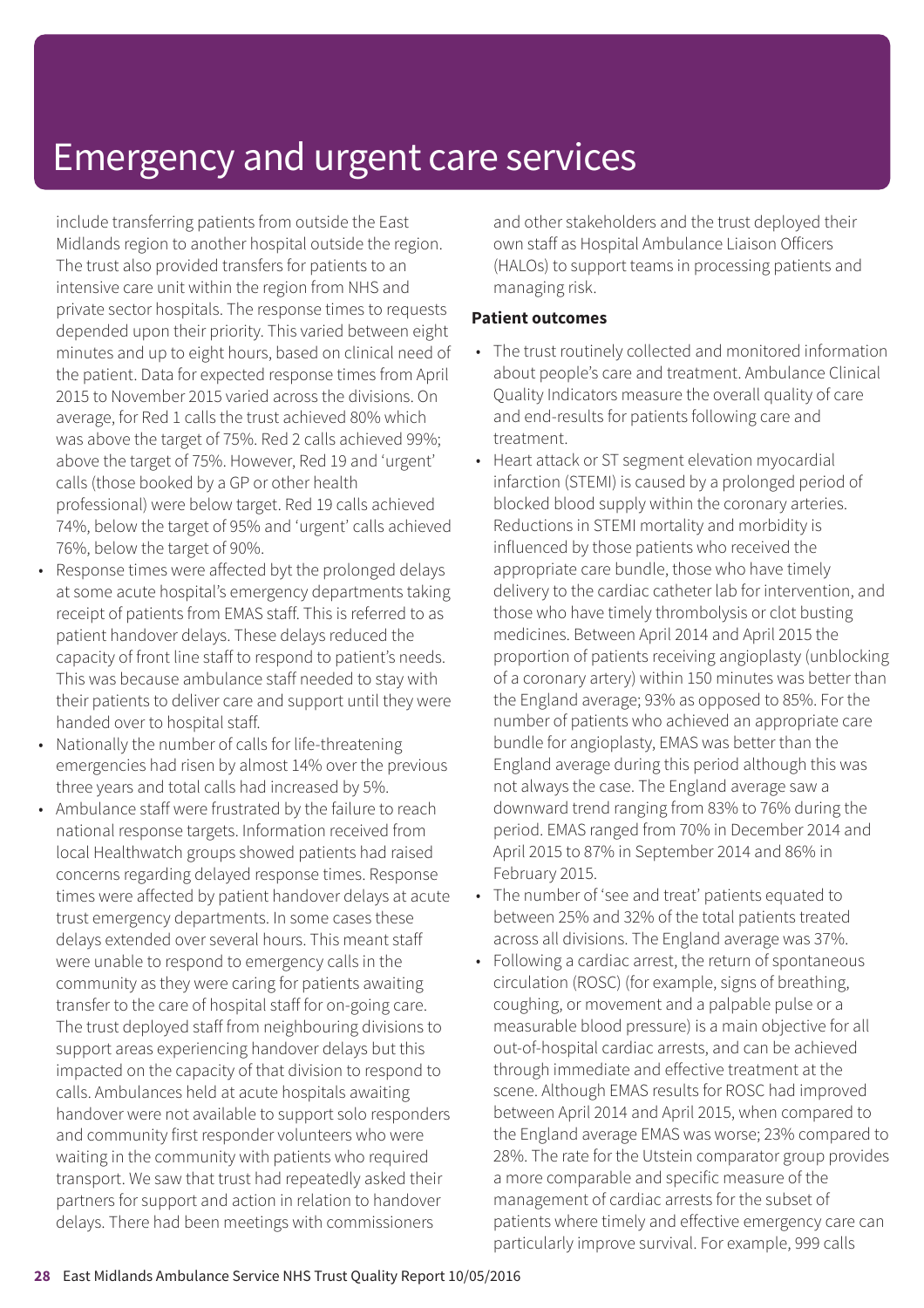include transferring patients from outside the East Midlands region to another hospital outside the region. The trust also provided transfers for patients to an intensive care unit within the region from NHS and private sector hospitals. The response times to requests depended upon their priority. This varied between eight minutes and up to eight hours, based on clinical need of the patient. Data for expected response times from April 2015 to November 2015 varied across the divisions. On average, for Red 1 calls the trust achieved 80% which was above the target of 75%. Red 2 calls achieved 99%; above the target of 75%. However, Red 19 and 'urgent' calls (those booked by a GP or other health professional) were below target. Red 19 calls achieved 74%, below the target of 95% and 'urgent' calls achieved 76%, below the target of 90%.

- Response times were affected byt the prolonged delays at some acute hospital's emergency departments taking receipt of patients from EMAS staff. This is referred to as patient handover delays. These delays reduced the capacity of front line staff to respond to patient's needs. This was because ambulance staff needed to stay with their patients to deliver care and support until they were handed over to hospital staff.
- Nationally the number of calls for life-threatening emergencies had risen by almost 14% over the previous three years and total calls had increased by 5%.
- Ambulance staff were frustrated by the failure to reach national response targets. Information received from local Healthwatch groups showed patients had raised concerns regarding delayed response times. Response times were affected by patient handover delays at acute trust emergency departments. In some cases these delays extended over several hours. This meant staff were unable to respond to emergency calls in the community as they were caring for patients awaiting transfer to the care of hospital staff for on-going care. The trust deployed staff from neighbouring divisions to support areas experiencing handover delays but this impacted on the capacity of that division to respond to calls. Ambulances held at acute hospitals awaiting handover were not available to support solo responders and community first responder volunteers who were waiting in the community with patients who required transport. We saw that trust had repeatedly asked their partners for support and action in relation to handover delays. There had been meetings with commissioners

and other stakeholders and the trust deployed their own staff as Hospital Ambulance Liaison Officers (HALOs) to support teams in processing patients and managing risk.

#### **Patient outcomes**

- The trust routinely collected and monitored information about people's care and treatment. Ambulance Clinical Quality Indicators measure the overall quality of care and end-results for patients following care and treatment.
- Heart attack or ST segment elevation myocardial infarction (STEMI) is caused by a prolonged period of blocked blood supply within the coronary arteries. Reductions in STEMI mortality and morbidity is influenced by those patients who received the appropriate care bundle, those who have timely delivery to the cardiac catheter lab for intervention, and those who have timely thrombolysis or clot busting medicines. Between April 2014 and April 2015 the proportion of patients receiving angioplasty (unblocking of a coronary artery) within 150 minutes was better than the England average; 93% as opposed to 85%. For the number of patients who achieved an appropriate care bundle for angioplasty, EMAS was better than the England average during this period although this was not always the case. The England average saw a downward trend ranging from 83% to 76% during the period. EMAS ranged from 70% in December 2014 and April 2015 to 87% in September 2014 and 86% in February 2015.
- The number of 'see and treat' patients equated to between 25% and 32% of the total patients treated across all divisions. The England average was 37%.
- Following a cardiac arrest, the return of spontaneous circulation (ROSC) (for example, signs of breathing, coughing, or movement and a palpable pulse or a measurable blood pressure) is a main objective for all out-of-hospital cardiac arrests, and can be achieved through immediate and effective treatment at the scene. Although EMAS results for ROSC had improved between April 2014 and April 2015, when compared to the England average EMAS was worse; 23% compared to 28%. The rate for the Utstein comparator group provides a more comparable and specific measure of the management of cardiac arrests for the subset of patients where timely and effective emergency care can particularly improve survival. For example, 999 calls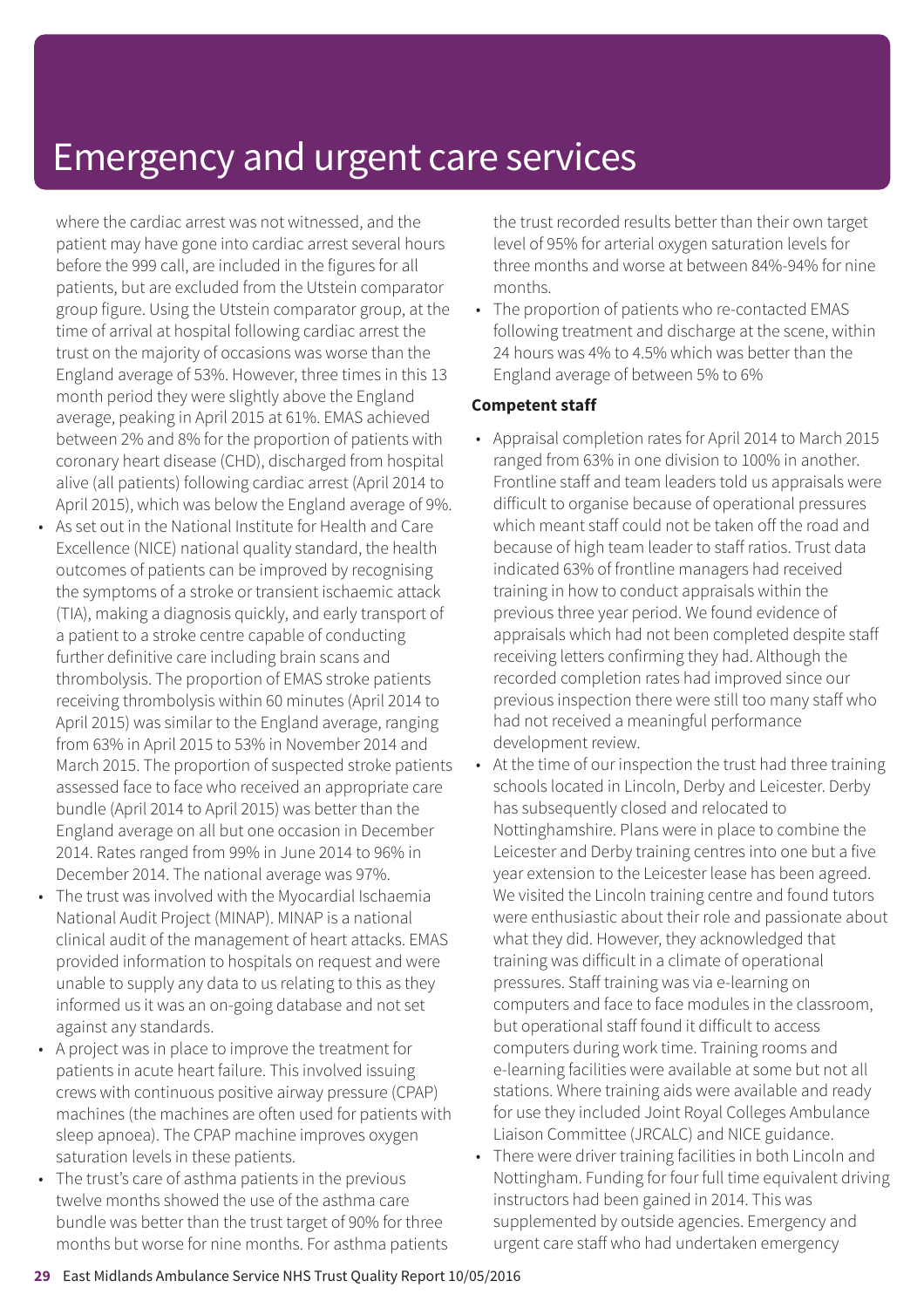where the cardiac arrest was not witnessed, and the patient may have gone into cardiac arrest several hours before the 999 call, are included in the figures for all patients, but are excluded from the Utstein comparator group figure. Using the Utstein comparator group, at the time of arrival at hospital following cardiac arrest the trust on the majority of occasions was worse than the England average of 53%. However, three times in this 13 month period they were slightly above the England average, peaking in April 2015 at 61%. EMAS achieved between 2% and 8% for the proportion of patients with coronary heart disease (CHD), discharged from hospital alive (all patients) following cardiac arrest (April 2014 to April 2015), which was below the England average of 9%. • As set out in the National Institute for Health and Care Excellence (NICE) national quality standard, the health outcomes of patients can be improved by recognising the symptoms of a stroke or transient ischaemic attack (TIA), making a diagnosis quickly, and early transport of a patient to a stroke centre capable of conducting further definitive care including brain scans and thrombolysis. The proportion of EMAS stroke patients receiving thrombolysis within 60 minutes (April 2014 to April 2015) was similar to the England average, ranging from 63% in April 2015 to 53% in November 2014 and March 2015. The proportion of suspected stroke patients assessed face to face who received an appropriate care bundle (April 2014 to April 2015) was better than the England average on all but one occasion in December 2014. Rates ranged from 99% in June 2014 to 96% in December 2014. The national average was 97%.

- The trust was involved with the Myocardial Ischaemia National Audit Project (MINAP). MINAP is a national clinical audit of the management of heart attacks. EMAS provided information to hospitals on request and were unable to supply any data to us relating to this as they informed us it was an on-going database and not set against any standards.
- A project was in place to improve the treatment for patients in acute heart failure. This involved issuing crews with continuous positive airway pressure (CPAP) machines (the machines are often used for patients with sleep apnoea). The CPAP machine improves oxygen saturation levels in these patients.
- The trust's care of asthma patients in the previous twelve months showed the use of the asthma care bundle was better than the trust target of 90% for three months but worse for nine months. For asthma patients

the trust recorded results better than their own target level of 95% for arterial oxygen saturation levels for three months and worse at between 84%-94% for nine months.

• The proportion of patients who re-contacted EMAS following treatment and discharge at the scene, within 24 hours was 4% to 4.5% which was better than the England average of between 5% to 6%

#### **Competent staff**

- Appraisal completion rates for April 2014 to March 2015 ranged from 63% in one division to 100% in another. Frontline staff and team leaders told us appraisals were difficult to organise because of operational pressures which meant staff could not be taken off the road and because of high team leader to staff ratios. Trust data indicated 63% of frontline managers had received training in how to conduct appraisals within the previous three year period. We found evidence of appraisals which had not been completed despite staff receiving letters confirming they had. Although the recorded completion rates had improved since our previous inspection there were still too many staff who had not received a meaningful performance development review.
- At the time of our inspection the trust had three training schools located in Lincoln, Derby and Leicester. Derby has subsequently closed and relocated to Nottinghamshire. Plans were in place to combine the Leicester and Derby training centres into one but a five year extension to the Leicester lease has been agreed. We visited the Lincoln training centre and found tutors were enthusiastic about their role and passionate about what they did. However, they acknowledged that training was difficult in a climate of operational pressures. Staff training was via e-learning on computers and face to face modules in the classroom, but operational staff found it difficult to access computers during work time. Training rooms and e-learning facilities were available at some but not all stations. Where training aids were available and ready for use they included Joint Royal Colleges Ambulance Liaison Committee (JRCALC) and NICE guidance.
- There were driver training facilities in both Lincoln and Nottingham. Funding for four full time equivalent driving instructors had been gained in 2014. This was supplemented by outside agencies. Emergency and urgent care staff who had undertaken emergency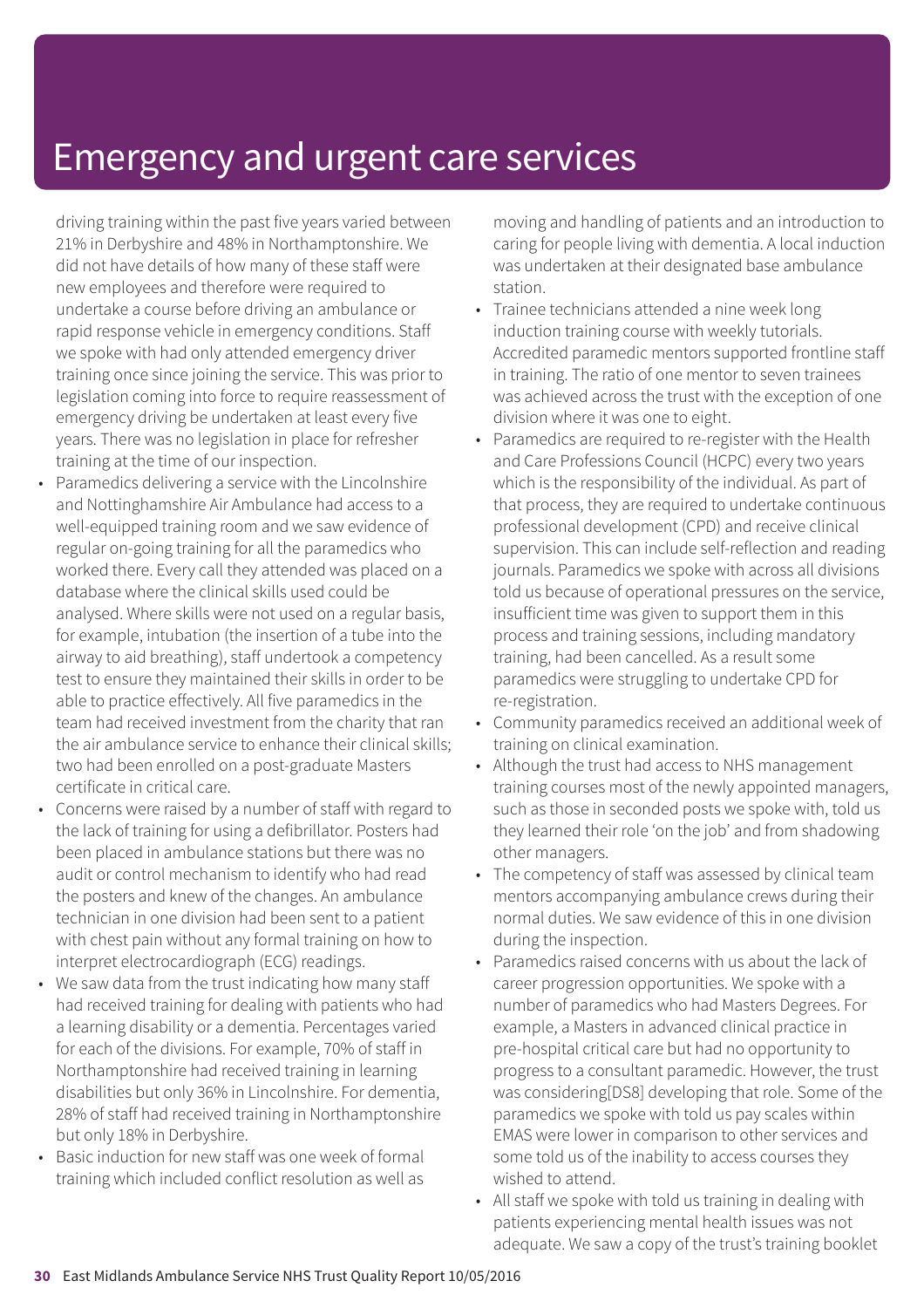driving training within the past five years varied between 21% in Derbyshire and 48% in Northamptonshire. We did not have details of how many of these staff were new employees and therefore were required to undertake a course before driving an ambulance or rapid response vehicle in emergency conditions. Staff we spoke with had only attended emergency driver training once since joining the service. This was prior to legislation coming into force to require reassessment of emergency driving be undertaken at least every five years. There was no legislation in place for refresher training at the time of our inspection.

- Paramedics delivering a service with the Lincolnshire and Nottinghamshire Air Ambulance had access to a well-equipped training room and we saw evidence of regular on-going training for all the paramedics who worked there. Every call they attended was placed on a database where the clinical skills used could be analysed. Where skills were not used on a regular basis, for example, intubation (the insertion of a tube into the airway to aid breathing), staff undertook a competency test to ensure they maintained their skills in order to be able to practice effectively. All five paramedics in the team had received investment from the charity that ran the air ambulance service to enhance their clinical skills; two had been enrolled on a post-graduate Masters certificate in critical care.
- Concerns were raised by a number of staff with regard to the lack of training for using a defibrillator. Posters had been placed in ambulance stations but there was no audit or control mechanism to identify who had read the posters and knew of the changes. An ambulance technician in one division had been sent to a patient with chest pain without any formal training on how to interpret electrocardiograph (ECG) readings.
- We saw data from the trust indicating how many staff had received training for dealing with patients who had a learning disability or a dementia. Percentages varied for each of the divisions. For example, 70% of staff in Northamptonshire had received training in learning disabilities but only 36% in Lincolnshire. For dementia, 28% of staff had received training in Northamptonshire but only 18% in Derbyshire.
- Basic induction for new staff was one week of formal training which included conflict resolution as well as

moving and handling of patients and an introduction to caring for people living with dementia. A local induction was undertaken at their designated base ambulance station.

- Trainee technicians attended a nine week long induction training course with weekly tutorials. Accredited paramedic mentors supported frontline staff in training. The ratio of one mentor to seven trainees was achieved across the trust with the exception of one division where it was one to eight.
- Paramedics are required to re-register with the Health and Care Professions Council (HCPC) every two years which is the responsibility of the individual. As part of that process, they are required to undertake continuous professional development (CPD) and receive clinical supervision. This can include self-reflection and reading journals. Paramedics we spoke with across all divisions told us because of operational pressures on the service, insufficient time was given to support them in this process and training sessions, including mandatory training, had been cancelled. As a result some paramedics were struggling to undertake CPD for re-registration.
- Community paramedics received an additional week of training on clinical examination.
- Although the trust had access to NHS management training courses most of the newly appointed managers, such as those in seconded posts we spoke with, told us they learned their role 'on the job' and from shadowing other managers.
- The competency of staff was assessed by clinical team mentors accompanying ambulance crews during their normal duties. We saw evidence of this in one division during the inspection.
- Paramedics raised concerns with us about the lack of career progression opportunities. We spoke with a number of paramedics who had Masters Degrees. For example, a Masters in advanced clinical practice in pre-hospital critical care but had no opportunity to progress to a consultant paramedic. However, the trust was considering[DS8] developing that role. Some of the paramedics we spoke with told us pay scales within EMAS were lower in comparison to other services and some told us of the inability to access courses they wished to attend.
- All staff we spoke with told us training in dealing with patients experiencing mental health issues was not adequate. We saw a copy of the trust's training booklet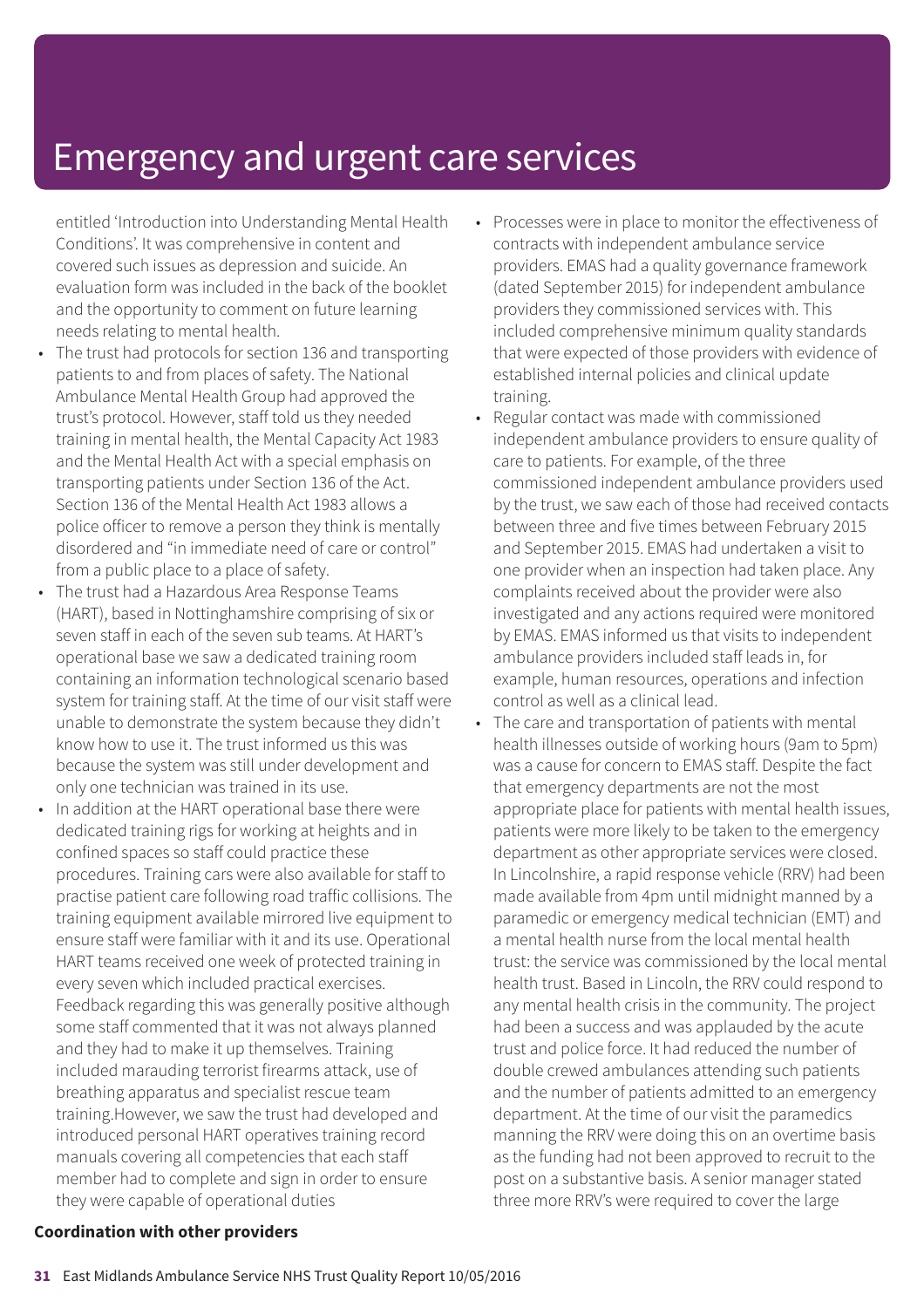entitled 'Introduction into Understanding Mental Health Conditions'. It was comprehensive in content and covered such issues as depression and suicide. An evaluation form was included in the back of the booklet and the opportunity to comment on future learning needs relating to mental health.

- The trust had protocols for section 136 and transporting patients to and from places of safety. The National Ambulance Mental Health Group had approved the trust's protocol. However, staff told us they needed training in mental health, the Mental Capacity Act 1983 and the Mental Health Act with a special emphasis on transporting patients under Section 136 of the Act. Section 136 of the Mental Health Act 1983 allows a police officer to remove a person they think is mentally disordered and "in immediate need of care or control" from a public place to a place of safety.
- The trust had a Hazardous Area Response Teams (HART), based in Nottinghamshire comprising of six or seven staff in each of the seven sub teams. At HART's operational base we saw a dedicated training room containing an information technological scenario based system for training staff. At the time of our visit staff were unable to demonstrate the system because they didn't know how to use it. The trust informed us this was because the system was still under development and only one technician was trained in its use.
- In addition at the HART operational base there were dedicated training rigs for working at heights and in confined spaces so staff could practice these procedures. Training cars were also available for staff to practise patient care following road traffic collisions. The training equipment available mirrored live equipment to ensure staff were familiar with it and its use. Operational HART teams received one week of protected training in every seven which included practical exercises. Feedback regarding this was generally positive although some staff commented that it was not always planned and they had to make it up themselves. Training included marauding terrorist firearms attack, use of breathing apparatus and specialist rescue team training.However, we saw the trust had developed and introduced personal HART operatives training record manuals covering all competencies that each staff member had to complete and sign in order to ensure they were capable of operational duties
- Processes were in place to monitor the effectiveness of contracts with independent ambulance service providers. EMAS had a quality governance framework (dated September 2015) for independent ambulance providers they commissioned services with. This included comprehensive minimum quality standards that were expected of those providers with evidence of established internal policies and clinical update training.
- Regular contact was made with commissioned independent ambulance providers to ensure quality of care to patients. For example, of the three commissioned independent ambulance providers used by the trust, we saw each of those had received contacts between three and five times between February 2015 and September 2015. EMAS had undertaken a visit to one provider when an inspection had taken place. Any complaints received about the provider were also investigated and any actions required were monitored by EMAS. EMAS informed us that visits to independent ambulance providers included staff leads in, for example, human resources, operations and infection control as well as a clinical lead.
- The care and transportation of patients with mental health illnesses outside of working hours (9am to 5pm) was a cause for concern to EMAS staff. Despite the fact that emergency departments are not the most appropriate place for patients with mental health issues, patients were more likely to be taken to the emergency department as other appropriate services were closed. In Lincolnshire, a rapid response vehicle (RRV) had been made available from 4pm until midnight manned by a paramedic or emergency medical technician (EMT) and a mental health nurse from the local mental health trust: the service was commissioned by the local mental health trust. Based in Lincoln, the RRV could respond to any mental health crisis in the community. The project had been a success and was applauded by the acute trust and police force. It had reduced the number of double crewed ambulances attending such patients and the number of patients admitted to an emergency department. At the time of our visit the paramedics manning the RRV were doing this on an overtime basis as the funding had not been approved to recruit to the post on a substantive basis. A senior manager stated three more RRV's were required to cover the large

#### **Coordination with other providers**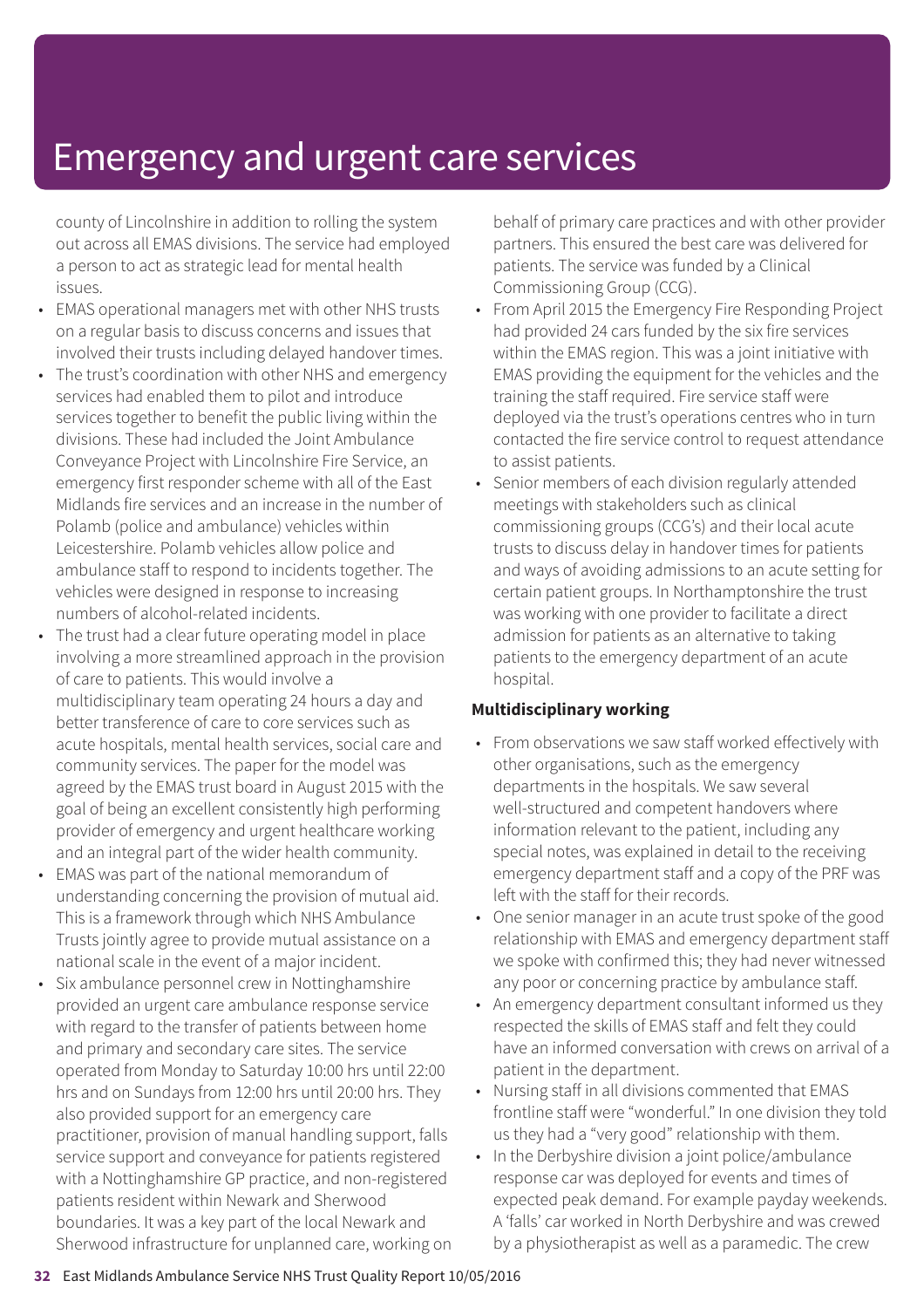county of Lincolnshire in addition to rolling the system out across all EMAS divisions. The service had employed a person to act as strategic lead for mental health issues.

- EMAS operational managers met with other NHS trusts on a regular basis to discuss concerns and issues that involved their trusts including delayed handover times.
- The trust's coordination with other NHS and emergency services had enabled them to pilot and introduce services together to benefit the public living within the divisions. These had included the Joint Ambulance Conveyance Project with Lincolnshire Fire Service, an emergency first responder scheme with all of the East Midlands fire services and an increase in the number of Polamb (police and ambulance) vehicles within Leicestershire. Polamb vehicles allow police and ambulance staff to respond to incidents together. The vehicles were designed in response to increasing numbers of alcohol-related incidents.
- The trust had a clear future operating model in place involving a more streamlined approach in the provision of care to patients. This would involve a multidisciplinary team operating 24 hours a day and better transference of care to core services such as acute hospitals, mental health services, social care and community services. The paper for the model was agreed by the EMAS trust board in August 2015 with the goal of being an excellent consistently high performing provider of emergency and urgent healthcare working and an integral part of the wider health community.
- EMAS was part of the national memorandum of understanding concerning the provision of mutual aid. This is a framework through which NHS Ambulance Trusts jointly agree to provide mutual assistance on a national scale in the event of a major incident.
- Six ambulance personnel crew in Nottinghamshire provided an urgent care ambulance response service with regard to the transfer of patients between home and primary and secondary care sites. The service operated from Monday to Saturday 10:00 hrs until 22:00 hrs and on Sundays from 12:00 hrs until 20:00 hrs. They also provided support for an emergency care practitioner, provision of manual handling support, falls service support and conveyance for patients registered with a Nottinghamshire GP practice, and non-registered patients resident within Newark and Sherwood boundaries. It was a key part of the local Newark and Sherwood infrastructure for unplanned care, working on

behalf of primary care practices and with other provider partners. This ensured the best care was delivered for patients. The service was funded by a Clinical Commissioning Group (CCG).

- From April 2015 the Emergency Fire Responding Project had provided 24 cars funded by the six fire services within the EMAS region. This was a joint initiative with EMAS providing the equipment for the vehicles and the training the staff required. Fire service staff were deployed via the trust's operations centres who in turn contacted the fire service control to request attendance to assist patients.
- Senior members of each division regularly attended meetings with stakeholders such as clinical commissioning groups (CCG's) and their local acute trusts to discuss delay in handover times for patients and ways of avoiding admissions to an acute setting for certain patient groups. In Northamptonshire the trust was working with one provider to facilitate a direct admission for patients as an alternative to taking patients to the emergency department of an acute hospital.

#### **Multidisciplinary working**

- From observations we saw staff worked effectively with other organisations, such as the emergency departments in the hospitals. We saw several well-structured and competent handovers where information relevant to the patient, including any special notes, was explained in detail to the receiving emergency department staff and a copy of the PRF was left with the staff for their records.
- One senior manager in an acute trust spoke of the good relationship with EMAS and emergency department staff we spoke with confirmed this; they had never witnessed any poor or concerning practice by ambulance staff.
- An emergency department consultant informed us they respected the skills of EMAS staff and felt they could have an informed conversation with crews on arrival of a patient in the department.
- Nursing staff in all divisions commented that EMAS frontline staff were "wonderful." In one division they told us they had a "very good" relationship with them.
- In the Derbyshire division a joint police/ambulance response car was deployed for events and times of expected peak demand. For example payday weekends. A 'falls' car worked in North Derbyshire and was crewed by a physiotherapist as well as a paramedic. The crew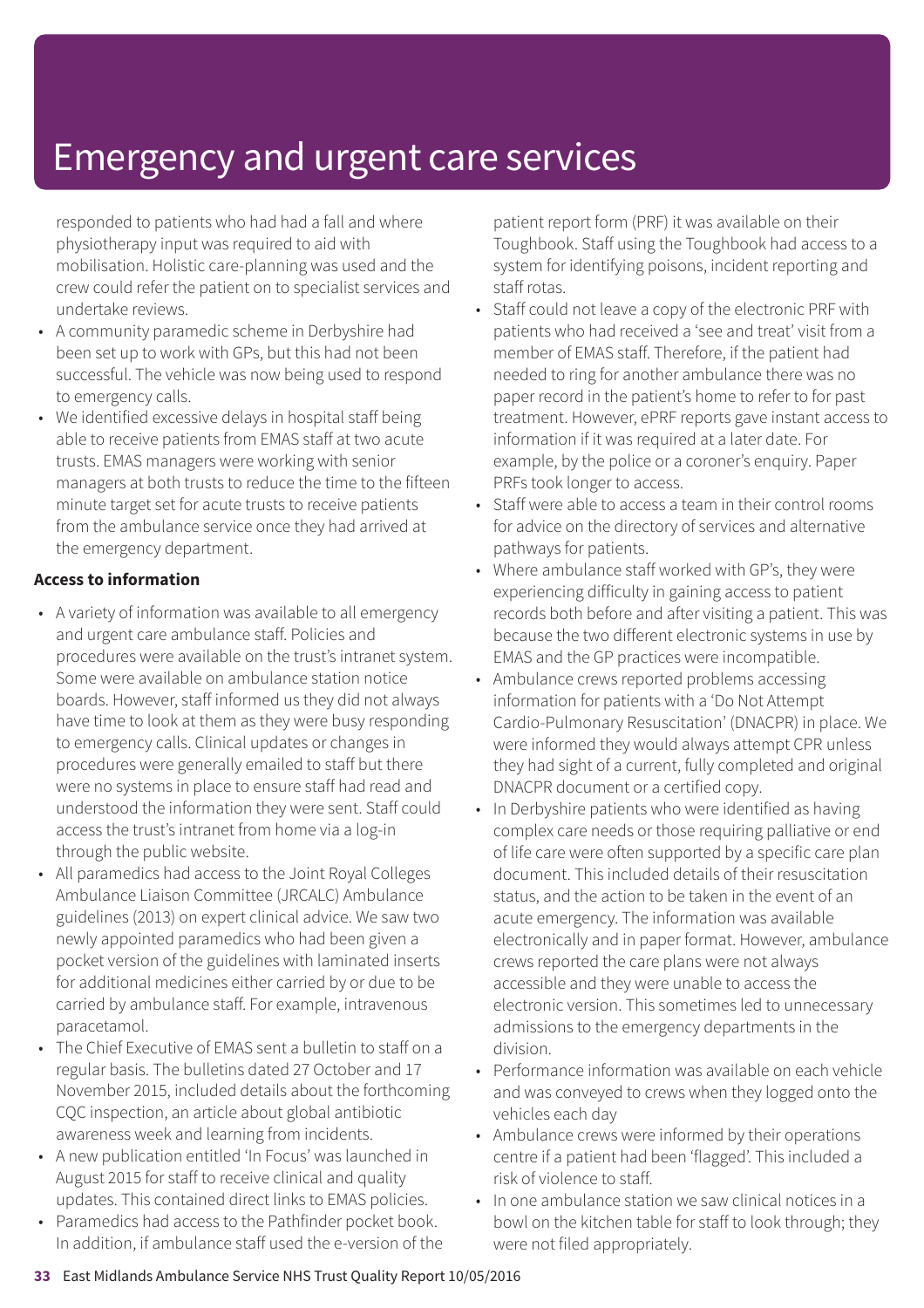responded to patients who had had a fall and where physiotherapy input was required to aid with mobilisation. Holistic care-planning was used and the crew could refer the patient on to specialist services and undertake reviews.

- A community paramedic scheme in Derbyshire had been set up to work with GPs, but this had not been successful. The vehicle was now being used to respond to emergency calls.
- We identified excessive delays in hospital staff being able to receive patients from EMAS staff at two acute trusts. EMAS managers were working with senior managers at both trusts to reduce the time to the fifteen minute target set for acute trusts to receive patients from the ambulance service once they had arrived at the emergency department.

#### **Access to information**

- A variety of information was available to all emergency and urgent care ambulance staff. Policies and procedures were available on the trust's intranet system. Some were available on ambulance station notice boards. However, staff informed us they did not always have time to look at them as they were busy responding to emergency calls. Clinical updates or changes in procedures were generally emailed to staff but there were no systems in place to ensure staff had read and understood the information they were sent. Staff could access the trust's intranet from home via a log-in through the public website.
- All paramedics had access to the Joint Royal Colleges Ambulance Liaison Committee (JRCALC) Ambulance guidelines (2013) on expert clinical advice. We saw two newly appointed paramedics who had been given a pocket version of the guidelines with laminated inserts for additional medicines either carried by or due to be carried by ambulance staff. For example, intravenous paracetamol.
- The Chief Executive of EMAS sent a bulletin to staff on a regular basis. The bulletins dated 27 October and 17 November 2015, included details about the forthcoming CQC inspection, an article about global antibiotic awareness week and learning from incidents.
- A new publication entitled 'In Focus' was launched in August 2015 for staff to receive clinical and quality updates. This contained direct links to EMAS policies.
- Paramedics had access to the Pathfinder pocket book. In addition, if ambulance staff used the e-version of the

patient report form (PRF) it was available on their Toughbook. Staff using the Toughbook had access to a system for identifying poisons, incident reporting and staff rotas.

- Staff could not leave a copy of the electronic PRF with patients who had received a 'see and treat' visit from a member of EMAS staff. Therefore, if the patient had needed to ring for another ambulance there was no paper record in the patient's home to refer to for past treatment. However, ePRF reports gave instant access to information if it was required at a later date. For example, by the police or a coroner's enquiry. Paper PRFs took longer to access.
- Staff were able to access a team in their control rooms for advice on the directory of services and alternative pathways for patients.
- Where ambulance staff worked with GP's, they were experiencing difficulty in gaining access to patient records both before and after visiting a patient. This was because the two different electronic systems in use by EMAS and the GP practices were incompatible.
- Ambulance crews reported problems accessing information for patients with a 'Do Not Attempt Cardio-Pulmonary Resuscitation' (DNACPR) in place. We were informed they would always attempt CPR unless they had sight of a current, fully completed and original DNACPR document or a certified copy.
- In Derbyshire patients who were identified as having complex care needs or those requiring palliative or end of life care were often supported by a specific care plan document. This included details of their resuscitation status, and the action to be taken in the event of an acute emergency. The information was available electronically and in paper format. However, ambulance crews reported the care plans were not always accessible and they were unable to access the electronic version. This sometimes led to unnecessary admissions to the emergency departments in the division.
- Performance information was available on each vehicle and was conveyed to crews when they logged onto the vehicles each day
- Ambulance crews were informed by their operations centre if a patient had been 'flagged'. This included a risk of violence to staff.
- In one ambulance station we saw clinical notices in a bowl on the kitchen table for staff to look through; they were not filed appropriately.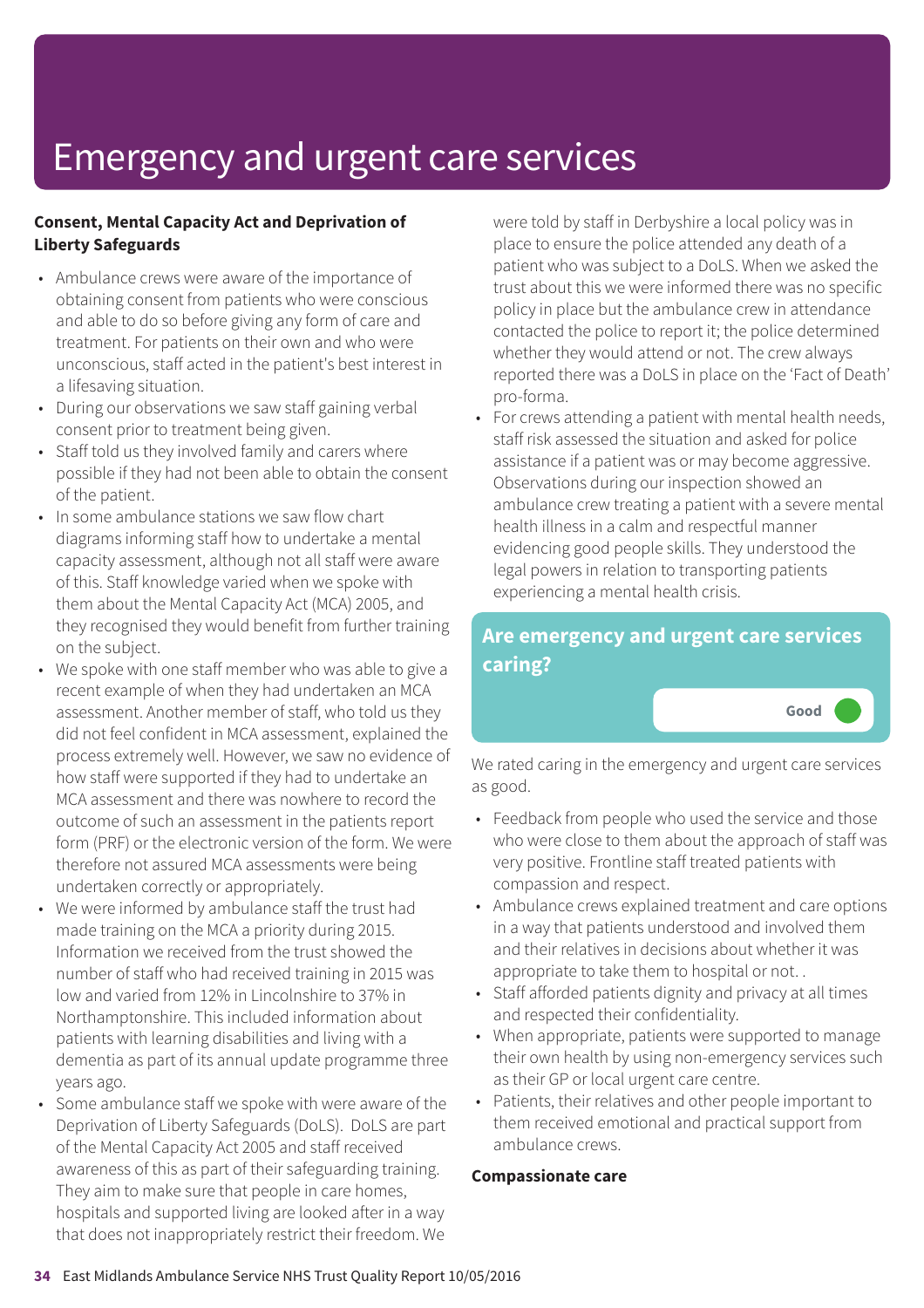#### **Consent, Mental Capacity Act and Deprivation of Liberty Safeguards**

- Ambulance crews were aware of the importance of obtaining consent from patients who were conscious and able to do so before giving any form of care and treatment. For patients on their own and who were unconscious, staff acted in the patient's best interest in a lifesaving situation.
- During our observations we saw staff gaining verbal consent prior to treatment being given.
- Staff told us they involved family and carers where possible if they had not been able to obtain the consent of the patient.
- In some ambulance stations we saw flow chart diagrams informing staff how to undertake a mental capacity assessment, although not all staff were aware of this. Staff knowledge varied when we spoke with them about the Mental Capacity Act (MCA) 2005, and they recognised they would benefit from further training on the subject.
- We spoke with one staff member who was able to give a recent example of when they had undertaken an MCA assessment. Another member of staff, who told us they did not feel confident in MCA assessment, explained the process extremely well. However, we saw no evidence of how staff were supported if they had to undertake an MCA assessment and there was nowhere to record the outcome of such an assessment in the patients report form (PRF) or the electronic version of the form. We were therefore not assured MCA assessments were being undertaken correctly or appropriately.
- We were informed by ambulance staff the trust had made training on the MCA a priority during 2015. Information we received from the trust showed the number of staff who had received training in 2015 was low and varied from 12% in Lincolnshire to 37% in Northamptonshire. This included information about patients with learning disabilities and living with a dementia as part of its annual update programme three years ago.
- Some ambulance staff we spoke with were aware of the Deprivation of Liberty Safeguards (DoLS). DoLS are part of the Mental Capacity Act 2005 and staff received awareness of this as part of their safeguarding training. They aim to make sure that people in care homes, hospitals and supported living are looked after in a way that does not inappropriately restrict their freedom. We

were told by staff in Derbyshire a local policy was in place to ensure the police attended any death of a patient who was subject to a DoLS. When we asked the trust about this we were informed there was no specific policy in place but the ambulance crew in attendance contacted the police to report it; the police determined whether they would attend or not. The crew always reported there was a DoLS in place on the 'Fact of Death' pro-forma.

• For crews attending a patient with mental health needs, staff risk assessed the situation and asked for police assistance if a patient was or may become aggressive. Observations during our inspection showed an ambulance crew treating a patient with a severe mental health illness in a calm and respectful manner evidencing good people skills. They understood the legal powers in relation to transporting patients experiencing a mental health crisis.

### **Are emergency and urgent care services caring?**

We rated caring in the emergency and urgent care services as good.

**Good –––**

- Feedback from people who used the service and those who were close to them about the approach of staff was very positive. Frontline staff treated patients with compassion and respect.
- Ambulance crews explained treatment and care options in a way that patients understood and involved them and their relatives in decisions about whether it was appropriate to take them to hospital or not. .
- Staff afforded patients dignity and privacy at all times and respected their confidentiality.
- When appropriate, patients were supported to manage their own health by using non-emergency services such as their GP or local urgent care centre.
- Patients, their relatives and other people important to them received emotional and practical support from ambulance crews.

#### **Compassionate care**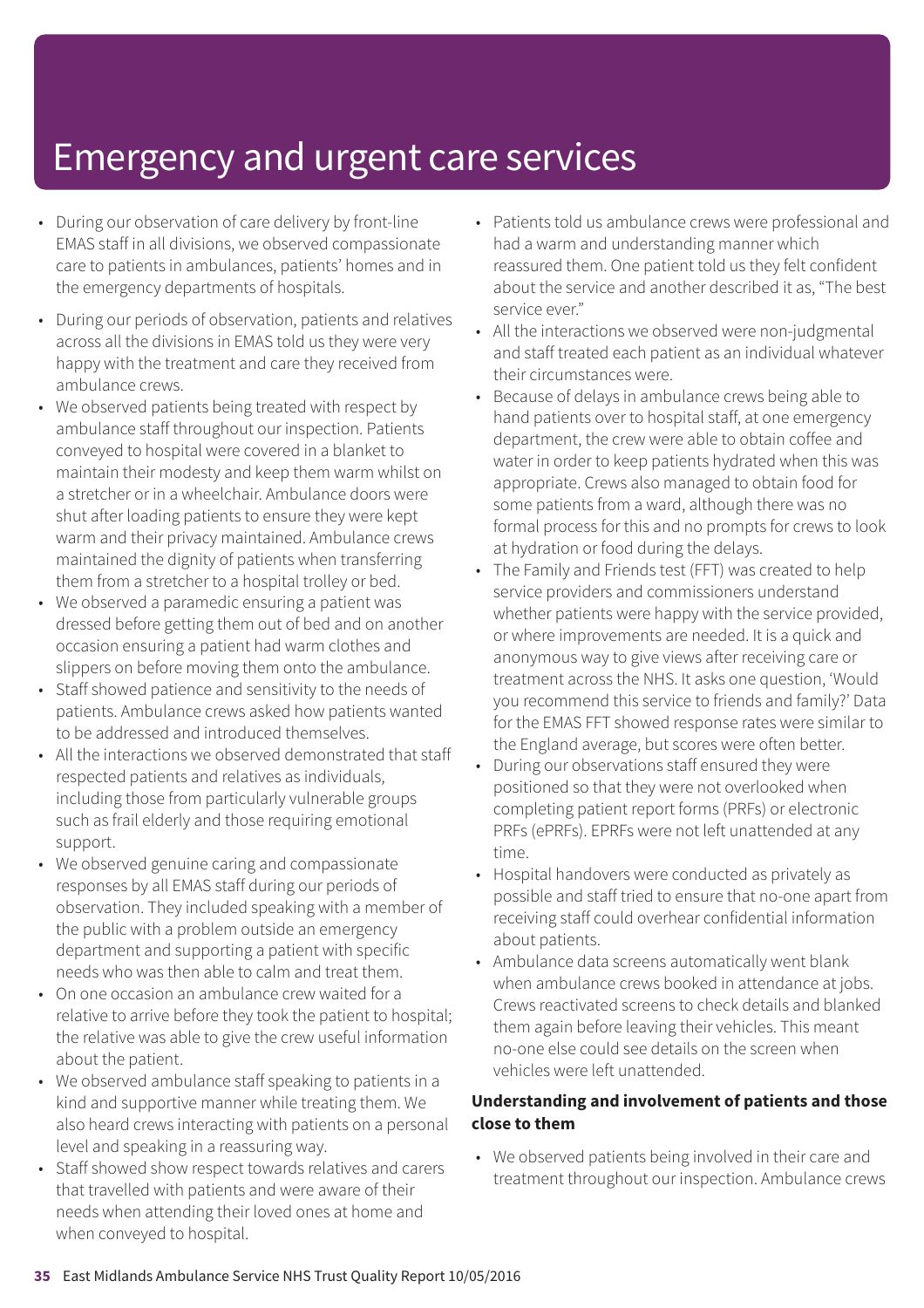- During our observation of care delivery by front-line EMAS staff in all divisions, we observed compassionate care to patients in ambulances, patients' homes and in the emergency departments of hospitals.
- During our periods of observation, patients and relatives across all the divisions in EMAS told us they were very happy with the treatment and care they received from ambulance crews.
- We observed patients being treated with respect by ambulance staff throughout our inspection. Patients conveyed to hospital were covered in a blanket to maintain their modesty and keep them warm whilst on a stretcher or in a wheelchair. Ambulance doors were shut after loading patients to ensure they were kept warm and their privacy maintained. Ambulance crews maintained the dignity of patients when transferring them from a stretcher to a hospital trolley or bed.
- We observed a paramedic ensuring a patient was dressed before getting them out of bed and on another occasion ensuring a patient had warm clothes and slippers on before moving them onto the ambulance.
- Staff showed patience and sensitivity to the needs of patients. Ambulance crews asked how patients wanted to be addressed and introduced themselves.
- All the interactions we observed demonstrated that staff respected patients and relatives as individuals, including those from particularly vulnerable groups such as frail elderly and those requiring emotional support.
- We observed genuine caring and compassionate responses by all EMAS staff during our periods of observation. They included speaking with a member of the public with a problem outside an emergency department and supporting a patient with specific needs who was then able to calm and treat them.
- On one occasion an ambulance crew waited for a relative to arrive before they took the patient to hospital; the relative was able to give the crew useful information about the patient.
- We observed ambulance staff speaking to patients in a kind and supportive manner while treating them. We also heard crews interacting with patients on a personal level and speaking in a reassuring way.
- Staff showed show respect towards relatives and carers that travelled with patients and were aware of their needs when attending their loved ones at home and when conveyed to hospital.
- Patients told us ambulance crews were professional and had a warm and understanding manner which reassured them. One patient told us they felt confident about the service and another described it as, "The best service ever."
- All the interactions we observed were non-judgmental and staff treated each patient as an individual whatever their circumstances were.
- Because of delays in ambulance crews being able to hand patients over to hospital staff, at one emergency department, the crew were able to obtain coffee and water in order to keep patients hydrated when this was appropriate. Crews also managed to obtain food for some patients from a ward, although there was no formal process for this and no prompts for crews to look at hydration or food during the delays.
- The Family and Friends test (FFT) was created to help service providers and commissioners understand whether patients were happy with the service provided, or where improvements are needed. It is a quick and anonymous way to give views after receiving care or treatment across the NHS. It asks one question, 'Would you recommend this service to friends and family?' Data for the EMAS FFT showed response rates were similar to the England average, but scores were often better.
- During our observations staff ensured they were positioned so that they were not overlooked when completing patient report forms (PRFs) or electronic PRFs (ePRFs). EPRFs were not left unattended at any time.
- Hospital handovers were conducted as privately as possible and staff tried to ensure that no-one apart from receiving staff could overhear confidential information about patients.
- Ambulance data screens automatically went blank when ambulance crews booked in attendance at jobs. Crews reactivated screens to check details and blanked them again before leaving their vehicles. This meant no-one else could see details on the screen when vehicles were left unattended.

#### **Understanding and involvement of patients and those close to them**

• We observed patients being involved in their care and treatment throughout our inspection. Ambulance crews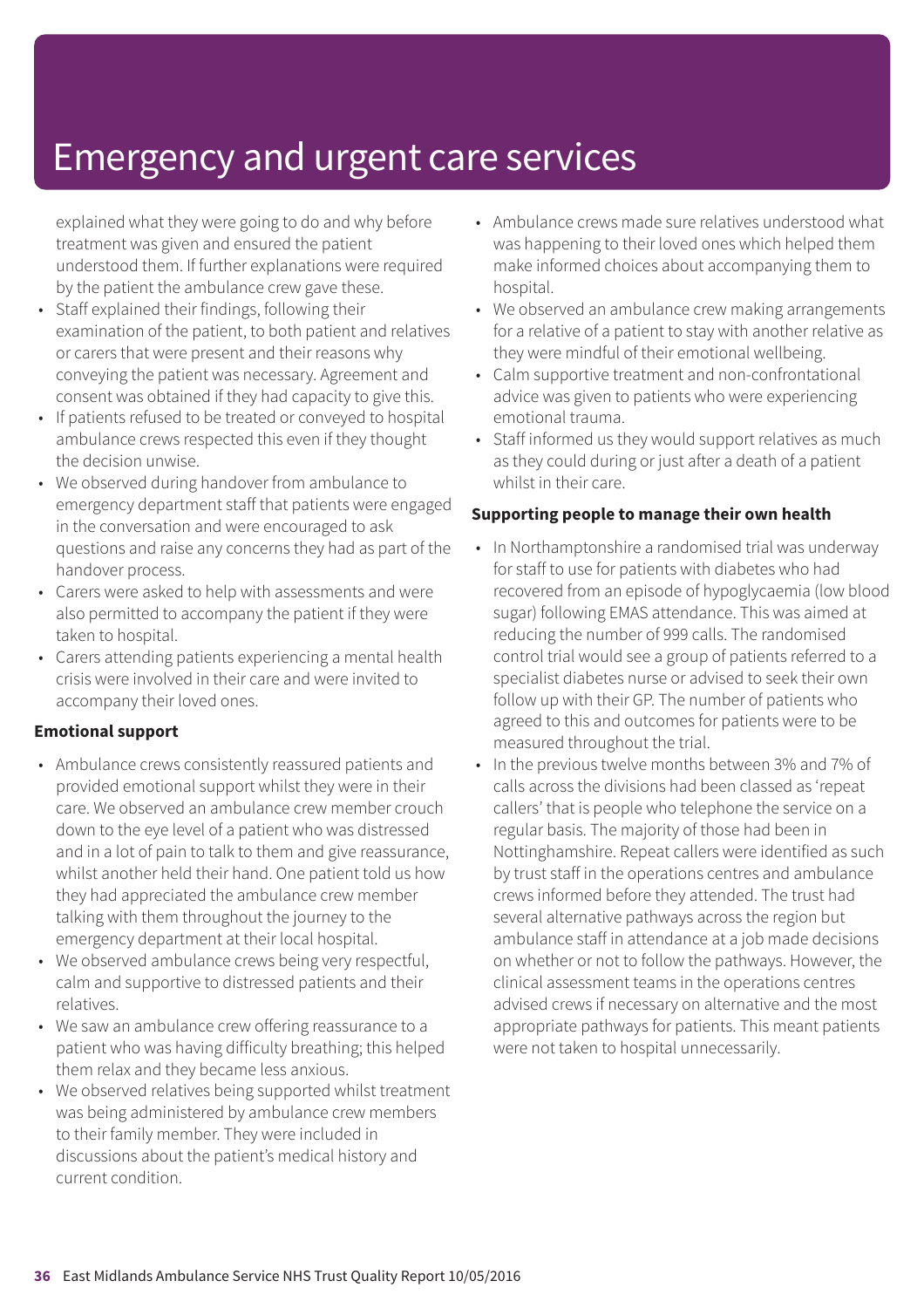explained what they were going to do and why before treatment was given and ensured the patient understood them. If further explanations were required by the patient the ambulance crew gave these.

- Staff explained their findings, following their examination of the patient, to both patient and relatives or carers that were present and their reasons why conveying the patient was necessary. Agreement and consent was obtained if they had capacity to give this.
- If patients refused to be treated or conveyed to hospital ambulance crews respected this even if they thought the decision unwise.
- We observed during handover from ambulance to emergency department staff that patients were engaged in the conversation and were encouraged to ask questions and raise any concerns they had as part of the handover process.
- Carers were asked to help with assessments and were also permitted to accompany the patient if they were taken to hospital.
- Carers attending patients experiencing a mental health crisis were involved in their care and were invited to accompany their loved ones.

#### **Emotional support**

- Ambulance crews consistently reassured patients and provided emotional support whilst they were in their care. We observed an ambulance crew member crouch down to the eye level of a patient who was distressed and in a lot of pain to talk to them and give reassurance, whilst another held their hand. One patient told us how they had appreciated the ambulance crew member talking with them throughout the journey to the emergency department at their local hospital.
- We observed ambulance crews being very respectful, calm and supportive to distressed patients and their relatives.
- We saw an ambulance crew offering reassurance to a patient who was having difficulty breathing; this helped them relax and they became less anxious.
- We observed relatives being supported whilst treatment was being administered by ambulance crew members to their family member. They were included in discussions about the patient's medical history and current condition.
- Ambulance crews made sure relatives understood what was happening to their loved ones which helped them make informed choices about accompanying them to hospital.
- We observed an ambulance crew making arrangements for a relative of a patient to stay with another relative as they were mindful of their emotional wellbeing.
- Calm supportive treatment and non-confrontational advice was given to patients who were experiencing emotional trauma.
- Staff informed us they would support relatives as much as they could during or just after a death of a patient whilst in their care.

#### **Supporting people to manage their own health**

- In Northamptonshire a randomised trial was underway for staff to use for patients with diabetes who had recovered from an episode of hypoglycaemia (low blood sugar) following EMAS attendance. This was aimed at reducing the number of 999 calls. The randomised control trial would see a group of patients referred to a specialist diabetes nurse or advised to seek their own follow up with their GP. The number of patients who agreed to this and outcomes for patients were to be measured throughout the trial.
- In the previous twelve months between 3% and 7% of calls across the divisions had been classed as 'repeat callers' that is people who telephone the service on a regular basis. The majority of those had been in Nottinghamshire. Repeat callers were identified as such by trust staff in the operations centres and ambulance crews informed before they attended. The trust had several alternative pathways across the region but ambulance staff in attendance at a job made decisions on whether or not to follow the pathways. However, the clinical assessment teams in the operations centres advised crews if necessary on alternative and the most appropriate pathways for patients. This meant patients were not taken to hospital unnecessarily.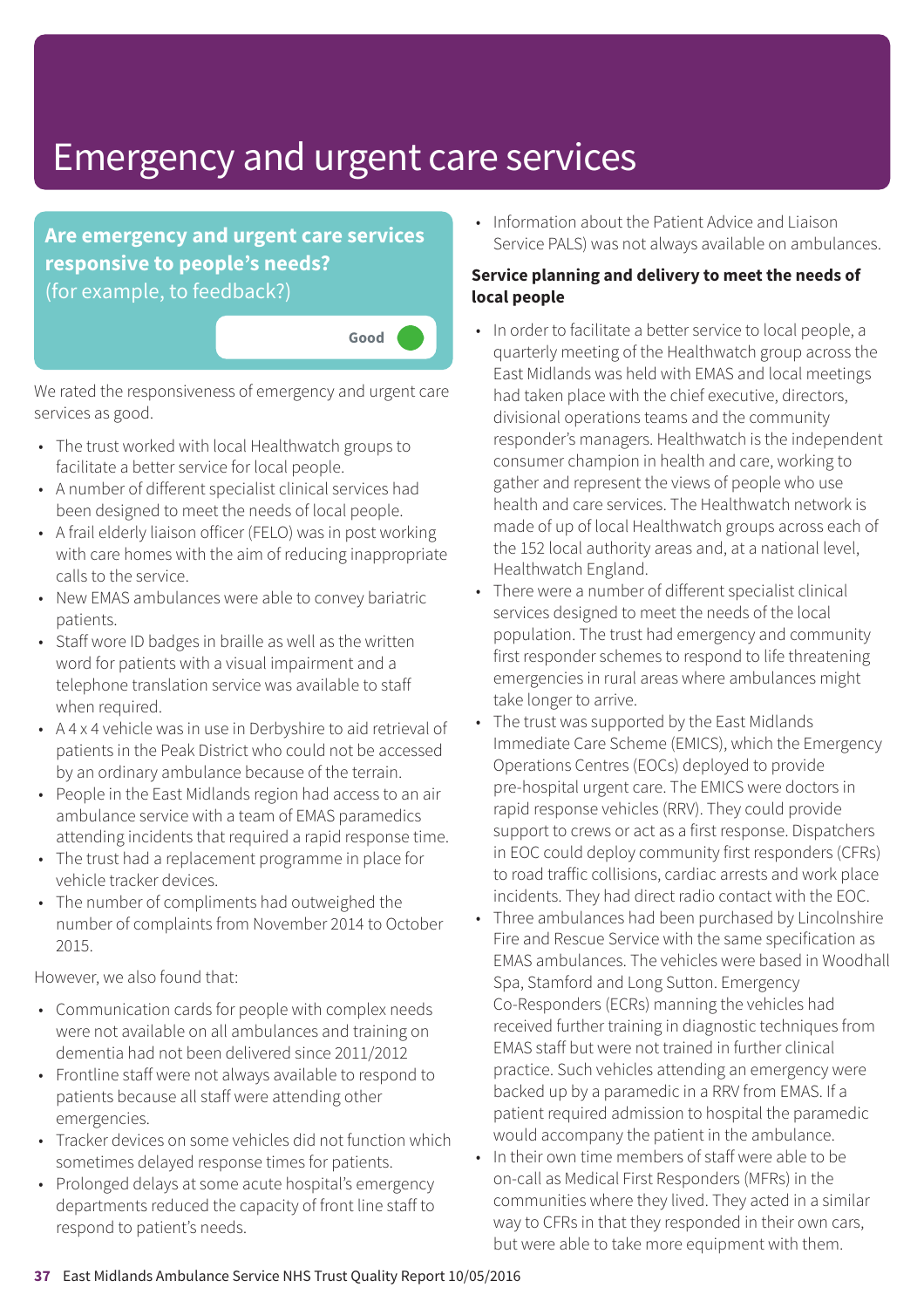## **Are emergency and urgent care services responsive to people's needs?** (for example, to feedback?)



We rated the responsiveness of emergency and urgent care services as good.

- The trust worked with local Healthwatch groups to facilitate a better service for local people.
- A number of different specialist clinical services had been designed to meet the needs of local people.
- A frail elderly liaison officer (FELO) was in post working with care homes with the aim of reducing inappropriate calls to the service.
- New EMAS ambulances were able to convey bariatric patients.
- Staff wore ID badges in braille as well as the written word for patients with a visual impairment and a telephone translation service was available to staff when required.
- A 4 x 4 vehicle was in use in Derbyshire to aid retrieval of patients in the Peak District who could not be accessed by an ordinary ambulance because of the terrain.
- People in the East Midlands region had access to an air ambulance service with a team of EMAS paramedics attending incidents that required a rapid response time.
- The trust had a replacement programme in place for vehicle tracker devices.
- The number of compliments had outweighed the number of complaints from November 2014 to October 2015.

However, we also found that:

- Communication cards for people with complex needs were not available on all ambulances and training on dementia had not been delivered since 2011/2012
- Frontline staff were not always available to respond to patients because all staff were attending other emergencies.
- Tracker devices on some vehicles did not function which sometimes delayed response times for patients.
- Prolonged delays at some acute hospital's emergency departments reduced the capacity of front line staff to respond to patient's needs.

• Information about the Patient Advice and Liaison Service PALS) was not always available on ambulances.

### **Service planning and delivery to meet the needs of local people**

- In order to facilitate a better service to local people, a quarterly meeting of the Healthwatch group across the East Midlands was held with EMAS and local meetings had taken place with the chief executive, directors, divisional operations teams and the community responder's managers. Healthwatch is the independent consumer champion in health and care, working to gather and represent the views of people who use health and care services. The Healthwatch network is made of up of local Healthwatch groups across each of the 152 local authority areas and, at a national level, Healthwatch England.
- There were a number of different specialist clinical services designed to meet the needs of the local population. The trust had emergency and community first responder schemes to respond to life threatening emergencies in rural areas where ambulances might take longer to arrive.
- The trust was supported by the East Midlands Immediate Care Scheme (EMICS), which the Emergency Operations Centres (EOCs) deployed to provide pre-hospital urgent care. The EMICS were doctors in rapid response vehicles (RRV). They could provide support to crews or act as a first response. Dispatchers in EOC could deploy community first responders (CFRs) to road traffic collisions, cardiac arrests and work place incidents. They had direct radio contact with the EOC.
- Three ambulances had been purchased by Lincolnshire Fire and Rescue Service with the same specification as EMAS ambulances. The vehicles were based in Woodhall Spa, Stamford and Long Sutton. Emergency Co-Responders (ECRs) manning the vehicles had received further training in diagnostic techniques from EMAS staff but were not trained in further clinical practice. Such vehicles attending an emergency were backed up by a paramedic in a RRV from EMAS. If a patient required admission to hospital the paramedic would accompany the patient in the ambulance.
- In their own time members of staff were able to be on-call as Medical First Responders (MFRs) in the communities where they lived. They acted in a similar way to CFRs in that they responded in their own cars, but were able to take more equipment with them.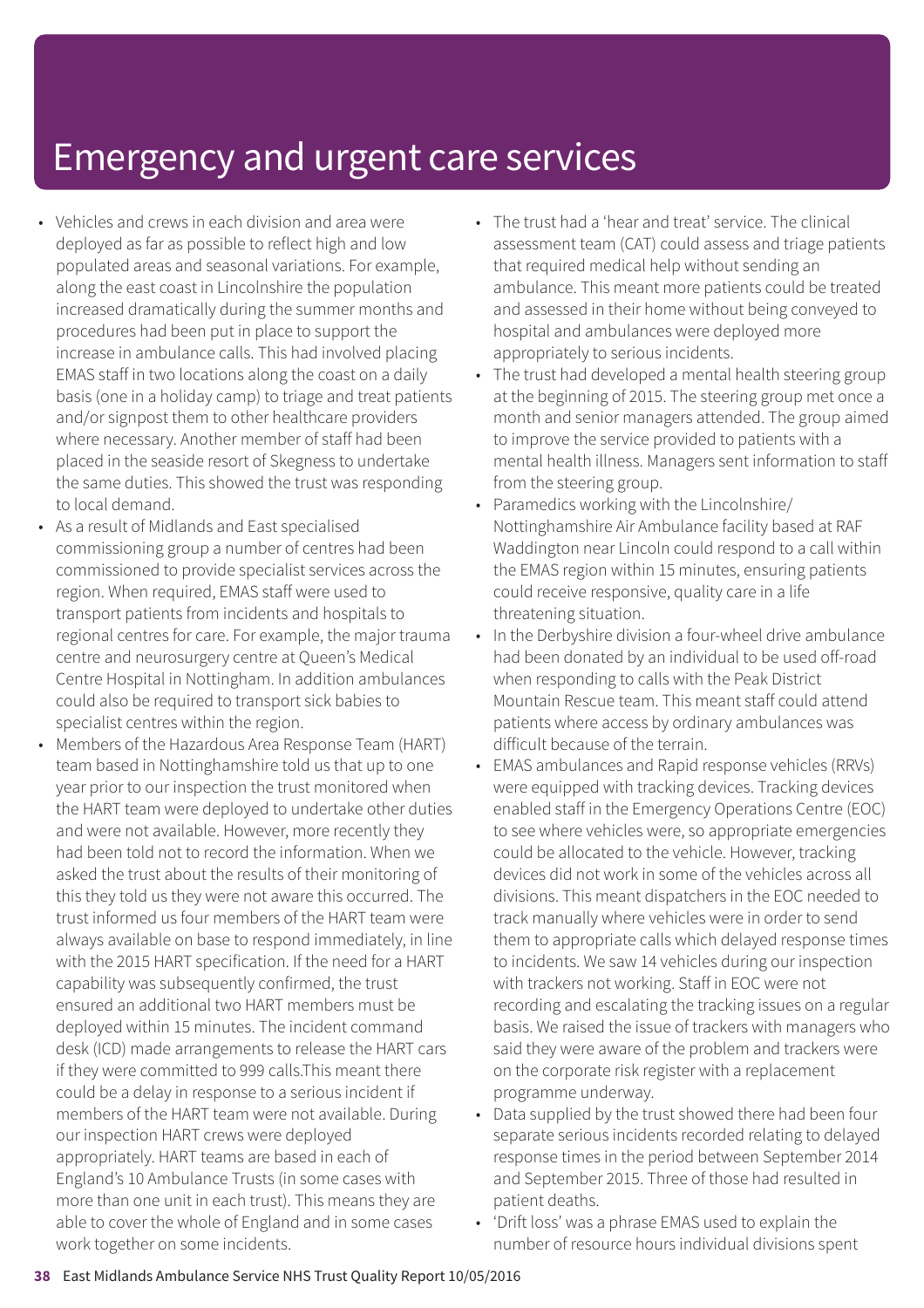- Vehicles and crews in each division and area were deployed as far as possible to reflect high and low populated areas and seasonal variations. For example, along the east coast in Lincolnshire the population increased dramatically during the summer months and procedures had been put in place to support the increase in ambulance calls. This had involved placing EMAS staff in two locations along the coast on a daily basis (one in a holiday camp) to triage and treat patients and/or signpost them to other healthcare providers where necessary. Another member of staff had been placed in the seaside resort of Skegness to undertake the same duties. This showed the trust was responding to local demand.
- As a result of Midlands and East specialised commissioning group a number of centres had been commissioned to provide specialist services across the region. When required, EMAS staff were used to transport patients from incidents and hospitals to regional centres for care. For example, the major trauma centre and neurosurgery centre at Queen's Medical Centre Hospital in Nottingham. In addition ambulances could also be required to transport sick babies to specialist centres within the region.
- Members of the Hazardous Area Response Team (HART) team based in Nottinghamshire told us that up to one year prior to our inspection the trust monitored when the HART team were deployed to undertake other duties and were not available. However, more recently they had been told not to record the information. When we asked the trust about the results of their monitoring of this they told us they were not aware this occurred. The trust informed us four members of the HART team were always available on base to respond immediately, in line with the 2015 HART specification. If the need for a HART capability was subsequently confirmed, the trust ensured an additional two HART members must be deployed within 15 minutes. The incident command desk (ICD) made arrangements to release the HART cars if they were committed to 999 calls.This meant there could be a delay in response to a serious incident if members of the HART team were not available. During our inspection HART crews were deployed appropriately. HART teams are based in each of England's 10 Ambulance Trusts (in some cases with more than one unit in each trust). This means they are able to cover the whole of England and in some cases work together on some incidents.
- The trust had a 'hear and treat' service. The clinical assessment team (CAT) could assess and triage patients that required medical help without sending an ambulance. This meant more patients could be treated and assessed in their home without being conveyed to hospital and ambulances were deployed more appropriately to serious incidents.
- The trust had developed a mental health steering group at the beginning of 2015. The steering group met once a month and senior managers attended. The group aimed to improve the service provided to patients with a mental health illness. Managers sent information to staff from the steering group.
- Paramedics working with the Lincolnshire/ Nottinghamshire Air Ambulance facility based at RAF Waddington near Lincoln could respond to a call within the EMAS region within 15 minutes, ensuring patients could receive responsive, quality care in a life threatening situation.
- In the Derbyshire division a four-wheel drive ambulance had been donated by an individual to be used off-road when responding to calls with the Peak District Mountain Rescue team. This meant staff could attend patients where access by ordinary ambulances was difficult because of the terrain.
- EMAS ambulances and Rapid response vehicles (RRVs) were equipped with tracking devices. Tracking devices enabled staff in the Emergency Operations Centre (EOC) to see where vehicles were, so appropriate emergencies could be allocated to the vehicle. However, tracking devices did not work in some of the vehicles across all divisions. This meant dispatchers in the EOC needed to track manually where vehicles were in order to send them to appropriate calls which delayed response times to incidents. We saw 14 vehicles during our inspection with trackers not working. Staff in EOC were not recording and escalating the tracking issues on a regular basis. We raised the issue of trackers with managers who said they were aware of the problem and trackers were on the corporate risk register with a replacement programme underway.
- Data supplied by the trust showed there had been four separate serious incidents recorded relating to delayed response times in the period between September 2014 and September 2015. Three of those had resulted in patient deaths.
- 'Drift loss' was a phrase EMAS used to explain the number of resource hours individual divisions spent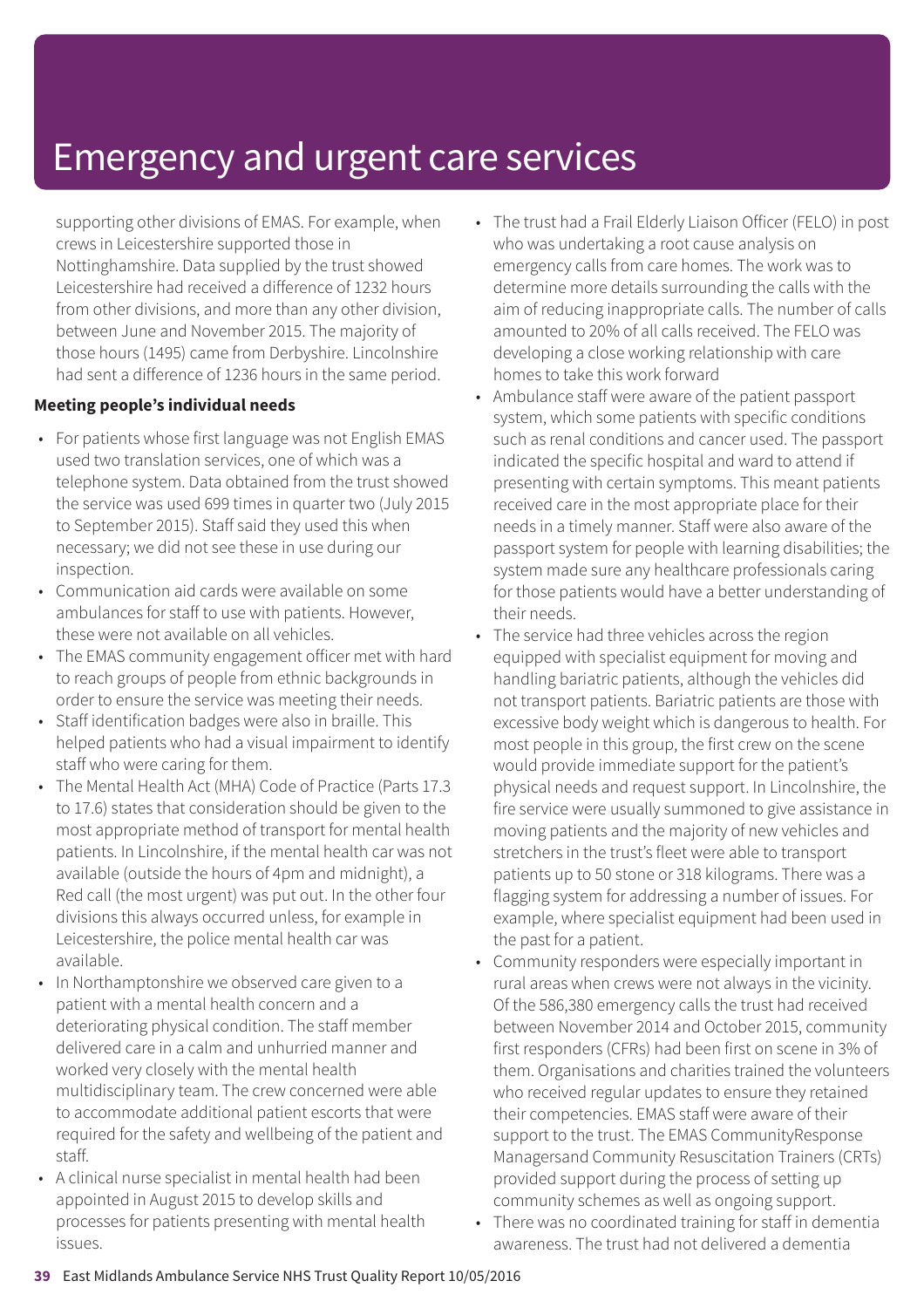supporting other divisions of EMAS. For example, when crews in Leicestershire supported those in Nottinghamshire. Data supplied by the trust showed Leicestershire had received a difference of 1232 hours from other divisions, and more than any other division, between June and November 2015. The majority of those hours (1495) came from Derbyshire. Lincolnshire had sent a difference of 1236 hours in the same period.

### **Meeting people's individual needs**

- For patients whose first language was not English EMAS used two translation services, one of which was a telephone system. Data obtained from the trust showed the service was used 699 times in quarter two (July 2015 to September 2015). Staff said they used this when necessary; we did not see these in use during our inspection.
- Communication aid cards were available on some ambulances for staff to use with patients. However, these were not available on all vehicles.
- The EMAS community engagement officer met with hard to reach groups of people from ethnic backgrounds in order to ensure the service was meeting their needs.
- Staff identification badges were also in braille. This helped patients who had a visual impairment to identify staff who were caring for them.
- The Mental Health Act (MHA) Code of Practice (Parts 17.3 to 17.6) states that consideration should be given to the most appropriate method of transport for mental health patients. In Lincolnshire, if the mental health car was not available (outside the hours of 4pm and midnight), a Red call (the most urgent) was put out. In the other four divisions this always occurred unless, for example in Leicestershire, the police mental health car was available.
- In Northamptonshire we observed care given to a patient with a mental health concern and a deteriorating physical condition. The staff member delivered care in a calm and unhurried manner and worked very closely with the mental health multidisciplinary team. The crew concerned were able to accommodate additional patient escorts that were required for the safety and wellbeing of the patient and staff.
- A clinical nurse specialist in mental health had been appointed in August 2015 to develop skills and processes for patients presenting with mental health issues.
- The trust had a Frail Elderly Liaison Officer (FELO) in post who was undertaking a root cause analysis on emergency calls from care homes. The work was to determine more details surrounding the calls with the aim of reducing inappropriate calls. The number of calls amounted to 20% of all calls received. The FELO was developing a close working relationship with care homes to take this work forward
- Ambulance staff were aware of the patient passport system, which some patients with specific conditions such as renal conditions and cancer used. The passport indicated the specific hospital and ward to attend if presenting with certain symptoms. This meant patients received care in the most appropriate place for their needs in a timely manner. Staff were also aware of the passport system for people with learning disabilities; the system made sure any healthcare professionals caring for those patients would have a better understanding of their needs.
- The service had three vehicles across the region equipped with specialist equipment for moving and handling bariatric patients, although the vehicles did not transport patients. Bariatric patients are those with excessive body weight which is dangerous to health. For most people in this group, the first crew on the scene would provide immediate support for the patient's physical needs and request support. In Lincolnshire, the fire service were usually summoned to give assistance in moving patients and the majority of new vehicles and stretchers in the trust's fleet were able to transport patients up to 50 stone or 318 kilograms. There was a flagging system for addressing a number of issues. For example, where specialist equipment had been used in the past for a patient.
- Community responders were especially important in rural areas when crews were not always in the vicinity. Of the 586,380 emergency calls the trust had received between November 2014 and October 2015, community first responders (CFRs) had been first on scene in 3% of them. Organisations and charities trained the volunteers who received regular updates to ensure they retained their competencies. EMAS staff were aware of their support to the trust. The EMAS CommunityResponse Managersand Community Resuscitation Trainers (CRTs) provided support during the process of setting up community schemes as well as ongoing support.
- There was no coordinated training for staff in dementia awareness. The trust had not delivered a dementia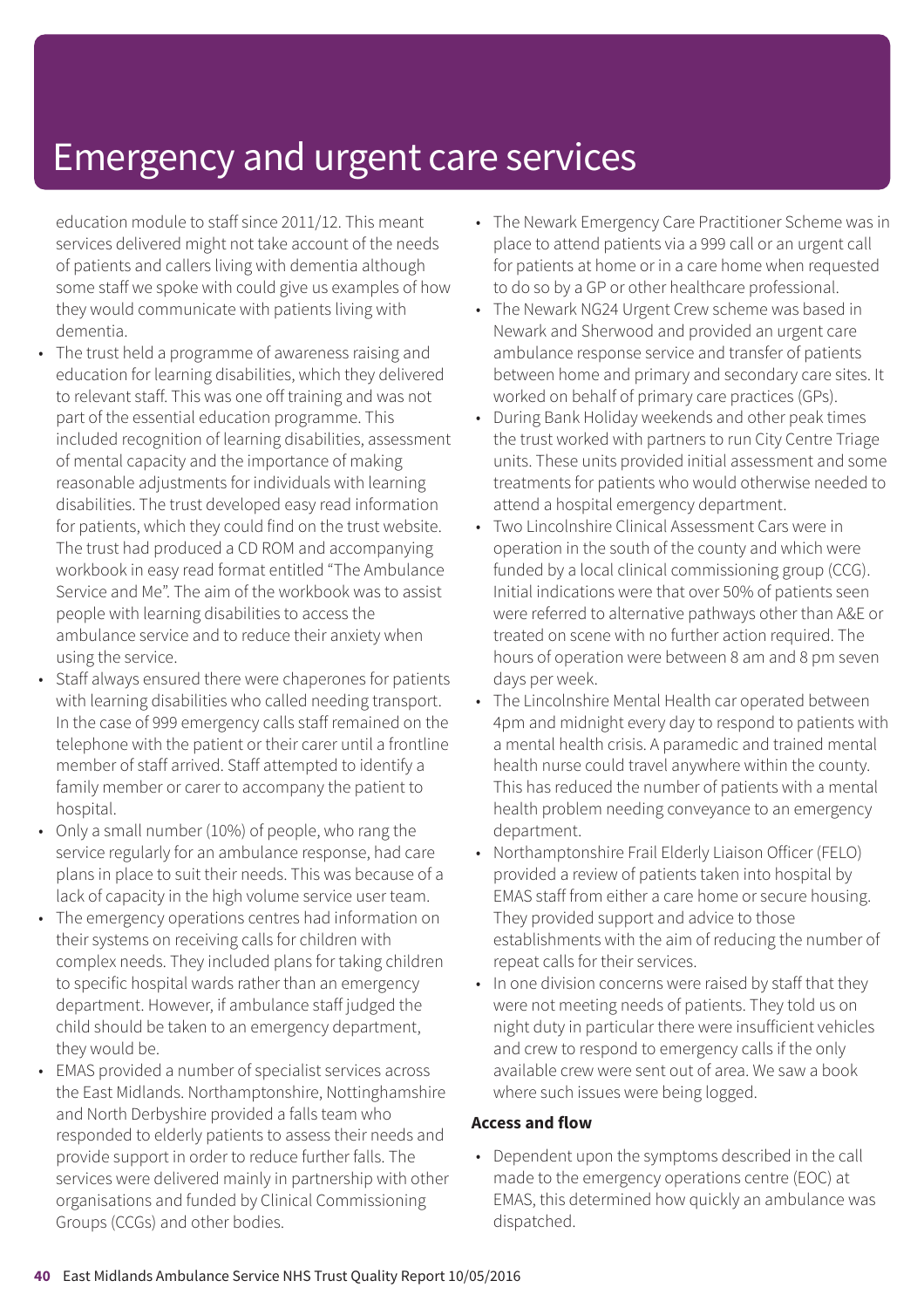education module to staff since 2011/12. This meant services delivered might not take account of the needs of patients and callers living with dementia although some staff we spoke with could give us examples of how they would communicate with patients living with dementia.

- The trust held a programme of awareness raising and education for learning disabilities, which they delivered to relevant staff. This was one off training and was not part of the essential education programme. This included recognition of learning disabilities, assessment of mental capacity and the importance of making reasonable adjustments for individuals with learning disabilities. The trust developed easy read information for patients, which they could find on the trust website. The trust had produced a CD ROM and accompanying workbook in easy read format entitled "The Ambulance Service and Me". The aim of the workbook was to assist people with learning disabilities to access the ambulance service and to reduce their anxiety when using the service.
- Staff always ensured there were chaperones for patients with learning disabilities who called needing transport. In the case of 999 emergency calls staff remained on the telephone with the patient or their carer until a frontline member of staff arrived. Staff attempted to identify a family member or carer to accompany the patient to hospital.
- Only a small number (10%) of people, who rang the service regularly for an ambulance response, had care plans in place to suit their needs. This was because of a lack of capacity in the high volume service user team.
- The emergency operations centres had information on their systems on receiving calls for children with complex needs. They included plans for taking children to specific hospital wards rather than an emergency department. However, if ambulance staff judged the child should be taken to an emergency department, they would be.
- EMAS provided a number of specialist services across the East Midlands. Northamptonshire, Nottinghamshire and North Derbyshire provided a falls team who responded to elderly patients to assess their needs and provide support in order to reduce further falls. The services were delivered mainly in partnership with other organisations and funded by Clinical Commissioning Groups (CCGs) and other bodies.
- The Newark Emergency Care Practitioner Scheme was in place to attend patients via a 999 call or an urgent call for patients at home or in a care home when requested to do so by a GP or other healthcare professional.
- The Newark NG24 Urgent Crew scheme was based in Newark and Sherwood and provided an urgent care ambulance response service and transfer of patients between home and primary and secondary care sites. It worked on behalf of primary care practices (GPs).
- During Bank Holiday weekends and other peak times the trust worked with partners to run City Centre Triage units. These units provided initial assessment and some treatments for patients who would otherwise needed to attend a hospital emergency department.
- Two Lincolnshire Clinical Assessment Cars were in operation in the south of the county and which were funded by a local clinical commissioning group (CCG). Initial indications were that over 50% of patients seen were referred to alternative pathways other than A&E or treated on scene with no further action required. The hours of operation were between 8 am and 8 pm seven days per week.
- The Lincolnshire Mental Health car operated between 4pm and midnight every day to respond to patients with a mental health crisis. A paramedic and trained mental health nurse could travel anywhere within the county. This has reduced the number of patients with a mental health problem needing conveyance to an emergency department.
- Northamptonshire Frail Elderly Liaison Officer (FELO) provided a review of patients taken into hospital by EMAS staff from either a care home or secure housing. They provided support and advice to those establishments with the aim of reducing the number of repeat calls for their services.
- In one division concerns were raised by staff that they were not meeting needs of patients. They told us on night duty in particular there were insufficient vehicles and crew to respond to emergency calls if the only available crew were sent out of area. We saw a book where such issues were being logged.

### **Access and flow**

• Dependent upon the symptoms described in the call made to the emergency operations centre (EOC) at EMAS, this determined how quickly an ambulance was dispatched.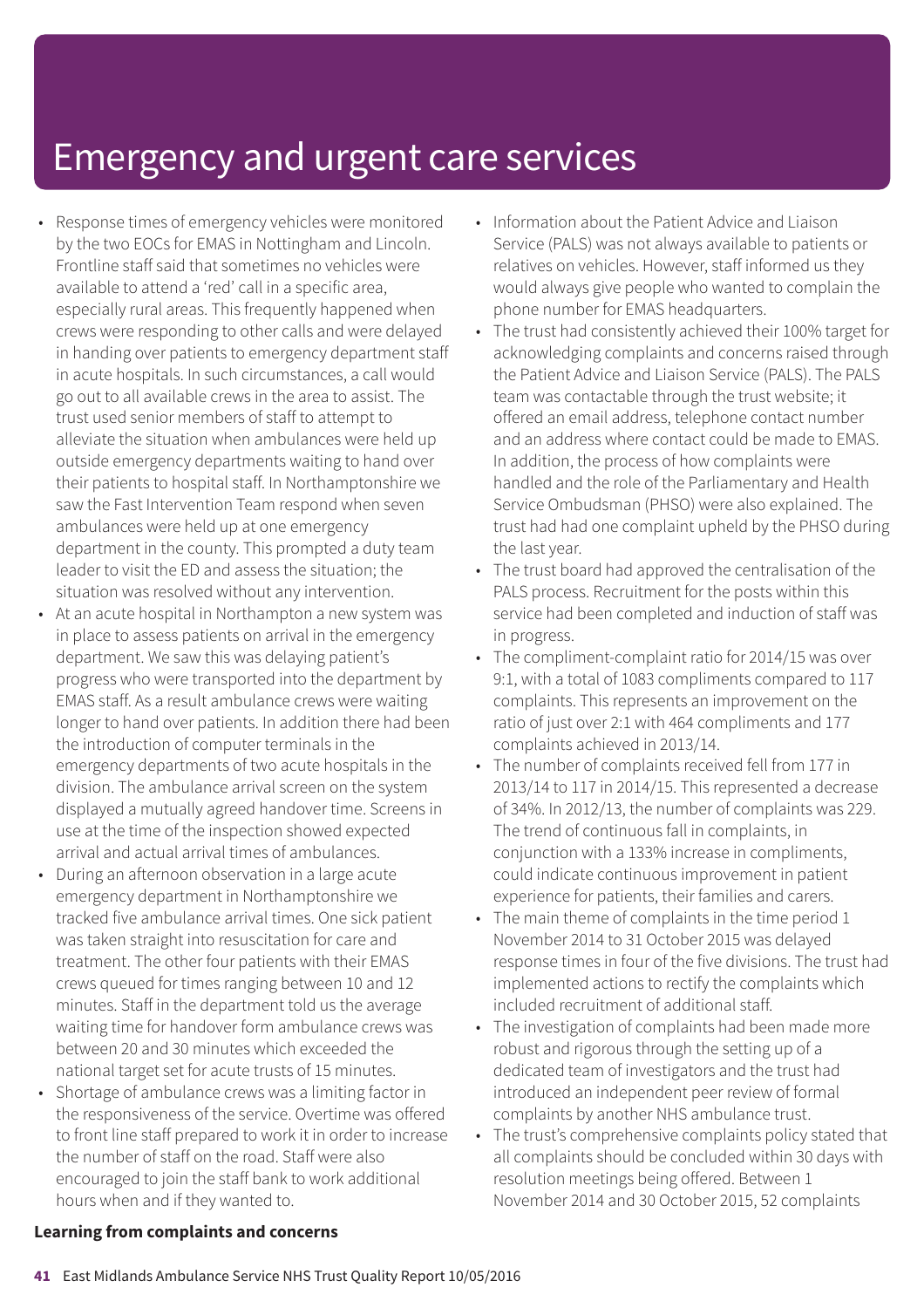- Response times of emergency vehicles were monitored by the two EOCs for EMAS in Nottingham and Lincoln. Frontline staff said that sometimes no vehicles were available to attend a 'red' call in a specific area, especially rural areas. This frequently happened when crews were responding to other calls and were delayed in handing over patients to emergency department staff in acute hospitals. In such circumstances, a call would go out to all available crews in the area to assist. The trust used senior members of staff to attempt to alleviate the situation when ambulances were held up outside emergency departments waiting to hand over their patients to hospital staff. In Northamptonshire we saw the Fast Intervention Team respond when seven ambulances were held up at one emergency department in the county. This prompted a duty team leader to visit the ED and assess the situation; the situation was resolved without any intervention.
- At an acute hospital in Northampton a new system was in place to assess patients on arrival in the emergency department. We saw this was delaying patient's progress who were transported into the department by EMAS staff. As a result ambulance crews were waiting longer to hand over patients. In addition there had been the introduction of computer terminals in the emergency departments of two acute hospitals in the division. The ambulance arrival screen on the system displayed a mutually agreed handover time. Screens in use at the time of the inspection showed expected arrival and actual arrival times of ambulances.
- During an afternoon observation in a large acute emergency department in Northamptonshire we tracked five ambulance arrival times. One sick patient was taken straight into resuscitation for care and treatment. The other four patients with their EMAS crews queued for times ranging between 10 and 12 minutes. Staff in the department told us the average waiting time for handover form ambulance crews was between 20 and 30 minutes which exceeded the national target set for acute trusts of 15 minutes.
- Shortage of ambulance crews was a limiting factor in the responsiveness of the service. Overtime was offered to front line staff prepared to work it in order to increase the number of staff on the road. Staff were also encouraged to join the staff bank to work additional hours when and if they wanted to.
- Information about the Patient Advice and Liaison Service (PALS) was not always available to patients or relatives on vehicles. However, staff informed us they would always give people who wanted to complain the phone number for EMAS headquarters.
- The trust had consistently achieved their 100% target for acknowledging complaints and concerns raised through the Patient Advice and Liaison Service (PALS). The PALS team was contactable through the trust website; it offered an email address, telephone contact number and an address where contact could be made to EMAS. In addition, the process of how complaints were handled and the role of the Parliamentary and Health Service Ombudsman (PHSO) were also explained. The trust had had one complaint upheld by the PHSO during the last year.
- The trust board had approved the centralisation of the PALS process. Recruitment for the posts within this service had been completed and induction of staff was in progress.
- The compliment-complaint ratio for 2014/15 was over 9:1, with a total of 1083 compliments compared to 117 complaints. This represents an improvement on the ratio of just over 2:1 with 464 compliments and 177 complaints achieved in 2013/14.
- The number of complaints received fell from 177 in 2013/14 to 117 in 2014/15. This represented a decrease of 34%. In 2012/13, the number of complaints was 229. The trend of continuous fall in complaints, in conjunction with a 133% increase in compliments, could indicate continuous improvement in patient experience for patients, their families and carers.
- The main theme of complaints in the time period 1 November 2014 to 31 October 2015 was delayed response times in four of the five divisions. The trust had implemented actions to rectify the complaints which included recruitment of additional staff.
- The investigation of complaints had been made more robust and rigorous through the setting up of a dedicated team of investigators and the trust had introduced an independent peer review of formal complaints by another NHS ambulance trust.
- The trust's comprehensive complaints policy stated that all complaints should be concluded within 30 days with resolution meetings being offered. Between 1 November 2014 and 30 October 2015, 52 complaints

### **Learning from complaints and concerns**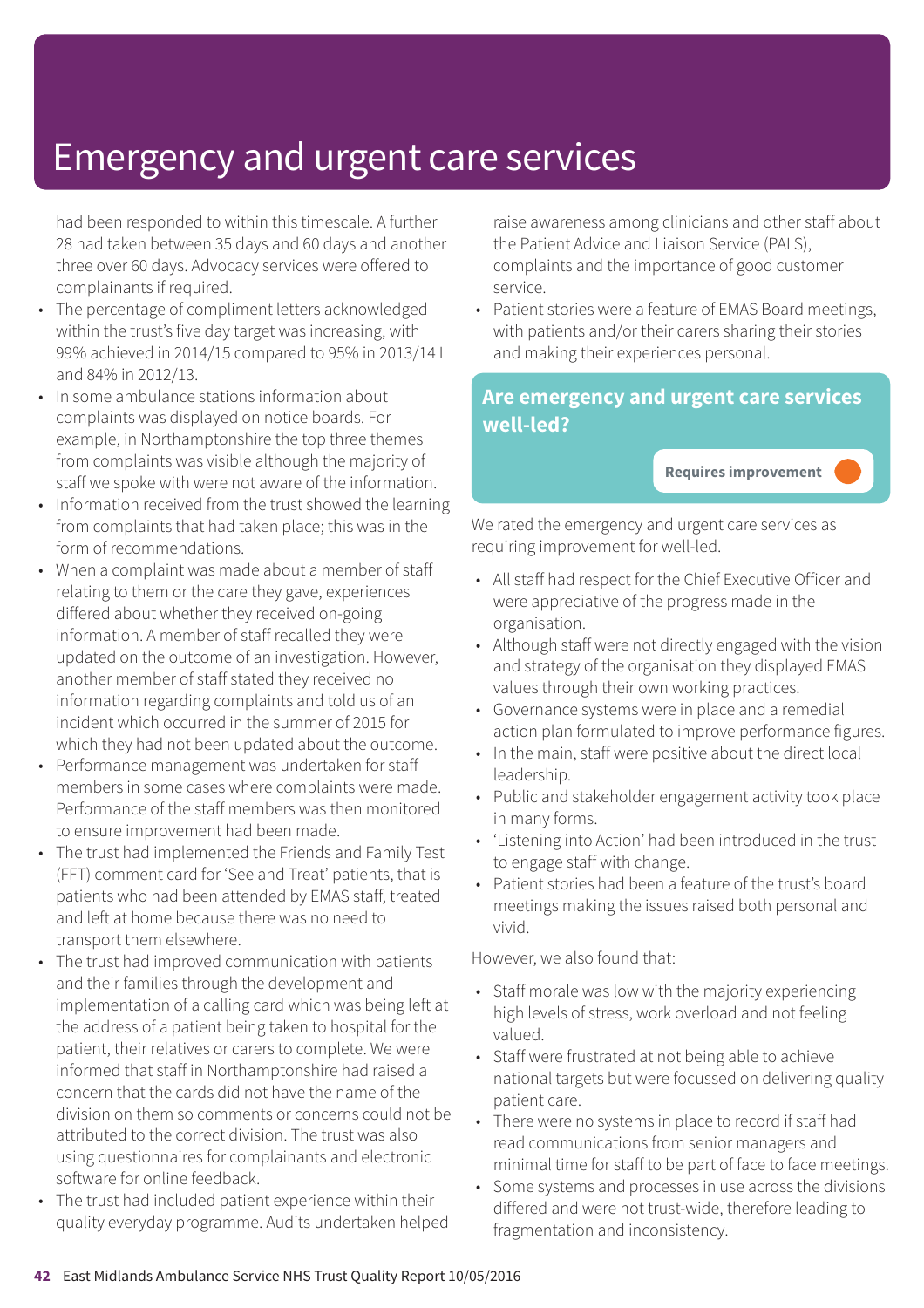had been responded to within this timescale. A further 28 had taken between 35 days and 60 days and another three over 60 days. Advocacy services were offered to complainants if required.

- The percentage of compliment letters acknowledged within the trust's five day target was increasing, with 99% achieved in 2014/15 compared to 95% in 2013/14 I and 84% in 2012/13.
- In some ambulance stations information about complaints was displayed on notice boards. For example, in Northamptonshire the top three themes from complaints was visible although the majority of staff we spoke with were not aware of the information.
- Information received from the trust showed the learning from complaints that had taken place; this was in the form of recommendations.
- When a complaint was made about a member of staff relating to them or the care they gave, experiences differed about whether they received on-going information. A member of staff recalled they were updated on the outcome of an investigation. However, another member of staff stated they received no information regarding complaints and told us of an incident which occurred in the summer of 2015 for which they had not been updated about the outcome.
- Performance management was undertaken for staff members in some cases where complaints were made. Performance of the staff members was then monitored to ensure improvement had been made.
- The trust had implemented the Friends and Family Test (FFT) comment card for 'See and Treat' patients, that is patients who had been attended by EMAS staff, treated and left at home because there was no need to transport them elsewhere.
- The trust had improved communication with patients and their families through the development and implementation of a calling card which was being left at the address of a patient being taken to hospital for the patient, their relatives or carers to complete. We were informed that staff in Northamptonshire had raised a concern that the cards did not have the name of the division on them so comments or concerns could not be attributed to the correct division. The trust was also using questionnaires for complainants and electronic software for online feedback.
- The trust had included patient experience within their quality everyday programme. Audits undertaken helped

raise awareness among clinicians and other staff about the Patient Advice and Liaison Service (PALS), complaints and the importance of good customer service.

• Patient stories were a feature of EMAS Board meetings, with patients and/or their carers sharing their stories and making their experiences personal.

## **Are emergency and urgent care services well-led?**

**Requires improvement –––**

We rated the emergency and urgent care services as requiring improvement for well-led.

- All staff had respect for the Chief Executive Officer and were appreciative of the progress made in the organisation.
- Although staff were not directly engaged with the vision and strategy of the organisation they displayed EMAS values through their own working practices.
- Governance systems were in place and a remedial action plan formulated to improve performance figures.
- In the main, staff were positive about the direct local leadership.
- Public and stakeholder engagement activity took place in many forms.
- 'Listening into Action' had been introduced in the trust to engage staff with change.
- Patient stories had been a feature of the trust's board meetings making the issues raised both personal and vivid.

However, we also found that:

- Staff morale was low with the majority experiencing high levels of stress, work overload and not feeling valued.
- Staff were frustrated at not being able to achieve national targets but were focussed on delivering quality patient care.
- There were no systems in place to record if staff had read communications from senior managers and minimal time for staff to be part of face to face meetings.
- Some systems and processes in use across the divisions differed and were not trust-wide, therefore leading to fragmentation and inconsistency.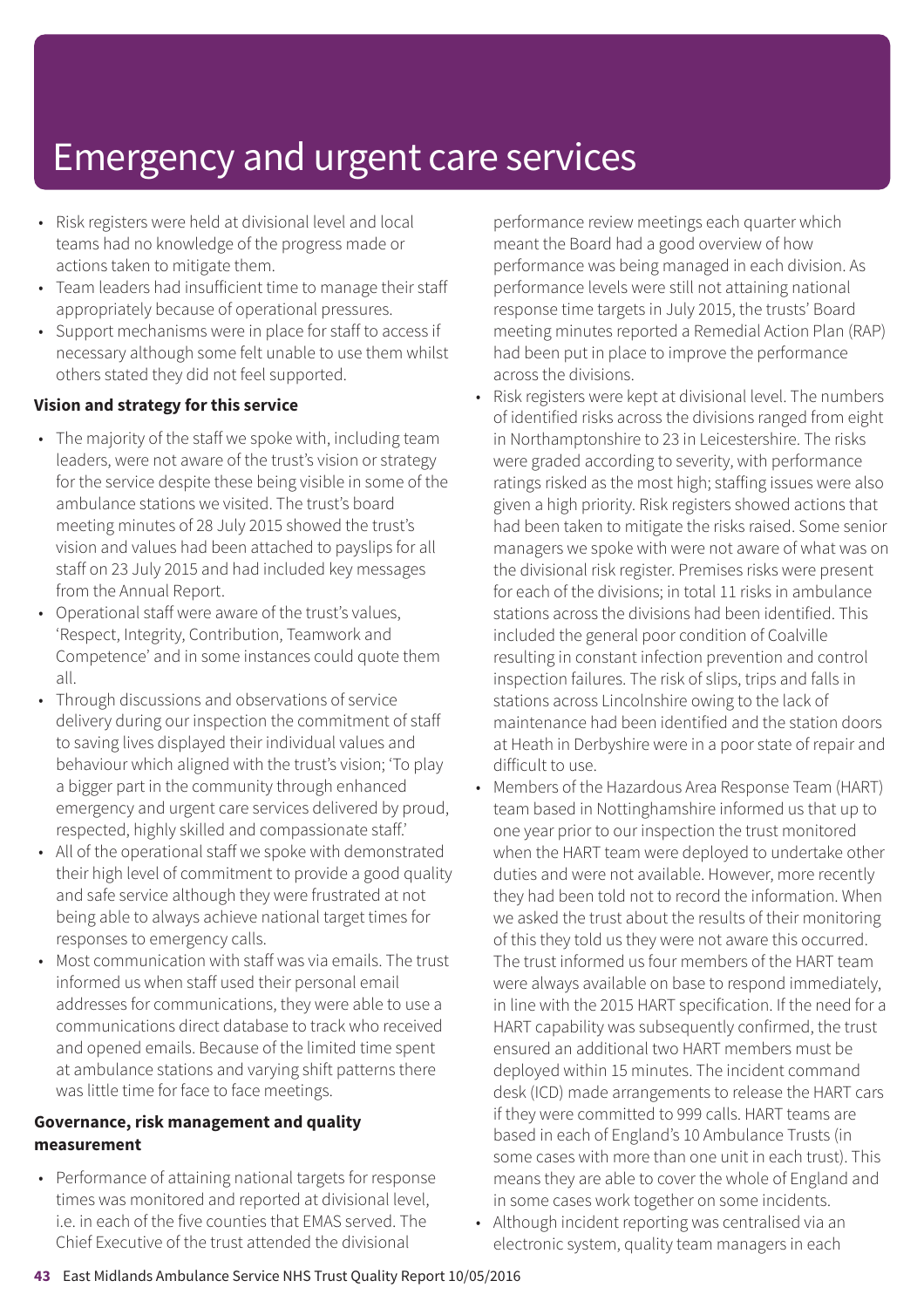- Risk registers were held at divisional level and local teams had no knowledge of the progress made or actions taken to mitigate them.
- Team leaders had insufficient time to manage their staff appropriately because of operational pressures.
- Support mechanisms were in place for staff to access if necessary although some felt unable to use them whilst others stated they did not feel supported.

### **Vision and strategy for this service**

- The majority of the staff we spoke with, including team leaders, were not aware of the trust's vision or strategy for the service despite these being visible in some of the ambulance stations we visited. The trust's board meeting minutes of 28 July 2015 showed the trust's vision and values had been attached to payslips for all staff on 23 July 2015 and had included key messages from the Annual Report.
- Operational staff were aware of the trust's values, 'Respect, Integrity, Contribution, Teamwork and Competence' and in some instances could quote them all.
- Through discussions and observations of service delivery during our inspection the commitment of staff to saving lives displayed their individual values and behaviour which aligned with the trust's vision; 'To play a bigger part in the community through enhanced emergency and urgent care services delivered by proud, respected, highly skilled and compassionate staff.'
- All of the operational staff we spoke with demonstrated their high level of commitment to provide a good quality and safe service although they were frustrated at not being able to always achieve national target times for responses to emergency calls.
- Most communication with staff was via emails. The trust informed us when staff used their personal email addresses for communications, they were able to use a communications direct database to track who received and opened emails. Because of the limited time spent at ambulance stations and varying shift patterns there was little time for face to face meetings.

## **Governance, risk management and quality measurement**

• Performance of attaining national targets for response times was monitored and reported at divisional level, i.e. in each of the five counties that EMAS served. The Chief Executive of the trust attended the divisional

performance review meetings each quarter which meant the Board had a good overview of how performance was being managed in each division. As performance levels were still not attaining national response time targets in July 2015, the trusts' Board meeting minutes reported a Remedial Action Plan (RAP) had been put in place to improve the performance across the divisions.

- Risk registers were kept at divisional level. The numbers of identified risks across the divisions ranged from eight in Northamptonshire to 23 in Leicestershire. The risks were graded according to severity, with performance ratings risked as the most high; staffing issues were also given a high priority. Risk registers showed actions that had been taken to mitigate the risks raised. Some senior managers we spoke with were not aware of what was on the divisional risk register. Premises risks were present for each of the divisions; in total 11 risks in ambulance stations across the divisions had been identified. This included the general poor condition of Coalville resulting in constant infection prevention and control inspection failures. The risk of slips, trips and falls in stations across Lincolnshire owing to the lack of maintenance had been identified and the station doors at Heath in Derbyshire were in a poor state of repair and difficult to use.
- Members of the Hazardous Area Response Team (HART) team based in Nottinghamshire informed us that up to one year prior to our inspection the trust monitored when the HART team were deployed to undertake other duties and were not available. However, more recently they had been told not to record the information. When we asked the trust about the results of their monitoring of this they told us they were not aware this occurred. The trust informed us four members of the HART team were always available on base to respond immediately, in line with the 2015 HART specification. If the need for a HART capability was subsequently confirmed, the trust ensured an additional two HART members must be deployed within 15 minutes. The incident command desk (ICD) made arrangements to release the HART cars if they were committed to 999 calls. HART teams are based in each of England's 10 Ambulance Trusts (in some cases with more than one unit in each trust). This means they are able to cover the whole of England and in some cases work together on some incidents.
- Although incident reporting was centralised via an electronic system, quality team managers in each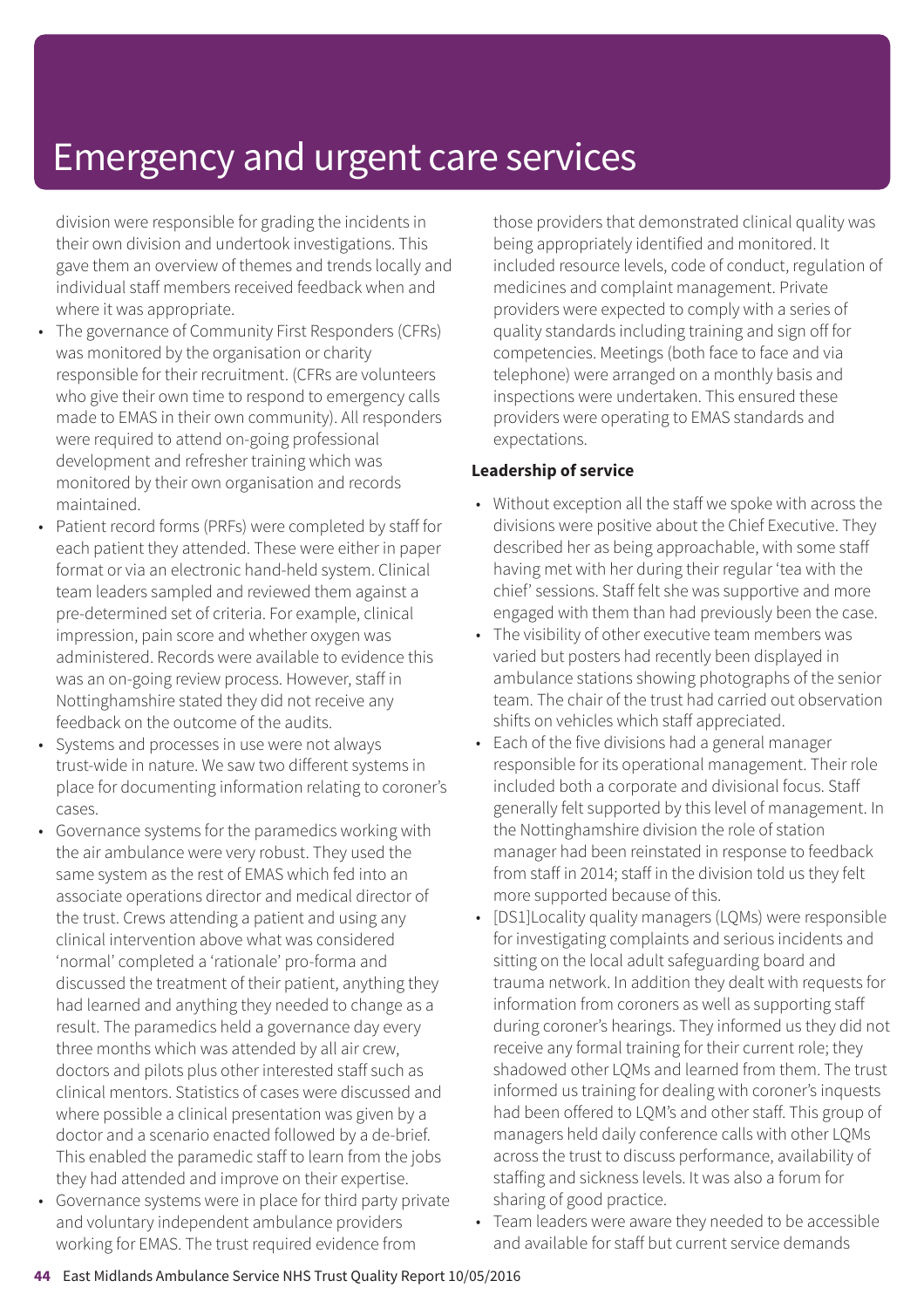division were responsible for grading the incidents in their own division and undertook investigations. This gave them an overview of themes and trends locally and individual staff members received feedback when and where it was appropriate.

- The governance of Community First Responders (CFRs) was monitored by the organisation or charity responsible for their recruitment. (CFRs are volunteers who give their own time to respond to emergency calls made to EMAS in their own community). All responders were required to attend on-going professional development and refresher training which was monitored by their own organisation and records maintained.
- Patient record forms (PRFs) were completed by staff for each patient they attended. These were either in paper format or via an electronic hand-held system. Clinical team leaders sampled and reviewed them against a pre-determined set of criteria. For example, clinical impression, pain score and whether oxygen was administered. Records were available to evidence this was an on-going review process. However, staff in Nottinghamshire stated they did not receive any feedback on the outcome of the audits.
- Systems and processes in use were not always trust-wide in nature. We saw two different systems in place for documenting information relating to coroner's cases.
- Governance systems for the paramedics working with the air ambulance were very robust. They used the same system as the rest of EMAS which fed into an associate operations director and medical director of the trust. Crews attending a patient and using any clinical intervention above what was considered 'normal' completed a 'rationale' pro-forma and discussed the treatment of their patient, anything they had learned and anything they needed to change as a result. The paramedics held a governance day every three months which was attended by all air crew, doctors and pilots plus other interested staff such as clinical mentors. Statistics of cases were discussed and where possible a clinical presentation was given by a doctor and a scenario enacted followed by a de-brief. This enabled the paramedic staff to learn from the jobs they had attended and improve on their expertise.
- Governance systems were in place for third party private and voluntary independent ambulance providers working for EMAS. The trust required evidence from

those providers that demonstrated clinical quality was being appropriately identified and monitored. It included resource levels, code of conduct, regulation of medicines and complaint management. Private providers were expected to comply with a series of quality standards including training and sign off for competencies. Meetings (both face to face and via telephone) were arranged on a monthly basis and inspections were undertaken. This ensured these providers were operating to EMAS standards and expectations.

### **Leadership of service**

- Without exception all the staff we spoke with across the divisions were positive about the Chief Executive. They described her as being approachable, with some staff having met with her during their regular 'tea with the chief' sessions. Staff felt she was supportive and more engaged with them than had previously been the case.
- The visibility of other executive team members was varied but posters had recently been displayed in ambulance stations showing photographs of the senior team. The chair of the trust had carried out observation shifts on vehicles which staff appreciated.
- Each of the five divisions had a general manager responsible for its operational management. Their role included both a corporate and divisional focus. Staff generally felt supported by this level of management. In the Nottinghamshire division the role of station manager had been reinstated in response to feedback from staff in 2014; staff in the division told us they felt more supported because of this.
- [DS1]Locality quality managers (LQMs) were responsible for investigating complaints and serious incidents and sitting on the local adult safeguarding board and trauma network. In addition they dealt with requests for information from coroners as well as supporting staff during coroner's hearings. They informed us they did not receive any formal training for their current role; they shadowed other LQMs and learned from them. The trust informed us training for dealing with coroner's inquests had been offered to LQM's and other staff. This group of managers held daily conference calls with other LQMs across the trust to discuss performance, availability of staffing and sickness levels. It was also a forum for sharing of good practice.
- Team leaders were aware they needed to be accessible and available for staff but current service demands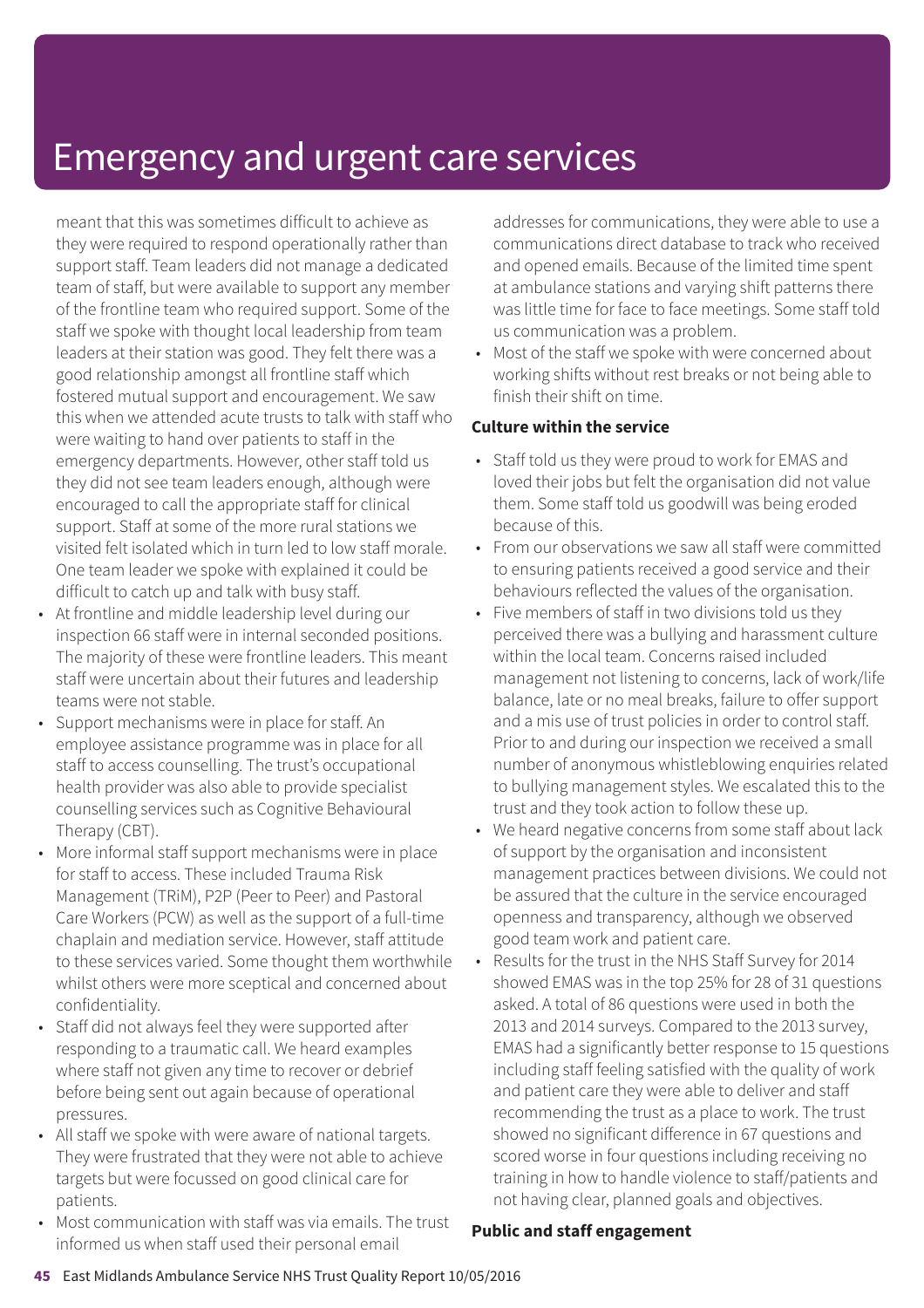meant that this was sometimes difficult to achieve as they were required to respond operationally rather than support staff. Team leaders did not manage a dedicated team of staff, but were available to support any member of the frontline team who required support. Some of the staff we spoke with thought local leadership from team leaders at their station was good. They felt there was a good relationship amongst all frontline staff which fostered mutual support and encouragement. We saw this when we attended acute trusts to talk with staff who were waiting to hand over patients to staff in the emergency departments. However, other staff told us they did not see team leaders enough, although were encouraged to call the appropriate staff for clinical support. Staff at some of the more rural stations we visited felt isolated which in turn led to low staff morale. One team leader we spoke with explained it could be difficult to catch up and talk with busy staff.

- At frontline and middle leadership level during our inspection 66 staff were in internal seconded positions. The majority of these were frontline leaders. This meant staff were uncertain about their futures and leadership teams were not stable.
- Support mechanisms were in place for staff. An employee assistance programme was in place for all staff to access counselling. The trust's occupational health provider was also able to provide specialist counselling services such as Cognitive Behavioural Therapy (CBT).
- More informal staff support mechanisms were in place for staff to access. These included Trauma Risk Management (TRiM), P2P (Peer to Peer) and Pastoral Care Workers (PCW) as well as the support of a full-time chaplain and mediation service. However, staff attitude to these services varied. Some thought them worthwhile whilst others were more sceptical and concerned about confidentiality.
- Staff did not always feel they were supported after responding to a traumatic call. We heard examples where staff not given any time to recover or debrief before being sent out again because of operational pressures.
- All staff we spoke with were aware of national targets. They were frustrated that they were not able to achieve targets but were focussed on good clinical care for patients.
- Most communication with staff was via emails. The trust informed us when staff used their personal email

addresses for communications, they were able to use a communications direct database to track who received and opened emails. Because of the limited time spent at ambulance stations and varying shift patterns there was little time for face to face meetings. Some staff told us communication was a problem.

• Most of the staff we spoke with were concerned about working shifts without rest breaks or not being able to finish their shift on time.

### **Culture within the service**

- Staff told us they were proud to work for EMAS and loved their jobs but felt the organisation did not value them. Some staff told us goodwill was being eroded because of this.
- From our observations we saw all staff were committed to ensuring patients received a good service and their behaviours reflected the values of the organisation.
- Five members of staff in two divisions told us they perceived there was a bullying and harassment culture within the local team. Concerns raised included management not listening to concerns, lack of work/life balance, late or no meal breaks, failure to offer support and a mis use of trust policies in order to control staff. Prior to and during our inspection we received a small number of anonymous whistleblowing enquiries related to bullying management styles. We escalated this to the trust and they took action to follow these up.
- We heard negative concerns from some staff about lack of support by the organisation and inconsistent management practices between divisions. We could not be assured that the culture in the service encouraged openness and transparency, although we observed good team work and patient care.
- Results for the trust in the NHS Staff Survey for 2014 showed EMAS was in the top 25% for 28 of 31 questions asked. A total of 86 questions were used in both the 2013 and 2014 surveys. Compared to the 2013 survey, EMAS had a significantly better response to 15 questions including staff feeling satisfied with the quality of work and patient care they were able to deliver and staff recommending the trust as a place to work. The trust showed no significant difference in 67 questions and scored worse in four questions including receiving no training in how to handle violence to staff/patients and not having clear, planned goals and objectives.

### **Public and staff engagement**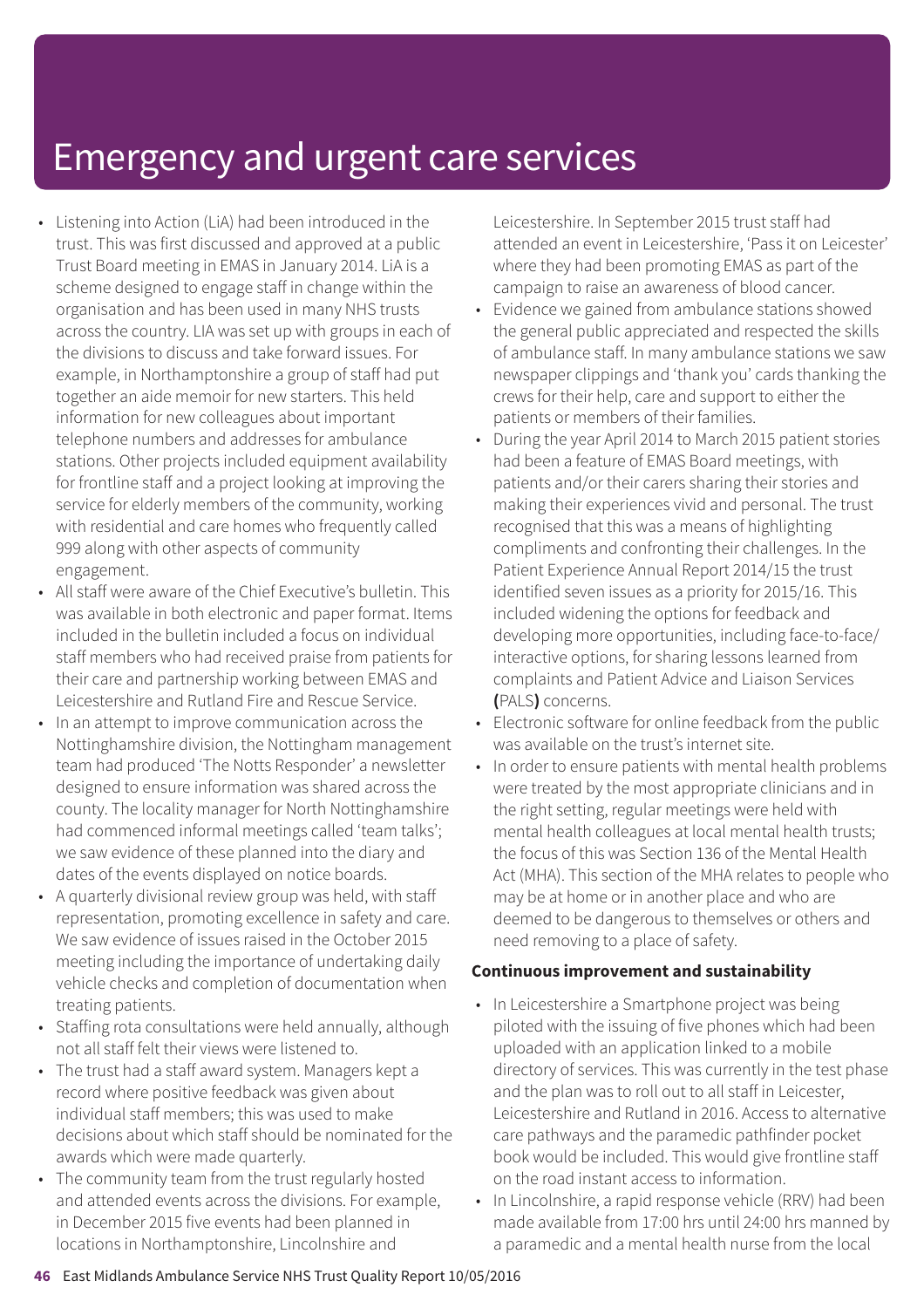- Listening into Action (LiA) had been introduced in the trust. This was first discussed and approved at a public Trust Board meeting in EMAS in January 2014. LiA is a scheme designed to engage staff in change within the organisation and has been used in many NHS trusts across the country. LIA was set up with groups in each of the divisions to discuss and take forward issues. For example, in Northamptonshire a group of staff had put together an aide memoir for new starters. This held information for new colleagues about important telephone numbers and addresses for ambulance stations. Other projects included equipment availability for frontline staff and a project looking at improving the service for elderly members of the community, working with residential and care homes who frequently called 999 along with other aspects of community engagement.
- All staff were aware of the Chief Executive's bulletin. This was available in both electronic and paper format. Items included in the bulletin included a focus on individual staff members who had received praise from patients for their care and partnership working between EMAS and Leicestershire and Rutland Fire and Rescue Service.
- In an attempt to improve communication across the Nottinghamshire division, the Nottingham management team had produced 'The Notts Responder' a newsletter designed to ensure information was shared across the county. The locality manager for North Nottinghamshire had commenced informal meetings called 'team talks'; we saw evidence of these planned into the diary and dates of the events displayed on notice boards.
- A quarterly divisional review group was held, with staff representation, promoting excellence in safety and care. We saw evidence of issues raised in the October 2015 meeting including the importance of undertaking daily vehicle checks and completion of documentation when treating patients.
- Staffing rota consultations were held annually, although not all staff felt their views were listened to.
- The trust had a staff award system. Managers kept a record where positive feedback was given about individual staff members; this was used to make decisions about which staff should be nominated for the awards which were made quarterly.
- The community team from the trust regularly hosted and attended events across the divisions. For example, in December 2015 five events had been planned in locations in Northamptonshire, Lincolnshire and

Leicestershire. In September 2015 trust staff had attended an event in Leicestershire, 'Pass it on Leicester' where they had been promoting EMAS as part of the campaign to raise an awareness of blood cancer.

- Evidence we gained from ambulance stations showed the general public appreciated and respected the skills of ambulance staff. In many ambulance stations we saw newspaper clippings and 'thank you' cards thanking the crews for their help, care and support to either the patients or members of their families.
- During the year April 2014 to March 2015 patient stories had been a feature of EMAS Board meetings, with patients and/or their carers sharing their stories and making their experiences vivid and personal. The trust recognised that this was a means of highlighting compliments and confronting their challenges. In the Patient Experience Annual Report 2014/15 the trust identified seven issues as a priority for 2015/16. This included widening the options for feedback and developing more opportunities, including face-to-face/ interactive options, for sharing lessons learned from complaints and Patient Advice and Liaison Services **(**PALS**)** concerns.
- Electronic software for online feedback from the public was available on the trust's internet site.
- In order to ensure patients with mental health problems were treated by the most appropriate clinicians and in the right setting, regular meetings were held with mental health colleagues at local mental health trusts; the focus of this was Section 136 of the Mental Health Act (MHA). This section of the MHA relates to people who may be at home or in another place and who are deemed to be dangerous to themselves or others and need removing to a place of safety.

### **Continuous improvement and sustainability**

- In Leicestershire a Smartphone project was being piloted with the issuing of five phones which had been uploaded with an application linked to a mobile directory of services. This was currently in the test phase and the plan was to roll out to all staff in Leicester, Leicestershire and Rutland in 2016. Access to alternative care pathways and the paramedic pathfinder pocket book would be included. This would give frontline staff on the road instant access to information.
- In Lincolnshire, a rapid response vehicle (RRV) had been made available from 17:00 hrs until 24:00 hrs manned by a paramedic and a mental health nurse from the local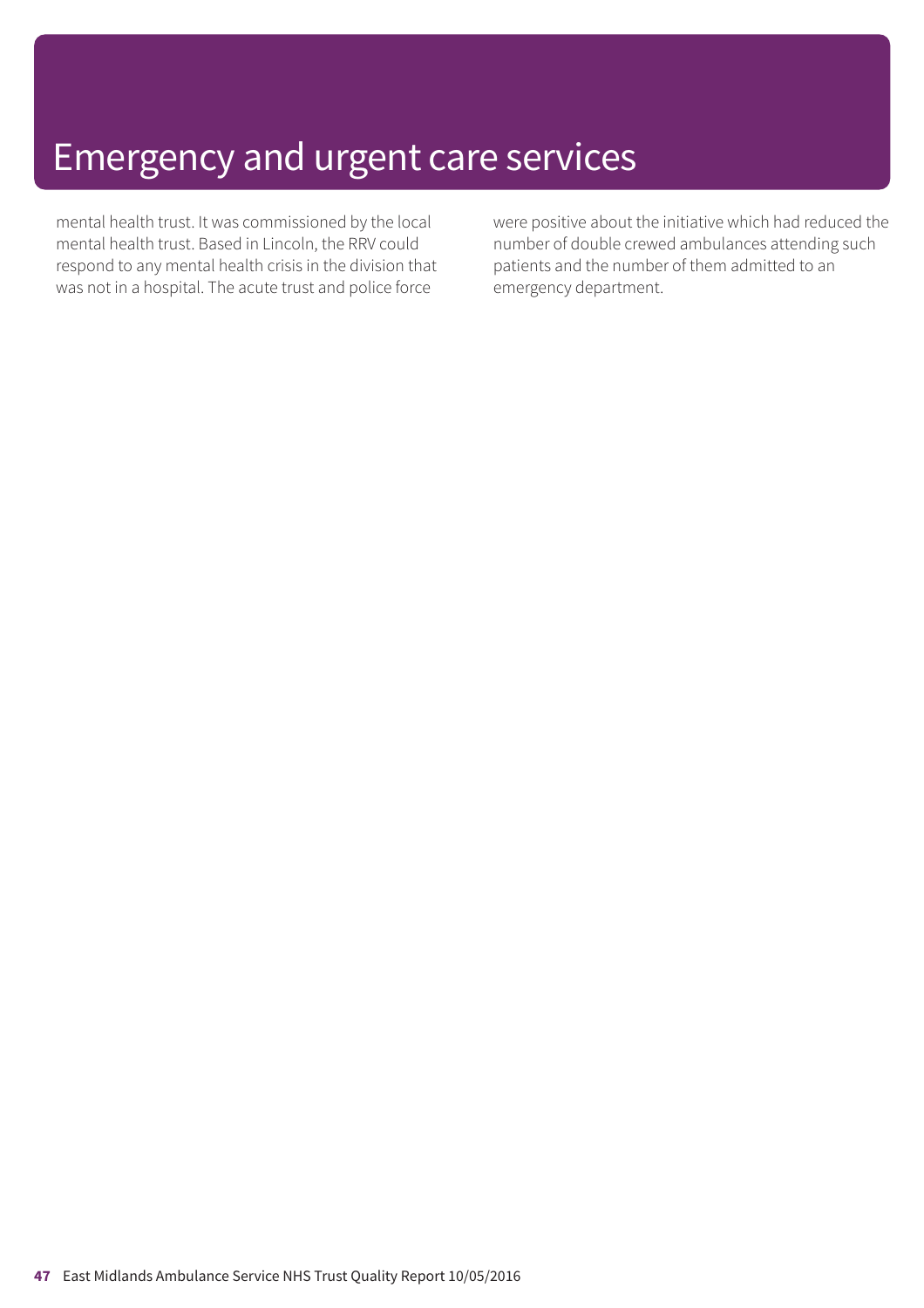mental health trust. It was commissioned by the local mental health trust. Based in Lincoln, the RRV could respond to any mental health crisis in the division that was not in a hospital. The acute trust and police force

were positive about the initiative which had reduced the number of double crewed ambulances attending such patients and the number of them admitted to an emergency department.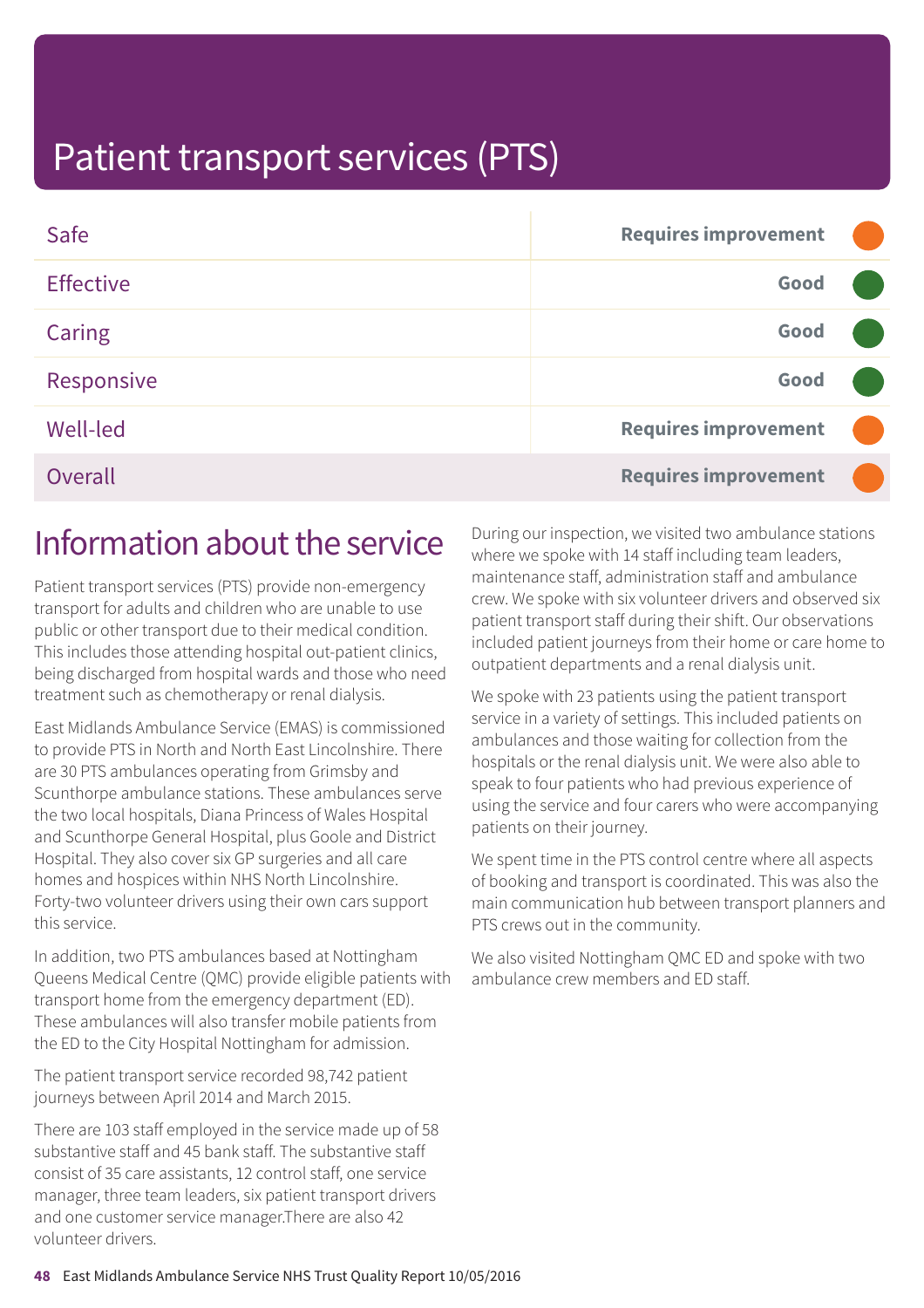| Safe             | <b>Requires improvement</b> |  |
|------------------|-----------------------------|--|
| <b>Effective</b> | Good                        |  |
| Caring           | Good                        |  |
| Responsive       | Good                        |  |
| <b>Well-led</b>  | <b>Requires improvement</b> |  |
| Overall          | <b>Requires improvement</b> |  |

## Information about the service

Patient transport services (PTS) provide non-emergency transport for adults and children who are unable to use public or other transport due to their medical condition. This includes those attending hospital out-patient clinics, being discharged from hospital wards and those who need treatment such as chemotherapy or renal dialysis.

East Midlands Ambulance Service (EMAS) is commissioned to provide PTS in North and North East Lincolnshire. There are 30 PTS ambulances operating from Grimsby and Scunthorpe ambulance stations. These ambulances serve the two local hospitals, Diana Princess of Wales Hospital and Scunthorpe General Hospital, plus Goole and District Hospital. They also cover six GP surgeries and all care homes and hospices within NHS North Lincolnshire. Forty-two volunteer drivers using their own cars support this service.

In addition, two PTS ambulances based at Nottingham Queens Medical Centre (QMC) provide eligible patients with transport home from the emergency department (ED). These ambulances will also transfer mobile patients from the ED to the City Hospital Nottingham for admission.

The patient transport service recorded 98,742 patient journeys between April 2014 and March 2015.

There are 103 staff employed in the service made up of 58 substantive staff and 45 bank staff. The substantive staff consist of 35 care assistants, 12 control staff, one service manager, three team leaders, six patient transport drivers and one customer service manager.There are also 42 volunteer drivers.

During our inspection, we visited two ambulance stations where we spoke with 14 staff including team leaders, maintenance staff, administration staff and ambulance crew. We spoke with six volunteer drivers and observed six patient transport staff during their shift. Our observations included patient journeys from their home or care home to outpatient departments and a renal dialysis unit.

We spoke with 23 patients using the patient transport service in a variety of settings. This included patients on ambulances and those waiting for collection from the hospitals or the renal dialysis unit. We were also able to speak to four patients who had previous experience of using the service and four carers who were accompanying patients on their journey.

We spent time in the PTS control centre where all aspects of booking and transport is coordinated. This was also the main communication hub between transport planners and PTS crews out in the community.

We also visited Nottingham QMC ED and spoke with two ambulance crew members and ED staff.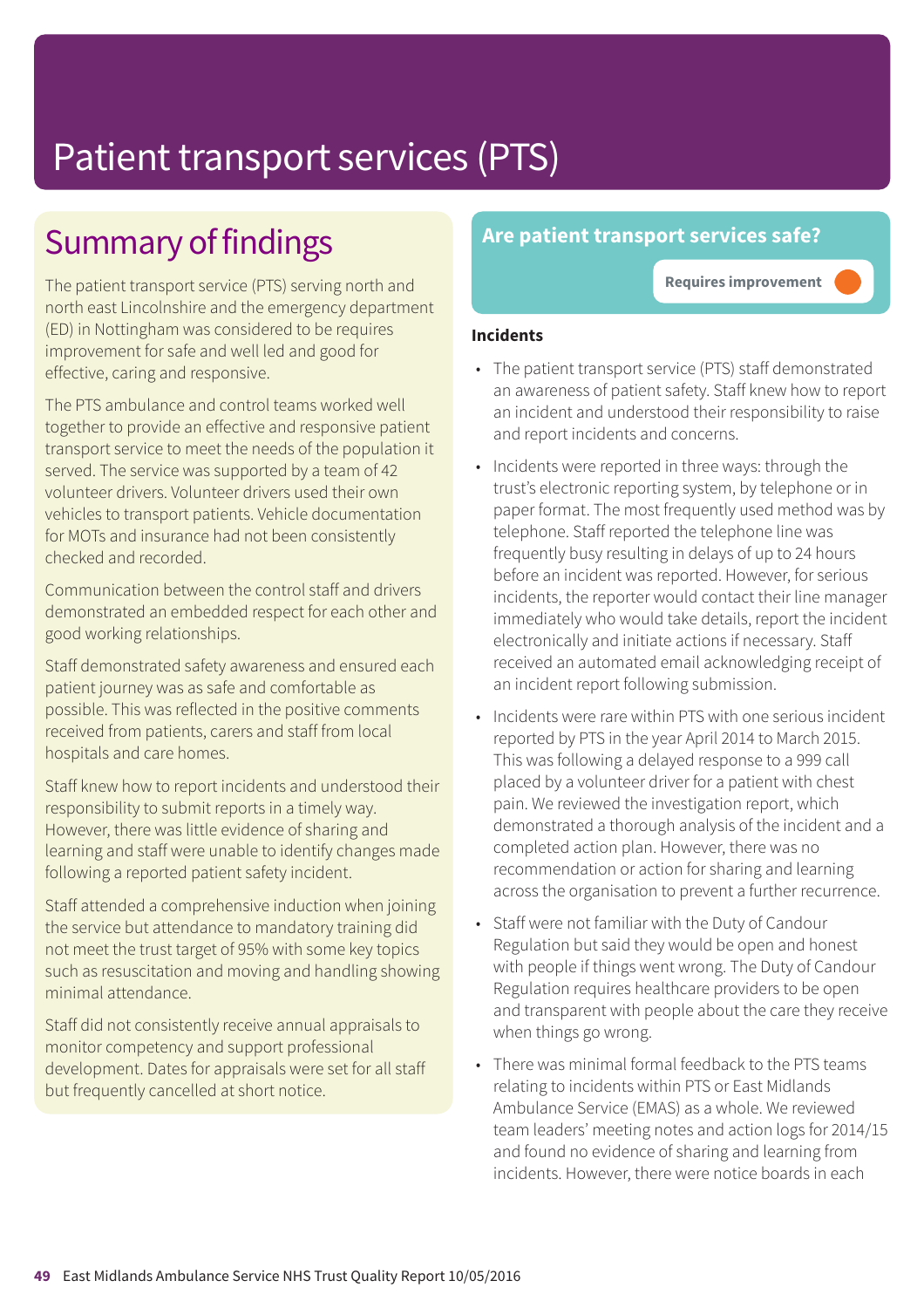## Summary of findings

The patient transport service (PTS) serving north and north east Lincolnshire and the emergency department (ED) in Nottingham was considered to be requires improvement for safe and well led and good for effective, caring and responsive.

The PTS ambulance and control teams worked well together to provide an effective and responsive patient transport service to meet the needs of the population it served. The service was supported by a team of 42 volunteer drivers. Volunteer drivers used their own vehicles to transport patients. Vehicle documentation for MOTs and insurance had not been consistently checked and recorded.

Communication between the control staff and drivers demonstrated an embedded respect for each other and good working relationships.

Staff demonstrated safety awareness and ensured each patient journey was as safe and comfortable as possible. This was reflected in the positive comments received from patients, carers and staff from local hospitals and care homes.

Staff knew how to report incidents and understood their responsibility to submit reports in a timely way. However, there was little evidence of sharing and learning and staff were unable to identify changes made following a reported patient safety incident.

Staff attended a comprehensive induction when joining the service but attendance to mandatory training did not meet the trust target of 95% with some key topics such as resuscitation and moving and handling showing minimal attendance.

Staff did not consistently receive annual appraisals to monitor competency and support professional development. Dates for appraisals were set for all staff but frequently cancelled at short notice.

## **Are patient transport services safe?**

**Requires improvement –––**

### **Incidents**

- The patient transport service (PTS) staff demonstrated an awareness of patient safety. Staff knew how to report an incident and understood their responsibility to raise and report incidents and concerns.
- Incidents were reported in three ways: through the trust's electronic reporting system, by telephone or in paper format. The most frequently used method was by telephone. Staff reported the telephone line was frequently busy resulting in delays of up to 24 hours before an incident was reported. However, for serious incidents, the reporter would contact their line manager immediately who would take details, report the incident electronically and initiate actions if necessary. Staff received an automated email acknowledging receipt of an incident report following submission.
- Incidents were rare within PTS with one serious incident reported by PTS in the year April 2014 to March 2015. This was following a delayed response to a 999 call placed by a volunteer driver for a patient with chest pain. We reviewed the investigation report, which demonstrated a thorough analysis of the incident and a completed action plan. However, there was no recommendation or action for sharing and learning across the organisation to prevent a further recurrence.
- Staff were not familiar with the Duty of Candour Regulation but said they would be open and honest with people if things went wrong. The Duty of Candour Regulation requires healthcare providers to be open and transparent with people about the care they receive when things go wrong.
- There was minimal formal feedback to the PTS teams relating to incidents within PTS or East Midlands Ambulance Service (EMAS) as a whole. We reviewed team leaders' meeting notes and action logs for 2014/15 and found no evidence of sharing and learning from incidents. However, there were notice boards in each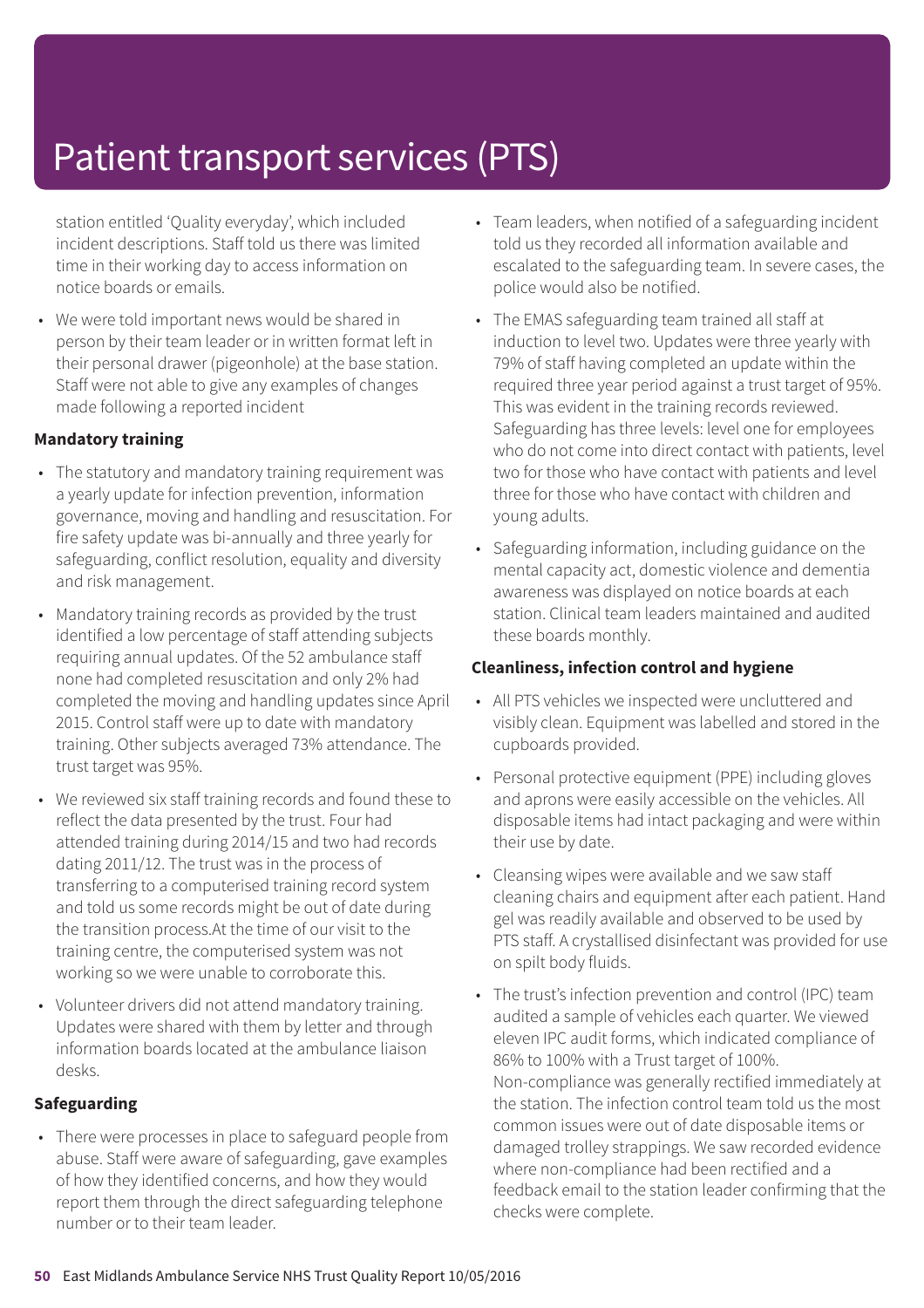station entitled 'Quality everyday', which included incident descriptions. Staff told us there was limited time in their working day to access information on notice boards or emails.

• We were told important news would be shared in person by their team leader or in written format left in their personal drawer (pigeonhole) at the base station. Staff were not able to give any examples of changes made following a reported incident

### **Mandatory training**

- The statutory and mandatory training requirement was a yearly update for infection prevention, information governance, moving and handling and resuscitation. For fire safety update was bi-annually and three yearly for safeguarding, conflict resolution, equality and diversity and risk management.
- Mandatory training records as provided by the trust identified a low percentage of staff attending subjects requiring annual updates. Of the 52 ambulance staff none had completed resuscitation and only 2% had completed the moving and handling updates since April 2015. Control staff were up to date with mandatory training. Other subjects averaged 73% attendance. The trust target was 95%.
- We reviewed six staff training records and found these to reflect the data presented by the trust. Four had attended training during 2014/15 and two had records dating 2011/12. The trust was in the process of transferring to a computerised training record system and told us some records might be out of date during the transition process.At the time of our visit to the training centre, the computerised system was not working so we were unable to corroborate this.
- Volunteer drivers did not attend mandatory training. Updates were shared with them by letter and through information boards located at the ambulance liaison desks.

### **Safeguarding**

• There were processes in place to safeguard people from abuse. Staff were aware of safeguarding, gave examples of how they identified concerns, and how they would report them through the direct safeguarding telephone number or to their team leader.

- Team leaders, when notified of a safeguarding incident told us they recorded all information available and escalated to the safeguarding team. In severe cases, the police would also be notified.
- The EMAS safeguarding team trained all staff at induction to level two. Updates were three yearly with 79% of staff having completed an update within the required three year period against a trust target of 95%. This was evident in the training records reviewed. Safeguarding has three levels: level one for employees who do not come into direct contact with patients, level two for those who have contact with patients and level three for those who have contact with children and young adults.
- Safeguarding information, including guidance on the mental capacity act, domestic violence and dementia awareness was displayed on notice boards at each station. Clinical team leaders maintained and audited these boards monthly.

### **Cleanliness, infection control and hygiene**

- All PTS vehicles we inspected were uncluttered and visibly clean. Equipment was labelled and stored in the cupboards provided.
- Personal protective equipment (PPE) including gloves and aprons were easily accessible on the vehicles. All disposable items had intact packaging and were within their use by date.
- Cleansing wipes were available and we saw staff cleaning chairs and equipment after each patient. Hand gel was readily available and observed to be used by PTS staff. A crystallised disinfectant was provided for use on spilt body fluids.
- The trust's infection prevention and control (IPC) team audited a sample of vehicles each quarter. We viewed eleven IPC audit forms, which indicated compliance of 86% to 100% with a Trust target of 100%. Non-compliance was generally rectified immediately at the station. The infection control team told us the most common issues were out of date disposable items or damaged trolley strappings. We saw recorded evidence where non-compliance had been rectified and a feedback email to the station leader confirming that the checks were complete.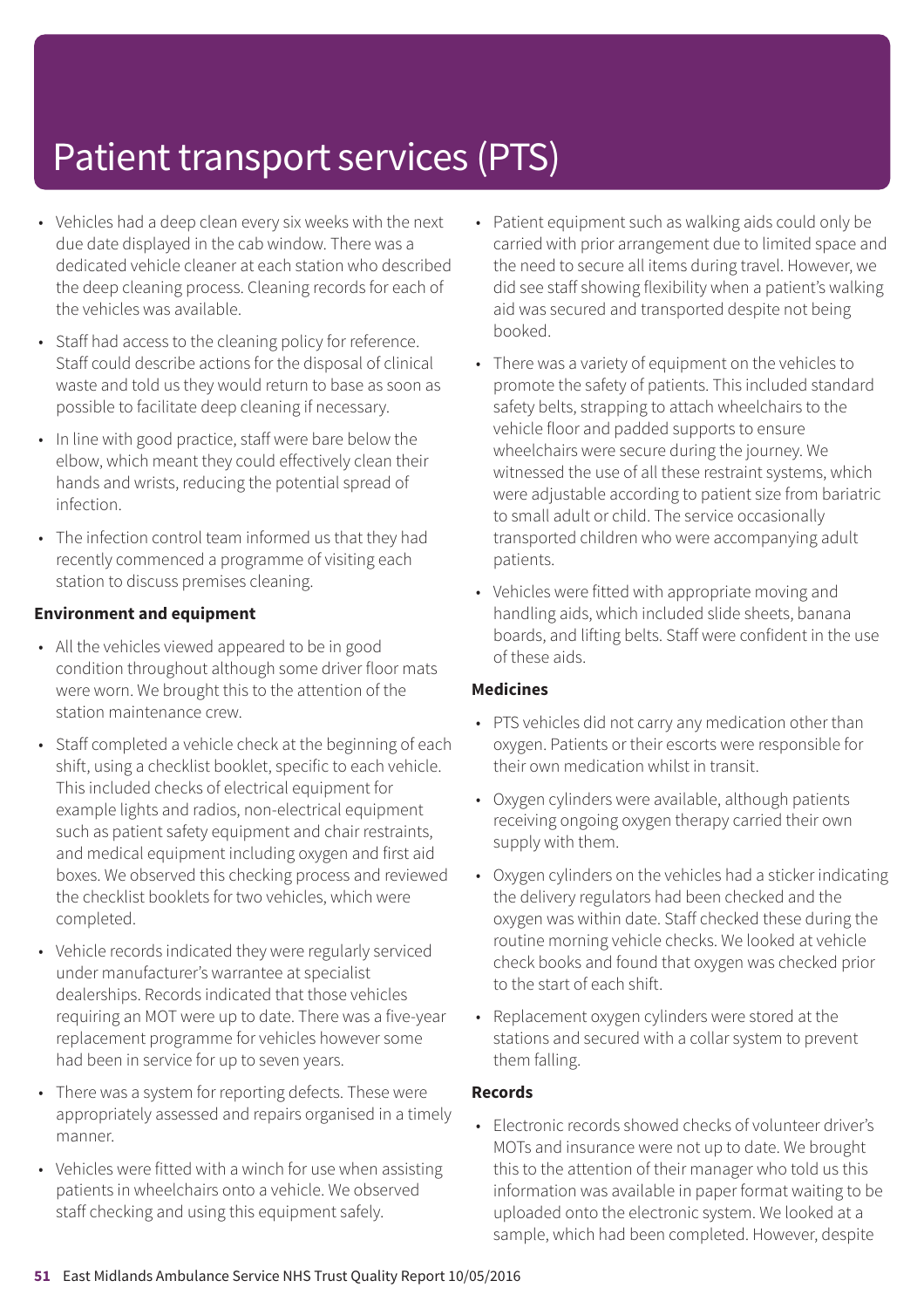- Vehicles had a deep clean every six weeks with the next due date displayed in the cab window. There was a dedicated vehicle cleaner at each station who described the deep cleaning process. Cleaning records for each of the vehicles was available.
- Staff had access to the cleaning policy for reference. Staff could describe actions for the disposal of clinical waste and told us they would return to base as soon as possible to facilitate deep cleaning if necessary.
- In line with good practice, staff were bare below the elbow, which meant they could effectively clean their hands and wrists, reducing the potential spread of infection.
- The infection control team informed us that they had recently commenced a programme of visiting each station to discuss premises cleaning.

### **Environment and equipment**

- All the vehicles viewed appeared to be in good condition throughout although some driver floor mats were worn. We brought this to the attention of the station maintenance crew.
- Staff completed a vehicle check at the beginning of each shift, using a checklist booklet, specific to each vehicle. This included checks of electrical equipment for example lights and radios, non-electrical equipment such as patient safety equipment and chair restraints, and medical equipment including oxygen and first aid boxes. We observed this checking process and reviewed the checklist booklets for two vehicles, which were completed.
- Vehicle records indicated they were regularly serviced under manufacturer's warrantee at specialist dealerships. Records indicated that those vehicles requiring an MOT were up to date. There was a five-year replacement programme for vehicles however some had been in service for up to seven years.
- There was a system for reporting defects. These were appropriately assessed and repairs organised in a timely manner.
- Vehicles were fitted with a winch for use when assisting patients in wheelchairs onto a vehicle. We observed staff checking and using this equipment safely.
- Patient equipment such as walking aids could only be carried with prior arrangement due to limited space and the need to secure all items during travel. However, we did see staff showing flexibility when a patient's walking aid was secured and transported despite not being booked.
- There was a variety of equipment on the vehicles to promote the safety of patients. This included standard safety belts, strapping to attach wheelchairs to the vehicle floor and padded supports to ensure wheelchairs were secure during the journey. We witnessed the use of all these restraint systems, which were adjustable according to patient size from bariatric to small adult or child. The service occasionally transported children who were accompanying adult patients.
- Vehicles were fitted with appropriate moving and handling aids, which included slide sheets, banana boards, and lifting belts. Staff were confident in the use of these aids.

### **Medicines**

- PTS vehicles did not carry any medication other than oxygen. Patients or their escorts were responsible for their own medication whilst in transit.
- Oxygen cylinders were available, although patients receiving ongoing oxygen therapy carried their own supply with them.
- Oxygen cylinders on the vehicles had a sticker indicating the delivery regulators had been checked and the oxygen was within date. Staff checked these during the routine morning vehicle checks. We looked at vehicle check books and found that oxygen was checked prior to the start of each shift.
- Replacement oxygen cylinders were stored at the stations and secured with a collar system to prevent them falling.

## **Records**

• Electronic records showed checks of volunteer driver's MOTs and insurance were not up to date. We brought this to the attention of their manager who told us this information was available in paper format waiting to be uploaded onto the electronic system. We looked at a sample, which had been completed. However, despite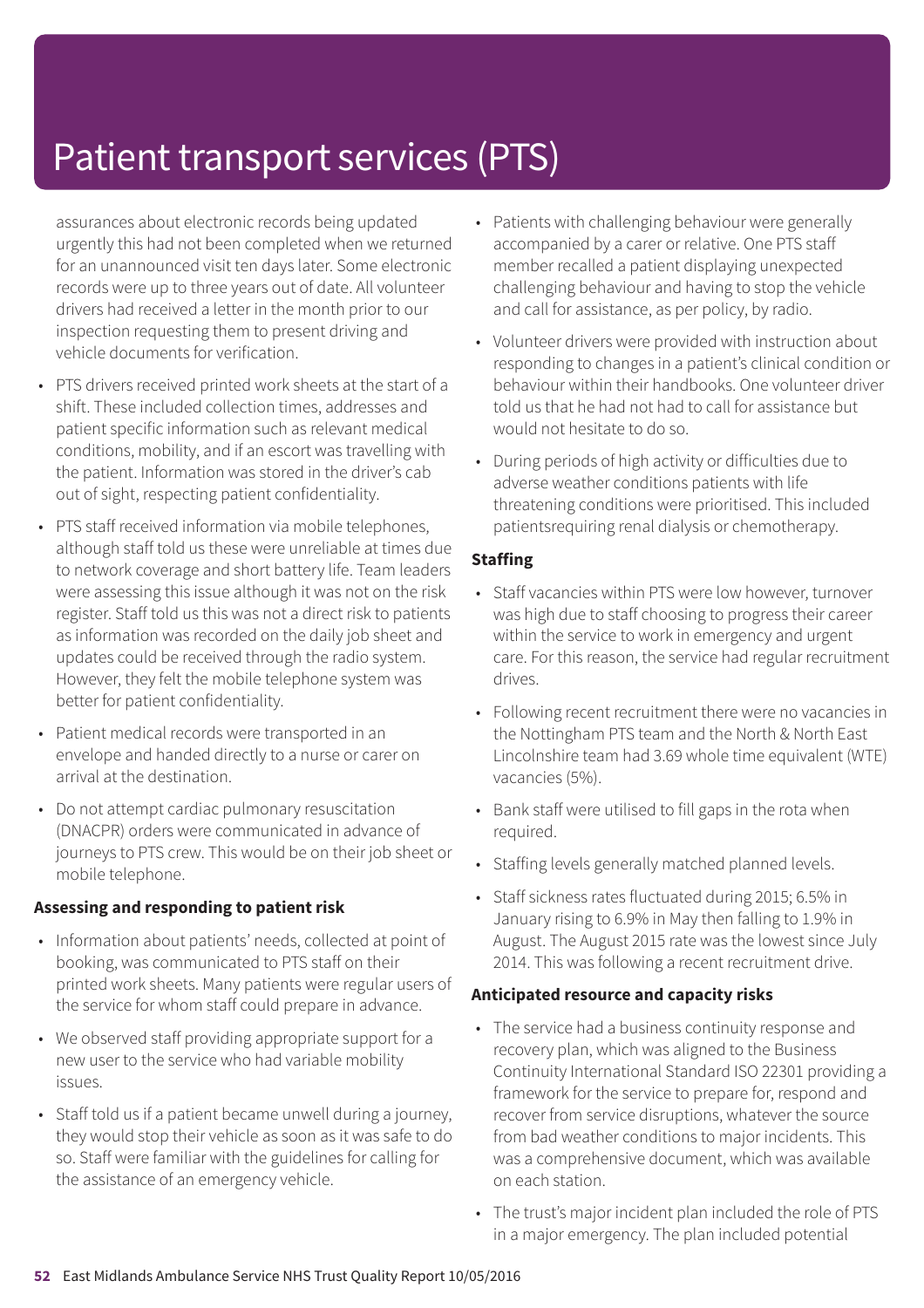assurances about electronic records being updated urgently this had not been completed when we returned for an unannounced visit ten days later. Some electronic records were up to three years out of date. All volunteer drivers had received a letter in the month prior to our inspection requesting them to present driving and vehicle documents for verification.

- PTS drivers received printed work sheets at the start of a shift. These included collection times, addresses and patient specific information such as relevant medical conditions, mobility, and if an escort was travelling with the patient. Information was stored in the driver's cab out of sight, respecting patient confidentiality.
- PTS staff received information via mobile telephones, although staff told us these were unreliable at times due to network coverage and short battery life. Team leaders were assessing this issue although it was not on the risk register. Staff told us this was not a direct risk to patients as information was recorded on the daily job sheet and updates could be received through the radio system. However, they felt the mobile telephone system was better for patient confidentiality.
- Patient medical records were transported in an envelope and handed directly to a nurse or carer on arrival at the destination.
- Do not attempt cardiac pulmonary resuscitation (DNACPR) orders were communicated in advance of journeys to PTS crew. This would be on their job sheet or mobile telephone.

### **Assessing and responding to patient risk**

- Information about patients' needs, collected at point of booking, was communicated to PTS staff on their printed work sheets. Many patients were regular users of the service for whom staff could prepare in advance.
- We observed staff providing appropriate support for a new user to the service who had variable mobility issues.
- Staff told us if a patient became unwell during a journey, they would stop their vehicle as soon as it was safe to do so. Staff were familiar with the guidelines for calling for the assistance of an emergency vehicle.
- Patients with challenging behaviour were generally accompanied by a carer or relative. One PTS staff member recalled a patient displaying unexpected challenging behaviour and having to stop the vehicle and call for assistance, as per policy, by radio.
- Volunteer drivers were provided with instruction about responding to changes in a patient's clinical condition or behaviour within their handbooks. One volunteer driver told us that he had not had to call for assistance but would not hesitate to do so.
- During periods of high activity or difficulties due to adverse weather conditions patients with life threatening conditions were prioritised. This included patientsrequiring renal dialysis or chemotherapy.

## **Staffing**

- Staff vacancies within PTS were low however, turnover was high due to staff choosing to progress their career within the service to work in emergency and urgent care. For this reason, the service had regular recruitment drives.
- Following recent recruitment there were no vacancies in the Nottingham PTS team and the North & North East Lincolnshire team had 3.69 whole time equivalent (WTE) vacancies (5%).
- Bank staff were utilised to fill gaps in the rota when required.
- Staffing levels generally matched planned levels.
- Staff sickness rates fluctuated during 2015; 6.5% in January rising to 6.9% in May then falling to 1.9% in August. The August 2015 rate was the lowest since July 2014. This was following a recent recruitment drive.

### **Anticipated resource and capacity risks**

- The service had a business continuity response and recovery plan, which was aligned to the Business Continuity International Standard ISO 22301 providing a framework for the service to prepare for, respond and recover from service disruptions, whatever the source from bad weather conditions to major incidents. This was a comprehensive document, which was available on each station.
- The trust's major incident plan included the role of PTS in a major emergency. The plan included potential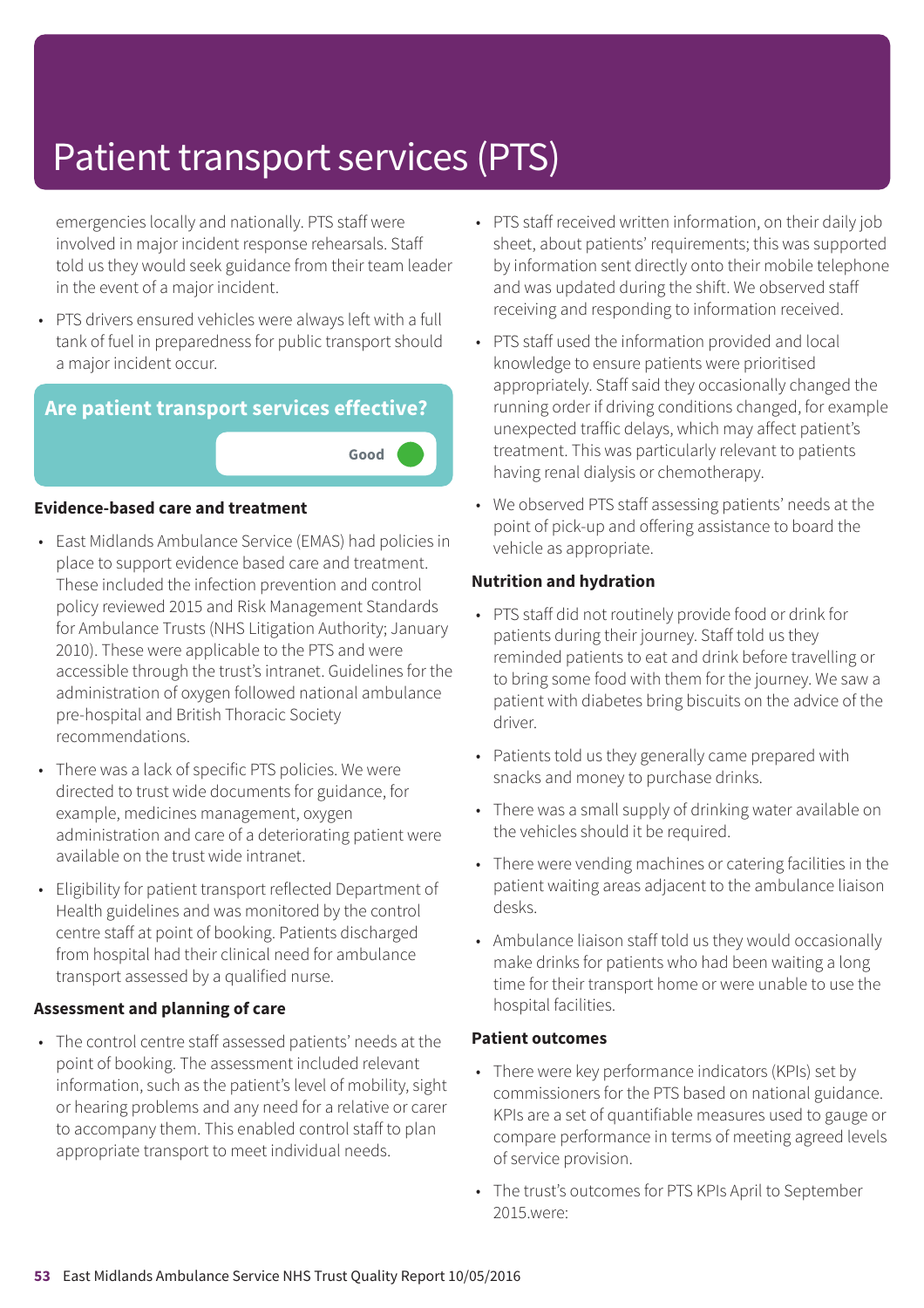emergencies locally and nationally. PTS staff were involved in major incident response rehearsals. Staff told us they would seek guidance from their team leader in the event of a major incident.

• PTS drivers ensured vehicles were always left with a full tank of fuel in preparedness for public transport should a major incident occur.



## **Evidence-based care and treatment**

- East Midlands Ambulance Service (EMAS) had policies in place to support evidence based care and treatment. These included the infection prevention and control policy reviewed 2015 and Risk Management Standards for Ambulance Trusts (NHS Litigation Authority; January 2010). These were applicable to the PTS and were accessible through the trust's intranet. Guidelines for the administration of oxygen followed national ambulance pre-hospital and British Thoracic Society recommendations.
- There was a lack of specific PTS policies. We were directed to trust wide documents for guidance, for example, medicines management, oxygen administration and care of a deteriorating patient were available on the trust wide intranet.
- Eligibility for patient transport reflected Department of Health guidelines and was monitored by the control centre staff at point of booking. Patients discharged from hospital had their clinical need for ambulance transport assessed by a qualified nurse.

### **Assessment and planning of care**

• The control centre staff assessed patients' needs at the point of booking. The assessment included relevant information, such as the patient's level of mobility, sight or hearing problems and any need for a relative or carer to accompany them. This enabled control staff to plan appropriate transport to meet individual needs.

- PTS staff received written information, on their daily job sheet, about patients' requirements; this was supported by information sent directly onto their mobile telephone and was updated during the shift. We observed staff receiving and responding to information received.
- PTS staff used the information provided and local knowledge to ensure patients were prioritised appropriately. Staff said they occasionally changed the running order if driving conditions changed, for example unexpected traffic delays, which may affect patient's treatment. This was particularly relevant to patients having renal dialysis or chemotherapy.
- We observed PTS staff assessing patients' needs at the point of pick-up and offering assistance to board the vehicle as appropriate.

## **Nutrition and hydration**

- PTS staff did not routinely provide food or drink for patients during their journey. Staff told us they reminded patients to eat and drink before travelling or to bring some food with them for the journey. We saw a patient with diabetes bring biscuits on the advice of the driver.
- Patients told us they generally came prepared with snacks and money to purchase drinks.
- There was a small supply of drinking water available on the vehicles should it be required.
- There were vending machines or catering facilities in the patient waiting areas adjacent to the ambulance liaison desks.
- Ambulance liaison staff told us they would occasionally make drinks for patients who had been waiting a long time for their transport home or were unable to use the hospital facilities.

### **Patient outcomes**

- There were key performance indicators (KPIs) set by commissioners for the PTS based on national guidance. KPIs are a set of quantifiable measures used to gauge or compare performance in terms of meeting agreed levels of service provision.
- The trust's outcomes for PTS KPIs April to September 2015.were: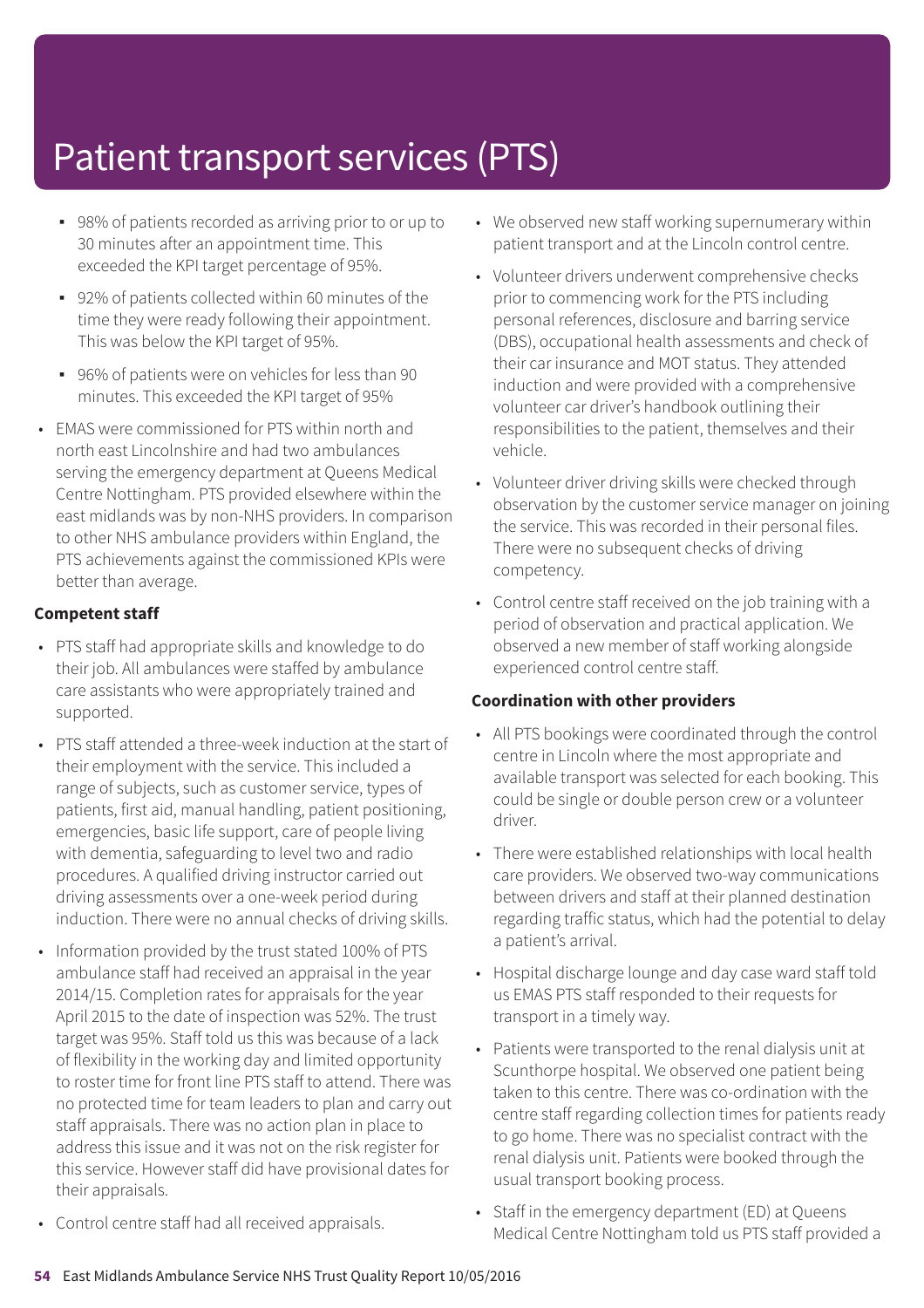- 98% of patients recorded as arriving prior to or up to 30 minutes after an appointment time. This exceeded the KPI target percentage of 95%.
- 92% of patients collected within 60 minutes of the time they were ready following their appointment. This was below the KPI target of 95%.
- 96% of patients were on vehicles for less than 90 minutes. This exceeded the KPI target of 95%
- EMAS were commissioned for PTS within north and north east Lincolnshire and had two ambulances serving the emergency department at Queens Medical Centre Nottingham. PTS provided elsewhere within the east midlands was by non-NHS providers. In comparison to other NHS ambulance providers within England, the PTS achievements against the commissioned KPIs were better than average.

## **Competent staff**

- PTS staff had appropriate skills and knowledge to do their job. All ambulances were staffed by ambulance care assistants who were appropriately trained and supported.
- PTS staff attended a three-week induction at the start of their employment with the service. This included a range of subjects, such as customer service, types of patients, first aid, manual handling, patient positioning, emergencies, basic life support, care of people living with dementia, safeguarding to level two and radio procedures. A qualified driving instructor carried out driving assessments over a one-week period during induction. There were no annual checks of driving skills.
- Information provided by the trust stated 100% of PTS ambulance staff had received an appraisal in the year 2014/15. Completion rates for appraisals for the year April 2015 to the date of inspection was 52%. The trust target was 95%. Staff told us this was because of a lack of flexibility in the working day and limited opportunity to roster time for front line PTS staff to attend. There was no protected time for team leaders to plan and carry out staff appraisals. There was no action plan in place to address this issue and it was not on the risk register for this service. However staff did have provisional dates for their appraisals.
- We observed new staff working supernumerary within patient transport and at the Lincoln control centre.
- Volunteer drivers underwent comprehensive checks prior to commencing work for the PTS including personal references, disclosure and barring service (DBS), occupational health assessments and check of their car insurance and MOT status. They attended induction and were provided with a comprehensive volunteer car driver's handbook outlining their responsibilities to the patient, themselves and their vehicle.
- Volunteer driver driving skills were checked through observation by the customer service manager on joining the service. This was recorded in their personal files. There were no subsequent checks of driving competency.
- Control centre staff received on the job training with a period of observation and practical application. We observed a new member of staff working alongside experienced control centre staff.

### **Coordination with other providers**

- All PTS bookings were coordinated through the control centre in Lincoln where the most appropriate and available transport was selected for each booking. This could be single or double person crew or a volunteer driver.
- There were established relationships with local health care providers. We observed two-way communications between drivers and staff at their planned destination regarding traffic status, which had the potential to delay a patient's arrival.
- Hospital discharge lounge and day case ward staff told us EMAS PTS staff responded to their requests for transport in a timely way.
- Patients were transported to the renal dialysis unit at Scunthorpe hospital. We observed one patient being taken to this centre. There was co-ordination with the centre staff regarding collection times for patients ready to go home. There was no specialist contract with the renal dialysis unit. Patients were booked through the usual transport booking process.
- Staff in the emergency department (ED) at Queens Medical Centre Nottingham told us PTS staff provided a
- Control centre staff had all received appraisals.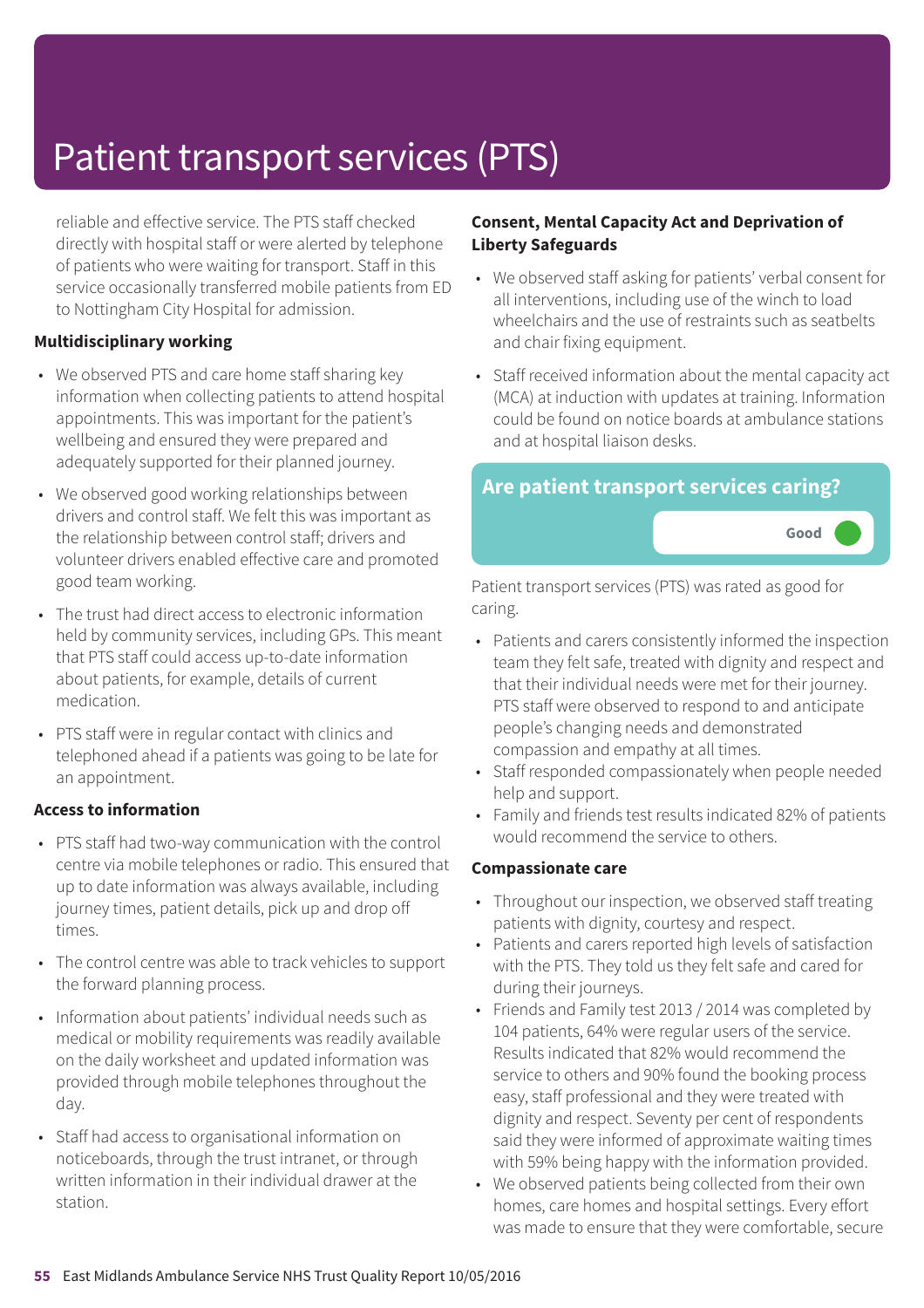reliable and effective service. The PTS staff checked directly with hospital staff or were alerted by telephone of patients who were waiting for transport. Staff in this service occasionally transferred mobile patients from ED to Nottingham City Hospital for admission.

## **Multidisciplinary working**

- We observed PTS and care home staff sharing key information when collecting patients to attend hospital appointments. This was important for the patient's wellbeing and ensured they were prepared and adequately supported for their planned journey.
- We observed good working relationships between drivers and control staff. We felt this was important as the relationship between control staff; drivers and volunteer drivers enabled effective care and promoted good team working.
- The trust had direct access to electronic information held by community services, including GPs. This meant that PTS staff could access up-to-date information about patients, for example, details of current medication.
- PTS staff were in regular contact with clinics and telephoned ahead if a patients was going to be late for an appointment.

## **Access to information**

- PTS staff had two-way communication with the control centre via mobile telephones or radio. This ensured that up to date information was always available, including journey times, patient details, pick up and drop off times.
- The control centre was able to track vehicles to support the forward planning process.
- Information about patients' individual needs such as medical or mobility requirements was readily available on the daily worksheet and updated information was provided through mobile telephones throughout the day.
- Staff had access to organisational information on noticeboards, through the trust intranet, or through written information in their individual drawer at the station.

## **Consent, Mental Capacity Act and Deprivation of Liberty Safeguards**

- We observed staff asking for patients' verbal consent for all interventions, including use of the winch to load wheelchairs and the use of restraints such as seatbelts and chair fixing equipment.
- Staff received information about the mental capacity act (MCA) at induction with updates at training. Information could be found on notice boards at ambulance stations and at hospital liaison desks.

## **Are patient transport services caring?**



Patient transport services (PTS) was rated as good for caring.

- Patients and carers consistently informed the inspection team they felt safe, treated with dignity and respect and that their individual needs were met for their journey. PTS staff were observed to respond to and anticipate people's changing needs and demonstrated compassion and empathy at all times.
- Staff responded compassionately when people needed help and support.
- Family and friends test results indicated 82% of patients would recommend the service to others.

### **Compassionate care**

- Throughout our inspection, we observed staff treating patients with dignity, courtesy and respect.
- Patients and carers reported high levels of satisfaction with the PTS. They told us they felt safe and cared for during their journeys.
- Friends and Family test 2013 / 2014 was completed by 104 patients, 64% were regular users of the service. Results indicated that 82% would recommend the service to others and 90% found the booking process easy, staff professional and they were treated with dignity and respect. Seventy per cent of respondents said they were informed of approximate waiting times with 59% being happy with the information provided.
- We observed patients being collected from their own homes, care homes and hospital settings. Every effort was made to ensure that they were comfortable, secure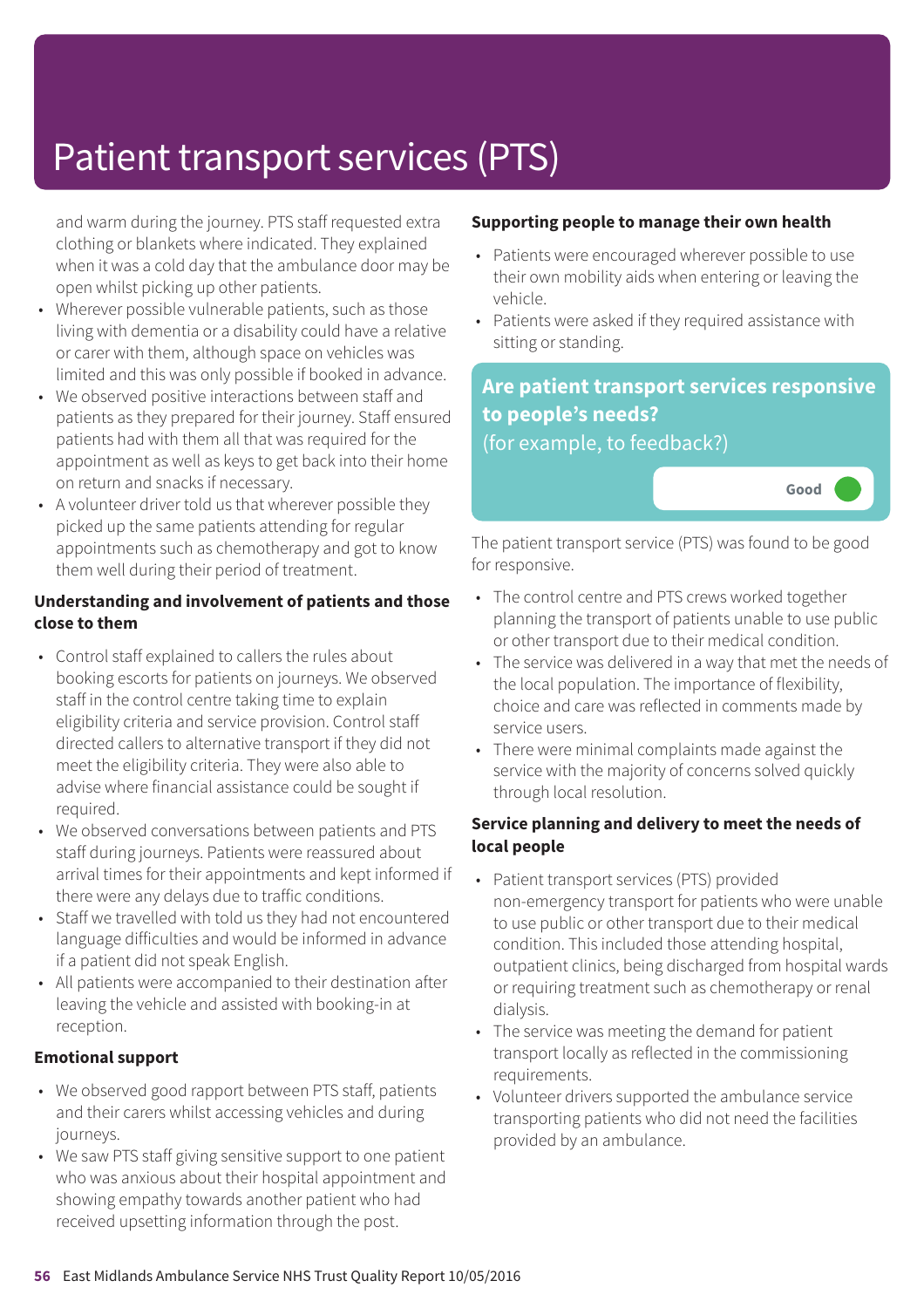and warm during the journey. PTS staff requested extra clothing or blankets where indicated. They explained when it was a cold day that the ambulance door may be open whilst picking up other patients.

- Wherever possible vulnerable patients, such as those living with dementia or a disability could have a relative or carer with them, although space on vehicles was limited and this was only possible if booked in advance.
- We observed positive interactions between staff and patients as they prepared for their journey. Staff ensured patients had with them all that was required for the appointment as well as keys to get back into their home on return and snacks if necessary.
- A volunteer driver told us that wherever possible they picked up the same patients attending for regular appointments such as chemotherapy and got to know them well during their period of treatment.

### **Understanding and involvement of patients and those close to them**

- Control staff explained to callers the rules about booking escorts for patients on journeys. We observed staff in the control centre taking time to explain eligibility criteria and service provision. Control staff directed callers to alternative transport if they did not meet the eligibility criteria. They were also able to advise where financial assistance could be sought if required.
- We observed conversations between patients and PTS staff during journeys. Patients were reassured about arrival times for their appointments and kept informed if there were any delays due to traffic conditions.
- Staff we travelled with told us they had not encountered language difficulties and would be informed in advance if a patient did not speak English.
- All patients were accompanied to their destination after leaving the vehicle and assisted with booking-in at reception.

### **Emotional support**

- We observed good rapport between PTS staff, patients and their carers whilst accessing vehicles and during journeys.
- We saw PTS staff giving sensitive support to one patient who was anxious about their hospital appointment and showing empathy towards another patient who had received upsetting information through the post.

### **Supporting people to manage their own health**

- Patients were encouraged wherever possible to use their own mobility aids when entering or leaving the vehicle.
- Patients were asked if they required assistance with sitting or standing.

## **Are patient transport services responsive to people's needs?** (for example, to feedback?)

**Good –––**

The patient transport service (PTS) was found to be good for responsive.

- The control centre and PTS crews worked together planning the transport of patients unable to use public or other transport due to their medical condition.
- The service was delivered in a way that met the needs of the local population. The importance of flexibility, choice and care was reflected in comments made by service users.
- There were minimal complaints made against the service with the majority of concerns solved quickly through local resolution.

## **Service planning and delivery to meet the needs of local people**

- Patient transport services (PTS) provided non-emergency transport for patients who were unable to use public or other transport due to their medical condition. This included those attending hospital, outpatient clinics, being discharged from hospital wards or requiring treatment such as chemotherapy or renal dialysis.
- The service was meeting the demand for patient transport locally as reflected in the commissioning requirements.
- Volunteer drivers supported the ambulance service transporting patients who did not need the facilities provided by an ambulance.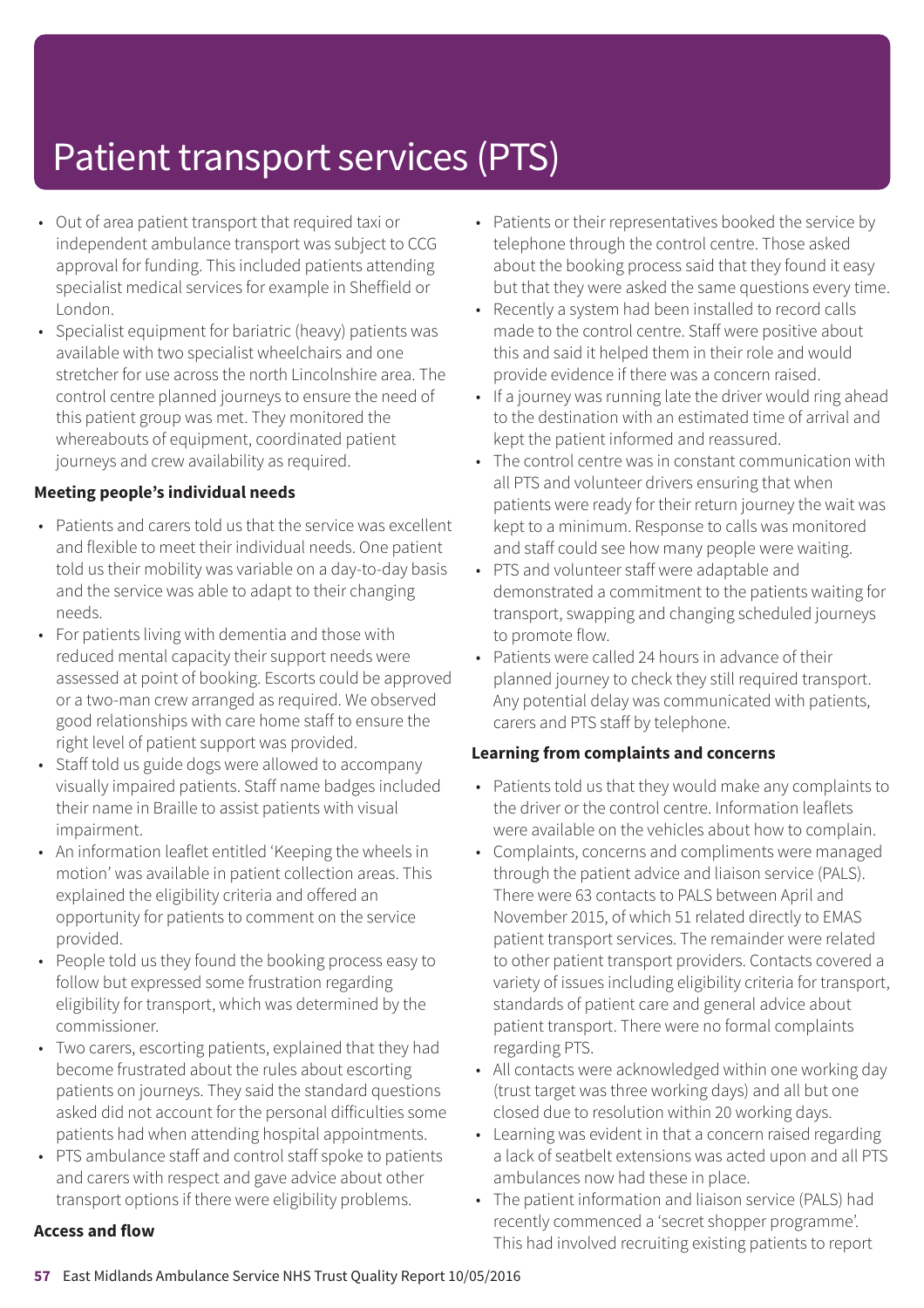- Out of area patient transport that required taxi or independent ambulance transport was subject to CCG approval for funding. This included patients attending specialist medical services for example in Sheffield or London.
- Specialist equipment for bariatric (heavy) patients was available with two specialist wheelchairs and one stretcher for use across the north Lincolnshire area. The control centre planned journeys to ensure the need of this patient group was met. They monitored the whereabouts of equipment, coordinated patient journeys and crew availability as required.

### **Meeting people's individual needs**

- Patients and carers told us that the service was excellent and flexible to meet their individual needs. One patient told us their mobility was variable on a day-to-day basis and the service was able to adapt to their changing needs.
- For patients living with dementia and those with reduced mental capacity their support needs were assessed at point of booking. Escorts could be approved or a two-man crew arranged as required. We observed good relationships with care home staff to ensure the right level of patient support was provided.
- Staff told us guide dogs were allowed to accompany visually impaired patients. Staff name badges included their name in Braille to assist patients with visual impairment.
- An information leaflet entitled 'Keeping the wheels in motion' was available in patient collection areas. This explained the eligibility criteria and offered an opportunity for patients to comment on the service provided.
- People told us they found the booking process easy to follow but expressed some frustration regarding eligibility for transport, which was determined by the commissioner.
- Two carers, escorting patients, explained that they had become frustrated about the rules about escorting patients on journeys. They said the standard questions asked did not account for the personal difficulties some patients had when attending hospital appointments.
- PTS ambulance staff and control staff spoke to patients and carers with respect and gave advice about other transport options if there were eligibility problems.

### **Access and flow**

- Patients or their representatives booked the service by telephone through the control centre. Those asked about the booking process said that they found it easy but that they were asked the same questions every time.
- Recently a system had been installed to record calls made to the control centre. Staff were positive about this and said it helped them in their role and would provide evidence if there was a concern raised.
- If a journey was running late the driver would ring ahead to the destination with an estimated time of arrival and kept the patient informed and reassured.
- The control centre was in constant communication with all PTS and volunteer drivers ensuring that when patients were ready for their return journey the wait was kept to a minimum. Response to calls was monitored and staff could see how many people were waiting.
- PTS and volunteer staff were adaptable and demonstrated a commitment to the patients waiting for transport, swapping and changing scheduled journeys to promote flow.
- Patients were called 24 hours in advance of their planned journey to check they still required transport. Any potential delay was communicated with patients, carers and PTS staff by telephone.

## **Learning from complaints and concerns**

- Patients told us that they would make any complaints to the driver or the control centre. Information leaflets were available on the vehicles about how to complain.
- Complaints, concerns and compliments were managed through the patient advice and liaison service (PALS). There were 63 contacts to PALS between April and November 2015, of which 51 related directly to EMAS patient transport services. The remainder were related to other patient transport providers. Contacts covered a variety of issues including eligibility criteria for transport, standards of patient care and general advice about patient transport. There were no formal complaints regarding PTS.
- All contacts were acknowledged within one working day (trust target was three working days) and all but one closed due to resolution within 20 working days.
- Learning was evident in that a concern raised regarding a lack of seatbelt extensions was acted upon and all PTS ambulances now had these in place.
- The patient information and liaison service (PALS) had recently commenced a 'secret shopper programme'. This had involved recruiting existing patients to report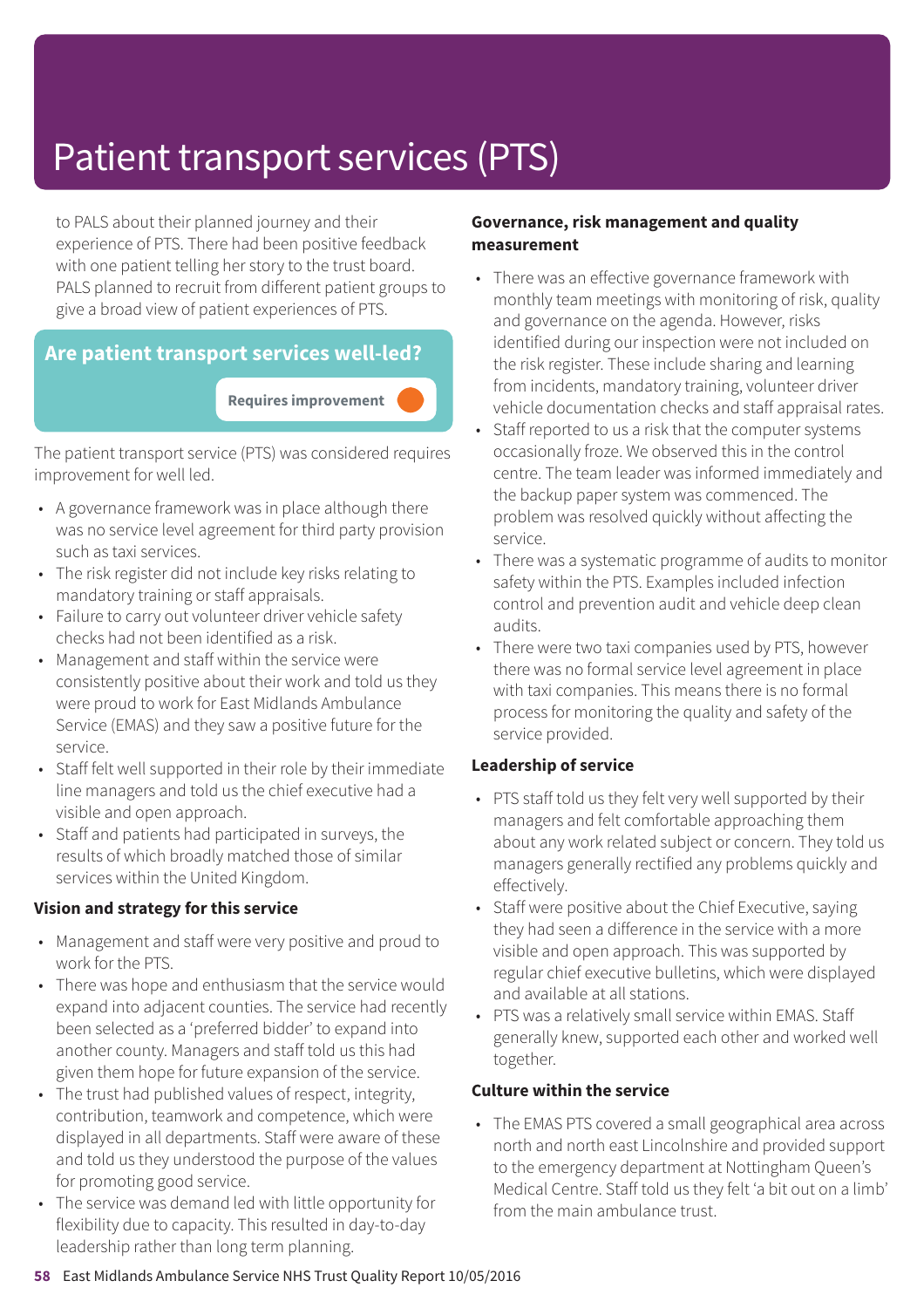to PALS about their planned journey and their experience of PTS. There had been positive feedback with one patient telling her story to the trust board. PALS planned to recruit from different patient groups to give a broad view of patient experiences of PTS.

## **Are patient transport services well-led?**

## **Requires improvement –––**

The patient transport service (PTS) was considered requires improvement for well led.

- A governance framework was in place although there was no service level agreement for third party provision such as taxi services.
- The risk register did not include key risks relating to mandatory training or staff appraisals.
- Failure to carry out volunteer driver vehicle safety checks had not been identified as a risk.
- Management and staff within the service were consistently positive about their work and told us they were proud to work for East Midlands Ambulance Service (EMAS) and they saw a positive future for the service.
- Staff felt well supported in their role by their immediate line managers and told us the chief executive had a visible and open approach.
- Staff and patients had participated in surveys, the results of which broadly matched those of similar services within the United Kingdom.

## **Vision and strategy for this service**

- Management and staff were very positive and proud to work for the PTS.
- There was hope and enthusiasm that the service would expand into adjacent counties. The service had recently been selected as a 'preferred bidder' to expand into another county. Managers and staff told us this had given them hope for future expansion of the service.
- The trust had published values of respect, integrity, contribution, teamwork and competence, which were displayed in all departments. Staff were aware of these and told us they understood the purpose of the values for promoting good service.
- The service was demand led with little opportunity for flexibility due to capacity. This resulted in day-to-day leadership rather than long term planning.

### **Governance, risk management and quality measurement**

- There was an effective governance framework with monthly team meetings with monitoring of risk, quality and governance on the agenda. However, risks identified during our inspection were not included on the risk register. These include sharing and learning from incidents, mandatory training, volunteer driver vehicle documentation checks and staff appraisal rates.
- Staff reported to us a risk that the computer systems occasionally froze. We observed this in the control centre. The team leader was informed immediately and the backup paper system was commenced. The problem was resolved quickly without affecting the service.
- There was a systematic programme of audits to monitor safety within the PTS. Examples included infection control and prevention audit and vehicle deep clean audits.
- There were two taxi companies used by PTS, however there was no formal service level agreement in place with taxi companies. This means there is no formal process for monitoring the quality and safety of the service provided.

### **Leadership of service**

- PTS staff told us they felt very well supported by their managers and felt comfortable approaching them about any work related subject or concern. They told us managers generally rectified any problems quickly and effectively.
- Staff were positive about the Chief Executive, saying they had seen a difference in the service with a more visible and open approach. This was supported by regular chief executive bulletins, which were displayed and available at all stations.
- PTS was a relatively small service within EMAS. Staff generally knew, supported each other and worked well together.

### **Culture within the service**

• The EMAS PTS covered a small geographical area across north and north east Lincolnshire and provided support to the emergency department at Nottingham Queen's Medical Centre. Staff told us they felt 'a bit out on a limb' from the main ambulance trust.

### **58** East Midlands Ambulance Service NHS Trust Quality Report 10/05/2016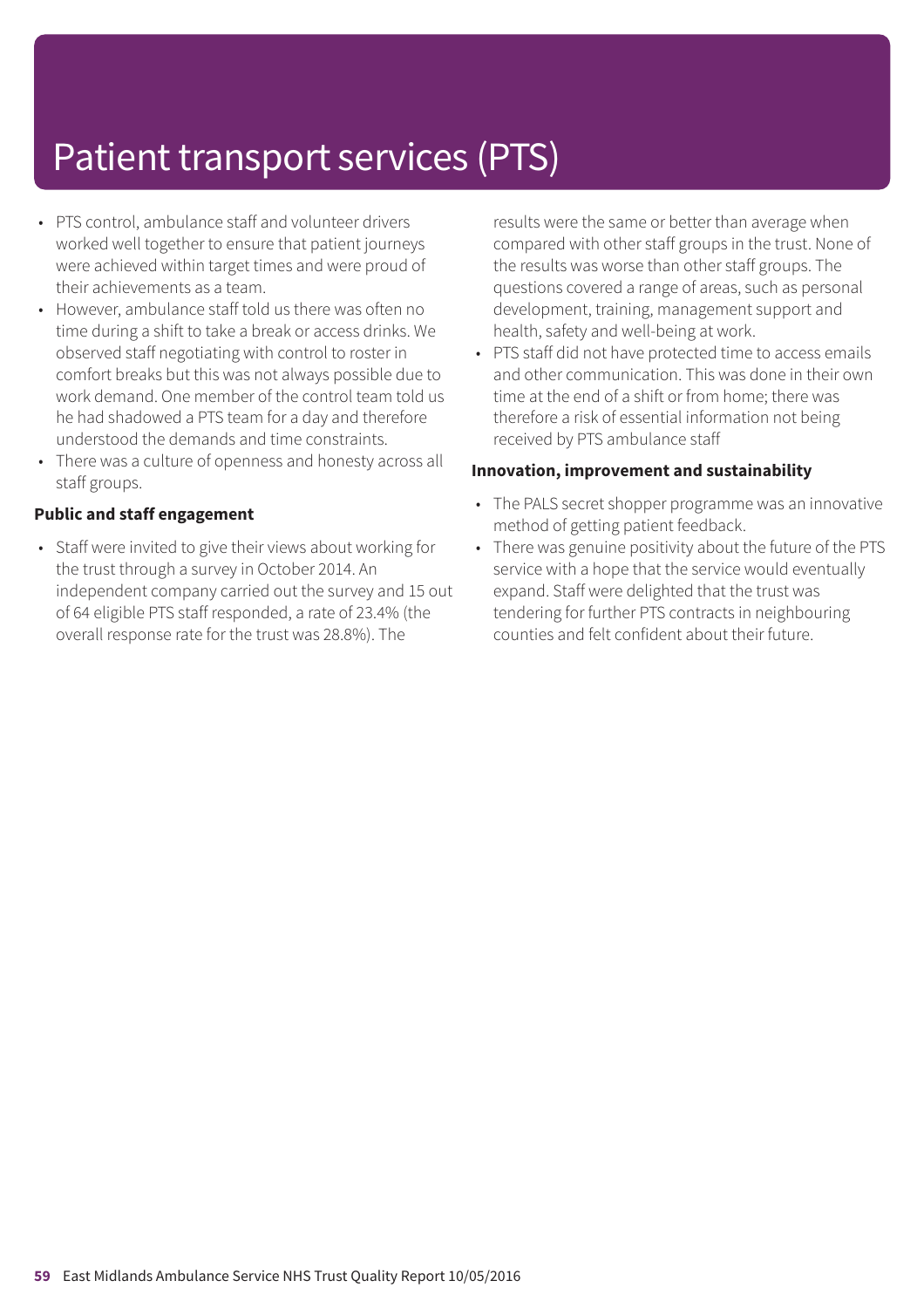- PTS control, ambulance staff and volunteer drivers worked well together to ensure that patient journeys were achieved within target times and were proud of their achievements as a team.
- However, ambulance staff told us there was often no time during a shift to take a break or access drinks. We observed staff negotiating with control to roster in comfort breaks but this was not always possible due to work demand. One member of the control team told us he had shadowed a PTS team for a day and therefore understood the demands and time constraints.
- There was a culture of openness and honesty across all staff groups.

### **Public and staff engagement**

• Staff were invited to give their views about working for the trust through a survey in October 2014. An independent company carried out the survey and 15 out of 64 eligible PTS staff responded, a rate of 23.4% (the overall response rate for the trust was 28.8%). The

results were the same or better than average when compared with other staff groups in the trust. None of the results was worse than other staff groups. The questions covered a range of areas, such as personal development, training, management support and health, safety and well-being at work.

• PTS staff did not have protected time to access emails and other communication. This was done in their own time at the end of a shift or from home; there was therefore a risk of essential information not being received by PTS ambulance staff

### **Innovation, improvement and sustainability**

- The PALS secret shopper programme was an innovative method of getting patient feedback.
- There was genuine positivity about the future of the PTS service with a hope that the service would eventually expand. Staff were delighted that the trust was tendering for further PTS contracts in neighbouring counties and felt confident about their future.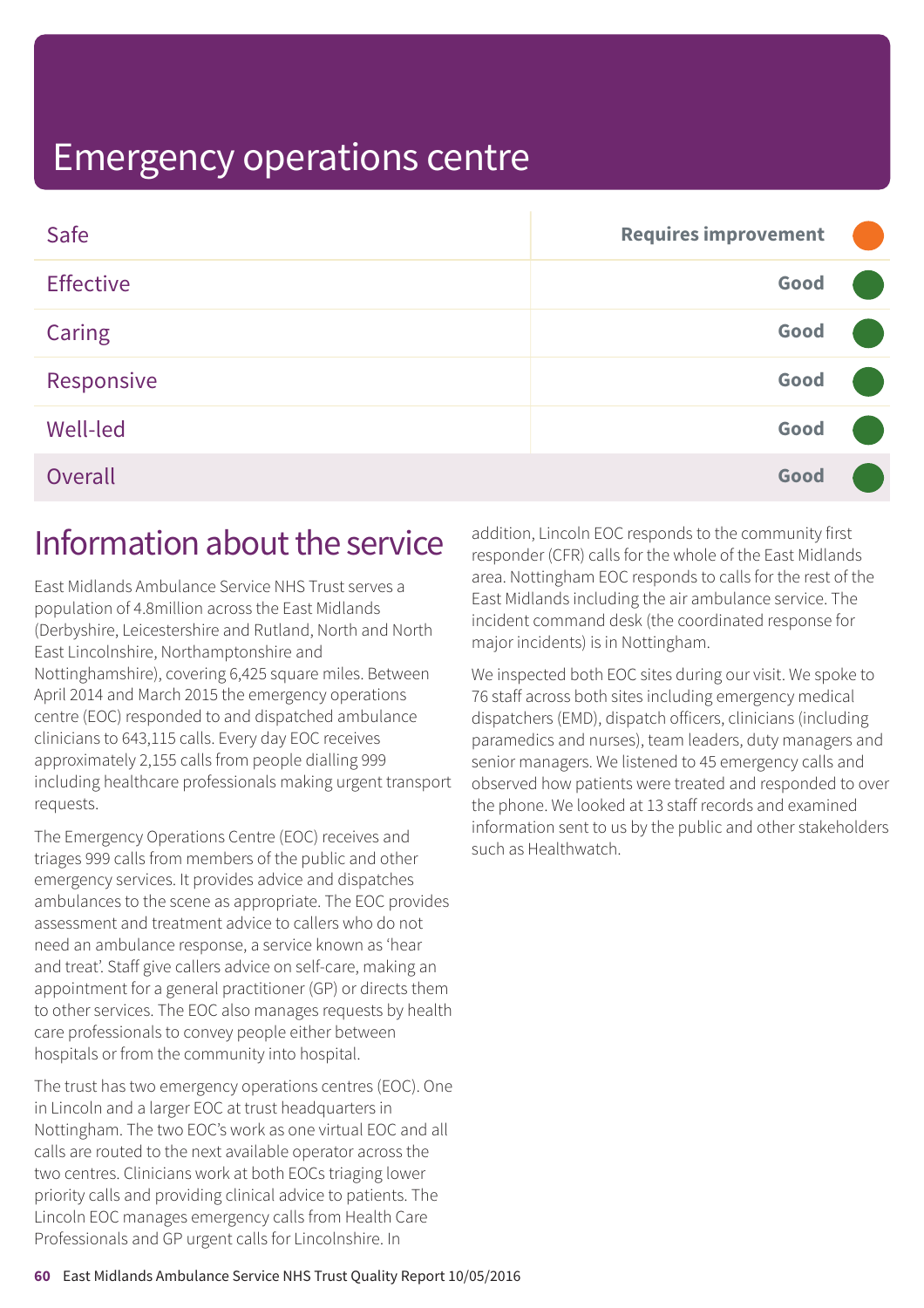| Safe             | <b>Requires improvement</b> |  |
|------------------|-----------------------------|--|
| <b>Effective</b> | Good                        |  |
| Caring           | Good                        |  |
| Responsive       | Good                        |  |
| <b>Well-led</b>  | Good                        |  |
| Overall          | Good                        |  |

## Information about the service

East Midlands Ambulance Service NHS Trust serves a population of 4.8million across the East Midlands (Derbyshire, Leicestershire and Rutland, North and North East Lincolnshire, Northamptonshire and Nottinghamshire), covering 6,425 square miles. Between April 2014 and March 2015 the emergency operations centre (EOC) responded to and dispatched ambulance clinicians to 643,115 calls. Every day EOC receives approximately 2,155 calls from people dialling 999 including healthcare professionals making urgent transport requests.

The Emergency Operations Centre (EOC) receives and triages 999 calls from members of the public and other emergency services. It provides advice and dispatches ambulances to the scene as appropriate. The EOC provides assessment and treatment advice to callers who do not need an ambulance response, a service known as 'hear and treat'. Staff give callers advice on self-care, making an appointment for a general practitioner (GP) or directs them to other services. The EOC also manages requests by health care professionals to convey people either between hospitals or from the community into hospital.

The trust has two emergency operations centres (EOC). One in Lincoln and a larger EOC at trust headquarters in Nottingham. The two EOC's work as one virtual EOC and all calls are routed to the next available operator across the two centres. Clinicians work at both EOCs triaging lower priority calls and providing clinical advice to patients. The Lincoln EOC manages emergency calls from Health Care Professionals and GP urgent calls for Lincolnshire. In

addition, Lincoln EOC responds to the community first responder (CFR) calls for the whole of the East Midlands area. Nottingham EOC responds to calls for the rest of the East Midlands including the air ambulance service. The incident command desk (the coordinated response for major incidents) is in Nottingham.

We inspected both EOC sites during our visit. We spoke to 76 staff across both sites including emergency medical dispatchers (EMD), dispatch officers, clinicians (including paramedics and nurses), team leaders, duty managers and senior managers. We listened to 45 emergency calls and observed how patients were treated and responded to over the phone. We looked at 13 staff records and examined information sent to us by the public and other stakeholders such as Healthwatch.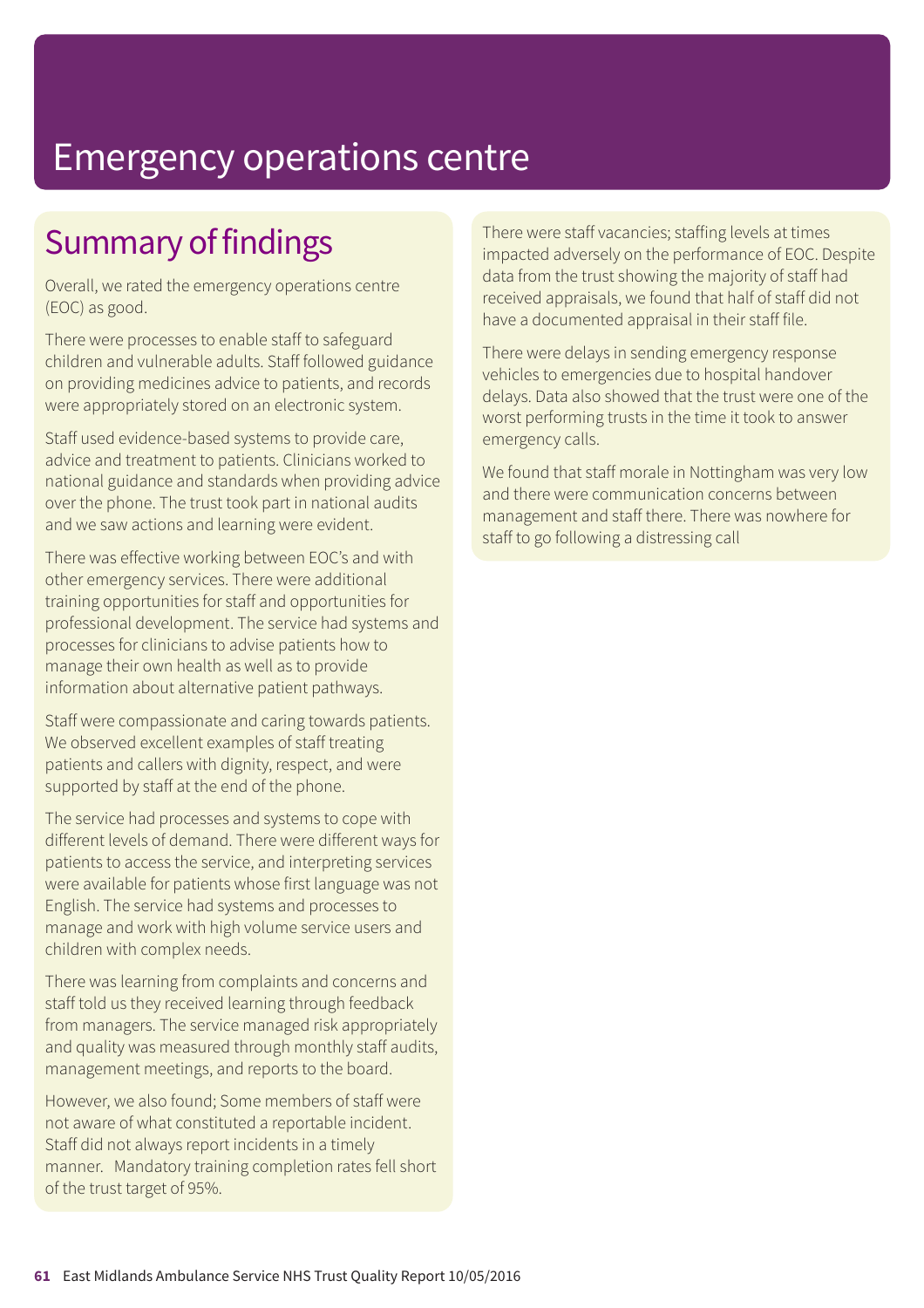## Summary of findings

Overall, we rated the emergency operations centre (EOC) as good.

There were processes to enable staff to safeguard children and vulnerable adults. Staff followed guidance on providing medicines advice to patients, and records were appropriately stored on an electronic system.

Staff used evidence-based systems to provide care, advice and treatment to patients. Clinicians worked to national guidance and standards when providing advice over the phone. The trust took part in national audits and we saw actions and learning were evident.

There was effective working between EOC's and with other emergency services. There were additional training opportunities for staff and opportunities for professional development. The service had systems and processes for clinicians to advise patients how to manage their own health as well as to provide information about alternative patient pathways.

Staff were compassionate and caring towards patients. We observed excellent examples of staff treating patients and callers with dignity, respect, and were supported by staff at the end of the phone.

The service had processes and systems to cope with different levels of demand. There were different ways for patients to access the service, and interpreting services were available for patients whose first language was not English. The service had systems and processes to manage and work with high volume service users and children with complex needs.

There was learning from complaints and concerns and staff told us they received learning through feedback from managers. The service managed risk appropriately and quality was measured through monthly staff audits, management meetings, and reports to the board.

However, we also found; Some members of staff were not aware of what constituted a reportable incident. Staff did not always report incidents in a timely manner. Mandatory training completion rates fell short of the trust target of 95%.

There were staff vacancies; staffing levels at times impacted adversely on the performance of EOC. Despite data from the trust showing the majority of staff had received appraisals, we found that half of staff did not have a documented appraisal in their staff file.

There were delays in sending emergency response vehicles to emergencies due to hospital handover delays. Data also showed that the trust were one of the worst performing trusts in the time it took to answer emergency calls.

We found that staff morale in Nottingham was very low and there were communication concerns between management and staff there. There was nowhere for staff to go following a distressing call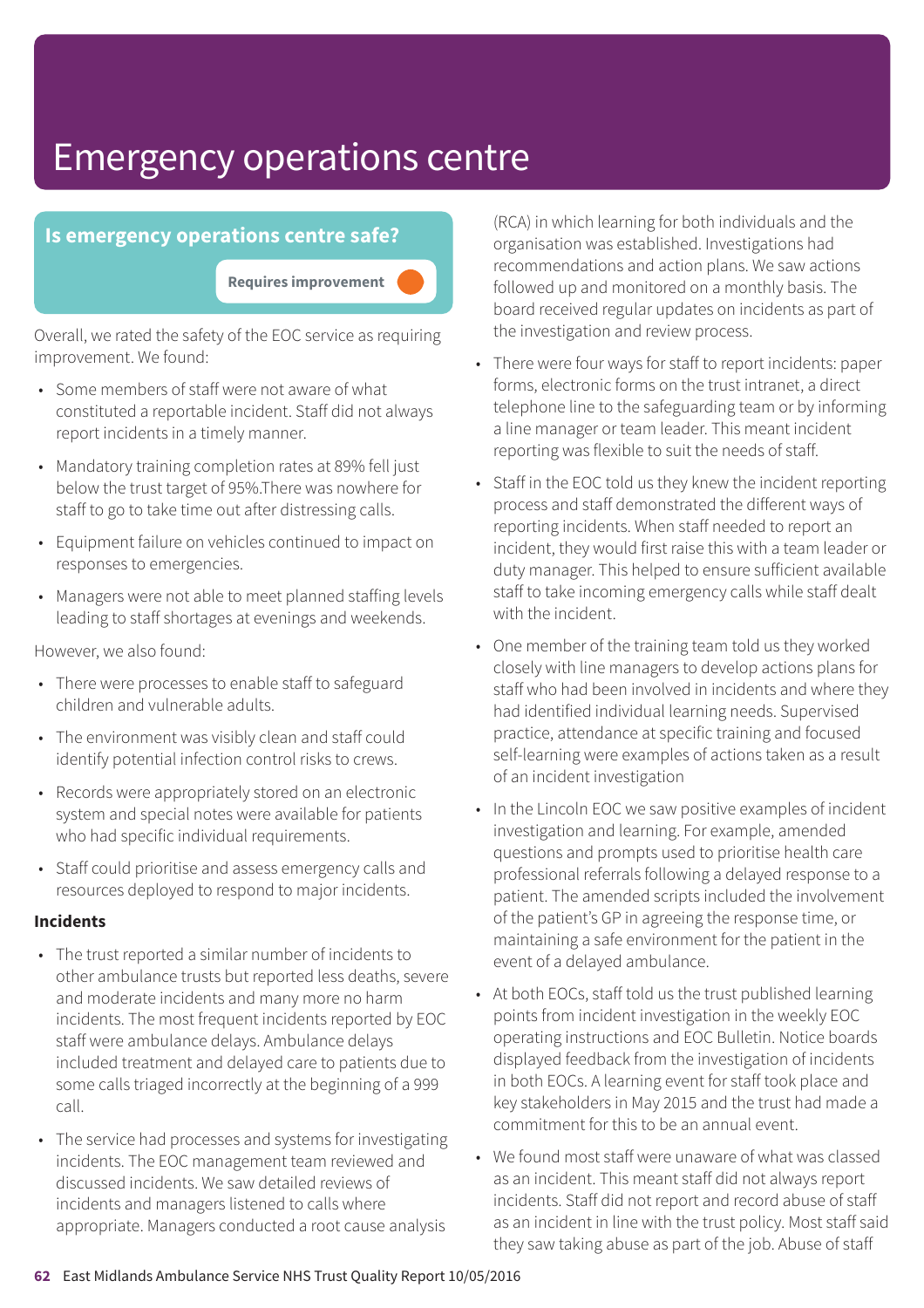## **Is emergency operations centre safe?**

**Requires improvement –––**

Overall, we rated the safety of the EOC service as requiring improvement. We found:

- Some members of staff were not aware of what constituted a reportable incident. Staff did not always report incidents in a timely manner.
- Mandatory training completion rates at 89% fell just below the trust target of 95%.There was nowhere for staff to go to take time out after distressing calls.
- Equipment failure on vehicles continued to impact on responses to emergencies.
- Managers were not able to meet planned staffing levels leading to staff shortages at evenings and weekends.

However, we also found:

- There were processes to enable staff to safeguard children and vulnerable adults.
- The environment was visibly clean and staff could identify potential infection control risks to crews.
- Records were appropriately stored on an electronic system and special notes were available for patients who had specific individual requirements.
- Staff could prioritise and assess emergency calls and resources deployed to respond to major incidents.

### **Incidents**

- The trust reported a similar number of incidents to other ambulance trusts but reported less deaths, severe and moderate incidents and many more no harm incidents. The most frequent incidents reported by EOC staff were ambulance delays. Ambulance delays included treatment and delayed care to patients due to some calls triaged incorrectly at the beginning of a 999 call.
- The service had processes and systems for investigating incidents. The EOC management team reviewed and discussed incidents. We saw detailed reviews of incidents and managers listened to calls where appropriate. Managers conducted a root cause analysis

(RCA) in which learning for both individuals and the organisation was established. Investigations had recommendations and action plans. We saw actions followed up and monitored on a monthly basis. The board received regular updates on incidents as part of the investigation and review process.

- There were four ways for staff to report incidents: paper forms, electronic forms on the trust intranet, a direct telephone line to the safeguarding team or by informing a line manager or team leader. This meant incident reporting was flexible to suit the needs of staff.
- Staff in the EOC told us they knew the incident reporting process and staff demonstrated the different ways of reporting incidents. When staff needed to report an incident, they would first raise this with a team leader or duty manager. This helped to ensure sufficient available staff to take incoming emergency calls while staff dealt with the incident.
- One member of the training team told us they worked closely with line managers to develop actions plans for staff who had been involved in incidents and where they had identified individual learning needs. Supervised practice, attendance at specific training and focused self-learning were examples of actions taken as a result of an incident investigation
- In the Lincoln EOC we saw positive examples of incident investigation and learning. For example, amended questions and prompts used to prioritise health care professional referrals following a delayed response to a patient. The amended scripts included the involvement of the patient's GP in agreeing the response time, or maintaining a safe environment for the patient in the event of a delayed ambulance.
- At both EOCs, staff told us the trust published learning points from incident investigation in the weekly EOC operating instructions and EOC Bulletin. Notice boards displayed feedback from the investigation of incidents in both EOCs. A learning event for staff took place and key stakeholders in May 2015 and the trust had made a commitment for this to be an annual event.
- We found most staff were unaware of what was classed as an incident. This meant staff did not always report incidents. Staff did not report and record abuse of staff as an incident in line with the trust policy. Most staff said they saw taking abuse as part of the job. Abuse of staff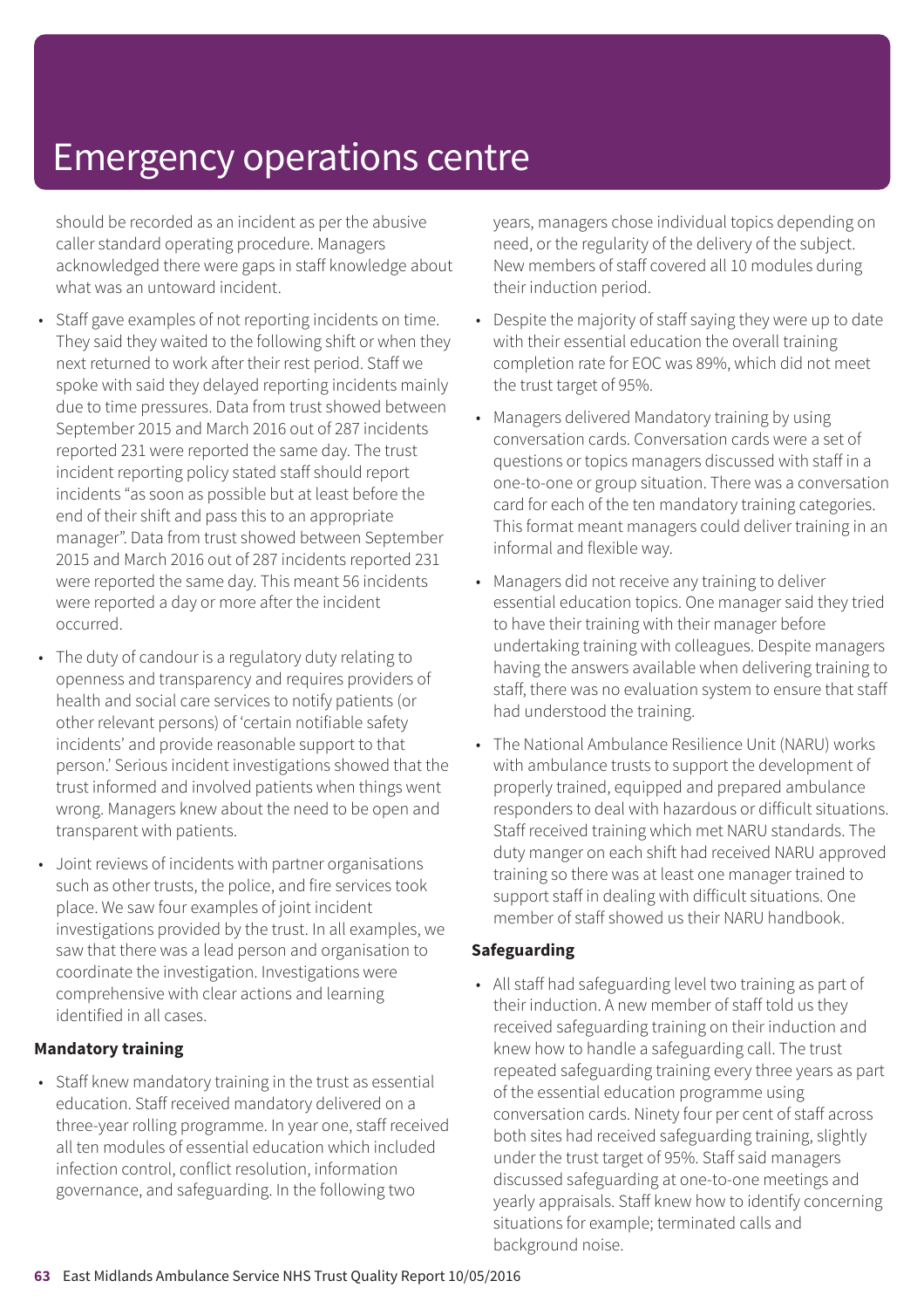should be recorded as an incident as per the abusive caller standard operating procedure. Managers acknowledged there were gaps in staff knowledge about what was an untoward incident.

- Staff gave examples of not reporting incidents on time. They said they waited to the following shift or when they next returned to work after their rest period. Staff we spoke with said they delayed reporting incidents mainly due to time pressures. Data from trust showed between September 2015 and March 2016 out of 287 incidents reported 231 were reported the same day. The trust incident reporting policy stated staff should report incidents "as soon as possible but at least before the end of their shift and pass this to an appropriate manager". Data from trust showed between September 2015 and March 2016 out of 287 incidents reported 231 were reported the same day. This meant 56 incidents were reported a day or more after the incident occurred.
- The duty of candour is a regulatory duty relating to openness and transparency and requires providers of health and social care services to notify patients (or other relevant persons) of 'certain notifiable safety incidents' and provide reasonable support to that person.' Serious incident investigations showed that the trust informed and involved patients when things went wrong. Managers knew about the need to be open and transparent with patients.
- Joint reviews of incidents with partner organisations such as other trusts, the police, and fire services took place. We saw four examples of joint incident investigations provided by the trust. In all examples, we saw that there was a lead person and organisation to coordinate the investigation. Investigations were comprehensive with clear actions and learning identified in all cases.

### **Mandatory training**

• Staff knew mandatory training in the trust as essential education. Staff received mandatory delivered on a three-year rolling programme. In year one, staff received all ten modules of essential education which included infection control, conflict resolution, information governance, and safeguarding. In the following two

years, managers chose individual topics depending on need, or the regularity of the delivery of the subject. New members of staff covered all 10 modules during their induction period.

- Despite the majority of staff saying they were up to date with their essential education the overall training completion rate for EOC was 89%, which did not meet the trust target of 95%.
- Managers delivered Mandatory training by using conversation cards. Conversation cards were a set of questions or topics managers discussed with staff in a one-to-one or group situation. There was a conversation card for each of the ten mandatory training categories. This format meant managers could deliver training in an informal and flexible way.
- Managers did not receive any training to deliver essential education topics. One manager said they tried to have their training with their manager before undertaking training with colleagues. Despite managers having the answers available when delivering training to staff, there was no evaluation system to ensure that staff had understood the training.
- The National Ambulance Resilience Unit (NARU) works with ambulance trusts to support the development of properly trained, equipped and prepared ambulance responders to deal with hazardous or difficult situations. Staff received training which met NARU standards. The duty manger on each shift had received NARU approved training so there was at least one manager trained to support staff in dealing with difficult situations. One member of staff showed us their NARU handbook.

### **Safeguarding**

• All staff had safeguarding level two training as part of their induction. A new member of staff told us they received safeguarding training on their induction and knew how to handle a safeguarding call. The trust repeated safeguarding training every three years as part of the essential education programme using conversation cards. Ninety four per cent of staff across both sites had received safeguarding training, slightly under the trust target of 95%. Staff said managers discussed safeguarding at one-to-one meetings and yearly appraisals. Staff knew how to identify concerning situations for example; terminated calls and background noise.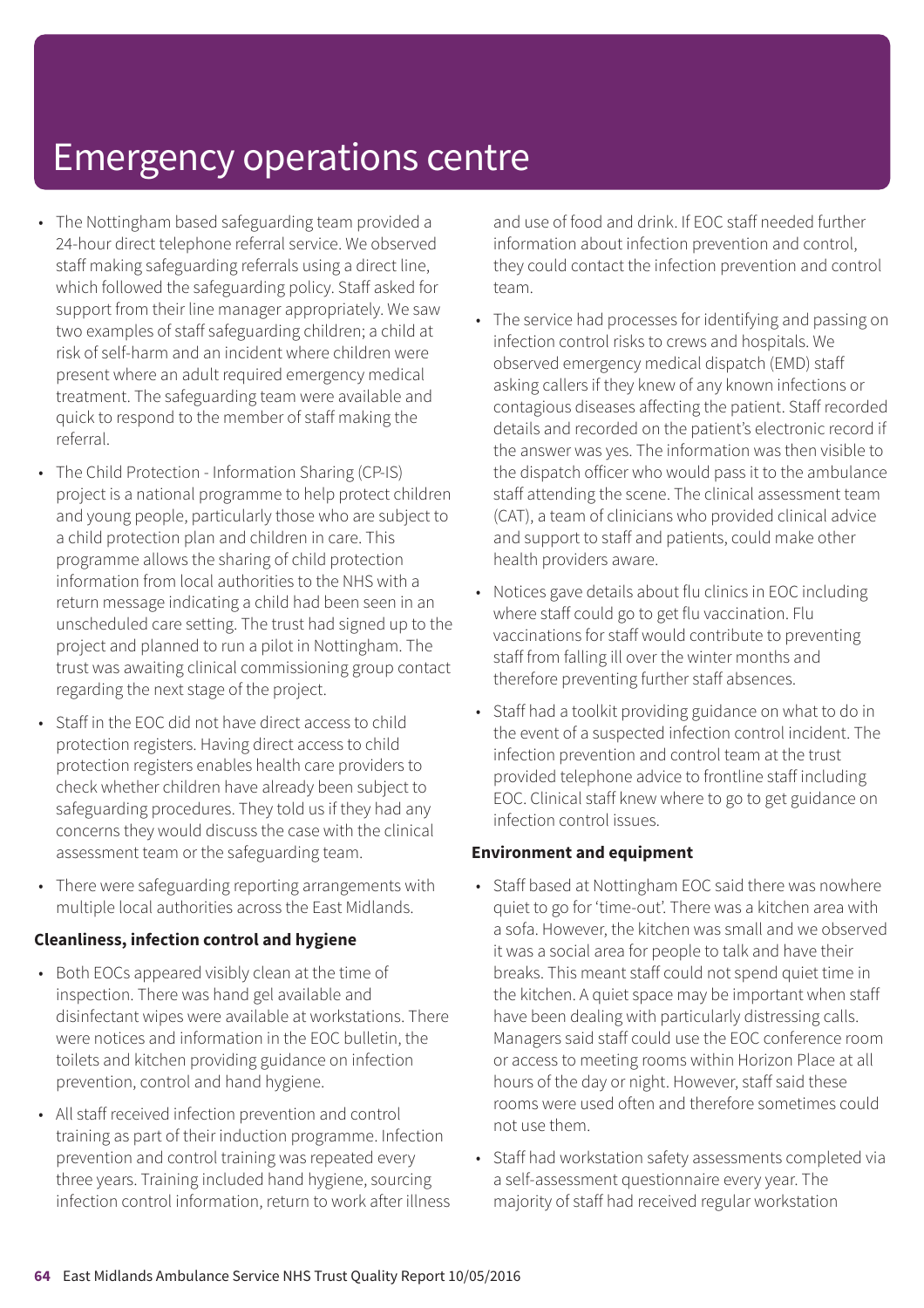- The Nottingham based safeguarding team provided a 24-hour direct telephone referral service. We observed staff making safeguarding referrals using a direct line, which followed the safeguarding policy. Staff asked for support from their line manager appropriately. We saw two examples of staff safeguarding children; a child at risk of self-harm and an incident where children were present where an adult required emergency medical treatment. The safeguarding team were available and quick to respond to the member of staff making the referral.
- The Child Protection Information Sharing (CP-IS) project is a national programme to help protect children and young people, particularly those who are subject to a child protection plan and children in care. This programme allows the sharing of child protection information from local authorities to the NHS with a return message indicating a child had been seen in an unscheduled care setting. The trust had signed up to the project and planned to run a pilot in Nottingham. The trust was awaiting clinical commissioning group contact regarding the next stage of the project.
- Staff in the EOC did not have direct access to child protection registers. Having direct access to child protection registers enables health care providers to check whether children have already been subject to safeguarding procedures. They told us if they had any concerns they would discuss the case with the clinical assessment team or the safeguarding team.
- There were safeguarding reporting arrangements with multiple local authorities across the East Midlands.

### **Cleanliness, infection control and hygiene**

- Both EOCs appeared visibly clean at the time of inspection. There was hand gel available and disinfectant wipes were available at workstations. There were notices and information in the EOC bulletin, the toilets and kitchen providing guidance on infection prevention, control and hand hygiene.
- All staff received infection prevention and control training as part of their induction programme. Infection prevention and control training was repeated every three years. Training included hand hygiene, sourcing infection control information, return to work after illness

and use of food and drink. If EOC staff needed further information about infection prevention and control, they could contact the infection prevention and control team.

- The service had processes for identifying and passing on infection control risks to crews and hospitals. We observed emergency medical dispatch (EMD) staff asking callers if they knew of any known infections or contagious diseases affecting the patient. Staff recorded details and recorded on the patient's electronic record if the answer was yes. The information was then visible to the dispatch officer who would pass it to the ambulance staff attending the scene. The clinical assessment team (CAT), a team of clinicians who provided clinical advice and support to staff and patients, could make other health providers aware.
- Notices gave details about flu clinics in EOC including where staff could go to get flu vaccination. Flu vaccinations for staff would contribute to preventing staff from falling ill over the winter months and therefore preventing further staff absences.
- Staff had a toolkit providing guidance on what to do in the event of a suspected infection control incident. The infection prevention and control team at the trust provided telephone advice to frontline staff including EOC. Clinical staff knew where to go to get guidance on infection control issues.

### **Environment and equipment**

- Staff based at Nottingham EOC said there was nowhere quiet to go for 'time-out'. There was a kitchen area with a sofa. However, the kitchen was small and we observed it was a social area for people to talk and have their breaks. This meant staff could not spend quiet time in the kitchen. A quiet space may be important when staff have been dealing with particularly distressing calls. Managers said staff could use the EOC conference room or access to meeting rooms within Horizon Place at all hours of the day or night. However, staff said these rooms were used often and therefore sometimes could not use them.
- Staff had workstation safety assessments completed via a self-assessment questionnaire every year. The majority of staff had received regular workstation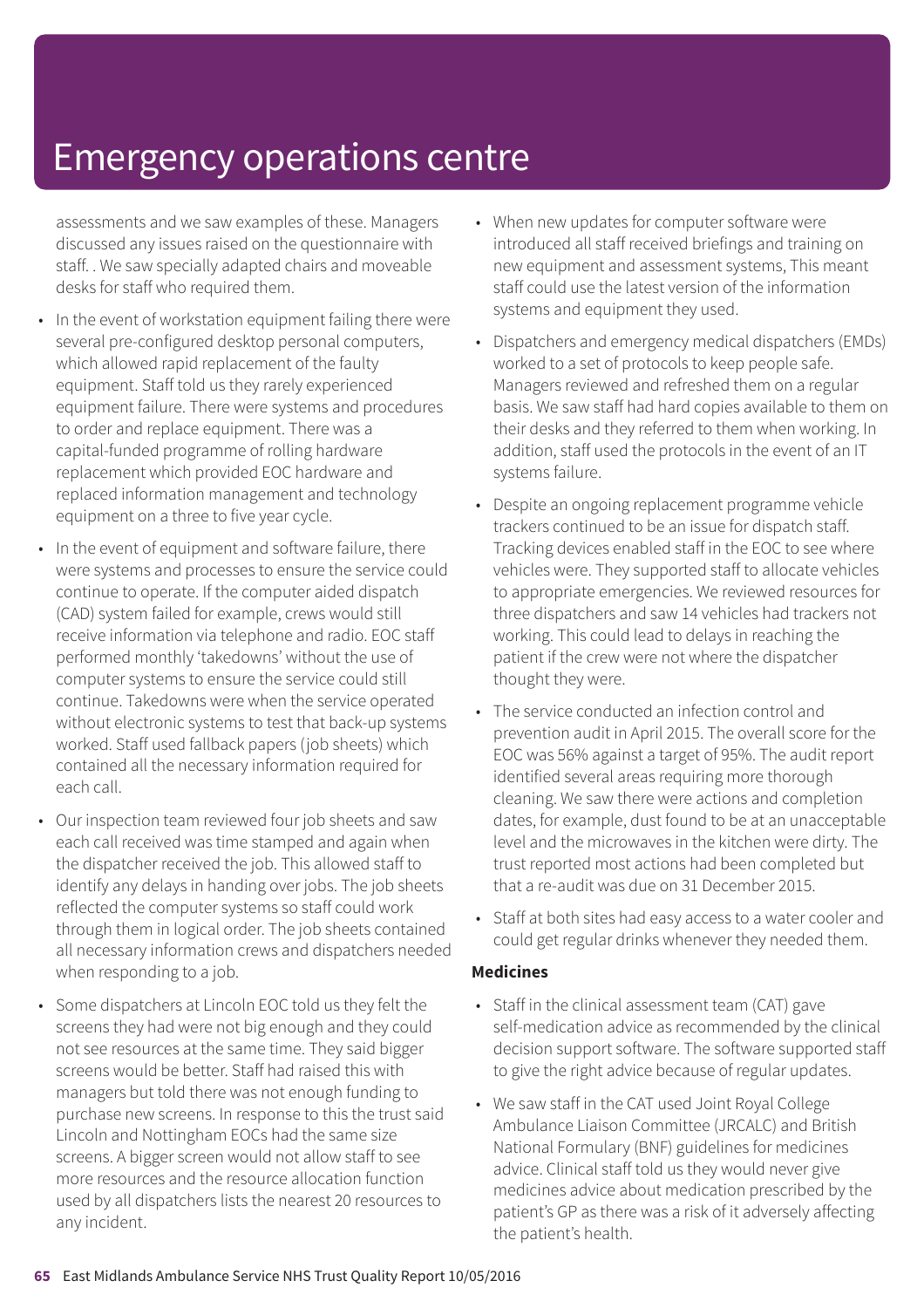assessments and we saw examples of these. Managers discussed any issues raised on the questionnaire with staff. . We saw specially adapted chairs and moveable desks for staff who required them.

- In the event of workstation equipment failing there were several pre-configured desktop personal computers, which allowed rapid replacement of the faulty equipment. Staff told us they rarely experienced equipment failure. There were systems and procedures to order and replace equipment. There was a capital-funded programme of rolling hardware replacement which provided EOC hardware and replaced information management and technology equipment on a three to five year cycle.
- In the event of equipment and software failure, there were systems and processes to ensure the service could continue to operate. If the computer aided dispatch (CAD) system failed for example, crews would still receive information via telephone and radio. EOC staff performed monthly 'takedowns' without the use of computer systems to ensure the service could still continue. Takedowns were when the service operated without electronic systems to test that back-up systems worked. Staff used fallback papers (job sheets) which contained all the necessary information required for each call.
- Our inspection team reviewed four job sheets and saw each call received was time stamped and again when the dispatcher received the job. This allowed staff to identify any delays in handing over jobs. The job sheets reflected the computer systems so staff could work through them in logical order. The job sheets contained all necessary information crews and dispatchers needed when responding to a job.
- Some dispatchers at Lincoln EOC told us they felt the screens they had were not big enough and they could not see resources at the same time. They said bigger screens would be better. Staff had raised this with managers but told there was not enough funding to purchase new screens. In response to this the trust said Lincoln and Nottingham EOCs had the same size screens. A bigger screen would not allow staff to see more resources and the resource allocation function used by all dispatchers lists the nearest 20 resources to any incident.
- When new updates for computer software were introduced all staff received briefings and training on new equipment and assessment systems, This meant staff could use the latest version of the information systems and equipment they used.
- Dispatchers and emergency medical dispatchers (EMDs) worked to a set of protocols to keep people safe. Managers reviewed and refreshed them on a regular basis. We saw staff had hard copies available to them on their desks and they referred to them when working. In addition, staff used the protocols in the event of an IT systems failure.
- Despite an ongoing replacement programme vehicle trackers continued to be an issue for dispatch staff. Tracking devices enabled staff in the EOC to see where vehicles were. They supported staff to allocate vehicles to appropriate emergencies. We reviewed resources for three dispatchers and saw 14 vehicles had trackers not working. This could lead to delays in reaching the patient if the crew were not where the dispatcher thought they were.
- The service conducted an infection control and prevention audit in April 2015. The overall score for the EOC was 56% against a target of 95%. The audit report identified several areas requiring more thorough cleaning. We saw there were actions and completion dates, for example, dust found to be at an unacceptable level and the microwaves in the kitchen were dirty. The trust reported most actions had been completed but that a re-audit was due on 31 December 2015.
- Staff at both sites had easy access to a water cooler and could get regular drinks whenever they needed them.

### **Medicines**

- Staff in the clinical assessment team (CAT) gave self-medication advice as recommended by the clinical decision support software. The software supported staff to give the right advice because of regular updates.
- We saw staff in the CAT used Joint Royal College Ambulance Liaison Committee (JRCALC) and British National Formulary (BNF) guidelines for medicines advice. Clinical staff told us they would never give medicines advice about medication prescribed by the patient's GP as there was a risk of it adversely affecting the patient's health.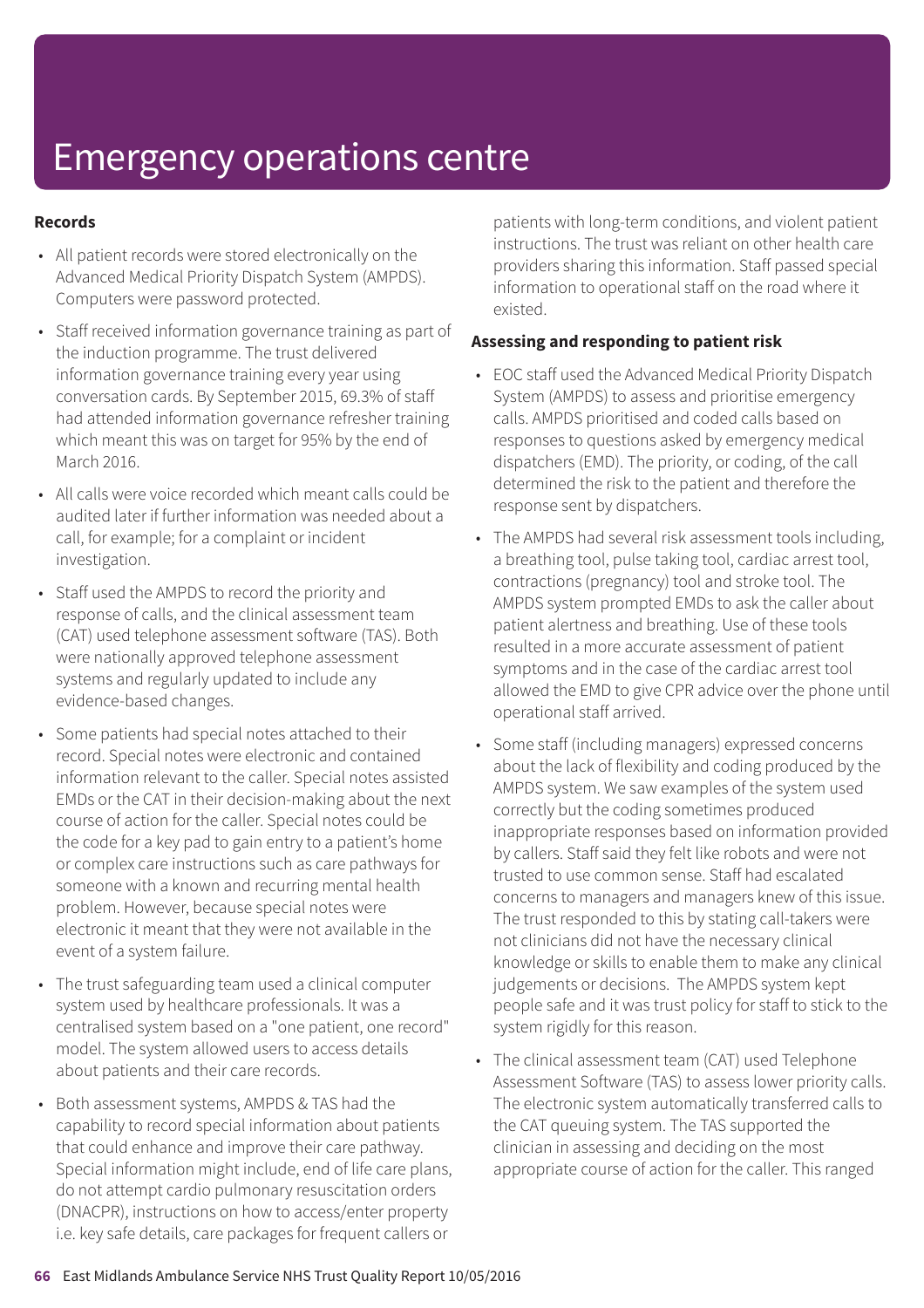### **Records**

- All patient records were stored electronically on the Advanced Medical Priority Dispatch System (AMPDS). Computers were password protected.
- Staff received information governance training as part of the induction programme. The trust delivered information governance training every year using conversation cards. By September 2015, 69.3% of staff had attended information governance refresher training which meant this was on target for 95% by the end of March 2016.
- All calls were voice recorded which meant calls could be audited later if further information was needed about a call, for example; for a complaint or incident investigation.
- Staff used the AMPDS to record the priority and response of calls, and the clinical assessment team (CAT) used telephone assessment software (TAS). Both were nationally approved telephone assessment systems and regularly updated to include any evidence-based changes.
- Some patients had special notes attached to their record. Special notes were electronic and contained information relevant to the caller. Special notes assisted EMDs or the CAT in their decision-making about the next course of action for the caller. Special notes could be the code for a key pad to gain entry to a patient's home or complex care instructions such as care pathways for someone with a known and recurring mental health problem. However, because special notes were electronic it meant that they were not available in the event of a system failure.
- The trust safeguarding team used a clinical computer system used by healthcare professionals. It was a centralised system based on a "one patient, one record" model. The system allowed users to access details about patients and their care records.
- Both assessment systems, AMPDS & TAS had the capability to record special information about patients that could enhance and improve their care pathway. Special information might include, end of life care plans, do not attempt cardio pulmonary resuscitation orders (DNACPR), instructions on how to access/enter property i.e. key safe details, care packages for frequent callers or

patients with long-term conditions, and violent patient instructions. The trust was reliant on other health care providers sharing this information. Staff passed special information to operational staff on the road where it existed.

### **Assessing and responding to patient risk**

- EOC staff used the Advanced Medical Priority Dispatch System (AMPDS) to assess and prioritise emergency calls. AMPDS prioritised and coded calls based on responses to questions asked by emergency medical dispatchers (EMD). The priority, or coding, of the call determined the risk to the patient and therefore the response sent by dispatchers.
- The AMPDS had several risk assessment tools including, a breathing tool, pulse taking tool, cardiac arrest tool, contractions (pregnancy) tool and stroke tool. The AMPDS system prompted EMDs to ask the caller about patient alertness and breathing. Use of these tools resulted in a more accurate assessment of patient symptoms and in the case of the cardiac arrest tool allowed the EMD to give CPR advice over the phone until operational staff arrived.
- Some staff (including managers) expressed concerns about the lack of flexibility and coding produced by the AMPDS system. We saw examples of the system used correctly but the coding sometimes produced inappropriate responses based on information provided by callers. Staff said they felt like robots and were not trusted to use common sense. Staff had escalated concerns to managers and managers knew of this issue. The trust responded to this by stating call-takers were not clinicians did not have the necessary clinical knowledge or skills to enable them to make any clinical judgements or decisions. The AMPDS system kept people safe and it was trust policy for staff to stick to the system rigidly for this reason.
- The clinical assessment team (CAT) used Telephone Assessment Software (TAS) to assess lower priority calls. The electronic system automatically transferred calls to the CAT queuing system. The TAS supported the clinician in assessing and deciding on the most appropriate course of action for the caller. This ranged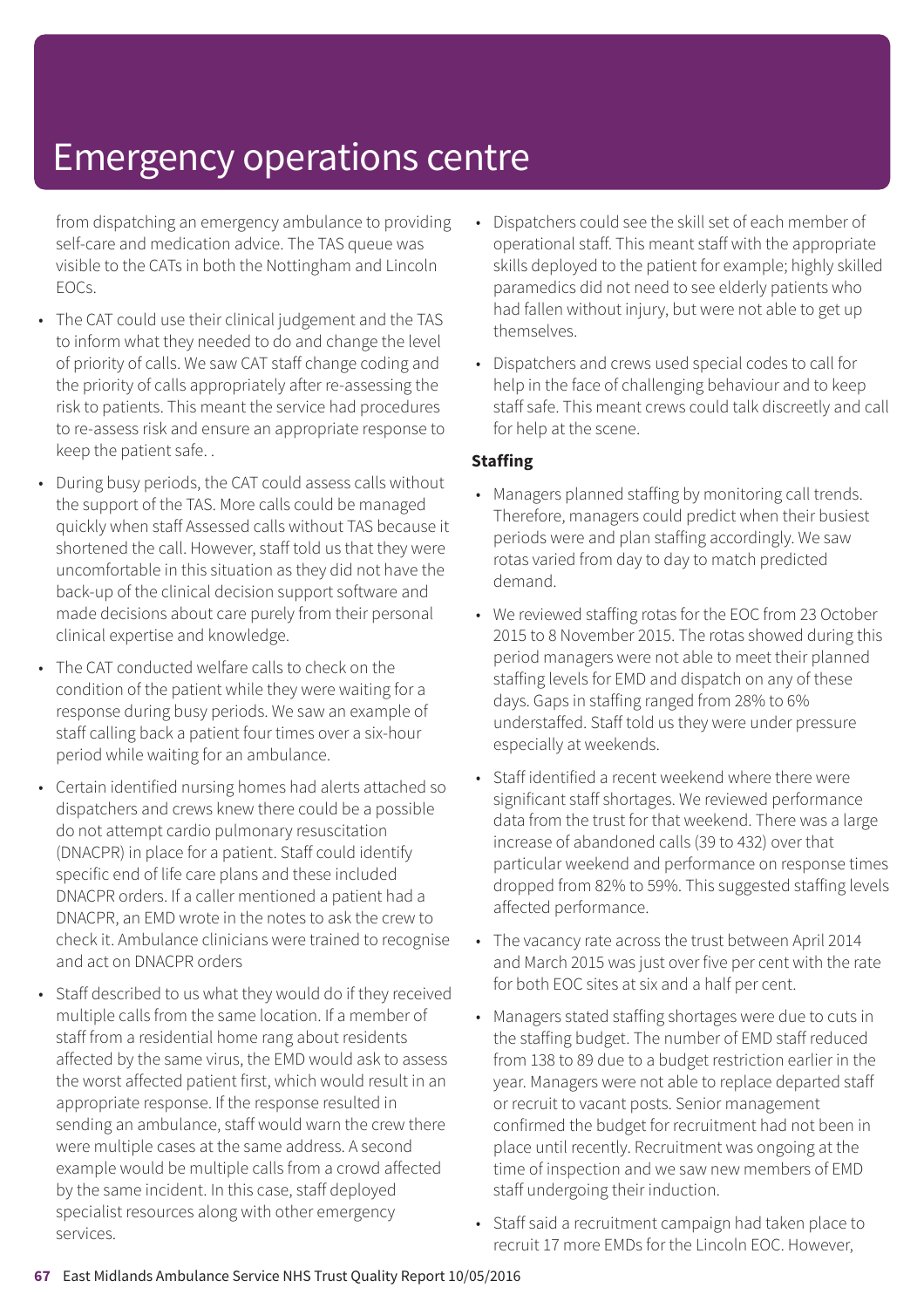from dispatching an emergency ambulance to providing self-care and medication advice. The TAS queue was visible to the CATs in both the Nottingham and Lincoln EOCs.

- The CAT could use their clinical judgement and the TAS to inform what they needed to do and change the level of priority of calls. We saw CAT staff change coding and the priority of calls appropriately after re-assessing the risk to patients. This meant the service had procedures to re-assess risk and ensure an appropriate response to keep the patient safe. .
- During busy periods, the CAT could assess calls without the support of the TAS. More calls could be managed quickly when staff Assessed calls without TAS because it shortened the call. However, staff told us that they were uncomfortable in this situation as they did not have the back-up of the clinical decision support software and made decisions about care purely from their personal clinical expertise and knowledge.
- The CAT conducted welfare calls to check on the condition of the patient while they were waiting for a response during busy periods. We saw an example of staff calling back a patient four times over a six-hour period while waiting for an ambulance.
- Certain identified nursing homes had alerts attached so dispatchers and crews knew there could be a possible do not attempt cardio pulmonary resuscitation (DNACPR) in place for a patient. Staff could identify specific end of life care plans and these included DNACPR orders. If a caller mentioned a patient had a DNACPR, an EMD wrote in the notes to ask the crew to check it. Ambulance clinicians were trained to recognise and act on DNACPR orders
- Staff described to us what they would do if they received multiple calls from the same location. If a member of staff from a residential home rang about residents affected by the same virus, the EMD would ask to assess the worst affected patient first, which would result in an appropriate response. If the response resulted in sending an ambulance, staff would warn the crew there were multiple cases at the same address. A second example would be multiple calls from a crowd affected by the same incident. In this case, staff deployed specialist resources along with other emergency services.
- Dispatchers could see the skill set of each member of operational staff. This meant staff with the appropriate skills deployed to the patient for example; highly skilled paramedics did not need to see elderly patients who had fallen without injury, but were not able to get up themselves.
- Dispatchers and crews used special codes to call for help in the face of challenging behaviour and to keep staff safe. This meant crews could talk discreetly and call for help at the scene.

### **Staffing**

- Managers planned staffing by monitoring call trends. Therefore, managers could predict when their busiest periods were and plan staffing accordingly. We saw rotas varied from day to day to match predicted demand.
- We reviewed staffing rotas for the EOC from 23 October 2015 to 8 November 2015. The rotas showed during this period managers were not able to meet their planned staffing levels for EMD and dispatch on any of these days. Gaps in staffing ranged from 28% to 6% understaffed. Staff told us they were under pressure especially at weekends.
- Staff identified a recent weekend where there were significant staff shortages. We reviewed performance data from the trust for that weekend. There was a large increase of abandoned calls (39 to 432) over that particular weekend and performance on response times dropped from 82% to 59%. This suggested staffing levels affected performance.
- The vacancy rate across the trust between April 2014 and March 2015 was just over five per cent with the rate for both EOC sites at six and a half per cent.
- Managers stated staffing shortages were due to cuts in the staffing budget. The number of EMD staff reduced from 138 to 89 due to a budget restriction earlier in the year. Managers were not able to replace departed staff or recruit to vacant posts. Senior management confirmed the budget for recruitment had not been in place until recently. Recruitment was ongoing at the time of inspection and we saw new members of EMD staff undergoing their induction.
- Staff said a recruitment campaign had taken place to recruit 17 more EMDs for the Lincoln EOC. However,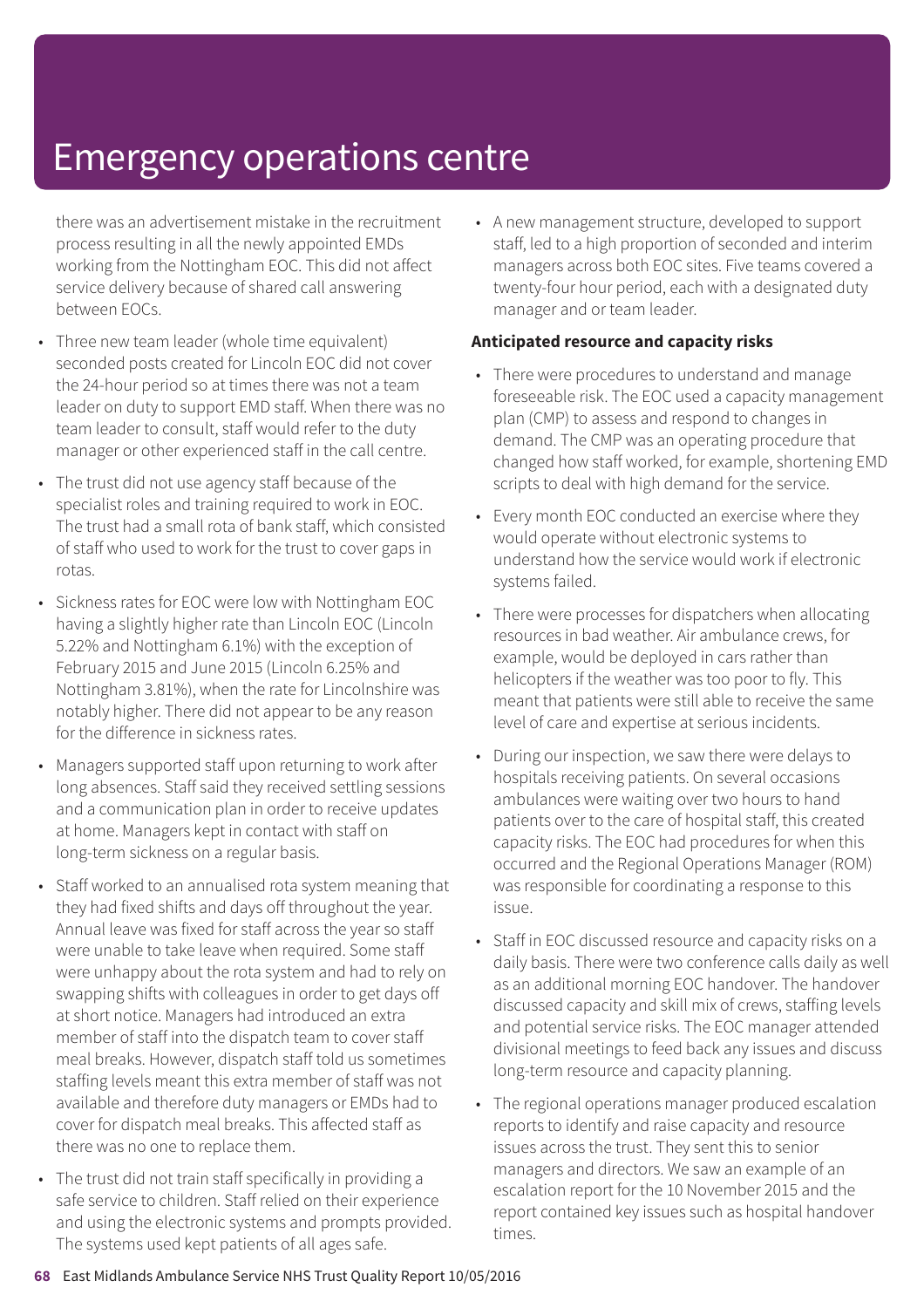there was an advertisement mistake in the recruitment process resulting in all the newly appointed EMDs working from the Nottingham EOC. This did not affect service delivery because of shared call answering between EOCs.

- Three new team leader (whole time equivalent) seconded posts created for Lincoln EOC did not cover the 24-hour period so at times there was not a team leader on duty to support EMD staff. When there was no team leader to consult, staff would refer to the duty manager or other experienced staff in the call centre.
- The trust did not use agency staff because of the specialist roles and training required to work in EOC. The trust had a small rota of bank staff, which consisted of staff who used to work for the trust to cover gaps in rotas.
- Sickness rates for EOC were low with Nottingham EOC having a slightly higher rate than Lincoln EOC (Lincoln 5.22% and Nottingham 6.1%) with the exception of February 2015 and June 2015 (Lincoln 6.25% and Nottingham 3.81%), when the rate for Lincolnshire was notably higher. There did not appear to be any reason for the difference in sickness rates.
- Managers supported staff upon returning to work after long absences. Staff said they received settling sessions and a communication plan in order to receive updates at home. Managers kept in contact with staff on long-term sickness on a regular basis.
- Staff worked to an annualised rota system meaning that they had fixed shifts and days off throughout the year. Annual leave was fixed for staff across the year so staff were unable to take leave when required. Some staff were unhappy about the rota system and had to rely on swapping shifts with colleagues in order to get days off at short notice. Managers had introduced an extra member of staff into the dispatch team to cover staff meal breaks. However, dispatch staff told us sometimes staffing levels meant this extra member of staff was not available and therefore duty managers or EMDs had to cover for dispatch meal breaks. This affected staff as there was no one to replace them.
- The trust did not train staff specifically in providing a safe service to children. Staff relied on their experience and using the electronic systems and prompts provided. The systems used kept patients of all ages safe.

• A new management structure, developed to support staff, led to a high proportion of seconded and interim managers across both EOC sites. Five teams covered a twenty-four hour period, each with a designated duty manager and or team leader.

### **Anticipated resource and capacity risks**

- There were procedures to understand and manage foreseeable risk. The EOC used a capacity management plan (CMP) to assess and respond to changes in demand. The CMP was an operating procedure that changed how staff worked, for example, shortening EMD scripts to deal with high demand for the service.
- Every month EOC conducted an exercise where they would operate without electronic systems to understand how the service would work if electronic systems failed.
- There were processes for dispatchers when allocating resources in bad weather. Air ambulance crews, for example, would be deployed in cars rather than helicopters if the weather was too poor to fly. This meant that patients were still able to receive the same level of care and expertise at serious incidents.
- During our inspection, we saw there were delays to hospitals receiving patients. On several occasions ambulances were waiting over two hours to hand patients over to the care of hospital staff, this created capacity risks. The EOC had procedures for when this occurred and the Regional Operations Manager (ROM) was responsible for coordinating a response to this issue.
- Staff in EOC discussed resource and capacity risks on a daily basis. There were two conference calls daily as well as an additional morning EOC handover. The handover discussed capacity and skill mix of crews, staffing levels and potential service risks. The EOC manager attended divisional meetings to feed back any issues and discuss long-term resource and capacity planning.
- The regional operations manager produced escalation reports to identify and raise capacity and resource issues across the trust. They sent this to senior managers and directors. We saw an example of an escalation report for the 10 November 2015 and the report contained key issues such as hospital handover times.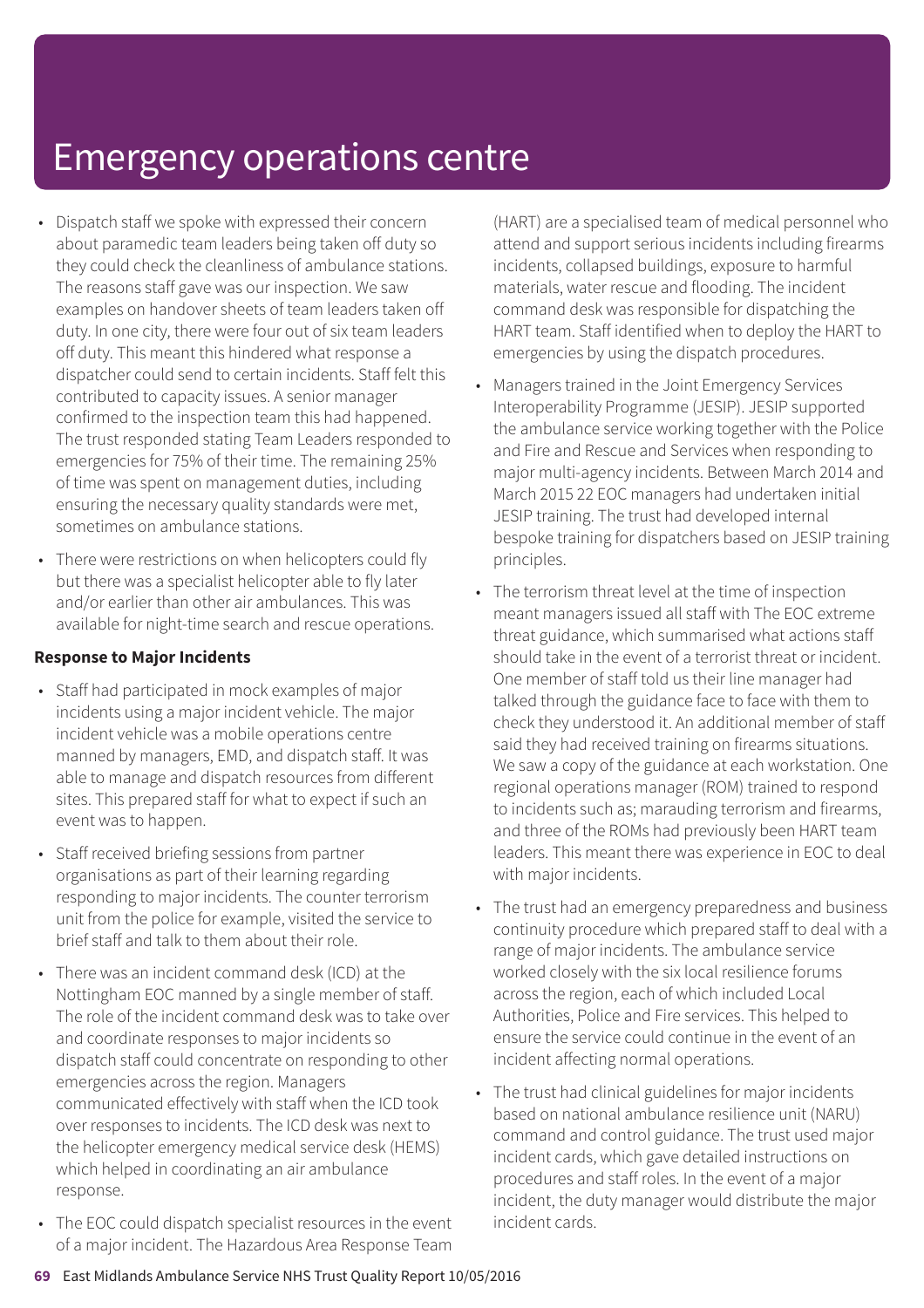- Dispatch staff we spoke with expressed their concern about paramedic team leaders being taken off duty so they could check the cleanliness of ambulance stations. The reasons staff gave was our inspection. We saw examples on handover sheets of team leaders taken off duty. In one city, there were four out of six team leaders off duty. This meant this hindered what response a dispatcher could send to certain incidents. Staff felt this contributed to capacity issues. A senior manager confirmed to the inspection team this had happened. The trust responded stating Team Leaders responded to emergencies for 75% of their time. The remaining 25% of time was spent on management duties, including ensuring the necessary quality standards were met, sometimes on ambulance stations.
- There were restrictions on when helicopters could fly but there was a specialist helicopter able to fly later and/or earlier than other air ambulances. This was available for night-time search and rescue operations.

### **Response to Major Incidents**

- Staff had participated in mock examples of major incidents using a major incident vehicle. The major incident vehicle was a mobile operations centre manned by managers, EMD, and dispatch staff. It was able to manage and dispatch resources from different sites. This prepared staff for what to expect if such an event was to happen.
- Staff received briefing sessions from partner organisations as part of their learning regarding responding to major incidents. The counter terrorism unit from the police for example, visited the service to brief staff and talk to them about their role.
- There was an incident command desk (ICD) at the Nottingham EOC manned by a single member of staff. The role of the incident command desk was to take over and coordinate responses to major incidents so dispatch staff could concentrate on responding to other emergencies across the region. Managers communicated effectively with staff when the ICD took over responses to incidents. The ICD desk was next to the helicopter emergency medical service desk (HEMS) which helped in coordinating an air ambulance response.
- The EOC could dispatch specialist resources in the event of a major incident. The Hazardous Area Response Team

(HART) are a specialised team of medical personnel who attend and support serious incidents including firearms incidents, collapsed buildings, exposure to harmful materials, water rescue and flooding. The incident command desk was responsible for dispatching the HART team. Staff identified when to deploy the HART to emergencies by using the dispatch procedures.

- Managers trained in the Joint Emergency Services Interoperability Programme (JESIP). JESIP supported the ambulance service working together with the Police and Fire and Rescue and Services when responding to major multi-agency incidents. Between March 2014 and March 2015 22 EOC managers had undertaken initial JESIP training. The trust had developed internal bespoke training for dispatchers based on JESIP training principles.
- The terrorism threat level at the time of inspection meant managers issued all staff with The EOC extreme threat guidance, which summarised what actions staff should take in the event of a terrorist threat or incident. One member of staff told us their line manager had talked through the guidance face to face with them to check they understood it. An additional member of staff said they had received training on firearms situations. We saw a copy of the guidance at each workstation. One regional operations manager (ROM) trained to respond to incidents such as; marauding terrorism and firearms, and three of the ROMs had previously been HART team leaders. This meant there was experience in EOC to deal with major incidents.
- The trust had an emergency preparedness and business continuity procedure which prepared staff to deal with a range of major incidents. The ambulance service worked closely with the six local resilience forums across the region, each of which included Local Authorities, Police and Fire services. This helped to ensure the service could continue in the event of an incident affecting normal operations.
- The trust had clinical guidelines for major incidents based on national ambulance resilience unit (NARU) command and control guidance. The trust used major incident cards, which gave detailed instructions on procedures and staff roles. In the event of a major incident, the duty manager would distribute the major incident cards.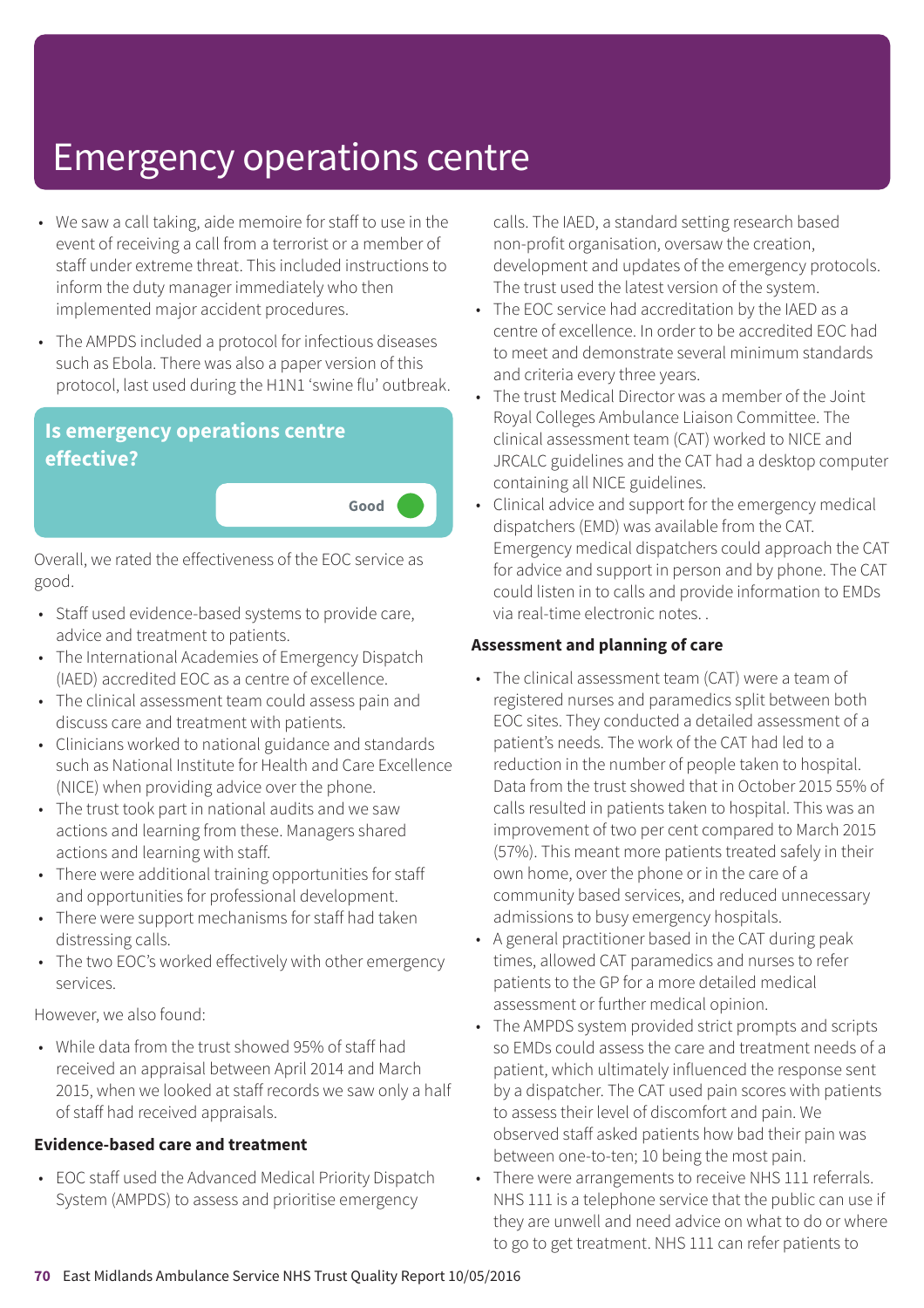**Good –––**

- We saw a call taking, aide memoire for staff to use in the event of receiving a call from a terrorist or a member of staff under extreme threat. This included instructions to inform the duty manager immediately who then implemented major accident procedures.
- The AMPDS included a protocol for infectious diseases such as Ebola. There was also a paper version of this protocol, last used during the H1N1 'swine flu' outbreak.

## **Is emergency operations centre effective?**

Overall, we rated the effectiveness of the EOC service as good.

- Staff used evidence-based systems to provide care, advice and treatment to patients.
- The International Academies of Emergency Dispatch (IAED) accredited EOC as a centre of excellence.
- The clinical assessment team could assess pain and discuss care and treatment with patients.
- Clinicians worked to national guidance and standards such as National Institute for Health and Care Excellence (NICE) when providing advice over the phone.
- The trust took part in national audits and we saw actions and learning from these. Managers shared actions and learning with staff.
- There were additional training opportunities for staff and opportunities for professional development.
- There were support mechanisms for staff had taken distressing calls.
- The two EOC's worked effectively with other emergency services.

However, we also found:

• While data from the trust showed 95% of staff had received an appraisal between April 2014 and March 2015, when we looked at staff records we saw only a half of staff had received appraisals.

## **Evidence-based care and treatment**

• EOC staff used the Advanced Medical Priority Dispatch System (AMPDS) to assess and prioritise emergency

calls. The IAED, a standard setting research based non-profit organisation, oversaw the creation, development and updates of the emergency protocols. The trust used the latest version of the system.

- The EOC service had accreditation by the IAED as a centre of excellence. In order to be accredited EOC had to meet and demonstrate several minimum standards and criteria every three years.
- The trust Medical Director was a member of the Joint Royal Colleges Ambulance Liaison Committee. The clinical assessment team (CAT) worked to NICE and JRCALC guidelines and the CAT had a desktop computer containing all NICE guidelines.
- Clinical advice and support for the emergency medical dispatchers (EMD) was available from the CAT. Emergency medical dispatchers could approach the CAT for advice and support in person and by phone. The CAT could listen in to calls and provide information to EMDs via real-time electronic notes. .

### **Assessment and planning of care**

- The clinical assessment team (CAT) were a team of registered nurses and paramedics split between both EOC sites. They conducted a detailed assessment of a patient's needs. The work of the CAT had led to a reduction in the number of people taken to hospital. Data from the trust showed that in October 2015 55% of calls resulted in patients taken to hospital. This was an improvement of two per cent compared to March 2015 (57%). This meant more patients treated safely in their own home, over the phone or in the care of a community based services, and reduced unnecessary admissions to busy emergency hospitals.
- A general practitioner based in the CAT during peak times, allowed CAT paramedics and nurses to refer patients to the GP for a more detailed medical assessment or further medical opinion.
- The AMPDS system provided strict prompts and scripts so EMDs could assess the care and treatment needs of a patient, which ultimately influenced the response sent by a dispatcher. The CAT used pain scores with patients to assess their level of discomfort and pain. We observed staff asked patients how bad their pain was between one-to-ten; 10 being the most pain.
- There were arrangements to receive NHS 111 referrals. NHS 111 is a telephone service that the public can use if they are unwell and need advice on what to do or where to go to get treatment. NHS 111 can refer patients to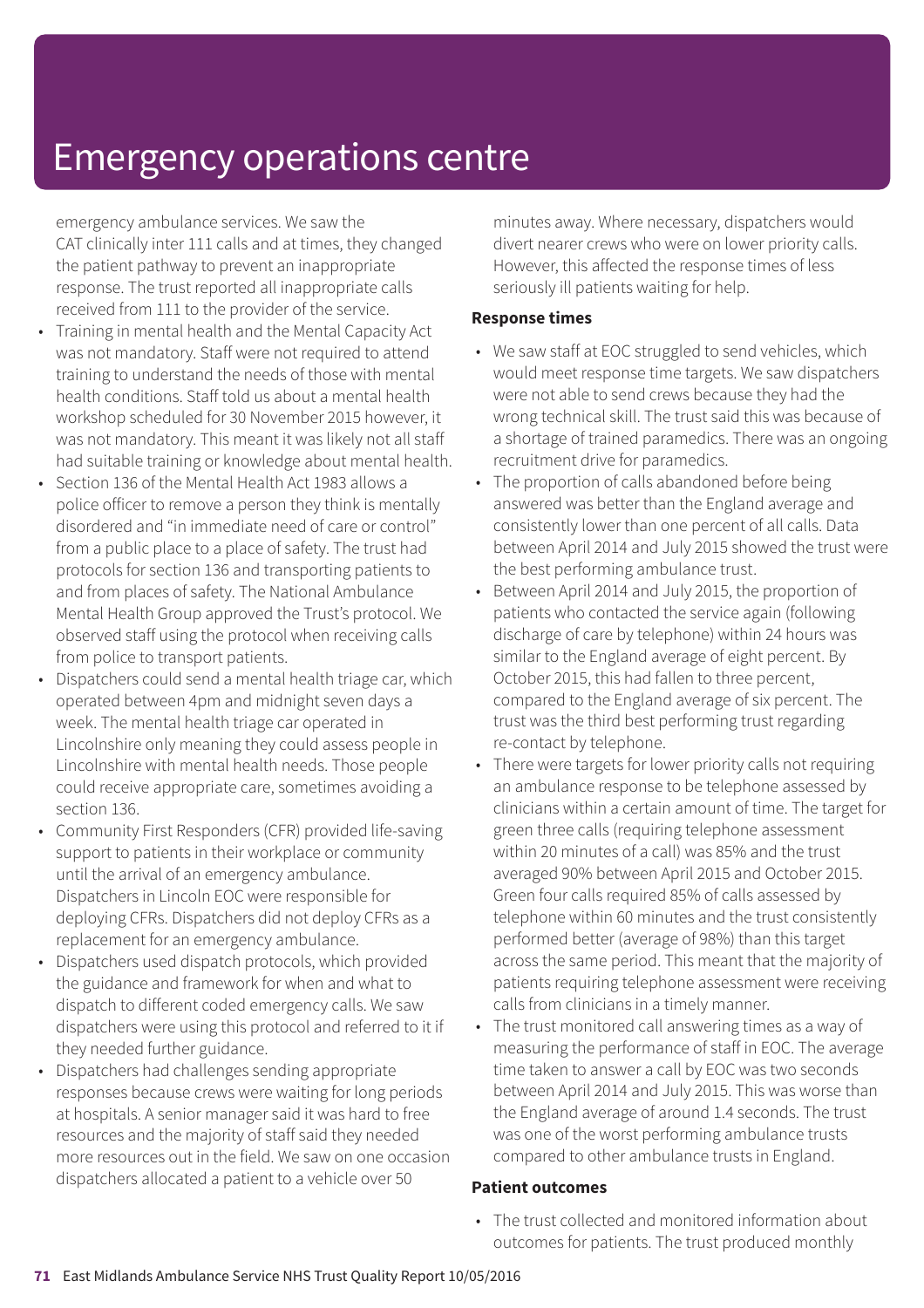emergency ambulance services. We saw the CAT clinically inter 111 calls and at times, they changed the patient pathway to prevent an inappropriate response. The trust reported all inappropriate calls received from 111 to the provider of the service.

- Training in mental health and the Mental Capacity Act was not mandatory. Staff were not required to attend training to understand the needs of those with mental health conditions. Staff told us about a mental health workshop scheduled for 30 November 2015 however, it was not mandatory. This meant it was likely not all staff had suitable training or knowledge about mental health.
- Section 136 of the Mental Health Act 1983 allows a police officer to remove a person they think is mentally disordered and "in immediate need of care or control" from a public place to a place of safety. The trust had protocols for section 136 and transporting patients to and from places of safety. The National Ambulance Mental Health Group approved the Trust's protocol. We observed staff using the protocol when receiving calls from police to transport patients.
- Dispatchers could send a mental health triage car, which operated between 4pm and midnight seven days a week. The mental health triage car operated in Lincolnshire only meaning they could assess people in Lincolnshire with mental health needs. Those people could receive appropriate care, sometimes avoiding a section 136.
- Community First Responders (CFR) provided life-saving support to patients in their workplace or community until the arrival of an emergency ambulance. Dispatchers in Lincoln EOC were responsible for deploying CFRs. Dispatchers did not deploy CFRs as a replacement for an emergency ambulance.
- Dispatchers used dispatch protocols, which provided the guidance and framework for when and what to dispatch to different coded emergency calls. We saw dispatchers were using this protocol and referred to it if they needed further guidance.
- Dispatchers had challenges sending appropriate responses because crews were waiting for long periods at hospitals. A senior manager said it was hard to free resources and the majority of staff said they needed more resources out in the field. We saw on one occasion dispatchers allocated a patient to a vehicle over 50

minutes away. Where necessary, dispatchers would divert nearer crews who were on lower priority calls. However, this affected the response times of less seriously ill patients waiting for help.

### **Response times**

- We saw staff at EOC struggled to send vehicles, which would meet response time targets. We saw dispatchers were not able to send crews because they had the wrong technical skill. The trust said this was because of a shortage of trained paramedics. There was an ongoing recruitment drive for paramedics.
- The proportion of calls abandoned before being answered was better than the England average and consistently lower than one percent of all calls. Data between April 2014 and July 2015 showed the trust were the best performing ambulance trust.
- Between April 2014 and July 2015, the proportion of patients who contacted the service again (following discharge of care by telephone) within 24 hours was similar to the England average of eight percent. By October 2015, this had fallen to three percent, compared to the England average of six percent. The trust was the third best performing trust regarding re-contact by telephone.
- There were targets for lower priority calls not requiring an ambulance response to be telephone assessed by clinicians within a certain amount of time. The target for green three calls (requiring telephone assessment within 20 minutes of a call) was 85% and the trust averaged 90% between April 2015 and October 2015. Green four calls required 85% of calls assessed by telephone within 60 minutes and the trust consistently performed better (average of 98%) than this target across the same period. This meant that the majority of patients requiring telephone assessment were receiving calls from clinicians in a timely manner.
- The trust monitored call answering times as a way of measuring the performance of staff in EOC. The average time taken to answer a call by EOC was two seconds between April 2014 and July 2015. This was worse than the England average of around 1.4 seconds. The trust was one of the worst performing ambulance trusts compared to other ambulance trusts in England.

### **Patient outcomes**

• The trust collected and monitored information about outcomes for patients. The trust produced monthly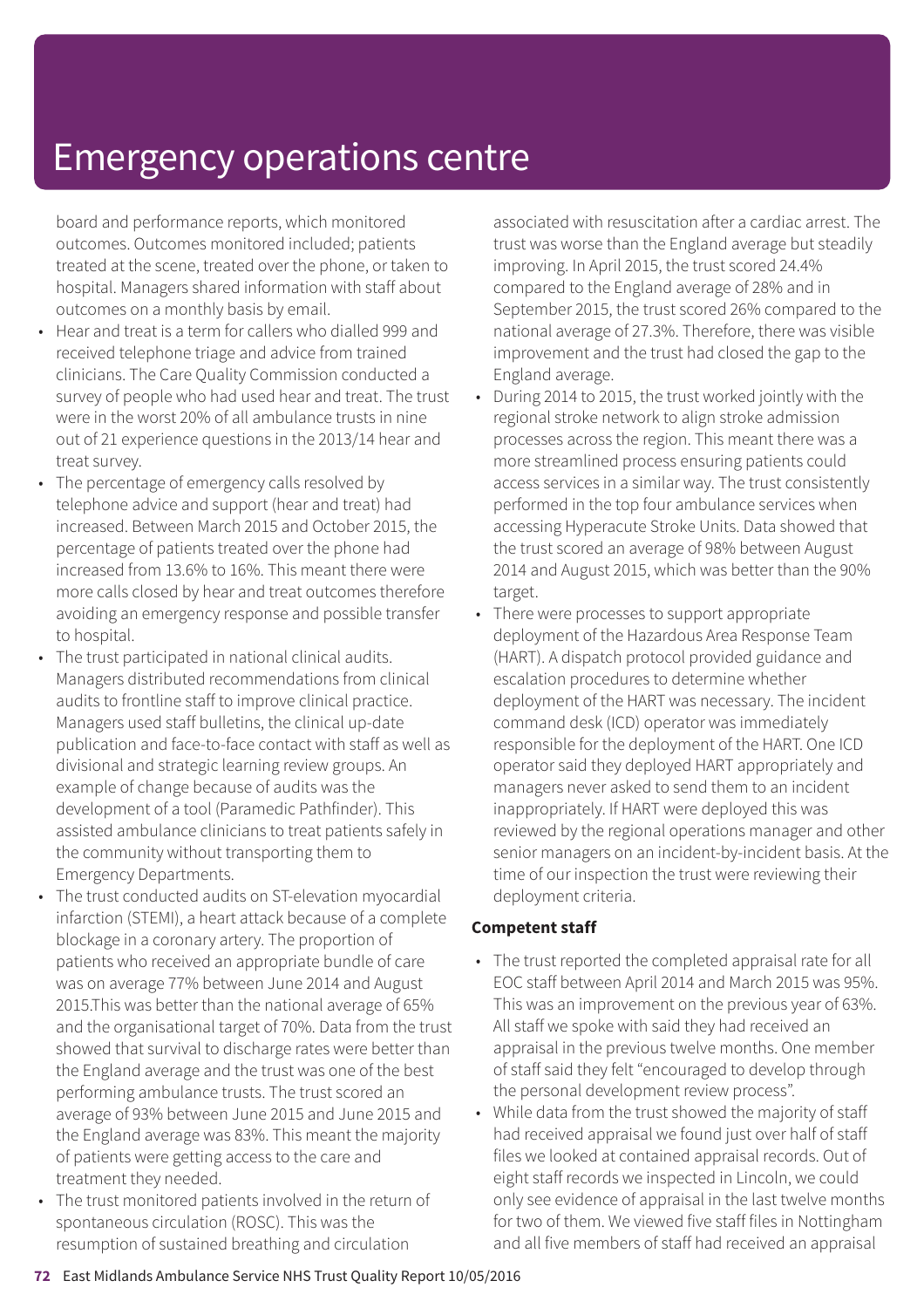board and performance reports, which monitored outcomes. Outcomes monitored included; patients treated at the scene, treated over the phone, or taken to hospital. Managers shared information with staff about outcomes on a monthly basis by email.

- Hear and treat is a term for callers who dialled 999 and received telephone triage and advice from trained clinicians. The Care Quality Commission conducted a survey of people who had used hear and treat. The trust were in the worst 20% of all ambulance trusts in nine out of 21 experience questions in the 2013/14 hear and treat survey.
- The percentage of emergency calls resolved by telephone advice and support (hear and treat) had increased. Between March 2015 and October 2015, the percentage of patients treated over the phone had increased from 13.6% to 16%. This meant there were more calls closed by hear and treat outcomes therefore avoiding an emergency response and possible transfer to hospital.
- The trust participated in national clinical audits. Managers distributed recommendations from clinical audits to frontline staff to improve clinical practice. Managers used staff bulletins, the clinical up-date publication and face-to-face contact with staff as well as divisional and strategic learning review groups. An example of change because of audits was the development of a tool (Paramedic Pathfinder). This assisted ambulance clinicians to treat patients safely in the community without transporting them to Emergency Departments.
	- The trust conducted audits on ST-elevation myocardial infarction (STEMI), a heart attack because of a complete blockage in a coronary artery. The proportion of patients who received an appropriate bundle of care was on average 77% between June 2014 and August 2015.This was better than the national average of 65% and the organisational target of 70%. Data from the trust showed that survival to discharge rates were better than the England average and the trust was one of the best performing ambulance trusts. The trust scored an average of 93% between June 2015 and June 2015 and the England average was 83%. This meant the majority of patients were getting access to the care and treatment they needed.
- The trust monitored patients involved in the return of spontaneous circulation (ROSC). This was the resumption of sustained breathing and circulation

associated with resuscitation after a cardiac arrest. The trust was worse than the England average but steadily improving. In April 2015, the trust scored 24.4% compared to the England average of 28% and in September 2015, the trust scored 26% compared to the national average of 27.3%. Therefore, there was visible improvement and the trust had closed the gap to the England average.

- During 2014 to 2015, the trust worked jointly with the regional stroke network to align stroke admission processes across the region. This meant there was a more streamlined process ensuring patients could access services in a similar way. The trust consistently performed in the top four ambulance services when accessing Hyperacute Stroke Units. Data showed that the trust scored an average of 98% between August 2014 and August 2015, which was better than the 90% target.
- There were processes to support appropriate deployment of the Hazardous Area Response Team (HART). A dispatch protocol provided guidance and escalation procedures to determine whether deployment of the HART was necessary. The incident command desk (ICD) operator was immediately responsible for the deployment of the HART. One ICD operator said they deployed HART appropriately and managers never asked to send them to an incident inappropriately. If HART were deployed this was reviewed by the regional operations manager and other senior managers on an incident-by-incident basis. At the time of our inspection the trust were reviewing their deployment criteria.

### **Competent staff**

- The trust reported the completed appraisal rate for all EOC staff between April 2014 and March 2015 was 95%. This was an improvement on the previous year of 63%. All staff we spoke with said they had received an appraisal in the previous twelve months. One member of staff said they felt "encouraged to develop through the personal development review process".
- While data from the trust showed the majority of staff had received appraisal we found just over half of staff files we looked at contained appraisal records. Out of eight staff records we inspected in Lincoln, we could only see evidence of appraisal in the last twelve months for two of them. We viewed five staff files in Nottingham and all five members of staff had received an appraisal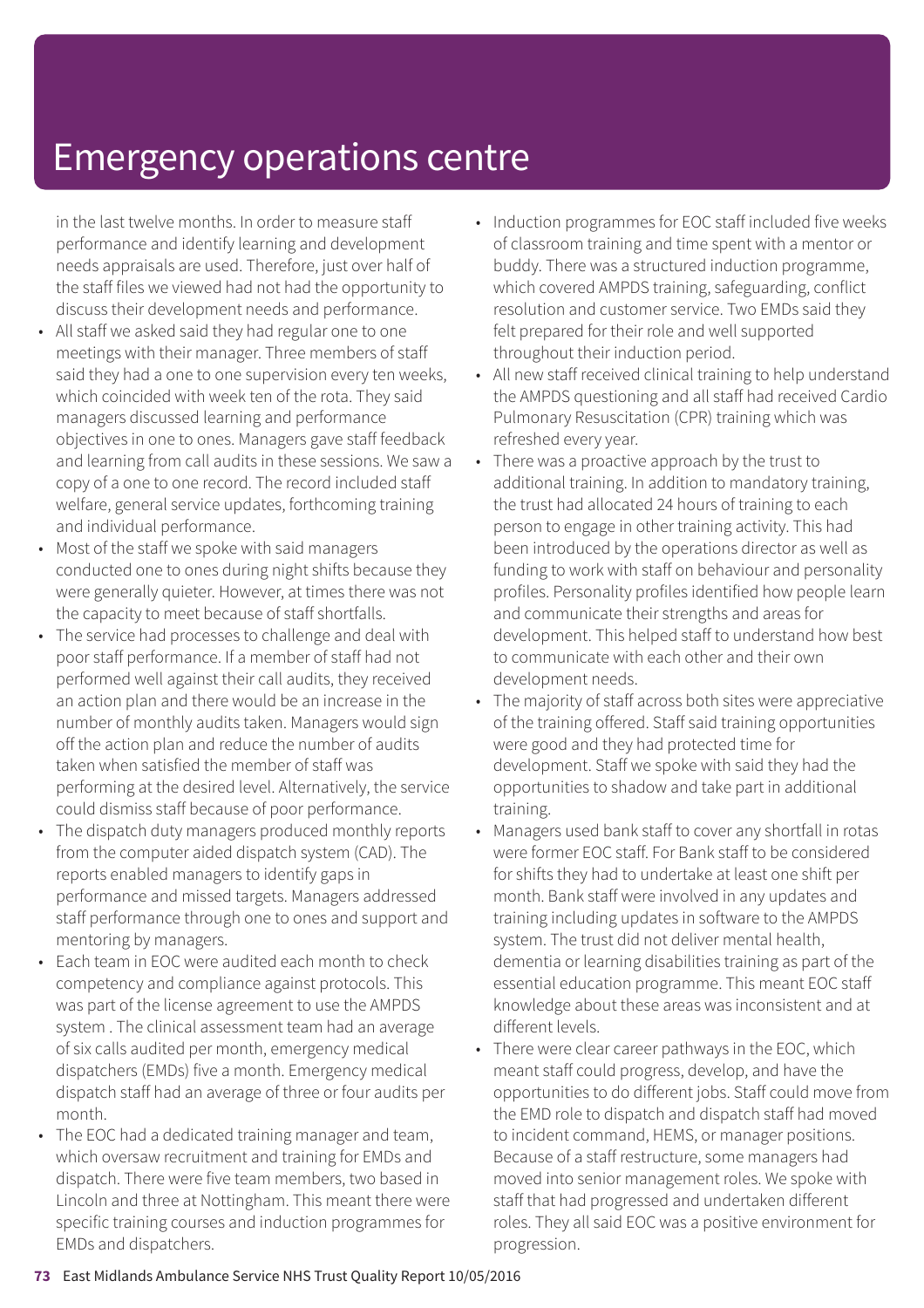in the last twelve months. In order to measure staff performance and identify learning and development needs appraisals are used. Therefore, just over half of the staff files we viewed had not had the opportunity to discuss their development needs and performance.

- All staff we asked said they had regular one to one meetings with their manager. Three members of staff said they had a one to one supervision every ten weeks, which coincided with week ten of the rota. They said managers discussed learning and performance objectives in one to ones. Managers gave staff feedback and learning from call audits in these sessions. We saw a copy of a one to one record. The record included staff welfare, general service updates, forthcoming training and individual performance.
- Most of the staff we spoke with said managers conducted one to ones during night shifts because they were generally quieter. However, at times there was not the capacity to meet because of staff shortfalls.
- The service had processes to challenge and deal with poor staff performance. If a member of staff had not performed well against their call audits, they received an action plan and there would be an increase in the number of monthly audits taken. Managers would sign off the action plan and reduce the number of audits taken when satisfied the member of staff was performing at the desired level. Alternatively, the service could dismiss staff because of poor performance.
- The dispatch duty managers produced monthly reports from the computer aided dispatch system (CAD). The reports enabled managers to identify gaps in performance and missed targets. Managers addressed staff performance through one to ones and support and mentoring by managers.
- Each team in EOC were audited each month to check competency and compliance against protocols. This was part of the license agreement to use the AMPDS system . The clinical assessment team had an average of six calls audited per month, emergency medical dispatchers (EMDs) five a month. Emergency medical dispatch staff had an average of three or four audits per month.
- The EOC had a dedicated training manager and team, which oversaw recruitment and training for EMDs and dispatch. There were five team members, two based in Lincoln and three at Nottingham. This meant there were specific training courses and induction programmes for EMDs and dispatchers.
- Induction programmes for EOC staff included five weeks of classroom training and time spent with a mentor or buddy. There was a structured induction programme, which covered AMPDS training, safeguarding, conflict resolution and customer service. Two EMDs said they felt prepared for their role and well supported throughout their induction period.
- All new staff received clinical training to help understand the AMPDS questioning and all staff had received Cardio Pulmonary Resuscitation (CPR) training which was refreshed every year.
- There was a proactive approach by the trust to additional training. In addition to mandatory training, the trust had allocated 24 hours of training to each person to engage in other training activity. This had been introduced by the operations director as well as funding to work with staff on behaviour and personality profiles. Personality profiles identified how people learn and communicate their strengths and areas for development. This helped staff to understand how best to communicate with each other and their own development needs.
- The majority of staff across both sites were appreciative of the training offered. Staff said training opportunities were good and they had protected time for development. Staff we spoke with said they had the opportunities to shadow and take part in additional training.
- Managers used bank staff to cover any shortfall in rotas were former EOC staff. For Bank staff to be considered for shifts they had to undertake at least one shift per month. Bank staff were involved in any updates and training including updates in software to the AMPDS system. The trust did not deliver mental health, dementia or learning disabilities training as part of the essential education programme. This meant EOC staff knowledge about these areas was inconsistent and at different levels.
- There were clear career pathways in the EOC, which meant staff could progress, develop, and have the opportunities to do different jobs. Staff could move from the EMD role to dispatch and dispatch staff had moved to incident command, HEMS, or manager positions. Because of a staff restructure, some managers had moved into senior management roles. We spoke with staff that had progressed and undertaken different roles. They all said EOC was a positive environment for progression.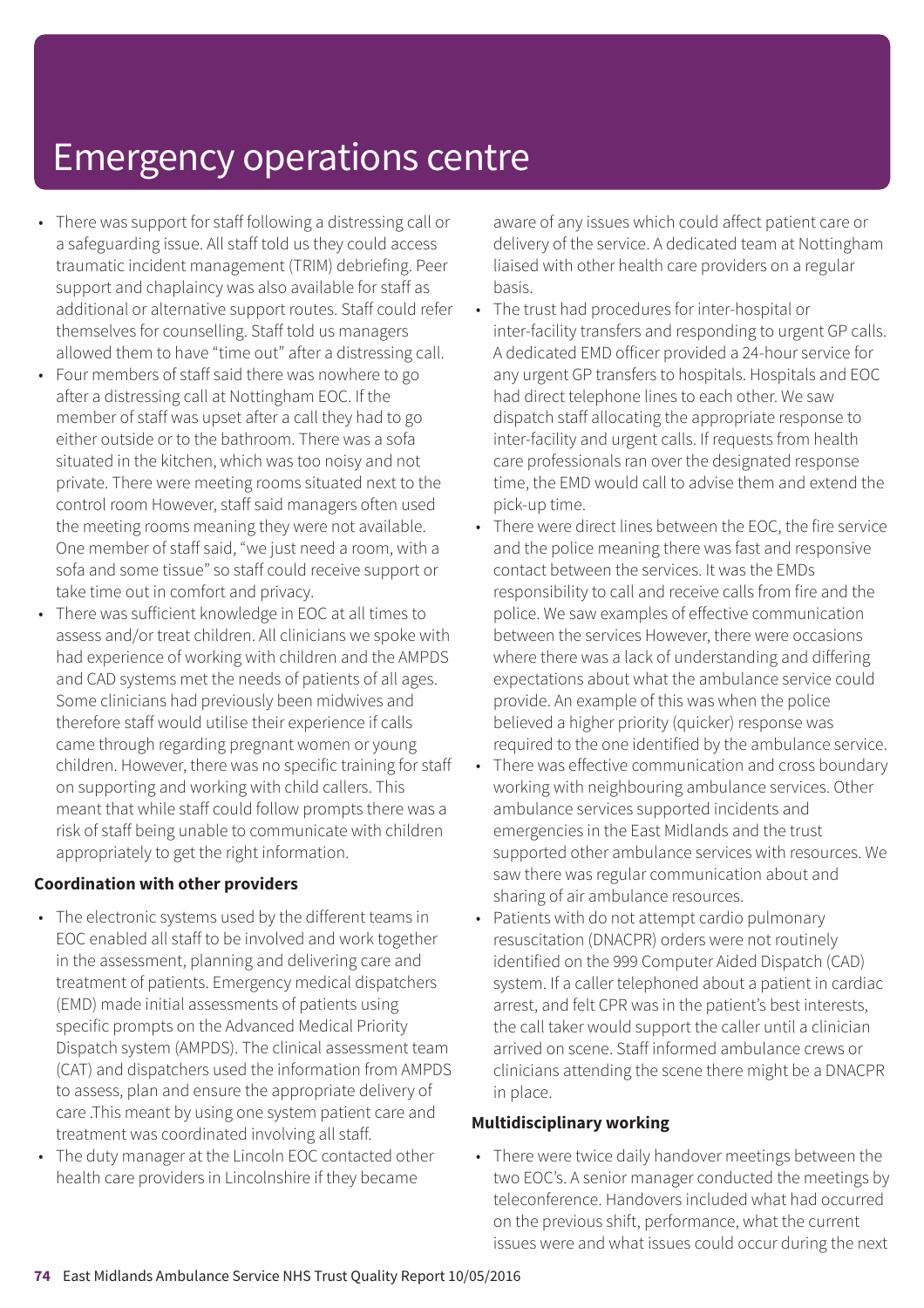- There was support for staff following a distressing call or a safeguarding issue. All staff told us they could access traumatic incident management (TRIM) debriefing. Peer support and chaplaincy was also available for staff as additional or alternative support routes. Staff could refer themselves for counselling. Staff told us managers allowed them to have "time out" after a distressing call.
- Four members of staff said there was nowhere to go after a distressing call at Nottingham EOC. If the member of staff was upset after a call they had to go either outside or to the bathroom. There was a sofa situated in the kitchen, which was too noisy and not private. There were meeting rooms situated next to the control room However, staff said managers often used the meeting rooms meaning they were not available. One member of staff said, "we just need a room, with a sofa and some tissue" so staff could receive support or take time out in comfort and privacy.
- There was sufficient knowledge in EOC at all times to assess and/or treat children. All clinicians we spoke with had experience of working with children and the AMPDS and CAD systems met the needs of patients of all ages. Some clinicians had previously been midwives and therefore staff would utilise their experience if calls came through regarding pregnant women or young children. However, there was no specific training for staff on supporting and working with child callers. This meant that while staff could follow prompts there was a risk of staff being unable to communicate with children appropriately to get the right information.

### **Coordination with other providers**

- The electronic systems used by the different teams in EOC enabled all staff to be involved and work together in the assessment, planning and delivering care and treatment of patients. Emergency medical dispatchers (EMD) made initial assessments of patients using specific prompts on the Advanced Medical Priority Dispatch system (AMPDS). The clinical assessment team (CAT) and dispatchers used the information from AMPDS to assess, plan and ensure the appropriate delivery of care .This meant by using one system patient care and treatment was coordinated involving all staff.
- The duty manager at the Lincoln EOC contacted other health care providers in Lincolnshire if they became

aware of any issues which could affect patient care or delivery of the service. A dedicated team at Nottingham liaised with other health care providers on a regular basis.

- The trust had procedures for inter-hospital or inter-facility transfers and responding to urgent GP calls. A dedicated EMD officer provided a 24-hour service for any urgent GP transfers to hospitals. Hospitals and EOC had direct telephone lines to each other. We saw dispatch staff allocating the appropriate response to inter-facility and urgent calls. If requests from health care professionals ran over the designated response time, the EMD would call to advise them and extend the pick-up time.
- There were direct lines between the EOC, the fire service and the police meaning there was fast and responsive contact between the services. It was the EMDs responsibility to call and receive calls from fire and the police. We saw examples of effective communication between the services However, there were occasions where there was a lack of understanding and differing expectations about what the ambulance service could provide. An example of this was when the police believed a higher priority (quicker) response was required to the one identified by the ambulance service.
- There was effective communication and cross boundary working with neighbouring ambulance services. Other ambulance services supported incidents and emergencies in the East Midlands and the trust supported other ambulance services with resources. We saw there was regular communication about and sharing of air ambulance resources.
- Patients with do not attempt cardio pulmonary resuscitation (DNACPR) orders were not routinely identified on the 999 Computer Aided Dispatch (CAD) system. If a caller telephoned about a patient in cardiac arrest, and felt CPR was in the patient's best interests, the call taker would support the caller until a clinician arrived on scene. Staff informed ambulance crews or clinicians attending the scene there might be a DNACPR in place.

### **Multidisciplinary working**

• There were twice daily handover meetings between the two EOC's. A senior manager conducted the meetings by teleconference. Handovers included what had occurred on the previous shift, performance, what the current issues were and what issues could occur during the next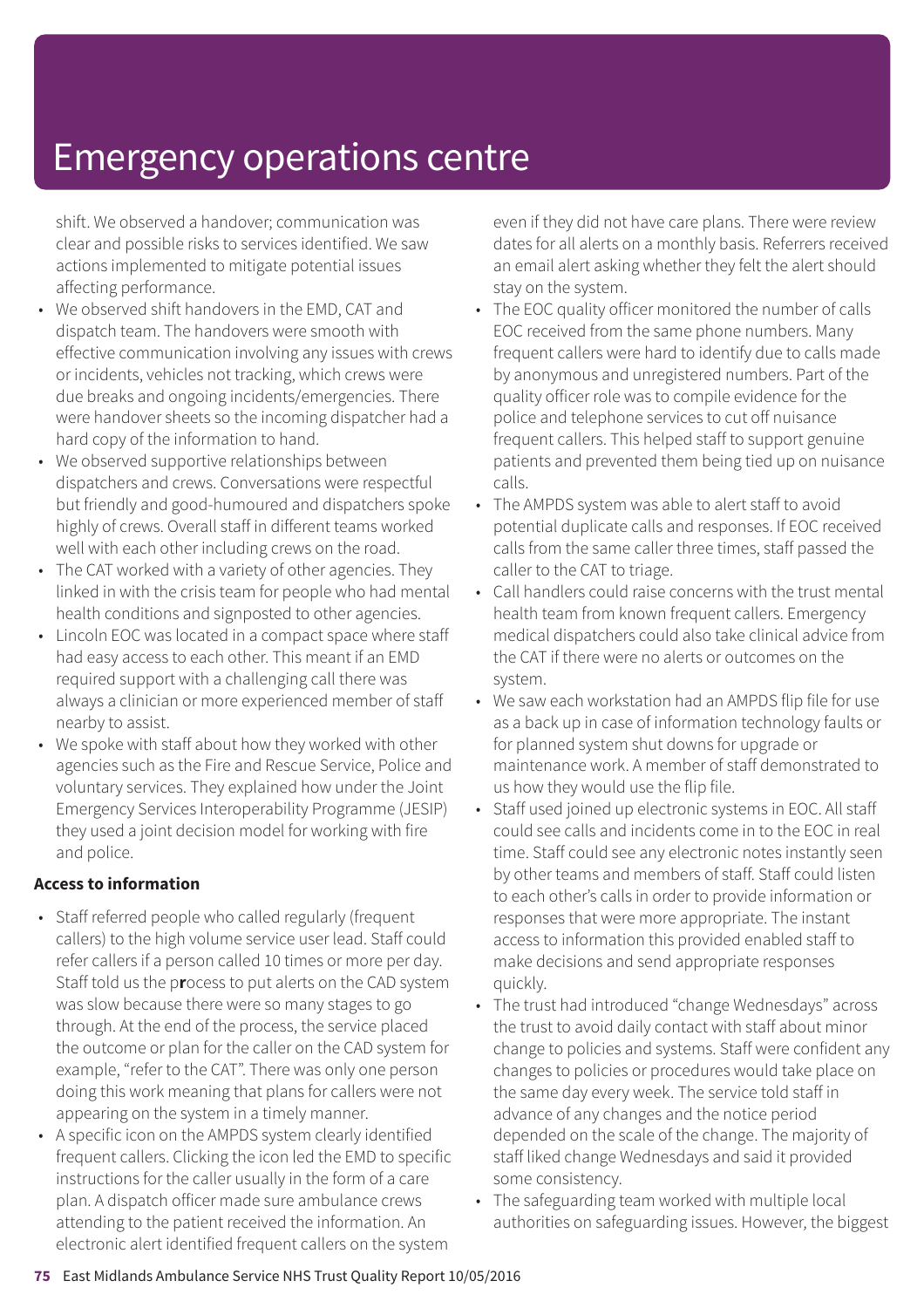shift. We observed a handover; communication was clear and possible risks to services identified. We saw actions implemented to mitigate potential issues affecting performance.

- We observed shift handovers in the EMD, CAT and dispatch team. The handovers were smooth with effective communication involving any issues with crews or incidents, vehicles not tracking, which crews were due breaks and ongoing incidents/emergencies. There were handover sheets so the incoming dispatcher had a hard copy of the information to hand.
- We observed supportive relationships between dispatchers and crews. Conversations were respectful but friendly and good-humoured and dispatchers spoke highly of crews. Overall staff in different teams worked well with each other including crews on the road.
- The CAT worked with a variety of other agencies. They linked in with the crisis team for people who had mental health conditions and signposted to other agencies.
- Lincoln EOC was located in a compact space where staff had easy access to each other. This meant if an EMD required support with a challenging call there was always a clinician or more experienced member of staff nearby to assist.
- We spoke with staff about how they worked with other agencies such as the Fire and Rescue Service, Police and voluntary services. They explained how under the Joint Emergency Services Interoperability Programme (JESIP) they used a joint decision model for working with fire and police.

### **Access to information**

- Staff referred people who called regularly (frequent callers) to the high volume service user lead. Staff could refer callers if a person called 10 times or more per day. Staff told us the p**r**ocess to put alerts on the CAD system was slow because there were so many stages to go through. At the end of the process, the service placed the outcome or plan for the caller on the CAD system for example, "refer to the CAT". There was only one person doing this work meaning that plans for callers were not appearing on the system in a timely manner.
- A specific icon on the AMPDS system clearly identified frequent callers. Clicking the icon led the EMD to specific instructions for the caller usually in the form of a care plan. A dispatch officer made sure ambulance crews attending to the patient received the information. An electronic alert identified frequent callers on the system

even if they did not have care plans. There were review dates for all alerts on a monthly basis. Referrers received an email alert asking whether they felt the alert should stay on the system.

- The EOC quality officer monitored the number of calls EOC received from the same phone numbers. Many frequent callers were hard to identify due to calls made by anonymous and unregistered numbers. Part of the quality officer role was to compile evidence for the police and telephone services to cut off nuisance frequent callers. This helped staff to support genuine patients and prevented them being tied up on nuisance calls.
- The AMPDS system was able to alert staff to avoid potential duplicate calls and responses. If EOC received calls from the same caller three times, staff passed the caller to the CAT to triage.
- Call handlers could raise concerns with the trust mental health team from known frequent callers. Emergency medical dispatchers could also take clinical advice from the CAT if there were no alerts or outcomes on the system.
- We saw each workstation had an AMPDS flip file for use as a back up in case of information technology faults or for planned system shut downs for upgrade or maintenance work. A member of staff demonstrated to us how they would use the flip file.
- Staff used joined up electronic systems in EOC. All staff could see calls and incidents come in to the EOC in real time. Staff could see any electronic notes instantly seen by other teams and members of staff. Staff could listen to each other's calls in order to provide information or responses that were more appropriate. The instant access to information this provided enabled staff to make decisions and send appropriate responses quickly.
- The trust had introduced "change Wednesdays" across the trust to avoid daily contact with staff about minor change to policies and systems. Staff were confident any changes to policies or procedures would take place on the same day every week. The service told staff in advance of any changes and the notice period depended on the scale of the change. The majority of staff liked change Wednesdays and said it provided some consistency.
- The safeguarding team worked with multiple local authorities on safeguarding issues. However, the biggest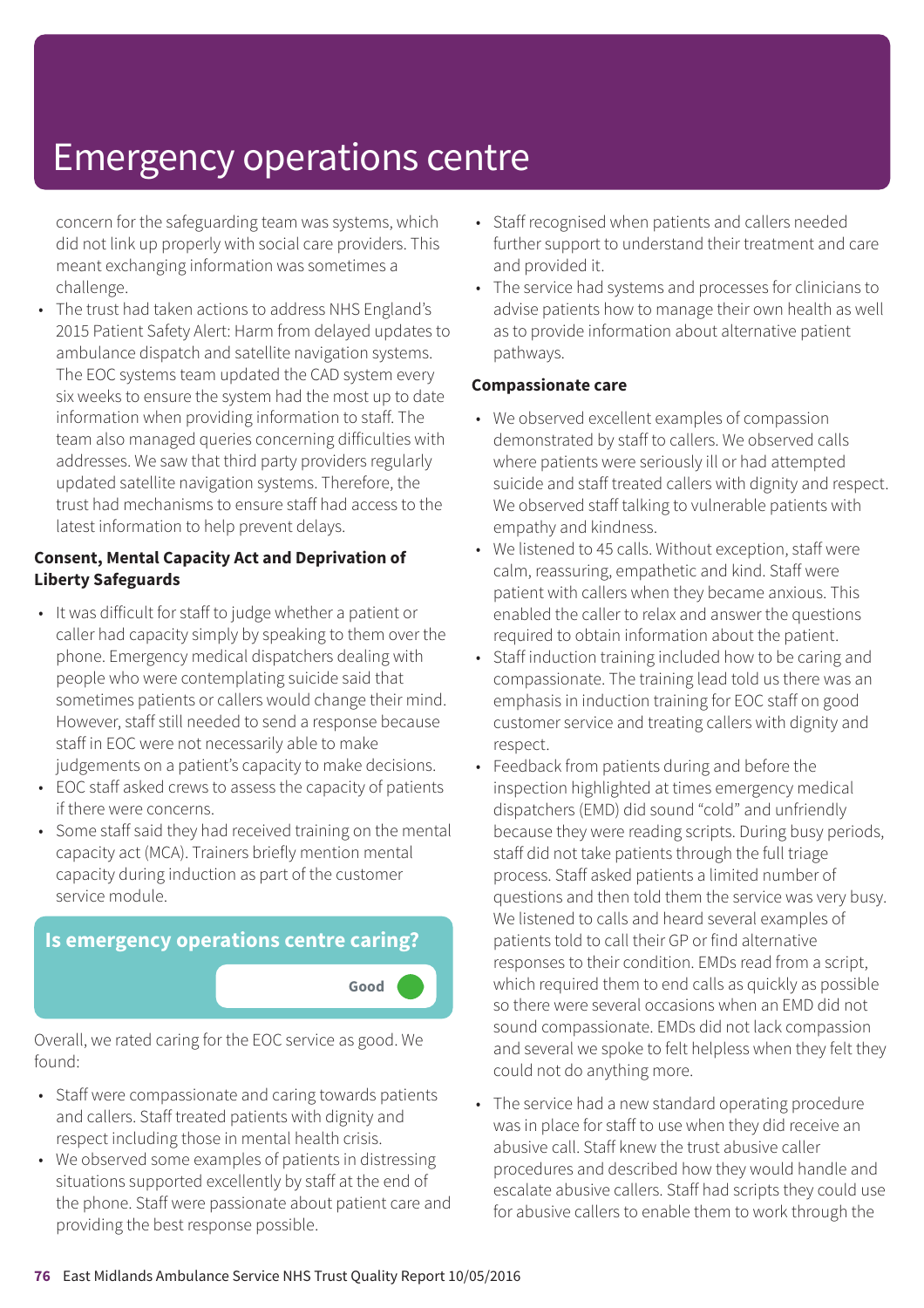concern for the safeguarding team was systems, which did not link up properly with social care providers. This meant exchanging information was sometimes a challenge.

• The trust had taken actions to address NHS England's 2015 Patient Safety Alert: Harm from delayed updates to ambulance dispatch and satellite navigation systems. The EOC systems team updated the CAD system every six weeks to ensure the system had the most up to date information when providing information to staff. The team also managed queries concerning difficulties with addresses. We saw that third party providers regularly updated satellite navigation systems. Therefore, the trust had mechanisms to ensure staff had access to the latest information to help prevent delays.

### **Consent, Mental Capacity Act and Deprivation of Liberty Safeguards**

- It was difficult for staff to judge whether a patient or caller had capacity simply by speaking to them over the phone. Emergency medical dispatchers dealing with people who were contemplating suicide said that sometimes patients or callers would change their mind. However, staff still needed to send a response because staff in EOC were not necessarily able to make judgements on a patient's capacity to make decisions.
- EOC staff asked crews to assess the capacity of patients if there were concerns.
- Some staff said they had received training on the mental capacity act (MCA). Trainers briefly mention mental capacity during induction as part of the customer service module.



Overall, we rated caring for the EOC service as good. We found:

- Staff were compassionate and caring towards patients and callers. Staff treated patients with dignity and respect including those in mental health crisis.
- We observed some examples of patients in distressing situations supported excellently by staff at the end of the phone. Staff were passionate about patient care and providing the best response possible.
- Staff recognised when patients and callers needed further support to understand their treatment and care and provided it.
- The service had systems and processes for clinicians to advise patients how to manage their own health as well as to provide information about alternative patient pathways.

### **Compassionate care**

- We observed excellent examples of compassion demonstrated by staff to callers. We observed calls where patients were seriously ill or had attempted suicide and staff treated callers with dignity and respect. We observed staff talking to vulnerable patients with empathy and kindness.
- We listened to 45 calls. Without exception, staff were calm, reassuring, empathetic and kind. Staff were patient with callers when they became anxious. This enabled the caller to relax and answer the questions required to obtain information about the patient.
- Staff induction training included how to be caring and compassionate. The training lead told us there was an emphasis in induction training for EOC staff on good customer service and treating callers with dignity and respect.
- Feedback from patients during and before the inspection highlighted at times emergency medical dispatchers (EMD) did sound "cold" and unfriendly because they were reading scripts. During busy periods, staff did not take patients through the full triage process. Staff asked patients a limited number of questions and then told them the service was very busy. We listened to calls and heard several examples of patients told to call their GP or find alternative responses to their condition. EMDs read from a script, which required them to end calls as quickly as possible so there were several occasions when an EMD did not sound compassionate. EMDs did not lack compassion and several we spoke to felt helpless when they felt they could not do anything more.
- The service had a new standard operating procedure was in place for staff to use when they did receive an abusive call. Staff knew the trust abusive caller procedures and described how they would handle and escalate abusive callers. Staff had scripts they could use for abusive callers to enable them to work through the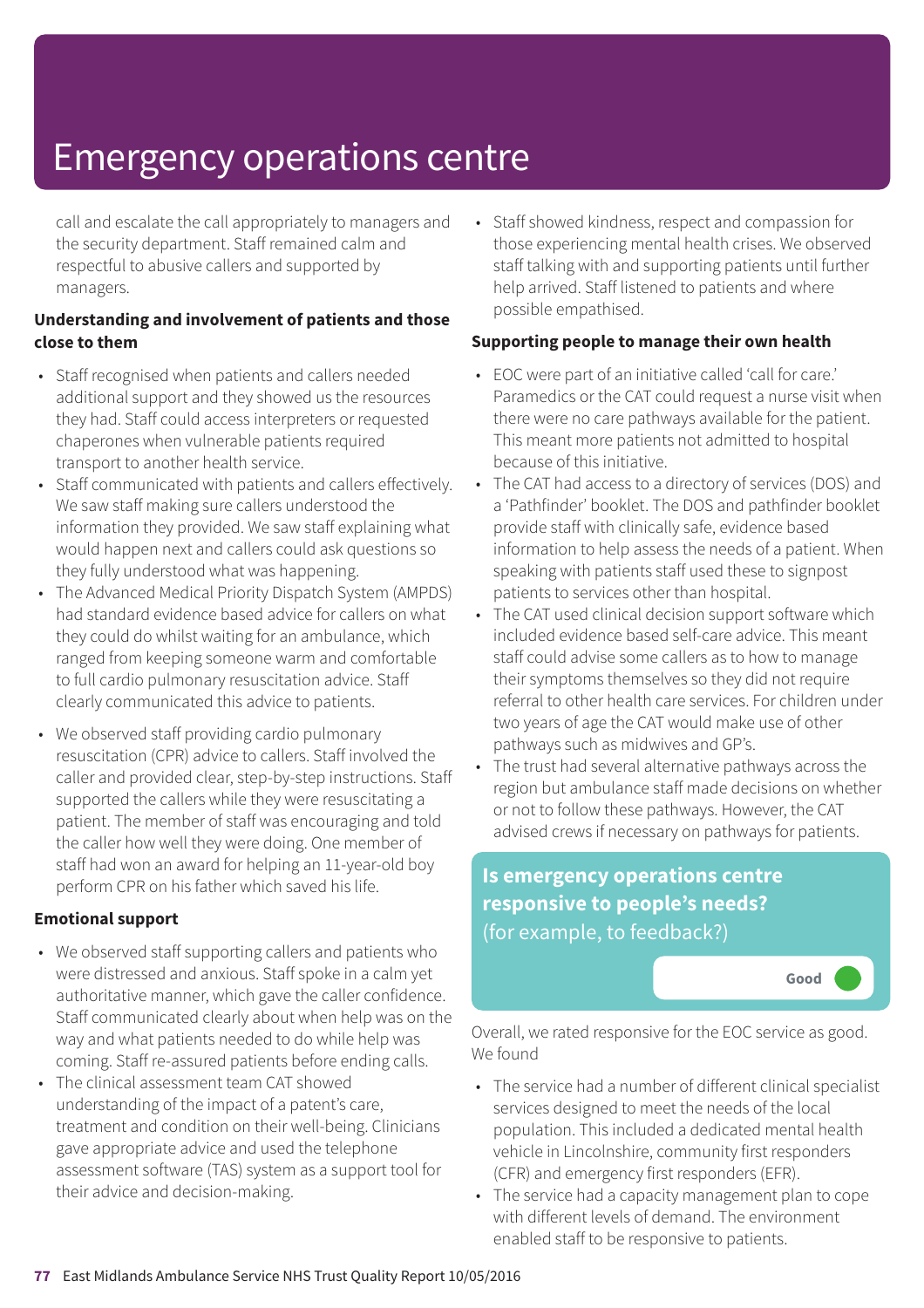call and escalate the call appropriately to managers and the security department. Staff remained calm and respectful to abusive callers and supported by managers.

### **Understanding and involvement of patients and those close to them**

- Staff recognised when patients and callers needed additional support and they showed us the resources they had. Staff could access interpreters or requested chaperones when vulnerable patients required transport to another health service.
- Staff communicated with patients and callers effectively. We saw staff making sure callers understood the information they provided. We saw staff explaining what would happen next and callers could ask questions so they fully understood what was happening.
- The Advanced Medical Priority Dispatch System (AMPDS) had standard evidence based advice for callers on what they could do whilst waiting for an ambulance, which ranged from keeping someone warm and comfortable to full cardio pulmonary resuscitation advice. Staff clearly communicated this advice to patients.
- We observed staff providing cardio pulmonary resuscitation (CPR) advice to callers. Staff involved the caller and provided clear, step-by-step instructions. Staff supported the callers while they were resuscitating a patient. The member of staff was encouraging and told the caller how well they were doing. One member of staff had won an award for helping an 11-year-old boy perform CPR on his father which saved his life.

### **Emotional support**

- We observed staff supporting callers and patients who were distressed and anxious. Staff spoke in a calm yet authoritative manner, which gave the caller confidence. Staff communicated clearly about when help was on the way and what patients needed to do while help was coming. Staff re-assured patients before ending calls.
- The clinical assessment team CAT showed understanding of the impact of a patent's care, treatment and condition on their well-being. Clinicians gave appropriate advice and used the telephone assessment software (TAS) system as a support tool for their advice and decision-making.

• Staff showed kindness, respect and compassion for those experiencing mental health crises. We observed staff talking with and supporting patients until further help arrived. Staff listened to patients and where possible empathised.

### **Supporting people to manage their own health**

- EOC were part of an initiative called 'call for care.' Paramedics or the CAT could request a nurse visit when there were no care pathways available for the patient. This meant more patients not admitted to hospital because of this initiative.
- The CAT had access to a directory of services (DOS) and a 'Pathfinder' booklet. The DOS and pathfinder booklet provide staff with clinically safe, evidence based information to help assess the needs of a patient. When speaking with patients staff used these to signpost patients to services other than hospital.
- The CAT used clinical decision support software which included evidence based self-care advice. This meant staff could advise some callers as to how to manage their symptoms themselves so they did not require referral to other health care services. For children under two years of age the CAT would make use of other pathways such as midwives and GP's.
- The trust had several alternative pathways across the region but ambulance staff made decisions on whether or not to follow these pathways. However, the CAT advised crews if necessary on pathways for patients.

### **Is emergency operations centre responsive to people's needs?** (for example, to feedback?)



Overall, we rated responsive for the EOC service as good. We found

- The service had a number of different clinical specialist services designed to meet the needs of the local population. This included a dedicated mental health vehicle in Lincolnshire, community first responders (CFR) and emergency first responders (EFR).
- The service had a capacity management plan to cope with different levels of demand. The environment enabled staff to be responsive to patients.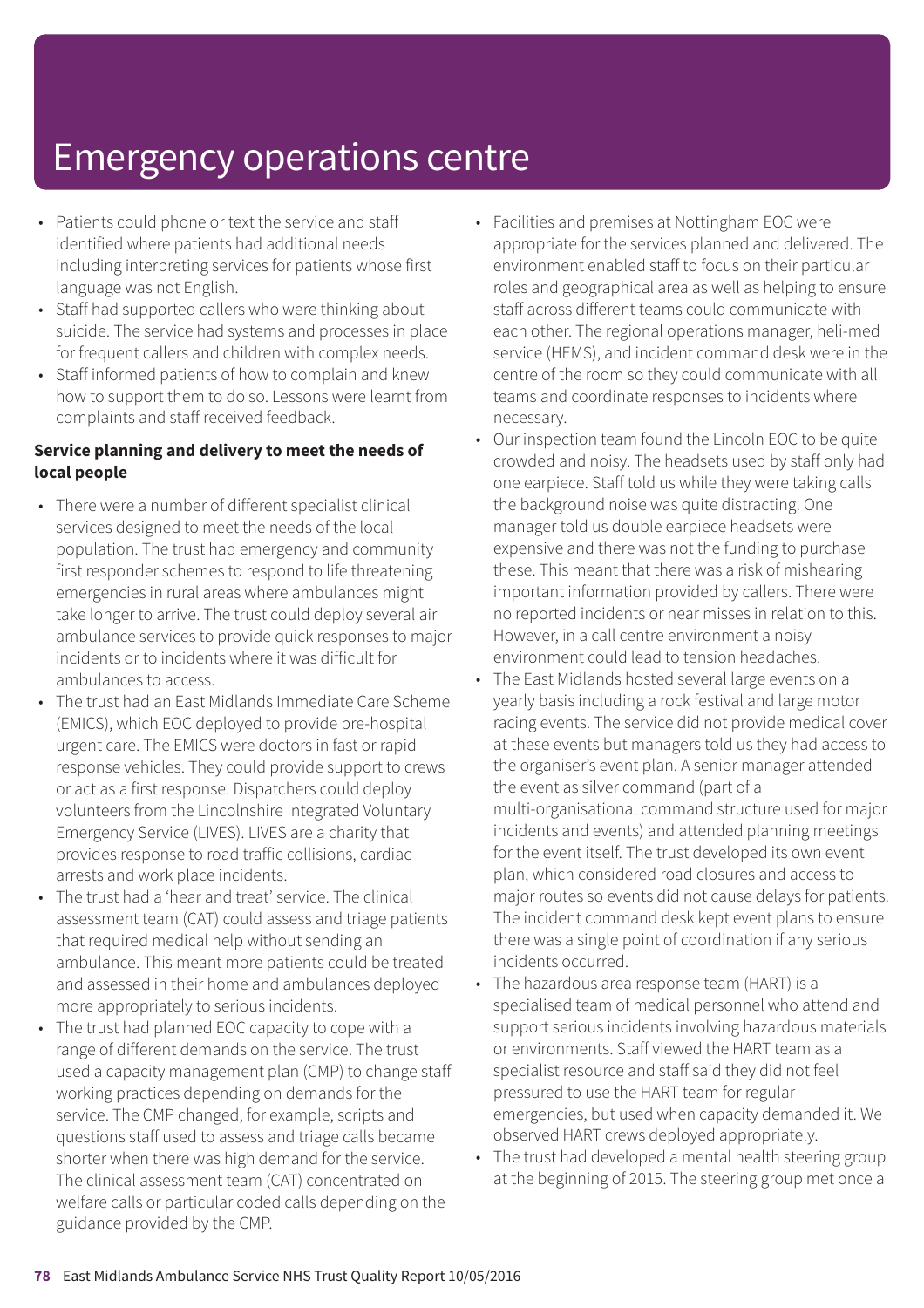- Patients could phone or text the service and staff identified where patients had additional needs including interpreting services for patients whose first language was not English.
- Staff had supported callers who were thinking about suicide. The service had systems and processes in place for frequent callers and children with complex needs.
- Staff informed patients of how to complain and knew how to support them to do so. Lessons were learnt from complaints and staff received feedback.

### **Service planning and delivery to meet the needs of local people**

- There were a number of different specialist clinical services designed to meet the needs of the local population. The trust had emergency and community first responder schemes to respond to life threatening emergencies in rural areas where ambulances might take longer to arrive. The trust could deploy several air ambulance services to provide quick responses to major incidents or to incidents where it was difficult for ambulances to access.
- The trust had an East Midlands Immediate Care Scheme (EMICS), which EOC deployed to provide pre-hospital urgent care. The EMICS were doctors in fast or rapid response vehicles. They could provide support to crews or act as a first response. Dispatchers could deploy volunteers from the Lincolnshire Integrated Voluntary Emergency Service (LIVES). LIVES are a charity that provides response to road traffic collisions, cardiac arrests and work place incidents.
- The trust had a 'hear and treat' service. The clinical assessment team (CAT) could assess and triage patients that required medical help without sending an ambulance. This meant more patients could be treated and assessed in their home and ambulances deployed more appropriately to serious incidents.
- The trust had planned EOC capacity to cope with a range of different demands on the service. The trust used a capacity management plan (CMP) to change staff working practices depending on demands for the service. The CMP changed, for example, scripts and questions staff used to assess and triage calls became shorter when there was high demand for the service. The clinical assessment team (CAT) concentrated on welfare calls or particular coded calls depending on the guidance provided by the CMP.
- Facilities and premises at Nottingham EOC were appropriate for the services planned and delivered. The environment enabled staff to focus on their particular roles and geographical area as well as helping to ensure staff across different teams could communicate with each other. The regional operations manager, heli-med service (HEMS), and incident command desk were in the centre of the room so they could communicate with all teams and coordinate responses to incidents where necessary.
- Our inspection team found the Lincoln EOC to be quite crowded and noisy. The headsets used by staff only had one earpiece. Staff told us while they were taking calls the background noise was quite distracting. One manager told us double earpiece headsets were expensive and there was not the funding to purchase these. This meant that there was a risk of mishearing important information provided by callers. There were no reported incidents or near misses in relation to this. However, in a call centre environment a noisy environment could lead to tension headaches.
- The East Midlands hosted several large events on a yearly basis including a rock festival and large motor racing events. The service did not provide medical cover at these events but managers told us they had access to the organiser's event plan. A senior manager attended the event as silver command (part of a multi-organisational command structure used for major incidents and events) and attended planning meetings for the event itself. The trust developed its own event plan, which considered road closures and access to major routes so events did not cause delays for patients. The incident command desk kept event plans to ensure there was a single point of coordination if any serious incidents occurred.
- The hazardous area response team (HART) is a specialised team of medical personnel who attend and support serious incidents involving hazardous materials or environments. Staff viewed the HART team as a specialist resource and staff said they did not feel pressured to use the HART team for regular emergencies, but used when capacity demanded it. We observed HART crews deployed appropriately.
- The trust had developed a mental health steering group at the beginning of 2015. The steering group met once a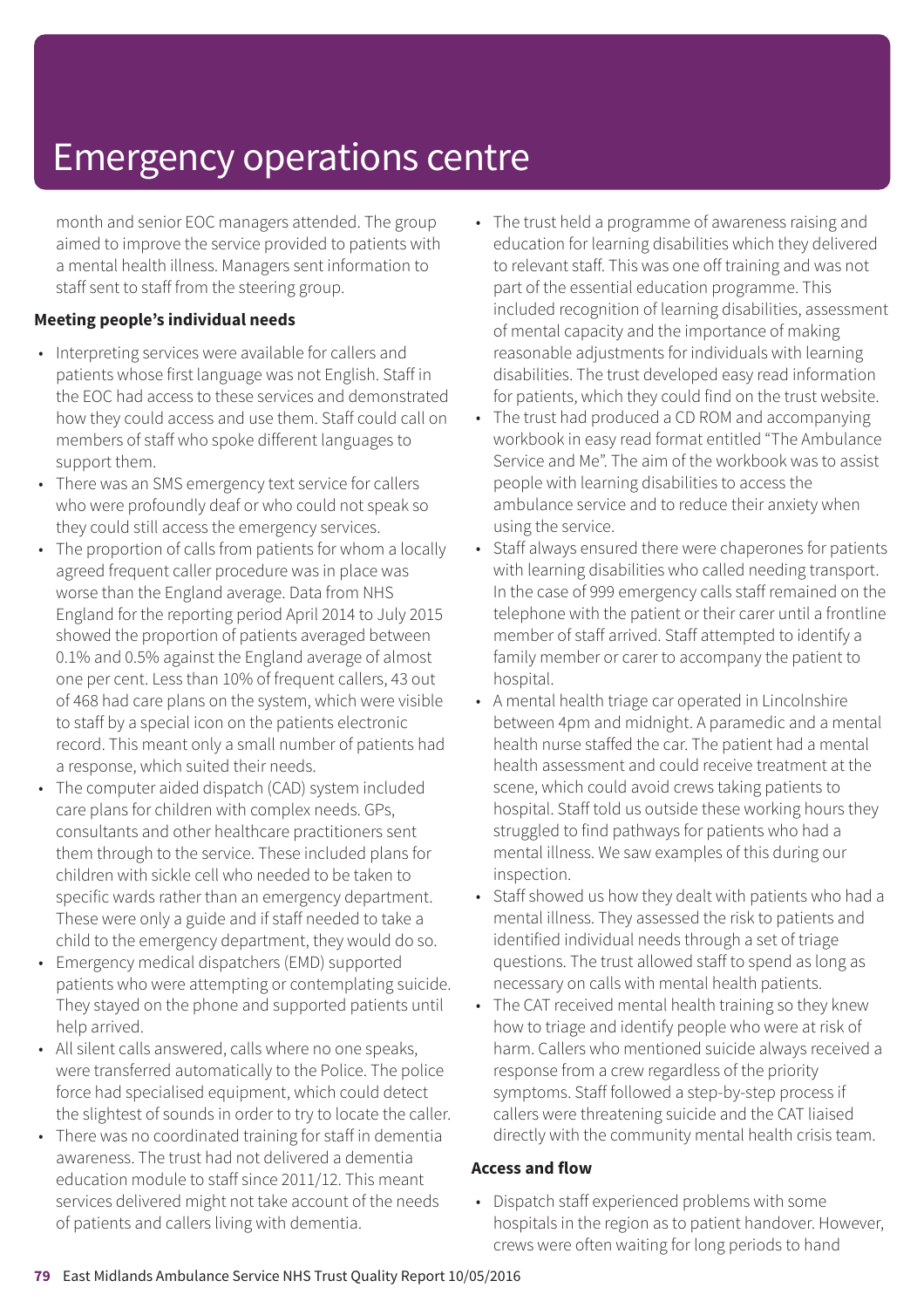month and senior EOC managers attended. The group aimed to improve the service provided to patients with a mental health illness. Managers sent information to staff sent to staff from the steering group.

### **Meeting people's individual needs**

- Interpreting services were available for callers and patients whose first language was not English. Staff in the EOC had access to these services and demonstrated how they could access and use them. Staff could call on members of staff who spoke different languages to support them.
- There was an SMS emergency text service for callers who were profoundly deaf or who could not speak so they could still access the emergency services.
- The proportion of calls from patients for whom a locally agreed frequent caller procedure was in place was worse than the England average. Data from NHS England for the reporting period April 2014 to July 2015 showed the proportion of patients averaged between 0.1% and 0.5% against the England average of almost one per cent. Less than 10% of frequent callers, 43 out of 468 had care plans on the system, which were visible to staff by a special icon on the patients electronic record. This meant only a small number of patients had a response, which suited their needs.
- The computer aided dispatch (CAD) system included care plans for children with complex needs. GPs, consultants and other healthcare practitioners sent them through to the service. These included plans for children with sickle cell who needed to be taken to specific wards rather than an emergency department. These were only a guide and if staff needed to take a child to the emergency department, they would do so.
- Emergency medical dispatchers (EMD) supported patients who were attempting or contemplating suicide. They stayed on the phone and supported patients until help arrived.
- All silent calls answered, calls where no one speaks, were transferred automatically to the Police. The police force had specialised equipment, which could detect the slightest of sounds in order to try to locate the caller.
- There was no coordinated training for staff in dementia awareness. The trust had not delivered a dementia education module to staff since 2011/12. This meant services delivered might not take account of the needs of patients and callers living with dementia.
- The trust held a programme of awareness raising and education for learning disabilities which they delivered to relevant staff. This was one off training and was not part of the essential education programme. This included recognition of learning disabilities, assessment of mental capacity and the importance of making reasonable adjustments for individuals with learning disabilities. The trust developed easy read information for patients, which they could find on the trust website.
- The trust had produced a CD ROM and accompanying workbook in easy read format entitled "The Ambulance Service and Me". The aim of the workbook was to assist people with learning disabilities to access the ambulance service and to reduce their anxiety when using the service.
- Staff always ensured there were chaperones for patients with learning disabilities who called needing transport. In the case of 999 emergency calls staff remained on the telephone with the patient or their carer until a frontline member of staff arrived. Staff attempted to identify a family member or carer to accompany the patient to hospital.
- A mental health triage car operated in Lincolnshire between 4pm and midnight. A paramedic and a mental health nurse staffed the car. The patient had a mental health assessment and could receive treatment at the scene, which could avoid crews taking patients to hospital. Staff told us outside these working hours they struggled to find pathways for patients who had a mental illness. We saw examples of this during our inspection.
- Staff showed us how they dealt with patients who had a mental illness. They assessed the risk to patients and identified individual needs through a set of triage questions. The trust allowed staff to spend as long as necessary on calls with mental health patients.
- The CAT received mental health training so they knew how to triage and identify people who were at risk of harm. Callers who mentioned suicide always received a response from a crew regardless of the priority symptoms. Staff followed a step-by-step process if callers were threatening suicide and the CAT liaised directly with the community mental health crisis team.

#### **Access and flow**

• Dispatch staff experienced problems with some hospitals in the region as to patient handover. However, crews were often waiting for long periods to hand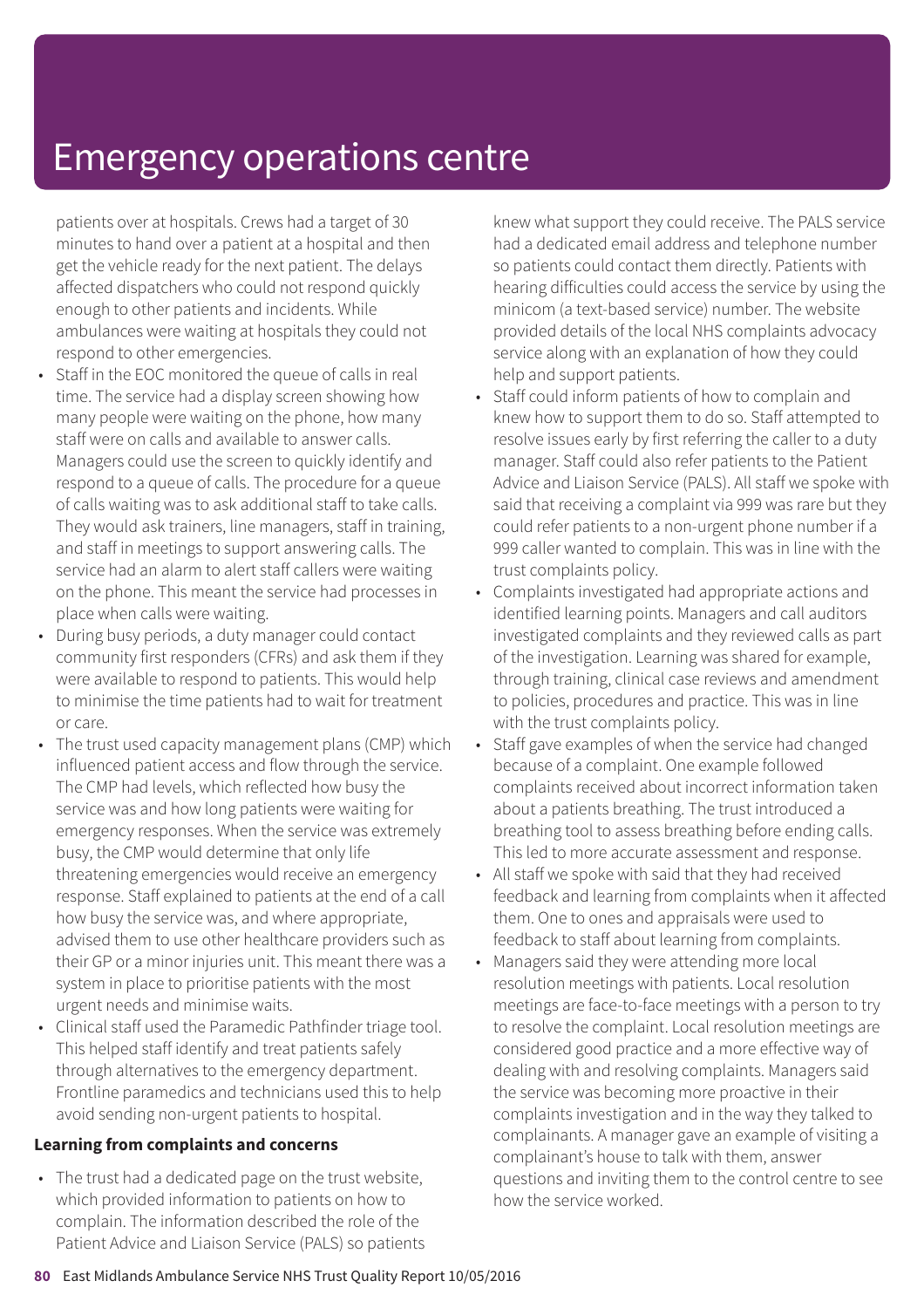patients over at hospitals. Crews had a target of 30 minutes to hand over a patient at a hospital and then get the vehicle ready for the next patient. The delays affected dispatchers who could not respond quickly enough to other patients and incidents. While ambulances were waiting at hospitals they could not respond to other emergencies.

- Staff in the EOC monitored the queue of calls in real time. The service had a display screen showing how many people were waiting on the phone, how many staff were on calls and available to answer calls. Managers could use the screen to quickly identify and respond to a queue of calls. The procedure for a queue of calls waiting was to ask additional staff to take calls. They would ask trainers, line managers, staff in training, and staff in meetings to support answering calls. The service had an alarm to alert staff callers were waiting on the phone. This meant the service had processes in place when calls were waiting.
- During busy periods, a duty manager could contact community first responders (CFRs) and ask them if they were available to respond to patients. This would help to minimise the time patients had to wait for treatment or care.
- The trust used capacity management plans (CMP) which influenced patient access and flow through the service. The CMP had levels, which reflected how busy the service was and how long patients were waiting for emergency responses. When the service was extremely busy, the CMP would determine that only life threatening emergencies would receive an emergency response. Staff explained to patients at the end of a call how busy the service was, and where appropriate, advised them to use other healthcare providers such as their GP or a minor injuries unit. This meant there was a system in place to prioritise patients with the most urgent needs and minimise waits.
- Clinical staff used the Paramedic Pathfinder triage tool. This helped staff identify and treat patients safely through alternatives to the emergency department. Frontline paramedics and technicians used this to help avoid sending non-urgent patients to hospital.

#### **Learning from complaints and concerns**

• The trust had a dedicated page on the trust website, which provided information to patients on how to complain. The information described the role of the Patient Advice and Liaison Service (PALS) so patients knew what support they could receive. The PALS service had a dedicated email address and telephone number so patients could contact them directly. Patients with hearing difficulties could access the service by using the minicom (a text-based service) number. The website provided details of the local NHS complaints advocacy service along with an explanation of how they could help and support patients.

- Staff could inform patients of how to complain and knew how to support them to do so. Staff attempted to resolve issues early by first referring the caller to a duty manager. Staff could also refer patients to the Patient Advice and Liaison Service (PALS). All staff we spoke with said that receiving a complaint via 999 was rare but they could refer patients to a non-urgent phone number if a 999 caller wanted to complain. This was in line with the trust complaints policy.
- Complaints investigated had appropriate actions and identified learning points. Managers and call auditors investigated complaints and they reviewed calls as part of the investigation. Learning was shared for example, through training, clinical case reviews and amendment to policies, procedures and practice. This was in line with the trust complaints policy.
- Staff gave examples of when the service had changed because of a complaint. One example followed complaints received about incorrect information taken about a patients breathing. The trust introduced a breathing tool to assess breathing before ending calls. This led to more accurate assessment and response.
- All staff we spoke with said that they had received feedback and learning from complaints when it affected them. One to ones and appraisals were used to feedback to staff about learning from complaints.
- Managers said they were attending more local resolution meetings with patients. Local resolution meetings are face-to-face meetings with a person to try to resolve the complaint. Local resolution meetings are considered good practice and a more effective way of dealing with and resolving complaints. Managers said the service was becoming more proactive in their complaints investigation and in the way they talked to complainants. A manager gave an example of visiting a complainant's house to talk with them, answer questions and inviting them to the control centre to see how the service worked.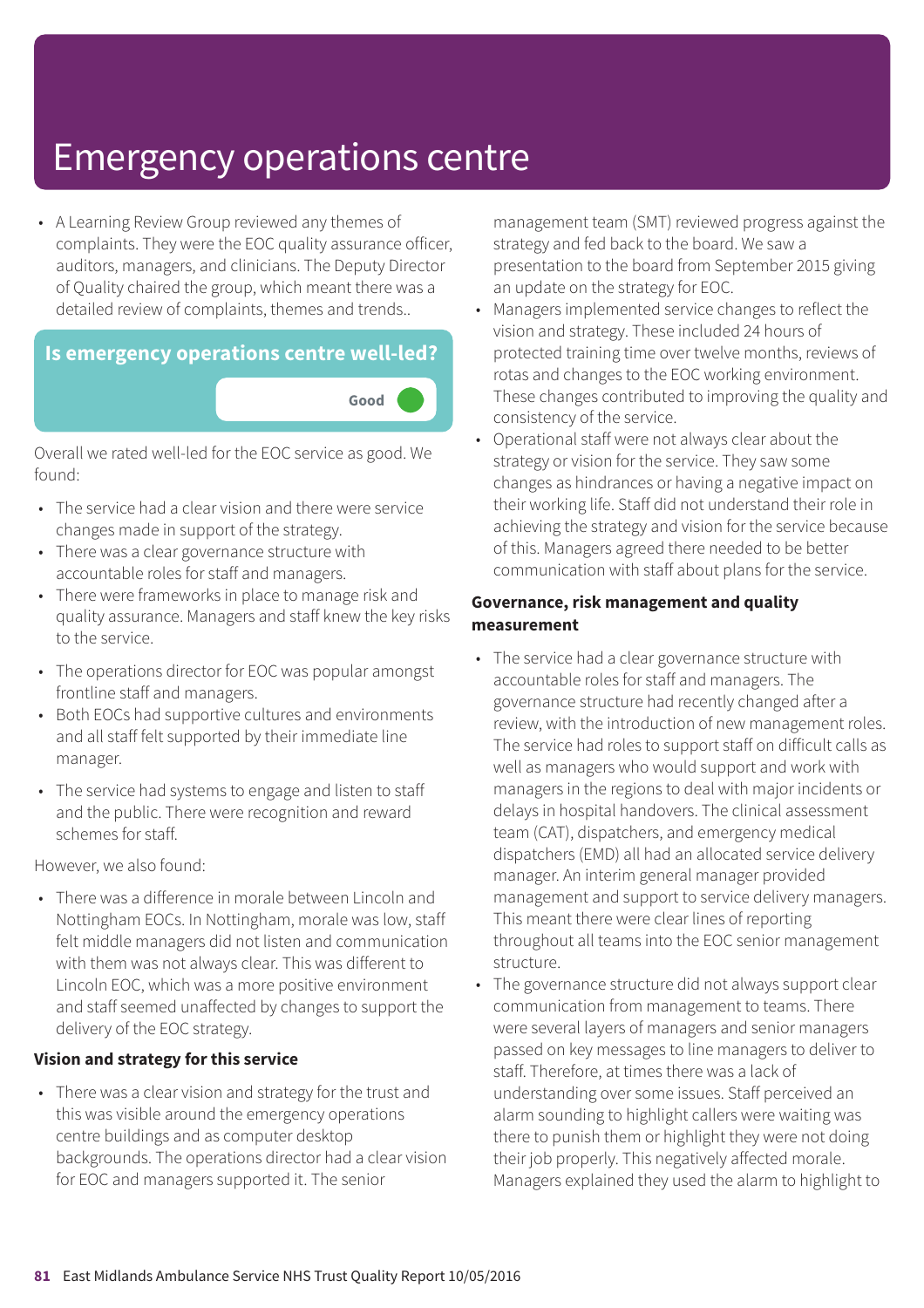• A Learning Review Group reviewed any themes of complaints. They were the EOC quality assurance officer, auditors, managers, and clinicians. The Deputy Director of Quality chaired the group, which meant there was a detailed review of complaints, themes and trends..

## **Is emergency operations centre well-led?**



Overall we rated well-led for the EOC service as good. We found:

- The service had a clear vision and there were service changes made in support of the strategy.
- There was a clear governance structure with accountable roles for staff and managers.
- There were frameworks in place to manage risk and quality assurance. Managers and staff knew the key risks to the service.
- The operations director for EOC was popular amongst frontline staff and managers.
- Both EOCs had supportive cultures and environments and all staff felt supported by their immediate line manager.
- The service had systems to engage and listen to staff and the public. There were recognition and reward schemes for staff.

However, we also found:

• There was a difference in morale between Lincoln and Nottingham EOCs. In Nottingham, morale was low, staff felt middle managers did not listen and communication with them was not always clear. This was different to Lincoln EOC, which was a more positive environment and staff seemed unaffected by changes to support the delivery of the EOC strategy.

### **Vision and strategy for this service**

• There was a clear vision and strategy for the trust and this was visible around the emergency operations centre buildings and as computer desktop backgrounds. The operations director had a clear vision for EOC and managers supported it. The senior

management team (SMT) reviewed progress against the strategy and fed back to the board. We saw a presentation to the board from September 2015 giving an update on the strategy for EOC.

- Managers implemented service changes to reflect the vision and strategy. These included 24 hours of protected training time over twelve months, reviews of rotas and changes to the EOC working environment. These changes contributed to improving the quality and consistency of the service.
- Operational staff were not always clear about the strategy or vision for the service. They saw some changes as hindrances or having a negative impact on their working life. Staff did not understand their role in achieving the strategy and vision for the service because of this. Managers agreed there needed to be better communication with staff about plans for the service.

#### **Governance, risk management and quality measurement**

- The service had a clear governance structure with accountable roles for staff and managers. The governance structure had recently changed after a review, with the introduction of new management roles. The service had roles to support staff on difficult calls as well as managers who would support and work with managers in the regions to deal with major incidents or delays in hospital handovers. The clinical assessment team (CAT), dispatchers, and emergency medical dispatchers (EMD) all had an allocated service delivery manager. An interim general manager provided management and support to service delivery managers. This meant there were clear lines of reporting throughout all teams into the EOC senior management structure.
- The governance structure did not always support clear communication from management to teams. There were several layers of managers and senior managers passed on key messages to line managers to deliver to staff. Therefore, at times there was a lack of understanding over some issues. Staff perceived an alarm sounding to highlight callers were waiting was there to punish them or highlight they were not doing their job properly. This negatively affected morale. Managers explained they used the alarm to highlight to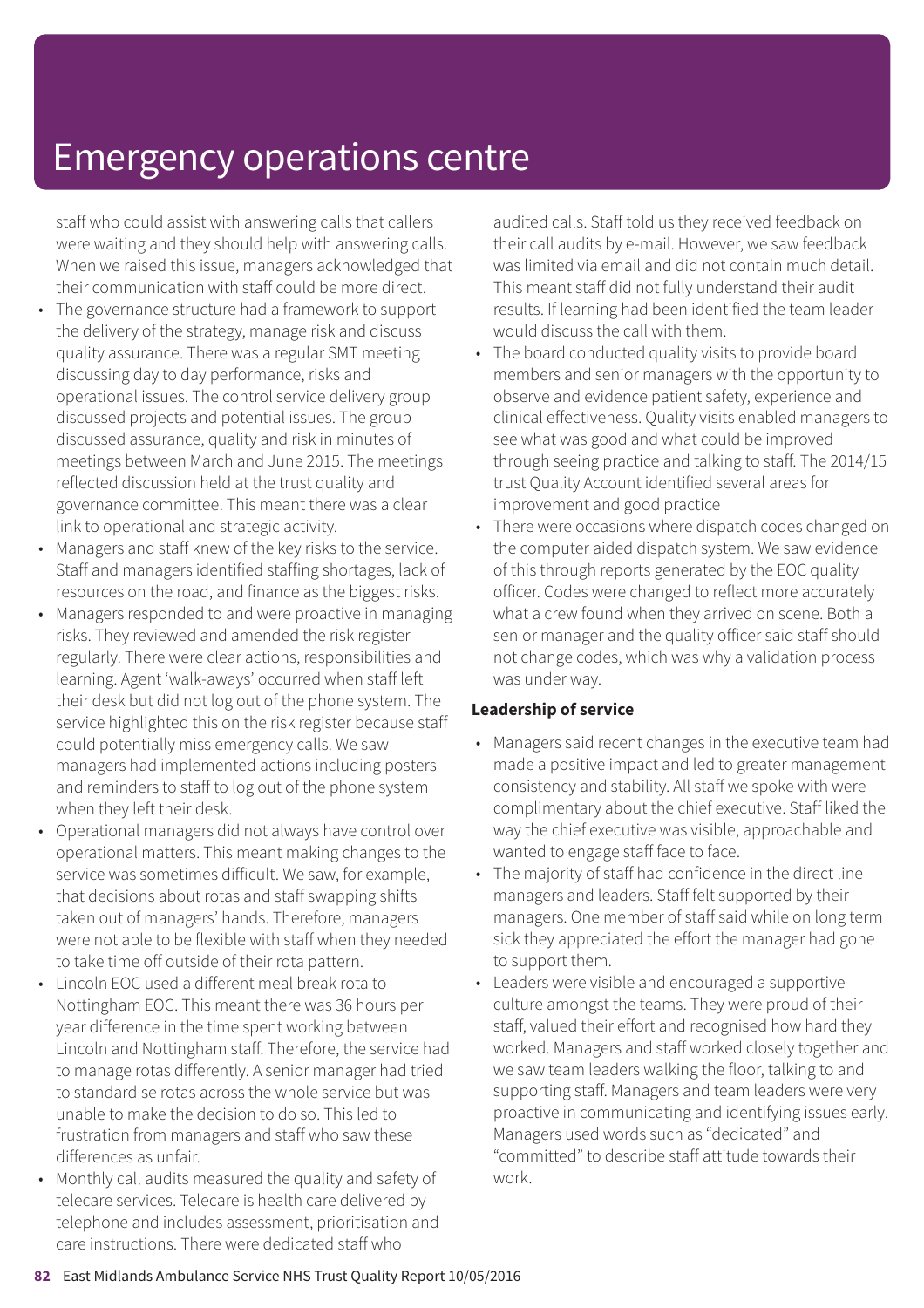staff who could assist with answering calls that callers were waiting and they should help with answering calls. When we raised this issue, managers acknowledged that their communication with staff could be more direct.

- The governance structure had a framework to support the delivery of the strategy, manage risk and discuss quality assurance. There was a regular SMT meeting discussing day to day performance, risks and operational issues. The control service delivery group discussed projects and potential issues. The group discussed assurance, quality and risk in minutes of meetings between March and June 2015. The meetings reflected discussion held at the trust quality and governance committee. This meant there was a clear link to operational and strategic activity.
- Managers and staff knew of the key risks to the service. Staff and managers identified staffing shortages, lack of resources on the road, and finance as the biggest risks.
- Managers responded to and were proactive in managing risks. They reviewed and amended the risk register regularly. There were clear actions, responsibilities and learning. Agent 'walk-aways' occurred when staff left their desk but did not log out of the phone system. The service highlighted this on the risk register because staff could potentially miss emergency calls. We saw managers had implemented actions including posters and reminders to staff to log out of the phone system when they left their desk.
- Operational managers did not always have control over operational matters. This meant making changes to the service was sometimes difficult. We saw, for example, that decisions about rotas and staff swapping shifts taken out of managers' hands. Therefore, managers were not able to be flexible with staff when they needed to take time off outside of their rota pattern.
- Lincoln EOC used a different meal break rota to Nottingham EOC. This meant there was 36 hours per year difference in the time spent working between Lincoln and Nottingham staff. Therefore, the service had to manage rotas differently. A senior manager had tried to standardise rotas across the whole service but was unable to make the decision to do so. This led to frustration from managers and staff who saw these differences as unfair.
- Monthly call audits measured the quality and safety of telecare services. Telecare is health care delivered by telephone and includes assessment, prioritisation and care instructions. There were dedicated staff who

audited calls. Staff told us they received feedback on their call audits by e-mail. However, we saw feedback was limited via email and did not contain much detail. This meant staff did not fully understand their audit results. If learning had been identified the team leader would discuss the call with them.

- The board conducted quality visits to provide board members and senior managers with the opportunity to observe and evidence patient safety, experience and clinical effectiveness. Quality visits enabled managers to see what was good and what could be improved through seeing practice and talking to staff. The 2014/15 trust Quality Account identified several areas for improvement and good practice
- There were occasions where dispatch codes changed on the computer aided dispatch system. We saw evidence of this through reports generated by the EOC quality officer. Codes were changed to reflect more accurately what a crew found when they arrived on scene. Both a senior manager and the quality officer said staff should not change codes, which was why a validation process was under way.

#### **Leadership of service**

- Managers said recent changes in the executive team had made a positive impact and led to greater management consistency and stability. All staff we spoke with were complimentary about the chief executive. Staff liked the way the chief executive was visible, approachable and wanted to engage staff face to face.
- The majority of staff had confidence in the direct line managers and leaders. Staff felt supported by their managers. One member of staff said while on long term sick they appreciated the effort the manager had gone to support them.
- Leaders were visible and encouraged a supportive culture amongst the teams. They were proud of their staff, valued their effort and recognised how hard they worked. Managers and staff worked closely together and we saw team leaders walking the floor, talking to and supporting staff. Managers and team leaders were very proactive in communicating and identifying issues early. Managers used words such as "dedicated" and "committed" to describe staff attitude towards their work.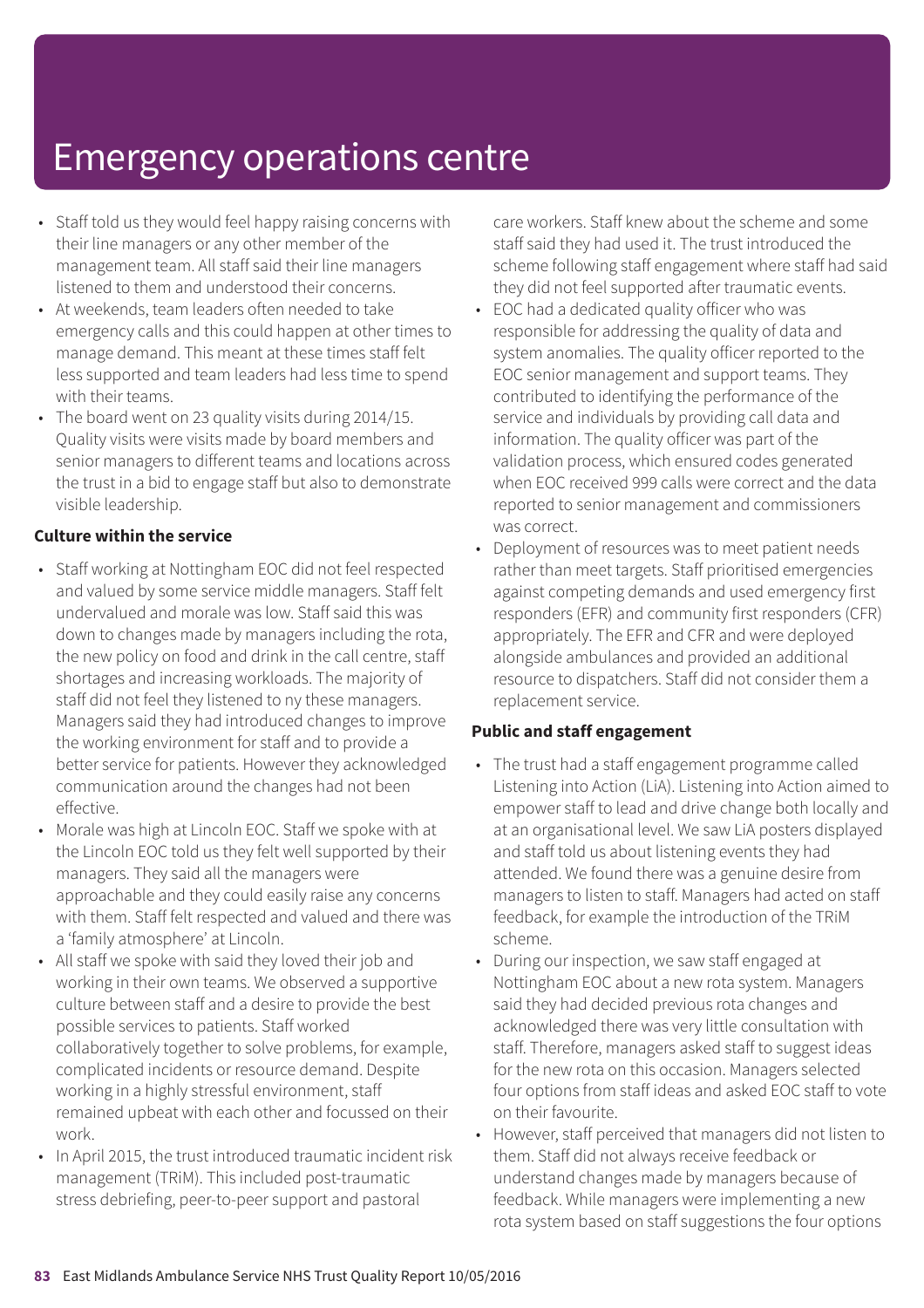- Staff told us they would feel happy raising concerns with their line managers or any other member of the management team. All staff said their line managers listened to them and understood their concerns.
- At weekends, team leaders often needed to take emergency calls and this could happen at other times to manage demand. This meant at these times staff felt less supported and team leaders had less time to spend with their teams.
- The board went on 23 quality visits during 2014/15. Quality visits were visits made by board members and senior managers to different teams and locations across the trust in a bid to engage staff but also to demonstrate visible leadership.

#### **Culture within the service**

- Staff working at Nottingham EOC did not feel respected and valued by some service middle managers. Staff felt undervalued and morale was low. Staff said this was down to changes made by managers including the rota, the new policy on food and drink in the call centre, staff shortages and increasing workloads. The majority of staff did not feel they listened to ny these managers. Managers said they had introduced changes to improve the working environment for staff and to provide a better service for patients. However they acknowledged communication around the changes had not been effective.
- Morale was high at Lincoln EOC. Staff we spoke with at the Lincoln EOC told us they felt well supported by their managers. They said all the managers were approachable and they could easily raise any concerns with them. Staff felt respected and valued and there was a 'family atmosphere' at Lincoln.
- All staff we spoke with said they loved their job and working in their own teams. We observed a supportive culture between staff and a desire to provide the best possible services to patients. Staff worked collaboratively together to solve problems, for example, complicated incidents or resource demand. Despite working in a highly stressful environment, staff remained upbeat with each other and focussed on their work.
- In April 2015, the trust introduced traumatic incident risk management (TRiM). This included post-traumatic stress debriefing, peer-to-peer support and pastoral

care workers. Staff knew about the scheme and some staff said they had used it. The trust introduced the scheme following staff engagement where staff had said they did not feel supported after traumatic events.

- EOC had a dedicated quality officer who was responsible for addressing the quality of data and system anomalies. The quality officer reported to the EOC senior management and support teams. They contributed to identifying the performance of the service and individuals by providing call data and information. The quality officer was part of the validation process, which ensured codes generated when EOC received 999 calls were correct and the data reported to senior management and commissioners was correct.
- Deployment of resources was to meet patient needs rather than meet targets. Staff prioritised emergencies against competing demands and used emergency first responders (EFR) and community first responders (CFR) appropriately. The EFR and CFR and were deployed alongside ambulances and provided an additional resource to dispatchers. Staff did not consider them a replacement service.

### **Public and staff engagement**

- The trust had a staff engagement programme called Listening into Action (LiA). Listening into Action aimed to empower staff to lead and drive change both locally and at an organisational level. We saw LiA posters displayed and staff told us about listening events they had attended. We found there was a genuine desire from managers to listen to staff. Managers had acted on staff feedback, for example the introduction of the TRiM scheme.
- During our inspection, we saw staff engaged at Nottingham EOC about a new rota system. Managers said they had decided previous rota changes and acknowledged there was very little consultation with staff. Therefore, managers asked staff to suggest ideas for the new rota on this occasion. Managers selected four options from staff ideas and asked EOC staff to vote on their favourite.
- However, staff perceived that managers did not listen to them. Staff did not always receive feedback or understand changes made by managers because of feedback. While managers were implementing a new rota system based on staff suggestions the four options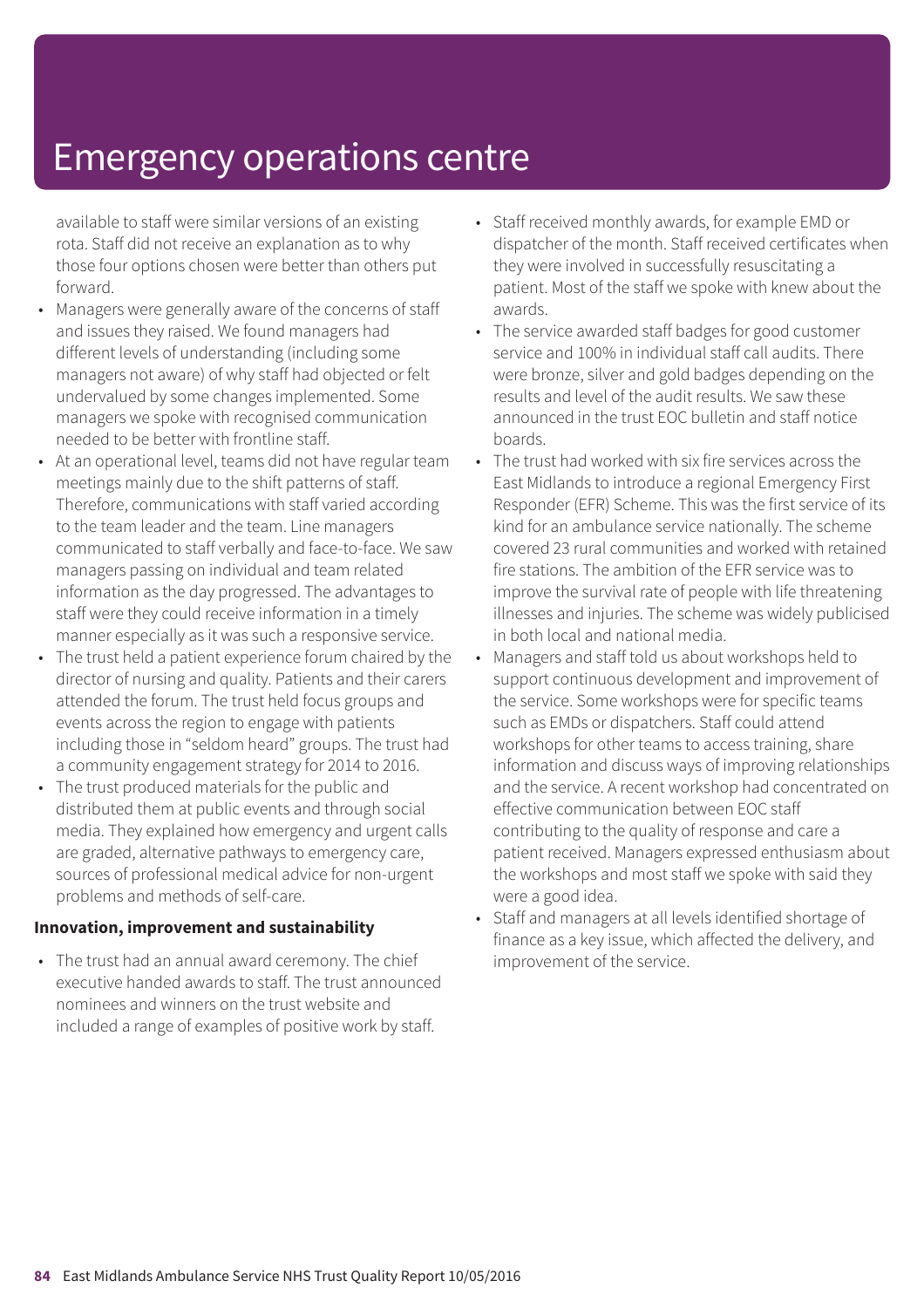available to staff were similar versions of an existing rota. Staff did not receive an explanation as to why those four options chosen were better than others put forward.

- Managers were generally aware of the concerns of staff and issues they raised. We found managers had different levels of understanding (including some managers not aware) of why staff had objected or felt undervalued by some changes implemented. Some managers we spoke with recognised communication needed to be better with frontline staff.
- At an operational level, teams did not have regular team meetings mainly due to the shift patterns of staff. Therefore, communications with staff varied according to the team leader and the team. Line managers communicated to staff verbally and face-to-face. We saw managers passing on individual and team related information as the day progressed. The advantages to staff were they could receive information in a timely manner especially as it was such a responsive service.
- The trust held a patient experience forum chaired by the director of nursing and quality. Patients and their carers attended the forum. The trust held focus groups and events across the region to engage with patients including those in "seldom heard" groups. The trust had a community engagement strategy for 2014 to 2016.
- The trust produced materials for the public and distributed them at public events and through social media. They explained how emergency and urgent calls are graded, alternative pathways to emergency care, sources of professional medical advice for non-urgent problems and methods of self-care.

#### **Innovation, improvement and sustainability**

• The trust had an annual award ceremony. The chief executive handed awards to staff. The trust announced nominees and winners on the trust website and included a range of examples of positive work by staff.

- Staff received monthly awards, for example EMD or dispatcher of the month. Staff received certificates when they were involved in successfully resuscitating a patient. Most of the staff we spoke with knew about the awards.
- The service awarded staff badges for good customer service and 100% in individual staff call audits. There were bronze, silver and gold badges depending on the results and level of the audit results. We saw these announced in the trust EOC bulletin and staff notice boards.
- The trust had worked with six fire services across the East Midlands to introduce a regional Emergency First Responder (EFR) Scheme. This was the first service of its kind for an ambulance service nationally. The scheme covered 23 rural communities and worked with retained fire stations. The ambition of the EFR service was to improve the survival rate of people with life threatening illnesses and injuries. The scheme was widely publicised in both local and national media.
- Managers and staff told us about workshops held to support continuous development and improvement of the service. Some workshops were for specific teams such as EMDs or dispatchers. Staff could attend workshops for other teams to access training, share information and discuss ways of improving relationships and the service. A recent workshop had concentrated on effective communication between EOC staff contributing to the quality of response and care a patient received. Managers expressed enthusiasm about the workshops and most staff we spoke with said they were a good idea.
- Staff and managers at all levels identified shortage of finance as a key issue, which affected the delivery, and improvement of the service.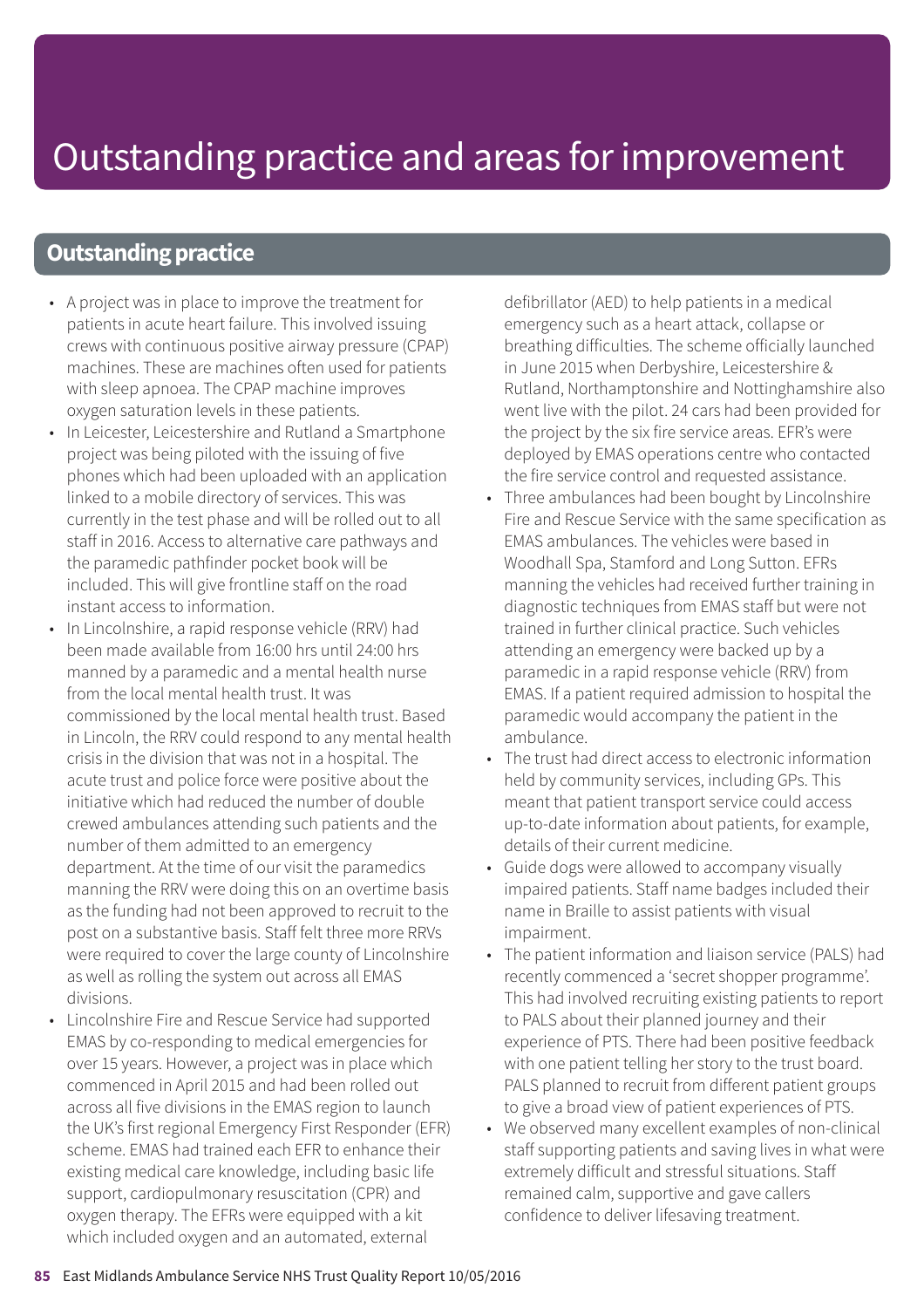# Outstanding practice and areas forimprovement

### **Outstanding practice**

- A project was in place to improve the treatment for patients in acute heart failure. This involved issuing crews with continuous positive airway pressure (CPAP) machines. These are machines often used for patients with sleep apnoea. The CPAP machine improves oxygen saturation levels in these patients.
- In Leicester, Leicestershire and Rutland a Smartphone project was being piloted with the issuing of five phones which had been uploaded with an application linked to a mobile directory of services. This was currently in the test phase and will be rolled out to all staff in 2016. Access to alternative care pathways and the paramedic pathfinder pocket book will be included. This will give frontline staff on the road instant access to information.
- In Lincolnshire, a rapid response vehicle (RRV) had been made available from 16:00 hrs until 24:00 hrs manned by a paramedic and a mental health nurse from the local mental health trust. It was commissioned by the local mental health trust. Based in Lincoln, the RRV could respond to any mental health crisis in the division that was not in a hospital. The acute trust and police force were positive about the initiative which had reduced the number of double crewed ambulances attending such patients and the number of them admitted to an emergency department. At the time of our visit the paramedics manning the RRV were doing this on an overtime basis as the funding had not been approved to recruit to the post on a substantive basis. Staff felt three more RRVs were required to cover the large county of Lincolnshire as well as rolling the system out across all EMAS divisions.
- Lincolnshire Fire and Rescue Service had supported EMAS by co-responding to medical emergencies for over 15 years. However, a project was in place which commenced in April 2015 and had been rolled out across all five divisions in the EMAS region to launch the UK's first regional Emergency First Responder (EFR) scheme. EMAS had trained each EFR to enhance their existing medical care knowledge, including basic life support, cardiopulmonary resuscitation (CPR) and oxygen therapy. The EFRs were equipped with a kit which included oxygen and an automated, external

defibrillator (AED) to help patients in a medical emergency such as a heart attack, collapse or breathing difficulties. The scheme officially launched in June 2015 when Derbyshire, Leicestershire & Rutland, Northamptonshire and Nottinghamshire also went live with the pilot. 24 cars had been provided for the project by the six fire service areas. EFR's were deployed by EMAS operations centre who contacted the fire service control and requested assistance.

- Three ambulances had been bought by Lincolnshire Fire and Rescue Service with the same specification as EMAS ambulances. The vehicles were based in Woodhall Spa, Stamford and Long Sutton. EFRs manning the vehicles had received further training in diagnostic techniques from EMAS staff but were not trained in further clinical practice. Such vehicles attending an emergency were backed up by a paramedic in a rapid response vehicle (RRV) from EMAS. If a patient required admission to hospital the paramedic would accompany the patient in the ambulance.
- The trust had direct access to electronic information held by community services, including GPs. This meant that patient transport service could access up-to-date information about patients, for example, details of their current medicine.
- Guide dogs were allowed to accompany visually impaired patients. Staff name badges included their name in Braille to assist patients with visual impairment.
- The patient information and liaison service (PALS) had recently commenced a 'secret shopper programme'. This had involved recruiting existing patients to report to PALS about their planned journey and their experience of PTS. There had been positive feedback with one patient telling her story to the trust board. PALS planned to recruit from different patient groups to give a broad view of patient experiences of PTS.
- We observed many excellent examples of non-clinical staff supporting patients and saving lives in what were extremely difficult and stressful situations. Staff remained calm, supportive and gave callers confidence to deliver lifesaving treatment.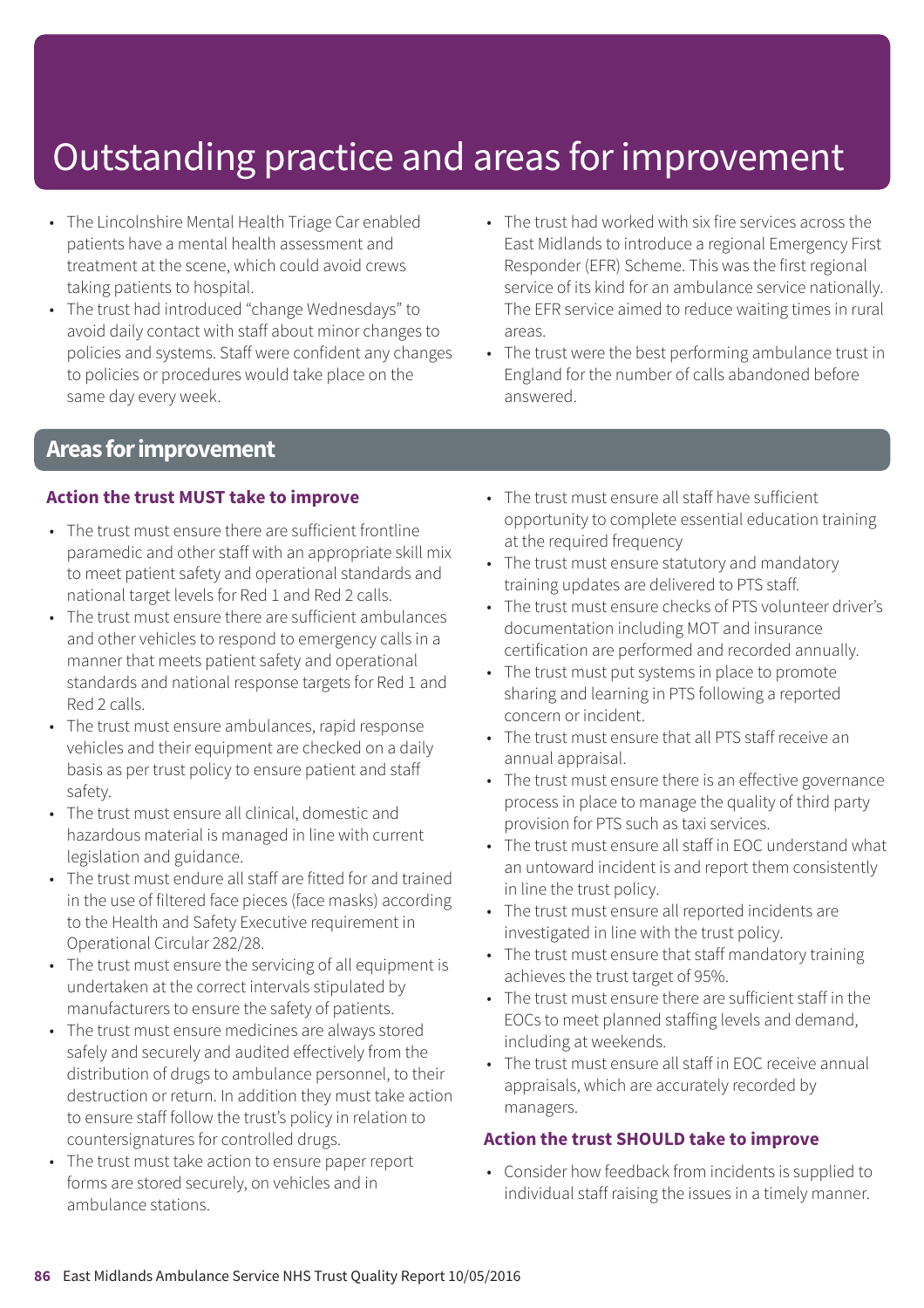# Outstanding practice and areas for improvement

- The Lincolnshire Mental Health Triage Car enabled patients have a mental health assessment and treatment at the scene, which could avoid crews taking patients to hospital.
- The trust had introduced "change Wednesdays" to avoid daily contact with staff about minor changes to policies and systems. Staff were confident any changes to policies or procedures would take place on the same day every week.
- The trust had worked with six fire services across the East Midlands to introduce a regional Emergency First Responder (EFR) Scheme. This was the first regional service of its kind for an ambulance service nationally. The EFR service aimed to reduce waiting times in rural areas.
- The trust were the best performing ambulance trust in England for the number of calls abandoned before answered.

### **Areas forimprovement**

### **Action the trust MUST take to improve**

- The trust must ensure there are sufficient frontline paramedic and other staff with an appropriate skill mix to meet patient safety and operational standards and national target levels for Red 1 and Red 2 calls.
- The trust must ensure there are sufficient ambulances and other vehicles to respond to emergency calls in a manner that meets patient safety and operational standards and national response targets for Red 1 and Red 2 calls.
- The trust must ensure ambulances, rapid response vehicles and their equipment are checked on a daily basis as per trust policy to ensure patient and staff safety.
- The trust must ensure all clinical, domestic and hazardous material is managed in line with current legislation and guidance.
- The trust must endure all staff are fitted for and trained in the use of filtered face pieces (face masks) according to the Health and Safety Executive requirement in Operational Circular 282/28.
- The trust must ensure the servicing of all equipment is undertaken at the correct intervals stipulated by manufacturers to ensure the safety of patients.
- The trust must ensure medicines are always stored safely and securely and audited effectively from the distribution of drugs to ambulance personnel, to their destruction or return. In addition they must take action to ensure staff follow the trust's policy in relation to countersignatures for controlled drugs.
- The trust must take action to ensure paper report forms are stored securely, on vehicles and in ambulance stations.
- The trust must ensure all staff have sufficient opportunity to complete essential education training at the required frequency
- The trust must ensure statutory and mandatory training updates are delivered to PTS staff.
- The trust must ensure checks of PTS volunteer driver's documentation including MOT and insurance certification are performed and recorded annually.
- The trust must put systems in place to promote sharing and learning in PTS following a reported concern or incident.
- The trust must ensure that all PTS staff receive an annual appraisal.
- The trust must ensure there is an effective governance process in place to manage the quality of third party provision for PTS such as taxi services.
- The trust must ensure all staff in EOC understand what an untoward incident is and report them consistently in line the trust policy.
- The trust must ensure all reported incidents are investigated in line with the trust policy.
- The trust must ensure that staff mandatory training achieves the trust target of 95%.
- The trust must ensure there are sufficient staff in the EOCs to meet planned staffing levels and demand, including at weekends.
- The trust must ensure all staff in EOC receive annual appraisals, which are accurately recorded by managers.

### **Action the trust SHOULD take to improve**

• Consider how feedback from incidents is supplied to individual staff raising the issues in a timely manner.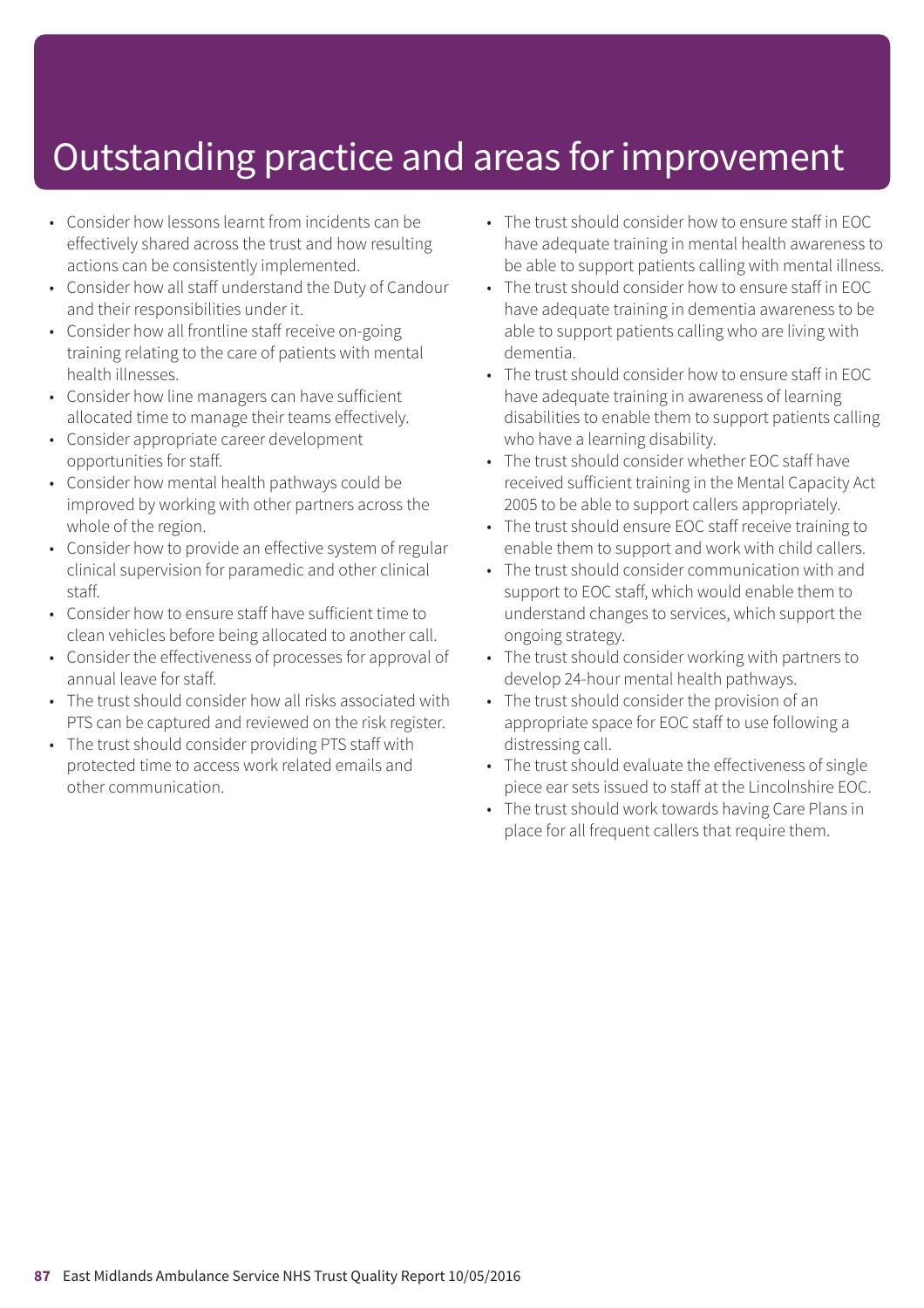## Outstanding practice and areas forimprovement

- Consider how lessons learnt from incidents can be effectively shared across the trust and how resulting actions can be consistently implemented.
- Consider how all staff understand the Duty of Candour and their responsibilities under it.
- Consider how all frontline staff receive on-going training relating to the care of patients with mental health illnesses.
- Consider how line managers can have sufficient allocated time to manage their teams effectively.
- Consider appropriate career development opportunities for staff.
- Consider how mental health pathways could be improved by working with other partners across the whole of the region.
- Consider how to provide an effective system of regular clinical supervision for paramedic and other clinical staff.
- Consider how to ensure staff have sufficient time to clean vehicles before being allocated to another call.
- Consider the effectiveness of processes for approval of annual leave for staff.
- The trust should consider how all risks associated with PTS can be captured and reviewed on the risk register.
- The trust should consider providing PTS staff with protected time to access work related emails and other communication.
- The trust should consider how to ensure staff in EOC have adequate training in mental health awareness to be able to support patients calling with mental illness.
- The trust should consider how to ensure staff in EOC have adequate training in dementia awareness to be able to support patients calling who are living with dementia.
- The trust should consider how to ensure staff in EOC have adequate training in awareness of learning disabilities to enable them to support patients calling who have a learning disability.
- The trust should consider whether EOC staff have received sufficient training in the Mental Capacity Act 2005 to be able to support callers appropriately.
- The trust should ensure EOC staff receive training to enable them to support and work with child callers.
- The trust should consider communication with and support to EOC staff, which would enable them to understand changes to services, which support the ongoing strategy.
- The trust should consider working with partners to develop 24-hour mental health pathways.
- The trust should consider the provision of an appropriate space for EOC staff to use following a distressing call.
- The trust should evaluate the effectiveness of single piece ear sets issued to staff at the Lincolnshire EOC.
- The trust should work towards having Care Plans in place for all frequent callers that require them.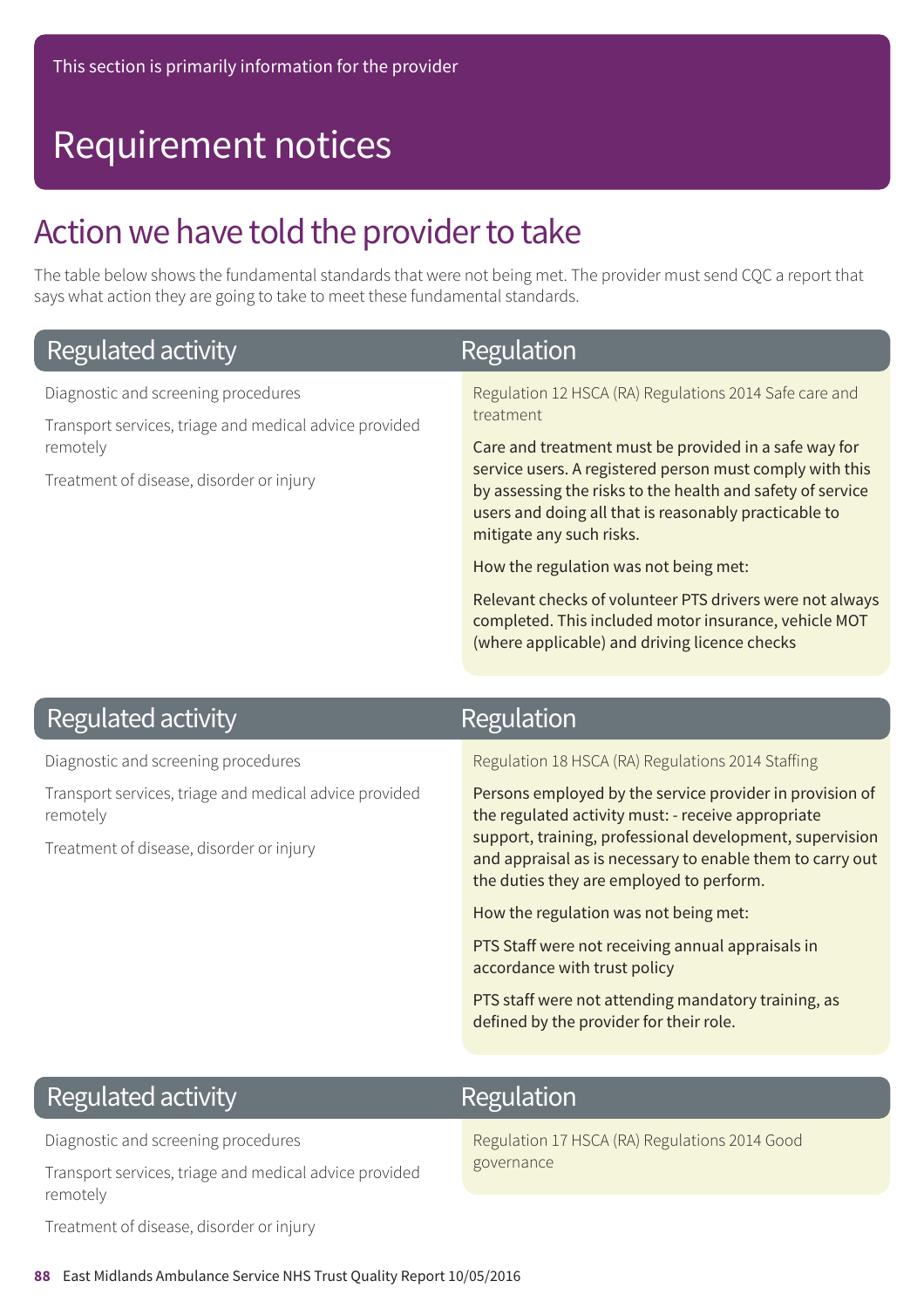## Action we have told the provider to take

The table below shows the fundamental standards that were not being met. The provider must send CQC a report that says what action they are going to take to meet these fundamental standards.

| Regulated activity                                                                                                                                    | Regulation                                                                                                                                                                                                                                                                                                                                                                                                                                                                                                |
|-------------------------------------------------------------------------------------------------------------------------------------------------------|-----------------------------------------------------------------------------------------------------------------------------------------------------------------------------------------------------------------------------------------------------------------------------------------------------------------------------------------------------------------------------------------------------------------------------------------------------------------------------------------------------------|
| Diagnostic and screening procedures<br>Transport services, triage and medical advice provided<br>remotely<br>Treatment of disease, disorder or injury | Regulation 12 HSCA (RA) Regulations 2014 Safe care and<br>treatment<br>Care and treatment must be provided in a safe way for<br>service users. A registered person must comply with this<br>by assessing the risks to the health and safety of service<br>users and doing all that is reasonably practicable to<br>mitigate any such risks.<br>How the regulation was not being met:<br>Relevant checks of volunteer PTS drivers were not always<br>completed. This included motor insurance, vehicle MOT |
|                                                                                                                                                       | (where applicable) and driving licence checks                                                                                                                                                                                                                                                                                                                                                                                                                                                             |

### **Regulated activity**

Diagnostic and screening procedures

Transport services, triage and medical advice provided remotely

Treatment of disease, disorder or injury

### Regulation

Regulation 18 HSCA (RA) Regulations 2014 Staffing

Persons employed by the service provider in provision of the regulated activity must: - receive appropriate support, training, professional development, supervision and appraisal as is necessary to enable them to carry out the duties they are employed to perform.

How the regulation was not being met:

PTS Staff were not receiving annual appraisals in accordance with trust policy

PTS staff were not attending mandatory training, as defined by the provider for their role.

## **Regulated activity**

Diagnostic and screening procedures

Transport services, triage and medical advice provided remotely

#### Treatment of disease, disorder or injury

### Regulation

Regulation 17 HSCA (RA) Regulations 2014 Good governance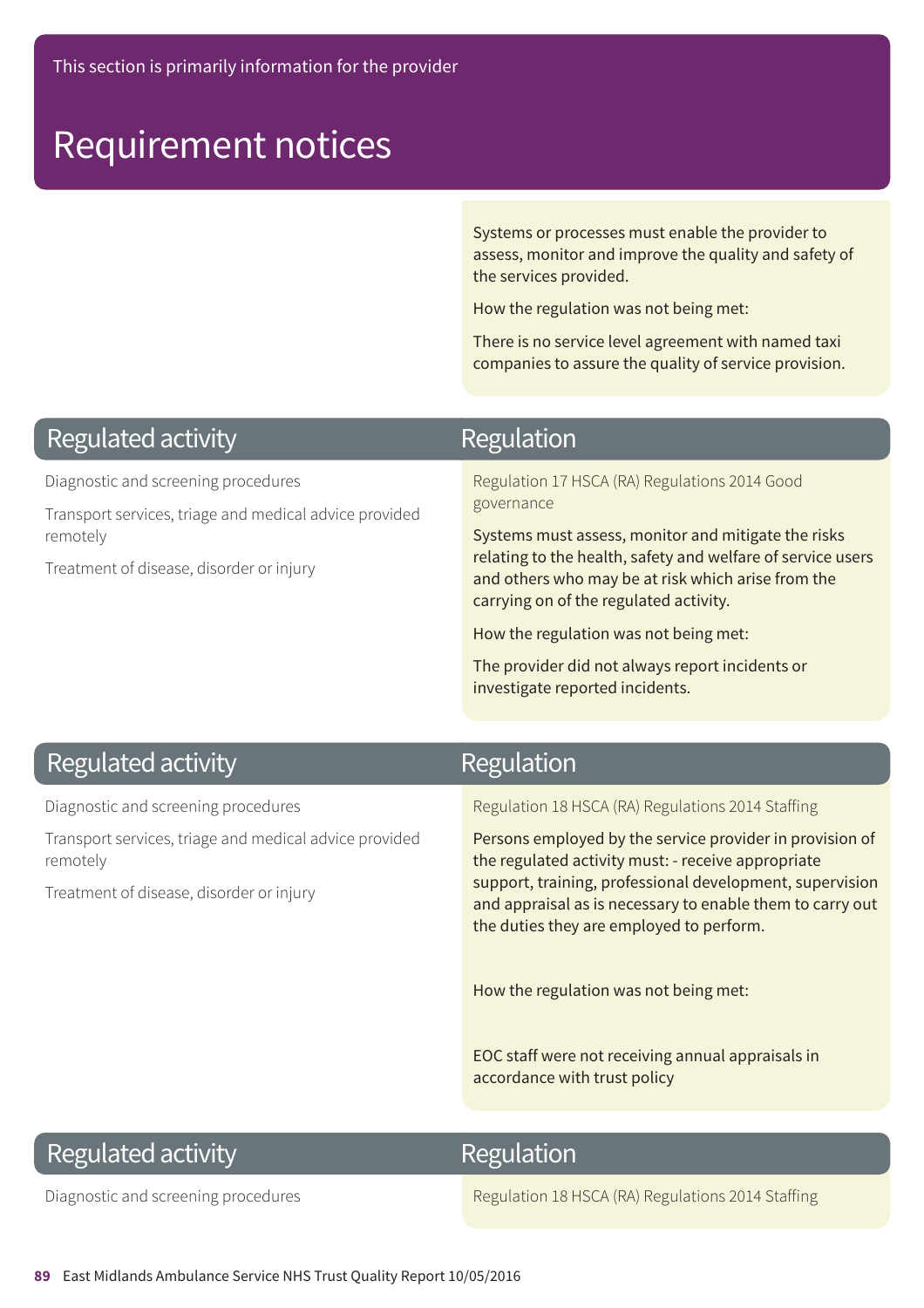Systems or processes must enable the provider to assess, monitor and improve the quality and safety of the services provided.

How the regulation was not being met:

There is no service level agreement with named taxi companies to assure the quality of service provision.

## **Regulated activity**

Diagnostic and screening procedures

Transport services, triage and medical advice provided remotely

Treatment of disease, disorder or injury

### Regulation

Regulation 17 HSCA (RA) Regulations 2014 Good governance

Systems must assess, monitor and mitigate the risks relating to the health, safety and welfare of service users and others who may be at risk which arise from the carrying on of the regulated activity.

How the regulation was not being met:

The provider did not always report incidents or investigate reported incidents.

## **Regulated activity**

Diagnostic and screening procedures

Transport services, triage and medical advice provided remotely

Treatment of disease, disorder or injury

### Regulation

Regulation 18 HSCA (RA) Regulations 2014 Staffing

Persons employed by the service provider in provision of the regulated activity must: - receive appropriate support, training, professional development, supervision and appraisal as is necessary to enable them to carry out the duties they are employed to perform.

How the regulation was not being met:

EOC staff were not receiving annual appraisals in accordance with trust policy

## **Regulated activity**

### Regulation

Diagnostic and screening procedures **Regulation 18 HSCA (RA) Regulations 2014 Staffing**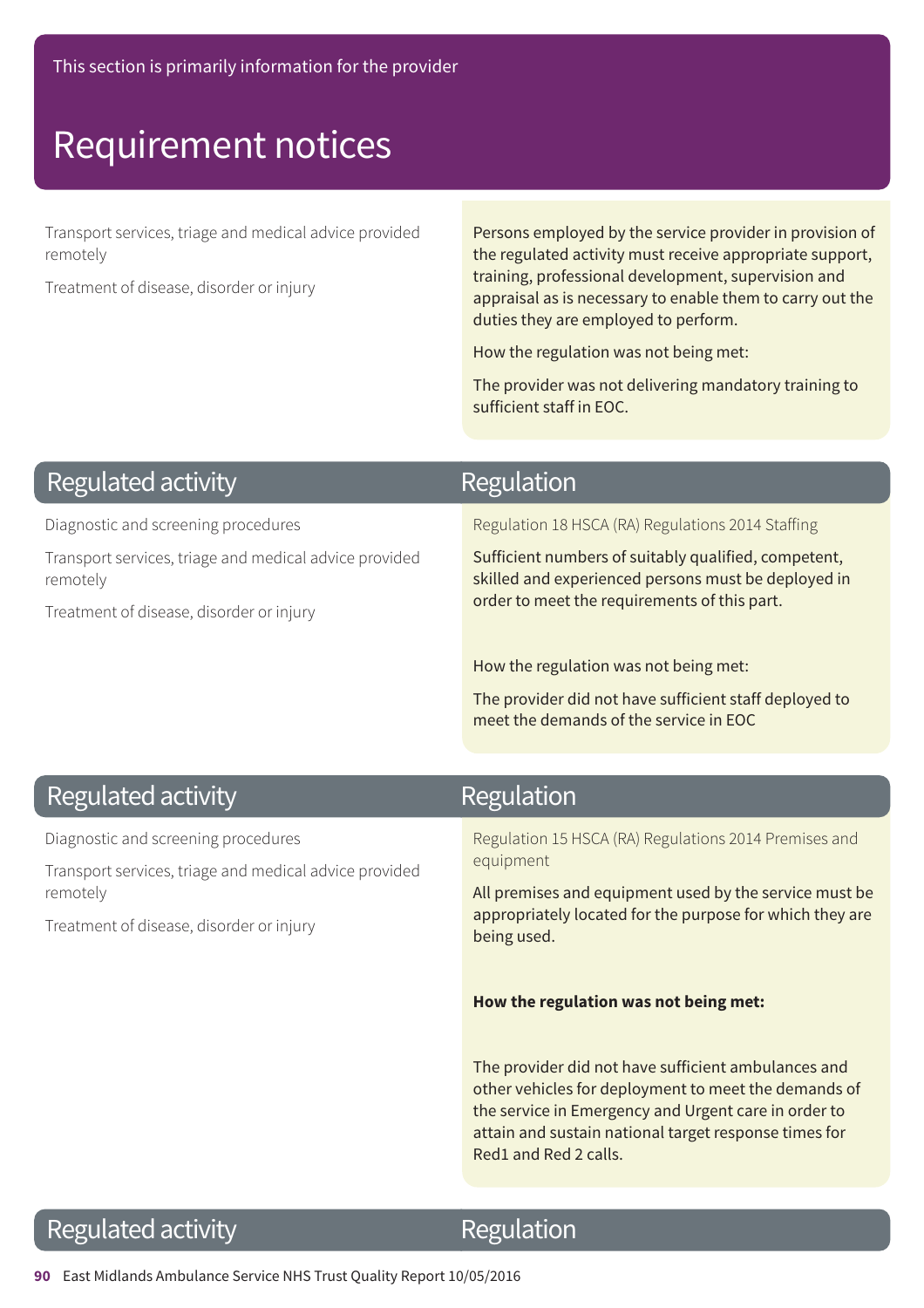Transport services, triage and medical advice provided remotely

Treatment of disease, disorder or injury

Persons employed by the service provider in provision of the regulated activity must receive appropriate support, training, professional development, supervision and appraisal as is necessary to enable them to carry out the duties they are employed to perform.

How the regulation was not being met:

The provider was not delivering mandatory training to sufficient staff in EOC.

## **Regulated activity**

Diagnostic and screening procedures

Transport services, triage and medical advice provided remotely

Treatment of disease, disorder or injury

### Regulation

Regulation 18 HSCA (RA) Regulations 2014 Staffing

Sufficient numbers of suitably qualified, competent, skilled and experienced persons must be deployed in order to meet the requirements of this part.

How the regulation was not being met:

The provider did not have sufficient staff deployed to meet the demands of the service in EOC

## **Regulated activity**

Diagnostic and screening procedures

Transport services, triage and medical advice provided remotely

Treatment of disease, disorder or injury

## Regulation

Regulation 15 HSCA (RA) Regulations 2014 Premises and equipment

All premises and equipment used by the service must be appropriately located for the purpose for which they are being used.

#### **How the regulation was not being met:**

The provider did not have sufficient ambulances and other vehicles for deployment to meet the demands of the service in Emergency and Urgent care in order to attain and sustain national target response times for Red1 and Red 2 calls.

### **Regulated activity**

### Regulation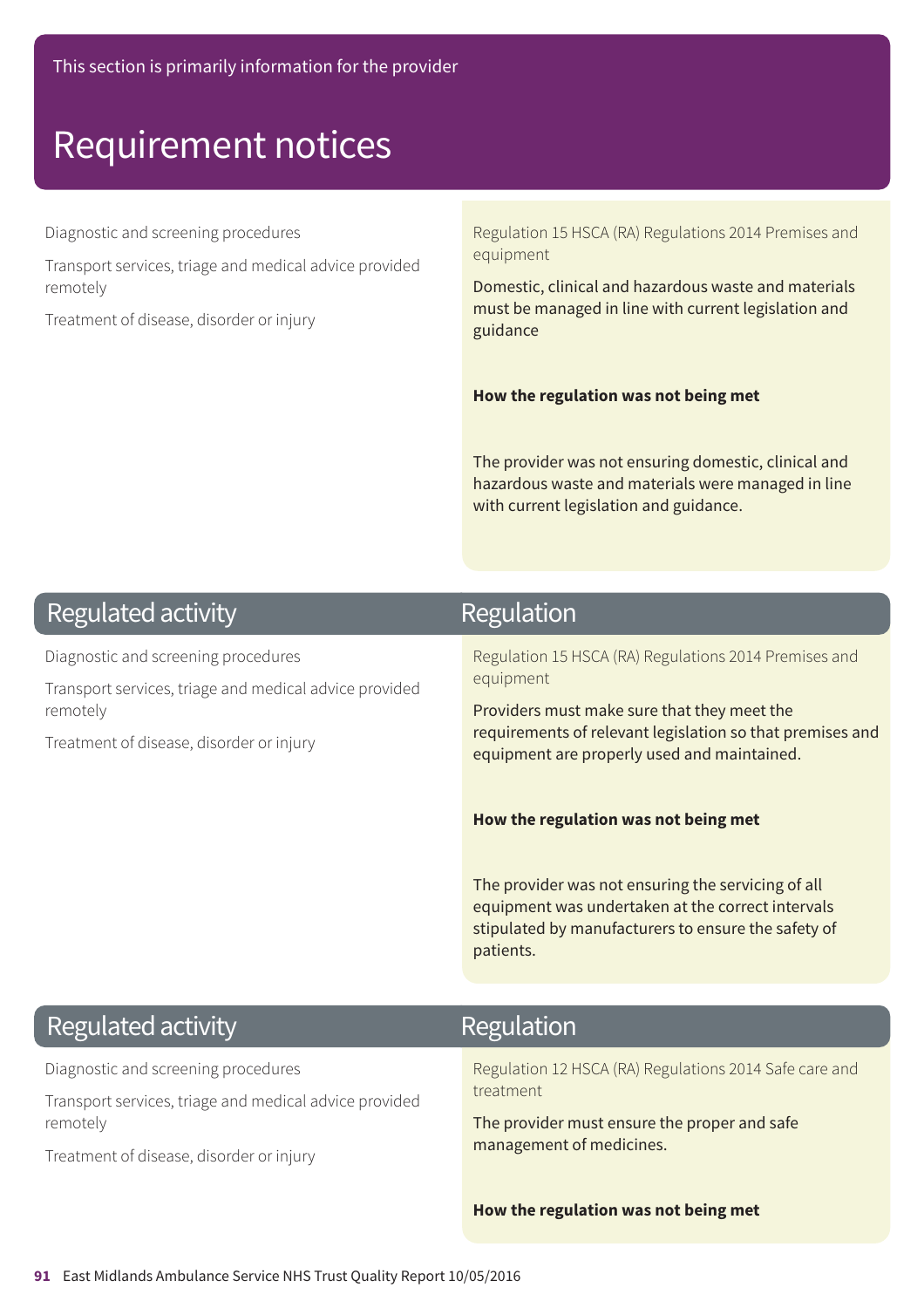Diagnostic and screening procedures

Transport services, triage and medical advice provided remotely

Treatment of disease, disorder or injury

Regulation 15 HSCA (RA) Regulations 2014 Premises and equipment

Domestic, clinical and hazardous waste and materials must be managed in line with current legislation and guidance

#### **How the regulation was not being met**

The provider was not ensuring domestic, clinical and hazardous waste and materials were managed in line with current legislation and guidance.

## **Regulated activity**

Diagnostic and screening procedures

Transport services, triage and medical advice provided remotely

Treatment of disease, disorder or injury

### Regulation

Regulation 15 HSCA (RA) Regulations 2014 Premises and equipment

Providers must make sure that they meet the requirements of relevant legislation so that premises and equipment are properly used and maintained.

#### **How the regulation was not being met**

The provider was not ensuring the servicing of all equipment was undertaken at the correct intervals stipulated by manufacturers to ensure the safety of patients.

### **Regulated activity**

## Regulation

Diagnostic and screening procedures

Transport services, triage and medical advice provided remotely

Treatment of disease, disorder or injury

#### Regulation 12 HSCA (RA) Regulations 2014 Safe care and treatment

The provider must ensure the proper and safe management of medicines.

#### **How the regulation was not being met**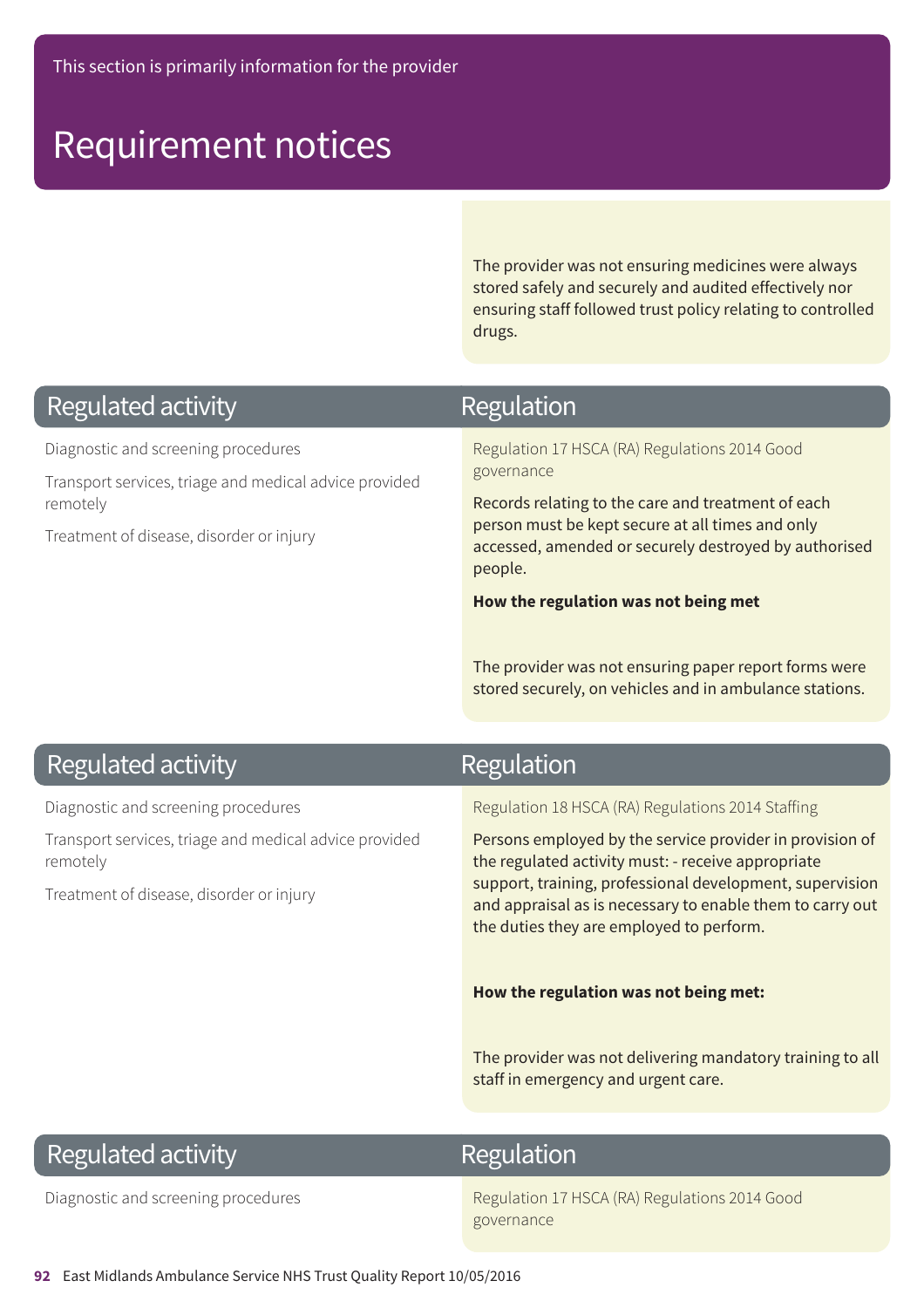The provider was not ensuring medicines were always stored safely and securely and audited effectively nor ensuring staff followed trust policy relating to controlled drugs.

### **Regulated activity**

Diagnostic and screening procedures

Transport services, triage and medical advice provided remotely

Treatment of disease, disorder or injury

## Regulation

Regulation 17 HSCA (RA) Regulations 2014 Good governance

Records relating to the care and treatment of each person must be kept secure at all times and only accessed, amended or securely destroyed by authorised people.

**How the regulation was not being met**

The provider was not ensuring paper report forms were stored securely, on vehicles and in ambulance stations.

### **Regulated activity**

Diagnostic and screening procedures

Transport services, triage and medical advice provided remotely

Treatment of disease, disorder or injury

## Regulation

Regulation 18 HSCA (RA) Regulations 2014 Staffing

Persons employed by the service provider in provision of the regulated activity must: - receive appropriate support, training, professional development, supervision and appraisal as is necessary to enable them to carry out the duties they are employed to perform.

#### **How the regulation was not being met:**

The provider was not delivering mandatory training to all staff in emergency and urgent care.

## **Regulated activity**

### Regulation

Diagnostic and screening procedures **Regulation 17 HSCA (RA) Regulations 2014 Good** governance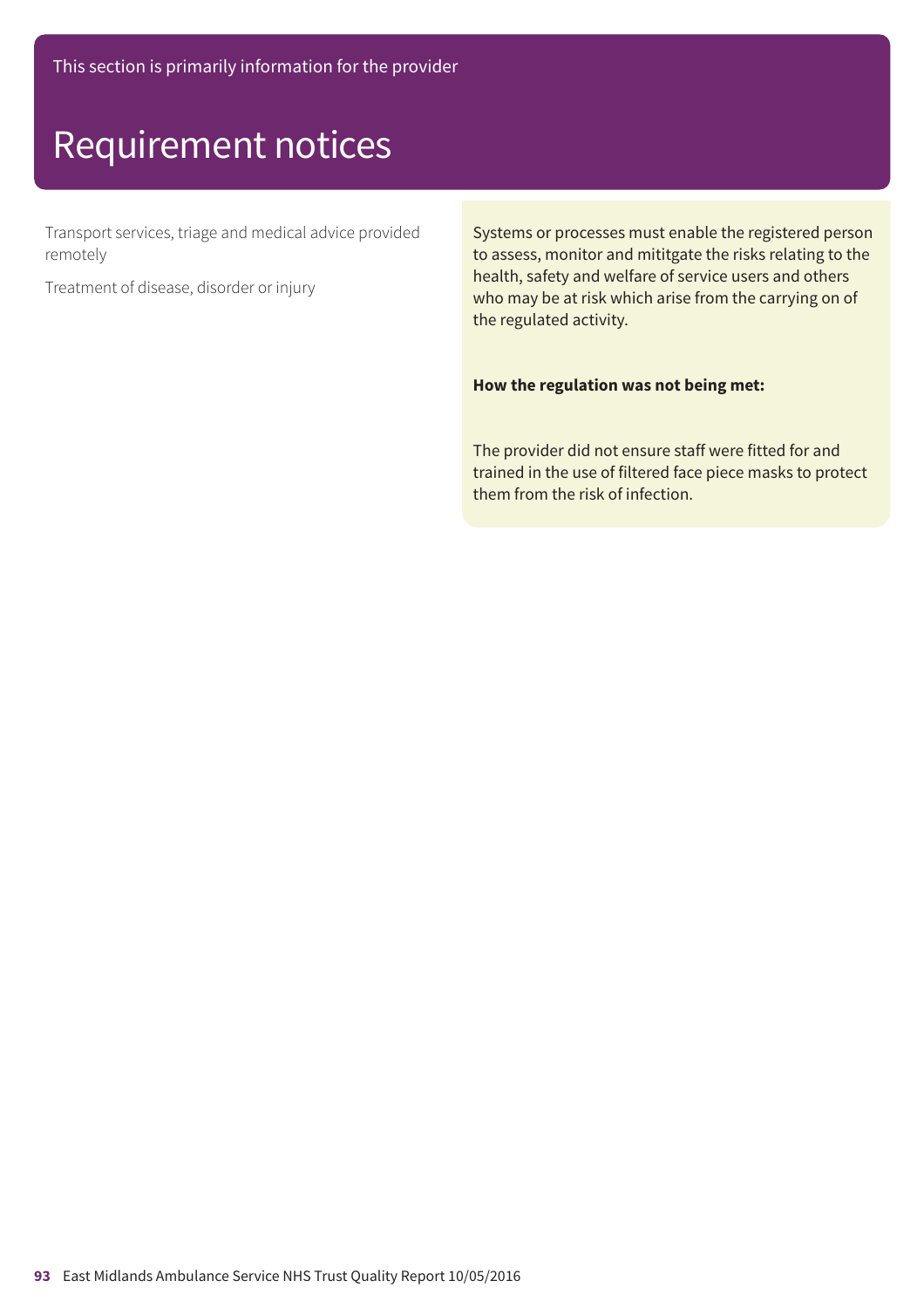Transport services, triage and medical advice provided remotely

Treatment of disease, disorder or injury

Systems or processes must enable the registered person to assess, monitor and mititgate the risks relating to the health, safety and welfare of service users and others who may be at risk which arise from the carrying on of the regulated activity.

#### **How the regulation was not being met:**

The provider did not ensure staff were fitted for and trained in the use of filtered face piece masks to protect them from the risk of infection.